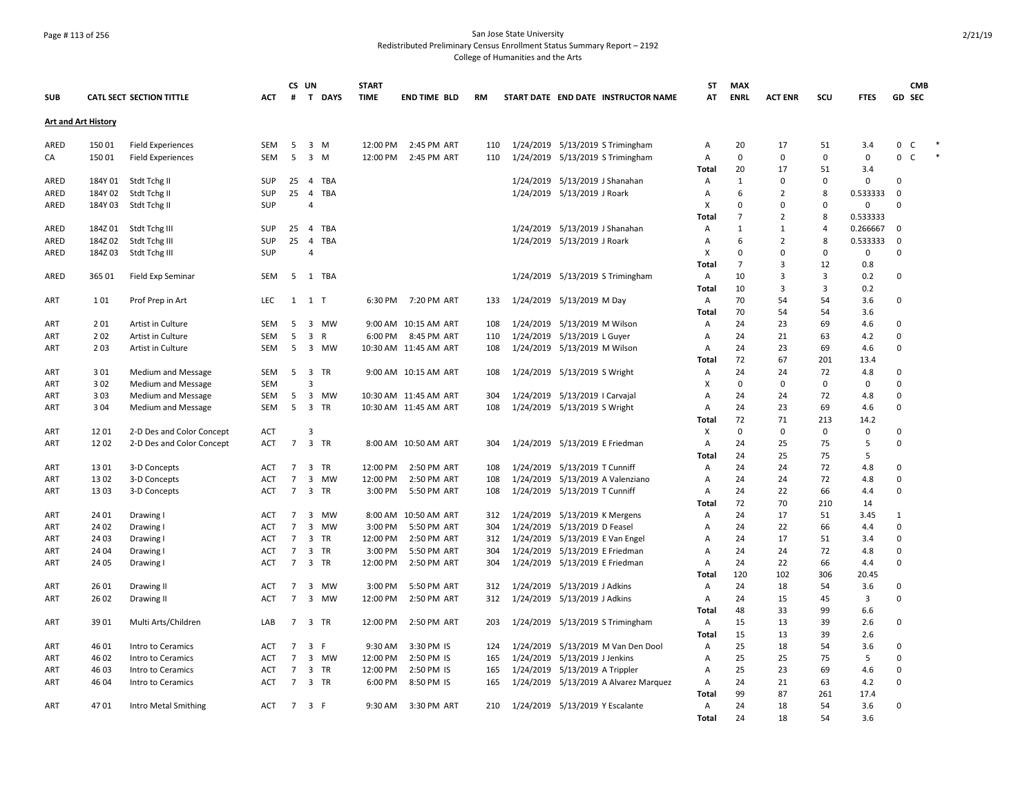## Page # 113 of 256 San Jose State University Redistributed Preliminary Census Enrollment Status Summary Report – 2192 College of Humanities and the Arts

|                            |         |                                          |            |                 | CS UN                         | <b>START</b> |                       |     |                                       | ST             | <b>MAX</b>     |                |                |             | <b>CMB</b>        |  |
|----------------------------|---------|------------------------------------------|------------|-----------------|-------------------------------|--------------|-----------------------|-----|---------------------------------------|----------------|----------------|----------------|----------------|-------------|-------------------|--|
| <b>SUB</b>                 |         | <b>CATL SECT SECTION TITTLE</b>          | <b>ACT</b> | #               | T DAYS                        | <b>TIME</b>  | <b>END TIME BLD</b>   | RM  | START DATE END DATE INSTRUCTOR NAME   | AT             | <b>ENRL</b>    | <b>ACT ENR</b> | SCU            | <b>FTES</b> | GD SEC            |  |
| <b>Art and Art History</b> |         |                                          |            |                 |                               |              |                       |     |                                       |                |                |                |                |             |                   |  |
| ARED                       | 150 01  | <b>Field Experiences</b>                 | SEM        | 5               | 3 M                           | 12:00 PM     | 2:45 PM ART           | 110 | 1/24/2019 5/13/2019 S Trimingham      | Α              | 20             | 17             | 51             | 3.4         | 0<br>C            |  |
| CA                         | 15001   | <b>Field Experiences</b>                 | SEM        | -5              | $\overline{\mathbf{3}}$<br>M  | 12:00 PM     | 2:45 PM ART           | 110 | 1/24/2019 5/13/2019 S Trimingham      | Α              | 0              | $\mathbf 0$    | 0              | 0           | 0<br>$\mathsf{C}$ |  |
|                            |         |                                          |            |                 |                               |              |                       |     |                                       | Total          | 20             | 17             | 51             | 3.4         |                   |  |
| ARED                       | 184Y 01 | Stdt Tchg II                             | SUP        | 25              | TBA<br>$\overline{4}$         |              |                       |     | 1/24/2019 5/13/2019 J Shanahan        | Α              | 1              | $\mathbf 0$    | $\mathbf 0$    | 0           | 0                 |  |
| ARED                       | 184Y 02 | Stdt Tchg II                             | SUP        | 25              | $\overline{4}$<br>TBA         |              |                       |     | 1/24/2019 5/13/2019 J Roark           | $\overline{A}$ | 6              | $\overline{2}$ | 8              | 0.533333    | $\mathbf 0$       |  |
| ARED                       | 184Y03  | Stdt Tchg II                             | SUP        |                 | $\overline{4}$                |              |                       |     |                                       | X              | $\mathbf 0$    | $\Omega$       | 0              | 0           | $\Omega$          |  |
|                            |         |                                          |            |                 |                               |              |                       |     |                                       | Total          | $\overline{7}$ | $\overline{2}$ | 8              | 0.533333    |                   |  |
| ARED                       | 184Z 01 | Stdt Tchg III                            | SUP        | 25              | 4 TBA                         |              |                       |     | 1/24/2019 5/13/2019 J Shanahan        | Α              | $\mathbf{1}$   | $\mathbf{1}$   | $\overline{4}$ | 0.266667    | 0                 |  |
| ARED                       | 184Z 02 | Stdt Tchg III                            | <b>SUP</b> | 25              | 4 TBA                         |              |                       |     | 1/24/2019 5/13/2019 J Roark           | Α              | 6              | $\overline{2}$ | 8              | 0.533333    | $\pmb{0}$         |  |
| ARED                       | 184Z03  | Stdt Tchg III                            | <b>SUP</b> |                 | 4                             |              |                       |     |                                       | $\times$       | $\mathbf 0$    | $\Omega$       | $\mathbf 0$    | 0           | $\Omega$          |  |
|                            |         |                                          |            |                 |                               |              |                       |     |                                       | Total          | $\overline{7}$ | $\overline{3}$ | 12             | 0.8         |                   |  |
| ARED                       | 365 01  | Field Exp Seminar                        | SEM        | - 5             | 1 TBA                         |              |                       |     | 1/24/2019 5/13/2019 S Trimingham      | A              | 10             | 3              | 3              | 0.2         | $\mathbf 0$       |  |
|                            |         |                                          |            |                 |                               |              |                       |     |                                       | Total          | 10             | 3              | 3              | 0.2         |                   |  |
| ART                        | 101     | Prof Prep in Art                         | <b>LEC</b> |                 | 1 1 T                         |              | 6:30 PM 7:20 PM ART   | 133 | 1/24/2019 5/13/2019 M Day             | $\overline{A}$ | 70             | 54             | 54             | 3.6         | 0                 |  |
|                            |         |                                          |            |                 |                               |              |                       |     |                                       | Total          | 70             | 54             | 54             | 3.6         |                   |  |
| ART                        | 201     | Artist in Culture                        | SEM        | 5               | 3 MW                          |              | 9:00 AM 10:15 AM ART  | 108 | 1/24/2019 5/13/2019 M Wilson          | $\overline{A}$ | 24             | 23             | 69             | 4.6         | $\Omega$          |  |
| ART                        | 202     | Artist in Culture                        | <b>SEM</b> | 5               | $\overline{\mathbf{3}}$<br>R  | 6:00 PM      | 8:45 PM ART           | 110 | 1/24/2019 5/13/2019 L Guyer           | Α              | 24             | 21             | 63             | 4.2         | 0                 |  |
| ART                        | 203     | Artist in Culture                        | <b>SEM</b> | - 5             | 3 MW                          |              | 10:30 AM 11:45 AM ART | 108 | 1/24/2019 5/13/2019 M Wilson          | Α              | 24             | 23             | 69             | 4.6         | $\Omega$          |  |
|                            |         |                                          |            |                 |                               |              |                       |     |                                       | Total          | 72             | 67             | 201            | 13.4        |                   |  |
| ART                        | 301     |                                          | <b>SEM</b> | 5               | 3 TR                          |              | 9:00 AM 10:15 AM ART  | 108 | 1/24/2019 5/13/2019 S Wright          | $\overline{A}$ | 24             | 24             | 72             | 4.8         | $\Omega$          |  |
| ART                        | 302     | Medium and Message<br>Medium and Message | <b>SEM</b> |                 | $\overline{3}$                |              |                       |     |                                       | X              | $\mathbf 0$    | $\mathbf 0$    | 0              | 0           | $\Omega$          |  |
| ART                        | 303     | <b>Medium and Message</b>                | SEM        | 5               | 3 MW                          |              | 10:30 AM 11:45 AM ART | 304 | 1/24/2019 5/13/2019   Carvajal        | A              | 24             | 24             | 72             | 4.8         | 0                 |  |
|                            |         |                                          |            | 5               | 3 TR                          |              |                       | 108 |                                       | Α              | 24             | 23             | 69             |             | $\Omega$          |  |
| ART                        | 304     | Medium and Message                       | SEM        |                 |                               |              | 10:30 AM 11:45 AM ART |     | 1/24/2019 5/13/2019 S Wright          |                | 72             | 71             |                | 4.6         |                   |  |
|                            | 1201    |                                          |            |                 | 3                             |              |                       |     |                                       | Total<br>X     | 0              | $\Omega$       | 213<br>0       | 14.2<br>0   | $\Omega$          |  |
| ART                        |         | 2-D Des and Color Concept                | <b>ACT</b> |                 |                               |              |                       |     |                                       |                |                |                |                |             | $\Omega$          |  |
| ART                        | 1202    | 2-D Des and Color Concept                | <b>ACT</b> | $\overline{7}$  | 3 TR                          |              | 8:00 AM 10:50 AM ART  | 304 | 1/24/2019 5/13/2019 E Friedman        | Α              | 24             | 25             | 75             | 5           |                   |  |
|                            |         |                                          |            |                 |                               |              |                       |     |                                       | Total          | 24             | 25             | 75             | 5           | $\Omega$          |  |
| ART                        | 1301    | 3-D Concepts                             | <b>ACT</b> | 7               | 3 TR                          | 12:00 PM     | 2:50 PM ART           | 108 | 1/24/2019 5/13/2019 T Cunniff         | Α              | 24             | 24             | 72             | 4.8         |                   |  |
| ART                        | 1302    | 3-D Concepts                             | ACT        | $\overline{7}$  | 3 MW                          | 12:00 PM     | 2:50 PM ART           | 108 | 1/24/2019 5/13/2019 A Valenziano      | A              | 24             | 24             | 72             | 4.8         | $\Omega$          |  |
| ART                        | 1303    | 3-D Concepts                             | <b>ACT</b> | $\overline{7}$  | 3 TR                          | 3:00 PM      | 5:50 PM ART           | 108 | 1/24/2019 5/13/2019 T Cunniff         | $\overline{A}$ | 24             | 22             | 66             | 4.4         | $\Omega$          |  |
|                            |         |                                          |            |                 |                               |              |                       |     |                                       | Total          | 72             | 70             | 210            | 14          |                   |  |
| <b>ART</b>                 | 24 01   | Drawing I                                | <b>ACT</b> | $\overline{7}$  | 3 MW                          |              | 8:00 AM 10:50 AM ART  | 312 | 1/24/2019 5/13/2019 K Mergens         | Α              | 24             | 17             | 51             | 3.45        | $\mathbf{1}$      |  |
| ART                        | 24 02   | Drawing I                                | ACT        | $\overline{7}$  | $\overline{\mathbf{3}}$<br>MW | 3:00 PM      | 5:50 PM ART           | 304 | 1/24/2019 5/13/2019 D Feasel          | A              | 24             | 22             | 66             | 4.4         | $\Omega$          |  |
| ART                        | 24 03   | Drawing I                                | <b>ACT</b> | $\overline{7}$  | 3 TR                          | 12:00 PM     | 2:50 PM ART           | 312 | 1/24/2019 5/13/2019 E Van Engel       | $\overline{A}$ | 24             | 17             | 51             | 3.4         | $\Omega$          |  |
| ART                        | 24 04   | Drawing I                                | ACT        | $\overline{7}$  | 3 TR                          | 3:00 PM      | 5:50 PM ART           | 304 | 1/24/2019 5/13/2019 E Friedman        | Α              | 24             | 24             | 72             | 4.8         | 0                 |  |
| ART                        | 24 05   | Drawing I                                | <b>ACT</b> | $7\overline{ }$ | 3 TR                          | 12:00 PM     | 2:50 PM ART           | 304 | 1/24/2019 5/13/2019 E Friedman        | Α              | 24             | 22             | 66             | 4.4         | $\Omega$          |  |
|                            |         |                                          |            |                 |                               |              |                       |     |                                       | Total          | 120            | 102            | 306            | 20.45       |                   |  |
| <b>ART</b>                 | 26 01   | Drawing II                               | <b>ACT</b> | $\overline{7}$  | 3 MW                          | 3:00 PM      | 5:50 PM ART           | 312 | 1/24/2019 5/13/2019 J Adkins          | Α              | 24             | 18             | 54             | 3.6         | 0                 |  |
| ART                        | 26 02   | Drawing II                               | <b>ACT</b> | $\overline{7}$  | 3 MW                          | 12:00 PM     | 2:50 PM ART           | 312 | 1/24/2019 5/13/2019 J Adkins          | $\overline{A}$ | 24             | 15             | 45             | 3           | $\Omega$          |  |
|                            |         |                                          |            |                 |                               |              |                       |     |                                       | Total          | 48             | 33             | 99             | 6.6         |                   |  |
| ART                        | 39 01   | Multi Arts/Children                      | LAB        | $7^{\circ}$     | 3 TR                          | 12:00 PM     | 2:50 PM ART           | 203 | 1/24/2019 5/13/2019 S Trimingham      | $\overline{A}$ | 15             | 13             | 39             | 2.6         | $\Omega$          |  |
|                            |         |                                          |            |                 |                               |              |                       |     |                                       | Total          | 15             | 13             | 39             | 2.6         |                   |  |
| <b>ART</b>                 | 46 01   | Intro to Ceramics                        | <b>ACT</b> | $\overline{7}$  | 3<br>-F                       | 9:30 AM      | 3:30 PM IS            | 124 | 1/24/2019 5/13/2019 M Van Den Dool    | Α              | 25             | 18             | 54             | 3.6         | 0                 |  |
| ART                        | 46 02   | Intro to Ceramics                        | ACT        | $\overline{7}$  | 3 MW                          | 12:00 PM     | 2:50 PM IS            | 165 | 1/24/2019 5/13/2019 J Jenkins         | A              | 25             | 25             | 75             | 5           | $\mathbf 0$       |  |
| ART                        | 4603    | Intro to Ceramics                        | ACT        | $\overline{7}$  | 3 TR                          | 12:00 PM     | 2:50 PM IS            | 165 | 1/24/2019 5/13/2019 A Trippler        | Α              | 25             | 23             | 69             | 4.6         | 0                 |  |
| ART                        | 46 04   | Intro to Ceramics                        | ACT        | $\overline{7}$  | 3 TR                          | 6:00 PM      | 8:50 PM IS            | 165 | 1/24/2019 5/13/2019 A Alvarez Marquez | Α              | 24             | 21             | 63             | 4.2         | 0                 |  |
|                            |         |                                          |            |                 |                               |              |                       |     |                                       | Total          | 99             | 87             | 261            | 17.4        |                   |  |
| <b>ART</b>                 | 4701    | Intro Metal Smithing                     | ACT        | $7^{\circ}$     | 3 F                           |              | 9:30 AM 3:30 PM ART   | 210 | 1/24/2019 5/13/2019 Y Escalante       | $\overline{A}$ | 24             | 18             | 54             | 3.6         | $\Omega$          |  |
|                            |         |                                          |            |                 |                               |              |                       |     |                                       | Total          | 24             | 18             | 54             | 3.6         |                   |  |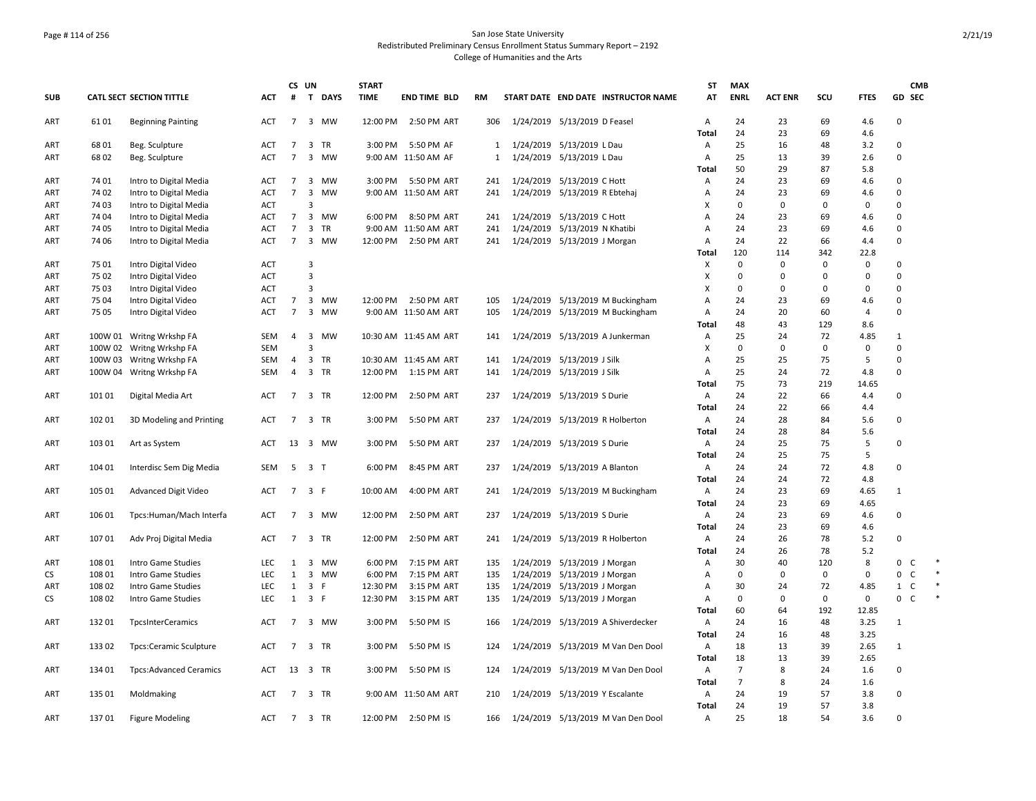## Page # 114 of 256 San Jose State University Redistributed Preliminary Census Enrollment Status Summary Report – 2192 College of Humanities and the Arts

|            |        |                               |            |                | CS UN                       | <b>START</b> |                       |              |                                     | ST                        | <b>MAX</b>     |                |             |             | <b>CMB</b>                   |        |
|------------|--------|-------------------------------|------------|----------------|-----------------------------|--------------|-----------------------|--------------|-------------------------------------|---------------------------|----------------|----------------|-------------|-------------|------------------------------|--------|
| <b>SUB</b> |        | CATL SECT SECTION TITTLE      | <b>ACT</b> | #              | $\mathbf{T}$<br><b>DAYS</b> | <b>TIME</b>  | <b>END TIME BLD</b>   | <b>RM</b>    | START DATE END DATE INSTRUCTOR NAME | AT                        | <b>ENRL</b>    | <b>ACT ENR</b> | SCU         | <b>FTES</b> | GD SEC                       |        |
| ART        | 6101   | <b>Beginning Painting</b>     | <b>ACT</b> | $7^{\circ}$    | 3 MW                        | 12:00 PM     | 2:50 PM ART           | 306          | 1/24/2019 5/13/2019 D Feasel        | $\overline{A}$            | 24             | 23             | 69          | 4.6         | $\Omega$                     |        |
|            |        |                               |            |                |                             |              |                       |              |                                     | <b>Total</b>              | 24             | 23             | 69          | 4.6         |                              |        |
| ART        | 6801   | Beg. Sculpture                | <b>ACT</b> | $\overline{7}$ | 3<br>TR                     | 3:00 PM      | 5:50 PM AF            | 1            | 1/24/2019 5/13/2019 L Dau           | A                         | 25             | 16             | 48          | 3.2         | 0                            |        |
| ART        | 6802   | Beg. Sculpture                | <b>ACT</b> | $\overline{7}$ | 3 MW                        |              | 9:00 AM 11:50 AM AF   | $\mathbf{1}$ | 1/24/2019 5/13/2019 L Dau           | $\mathsf{A}$              | 25             | 13             | 39          | 2.6         | $\Omega$                     |        |
|            |        |                               |            |                |                             |              |                       |              |                                     | Total                     | 50             | 29             | 87          | 5.8         |                              |        |
| ART        | 74 01  | Intro to Digital Media        | ACT        | 7              | 3<br>MW                     | 3:00 PM      | 5:50 PM ART           | 241          | 1/24/2019 5/13/2019 C Hott          | A                         | 24             | 23             | 69          | 4.6         | $\mathbf 0$                  |        |
| ART        | 74 02  | Intro to Digital Media        | <b>ACT</b> | $\overline{7}$ | 3 MW                        |              | 9:00 AM 11:50 AM ART  | 241          | 1/24/2019 5/13/2019 R Ebtehaj       | Α                         | 24             | 23             | 69          | 4.6         | $\mathbf 0$                  |        |
| ART        | 74 03  | Intro to Digital Media        | ACT        |                | 3                           |              |                       |              |                                     | X                         | $\mathbf 0$    | $\mathbf 0$    | 0           | 0           | $\Omega$                     |        |
| ART        | 74 04  | Intro to Digital Media        | <b>ACT</b> | $\overline{7}$ | <b>MW</b><br>3              | 6:00 PM      | 8:50 PM ART           | 241          | 1/24/2019 5/13/2019 C Hott          | $\overline{A}$            | 24             | 23             | 69          | 4.6         | $\Omega$                     |        |
| ART        | 74 05  | Intro to Digital Media        | <b>ACT</b> | $\overline{7}$ | 3<br>TR                     |              | 9:00 AM 11:50 AM ART  | 241          | 1/24/2019 5/13/2019 N Khatibi       | Α                         | 24             | 23             | 69          | 4.6         | $\mathbf 0$                  |        |
| ART        | 74 06  | Intro to Digital Media        | <b>ACT</b> | $\overline{7}$ | 3 MW                        | 12:00 PM     | 2:50 PM ART           | 241          | 1/24/2019 5/13/2019 J Morgan        | $\mathsf{A}$              | 24             | 22             | 66          | 4.4         | $\mathbf 0$                  |        |
|            |        |                               |            |                |                             |              |                       |              |                                     | Total                     | 120            | 114            | 342         | 22.8        |                              |        |
| ART        | 75 01  | Intro Digital Video           | <b>ACT</b> |                | 3                           |              |                       |              |                                     | X                         | $\Omega$       | $\Omega$       | $\Omega$    | 0           | $\Omega$                     |        |
| ART        | 75 02  | Intro Digital Video           | <b>ACT</b> |                | 3                           |              |                       |              |                                     | X                         | $\pmb{0}$      | 0              | 0           | 0           | $\mathbf 0$                  |        |
| ART        | 75 03  | Intro Digital Video           | <b>ACT</b> |                | 3                           |              |                       |              |                                     | X                         | $\Omega$       | 0              | $\mathbf 0$ | 0           | $\mathbf 0$                  |        |
| ART        | 75 04  | Intro Digital Video           | <b>ACT</b> | $\overline{7}$ | 3 MW                        | 12:00 PM     | 2:50 PM ART           | 105          | 1/24/2019 5/13/2019 M Buckingham    | $\overline{A}$            | 24             | 23             | 69          | 4.6         | $\mathbf 0$                  |        |
| ART        | 75 05  | Intro Digital Video           | <b>ACT</b> | $\overline{7}$ | 3 MW                        |              | 9:00 AM 11:50 AM ART  | 105          | 1/24/2019 5/13/2019 M Buckingham    | $\overline{\mathsf{A}}$   | 24             | 20             | 60          | 4           | $\Omega$                     |        |
|            |        |                               |            |                |                             |              |                       |              |                                     | Total                     | 48             | 43             | 129         | 8.6         |                              |        |
| ART        |        | 100W 01 Writng Wrkshp FA      | SEM        | $\overline{4}$ | 3<br><b>MW</b>              |              | 10:30 AM 11:45 AM ART | 141          | 1/24/2019 5/13/2019 A Junkerman     | $\mathsf{A}$              | 25             | 24             | 72          | 4.85        | $\mathbf{1}$                 |        |
| <b>ART</b> |        | 100W 02 Writng Wrkshp FA      | <b>SEM</b> |                | Р                           |              |                       |              |                                     | $\boldsymbol{\mathsf{X}}$ | $\mathbf 0$    | 0              | 0           | 0           | $\Omega$                     |        |
| ART        |        | 100W 03 Writng Wrkshp FA      | SEM        | $\overline{4}$ | 3 TR                        |              | 10:30 AM 11:45 AM ART | 141          | 1/24/2019 5/13/2019 J Silk          | A                         | 25             | 25             | 75          | 5           | $\mathbf 0$                  |        |
| ART        |        | 100W 04 Writng Wrkshp FA      | SEM        | $\overline{4}$ | 3 TR                        | 12:00 PM     | 1:15 PM ART           | 141          | 1/24/2019 5/13/2019 J Silk          | $\overline{A}$            | 25             | 24             | 72          | 4.8         | $\Omega$                     |        |
|            |        |                               |            |                |                             |              |                       |              |                                     | Total                     | 75             | 73             | 219         | 14.65       |                              |        |
| ART        | 10101  | Digital Media Art             | <b>ACT</b> | $\overline{7}$ | 3 TR                        | 12:00 PM     | 2:50 PM ART           | 237          | 1/24/2019 5/13/2019 S Durie         | $\mathsf{A}$              | 24             | 22             | 66          | 4.4         | $\Omega$                     |        |
|            |        |                               |            |                |                             |              |                       |              |                                     | Total                     | 24             | 22             | 66          | 4.4         |                              |        |
| ART        | 102 01 | 3D Modeling and Printing      | <b>ACT</b> | $7^{\circ}$    | 3 TR                        | 3:00 PM      | 5:50 PM ART           | 237          | 1/24/2019 5/13/2019 R Holberton     | $\mathsf{A}$              | 24             | 28             | 84          | 5.6         | 0                            |        |
|            |        |                               |            |                |                             |              |                       |              |                                     | Total                     | 24             | 28             | 84          | 5.6         |                              |        |
| ART        | 103 01 | Art as System                 | <b>ACT</b> |                | 13 3 MW                     | 3:00 PM      | 5:50 PM ART           | 237          | 1/24/2019 5/13/2019 S Durie         | A                         | 24             | 25             | 75          | 5           | $\Omega$                     |        |
|            |        |                               |            |                |                             |              |                       |              |                                     | Total                     | 24             | 25             | 75          | 5           |                              |        |
| ART        | 104 01 | Interdisc Sem Dig Media       | <b>SEM</b> | 5              | 3 <sub>T</sub>              | 6:00 PM      | 8:45 PM ART           | 237          | 1/24/2019 5/13/2019 A Blanton       | $\overline{A}$            | 24             | 24             | 72          | 4.8         | 0                            |        |
|            |        |                               |            |                |                             |              |                       |              |                                     | Total                     | 24             | 24             | 72          | 4.8         |                              |        |
| ART        | 105 01 | Advanced Digit Video          | <b>ACT</b> | $7^{\circ}$    | 3 F                         | 10:00 AM     | 4:00 PM ART           | 241          | 1/24/2019 5/13/2019 M Buckingham    | A                         | 24             | 23             | 69          | 4.65        | 1                            |        |
|            |        |                               |            |                |                             |              |                       |              |                                     | Total                     | 24             | 23             | 69          | 4.65        |                              |        |
| ART        | 106 01 | Tpcs:Human/Mach Interfa       | ACT        | $7^{\circ}$    | 3 MW                        | 12:00 PM     | 2:50 PM ART           | 237          | 1/24/2019 5/13/2019 S Durie         | $\mathsf{A}$              | 24             | 23             | 69          | 4.6         | 0                            |        |
|            |        |                               |            |                |                             |              |                       |              |                                     | Total                     | 24             | 23             | 69          | 4.6         |                              |        |
| ART        | 107 01 | Adv Proj Digital Media        | <b>ACT</b> | 7 <sup>7</sup> | 3 TR                        | 12:00 PM     | 2:50 PM ART           | 241          | 1/24/2019 5/13/2019 R Holberton     | A                         | 24             | 26             | 78          | 5.2         | $\Omega$                     |        |
|            |        |                               |            |                |                             |              |                       |              |                                     | Total                     | 24             | 26             | 78          | 5.2         |                              |        |
| ART        | 108 01 | Intro Game Studies            | <b>LEC</b> | $\mathbf{1}$   | 3<br>MW                     | 6:00 PM      | 7:15 PM ART           | 135          | 1/24/2019 5/13/2019 J Morgan        | $\mathsf{A}$              | 30             | 40             | 120         | 8           | 0<br>C                       |        |
| CS         | 108 01 | Intro Game Studies            | LEC        | $\mathbf{1}$   | 3 MW                        | 6:00 PM      | 7:15 PM ART           | 135          | 1/24/2019 5/13/2019 J Morgan        | A                         | $\mathbf 0$    | $\mathbf 0$    | $\mathbf 0$ | 0           | 0<br>C                       |        |
| ART        | 108 02 | Intro Game Studies            | LEC        | $\mathbf{1}$   | 3 F                         | 12:30 PM     | 3:15 PM ART           | 135          | 1/24/2019 5/13/2019 J Morgan        | A                         | 30             | 24             | 72          | 4.85        | $\mathbf{1}$<br>$\mathsf{C}$ | $\ast$ |
| CS         | 108 02 | Intro Game Studies            | LEC        | $\mathbf{1}$   | 3 F                         | 12:30 PM     | 3:15 PM ART           | 135          | 1/24/2019 5/13/2019 J Morgan        | Α                         | 0              | 0              | 0           | 0           | $\mathbf 0$<br>$\mathsf{C}$  |        |
|            |        |                               |            |                |                             |              |                       |              |                                     | Total                     | 60             | 64             | 192         | 12.85       |                              |        |
| ART        | 13201  | <b>TpcsInterCeramics</b>      | ACT        | $\overline{7}$ | 3 MW                        | 3:00 PM      | 5:50 PM IS            | 166          | 1/24/2019 5/13/2019 A Shiverdecker  | $\mathsf{A}$              | 24             | 16             | 48          | 3.25        | $\mathbf{1}$                 |        |
|            |        |                               |            |                |                             |              |                       |              |                                     | Total                     | 24             | 16             | 48          | 3.25        |                              |        |
| ART        | 13302  | <b>Tpcs:Ceramic Sculpture</b> | ACT        | $\overline{7}$ | 3 TR                        | 3:00 PM      | 5:50 PM IS            | 124          | 1/24/2019 5/13/2019 M Van Den Dool  | $\mathsf{A}$              | 18             | 13             | 39          | 2.65        | 1                            |        |
|            |        |                               |            |                |                             |              |                       |              |                                     | Total                     | 18             | 13             | 39          | 2.65        |                              |        |
| ART        | 13401  | <b>Tpcs:Advanced Ceramics</b> | <b>ACT</b> |                | 13 3 TR                     | 3:00 PM      | 5:50 PM IS            | 124          | 1/24/2019 5/13/2019 M Van Den Dool  | $\overline{A}$            | $\overline{7}$ | 8              | 24          | 1.6         | $\Omega$                     |        |
|            |        |                               |            |                |                             |              |                       |              |                                     | Total                     | $\overline{7}$ | 8              | 24          | 1.6         |                              |        |
| ART        | 135 01 | Moldmaking                    | <b>ACT</b> | 7              | 3 TR                        |              | 9:00 AM 11:50 AM ART  | 210          | 1/24/2019 5/13/2019 Y Escalante     | Α                         | 24             | 19             | 57          | 3.8         | 0                            |        |
|            |        |                               |            |                |                             |              |                       |              |                                     | Total                     | 24             | 19             | 57          | 3.8         |                              |        |
| ART        | 13701  | <b>Figure Modeling</b>        | <b>ACT</b> | $7^{\circ}$    | 3 TR                        | 12:00 PM     | 2:50 PM IS            | 166          | 1/24/2019 5/13/2019 M Van Den Dool  | $\mathsf{A}$              | 25             | 18             | 54          | 3.6         | $\Omega$                     |        |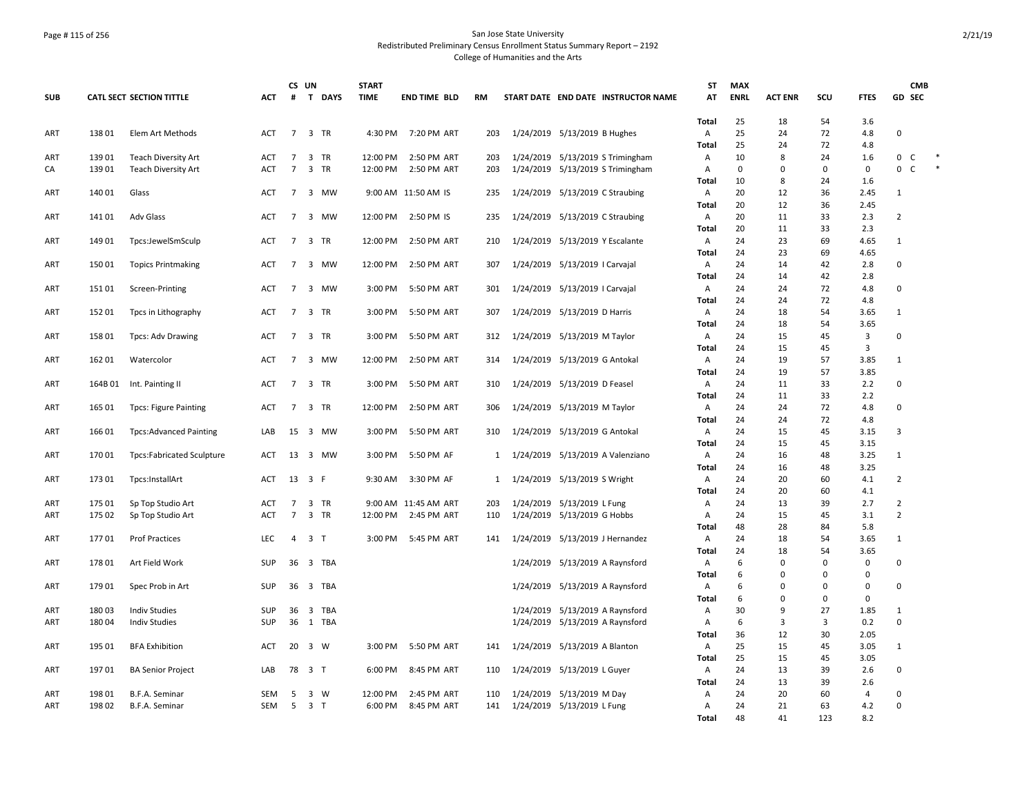## Page # 115 of 256 San Jose State University Redistributed Preliminary Census Enrollment Status Summary Report – 2192 College of Humanities and the Arts

|            |         |                               |            | CS UN           |                             | <b>START</b> |                      |              |           |                                     | <b>ST</b>               | <b>MAX</b>  |                |          |             | <b>CMB</b>                  |
|------------|---------|-------------------------------|------------|-----------------|-----------------------------|--------------|----------------------|--------------|-----------|-------------------------------------|-------------------------|-------------|----------------|----------|-------------|-----------------------------|
| <b>SUB</b> |         | CATL SECT SECTION TITTLE      | <b>ACT</b> | #               | $\mathbf{T}$<br><b>DAYS</b> | <b>TIME</b>  | <b>END TIME BLD</b>  | <b>RM</b>    |           | START DATE END DATE INSTRUCTOR NAME | AT                      | <b>ENRL</b> | <b>ACT ENR</b> | SCU      | <b>FTES</b> | GD SEC                      |
| ART        | 138 01  | Elem Art Methods              | ACT        |                 | 7 3 TR                      | 4:30 PM      | 7:20 PM ART          | 203          |           | 1/24/2019 5/13/2019 B Hughes        | <b>Total</b><br>Α       | 25<br>25    | 18<br>24       | 54<br>72 | 3.6<br>4.8  | 0                           |
|            |         |                               |            |                 |                             |              |                      |              |           |                                     | <b>Total</b>            | 25          | 24             | 72       | 4.8         |                             |
| ART        | 13901   | <b>Teach Diversity Art</b>    | ACT        | 7               | 3 TR                        | 12:00 PM     | 2:50 PM ART          | 203          |           | 1/24/2019 5/13/2019 S Trimingham    | Α                       | 10          | 8              | 24       | 1.6         | $\mathbf 0$<br>$\mathsf{C}$ |
| CA         | 13901   | <b>Teach Diversity Art</b>    | <b>ACT</b> | $7^{\circ}$     | 3 TR                        | 12:00 PM     | 2:50 PM ART          | 203          |           | 1/24/2019 5/13/2019 S Trimingham    | Α                       | 0           | $\Omega$       | 0        | $\mathbf 0$ | 0<br>$\mathsf{C}$           |
|            |         |                               |            |                 |                             |              |                      |              |           |                                     | <b>Total</b>            | 10          | 8              | 24       | 1.6         |                             |
| ART        | 140 01  | Glass                         | <b>ACT</b> | $7^{\circ}$     | 3 MW                        |              | 9:00 AM 11:50 AM IS  | 235          |           | 1/24/2019 5/13/2019 C Straubing     | Α                       | 20          | 12             | 36       | 2.45        | $\mathbf 1$                 |
|            |         |                               |            |                 |                             |              |                      |              |           |                                     | Total                   | 20          | 12             | 36       | 2.45        |                             |
| ART        | 14101   | <b>Adv Glass</b>              | ACT        | $\overline{7}$  | 3<br>MW                     | 12:00 PM     | 2:50 PM IS           | 235          |           | 1/24/2019 5/13/2019 C Straubing     | A                       | 20          | 11             | 33       | 2.3         | $\overline{2}$              |
|            |         |                               |            |                 |                             |              |                      |              |           |                                     | <b>Total</b>            | 20          | 11             | 33       | 2.3         |                             |
| ART        | 149 01  | Tpcs:JewelSmSculp             | ACT        | $\overline{7}$  | 3 TR                        | 12:00 PM     | 2:50 PM ART          | 210          |           | 1/24/2019 5/13/2019 Y Escalante     | A                       | 24          | 23             | 69       | 4.65        | $\mathbf{1}$                |
|            |         |                               |            |                 |                             |              |                      |              |           |                                     | Total                   | 24          | 23             | 69       | 4.65        |                             |
| ART        | 15001   | <b>Topics Printmaking</b>     | <b>ACT</b> | $7^{\circ}$     | 3 MW                        | 12:00 PM     | 2:50 PM ART          | 307          |           | 1/24/2019 5/13/2019   Carvajal      | Α                       | 24          | 14             | 42       | 2.8         | $\pmb{0}$                   |
|            |         |                               |            |                 |                             |              |                      |              |           |                                     | <b>Total</b>            | 24          | 14             | 42       | 2.8         |                             |
| ART        | 15101   | Screen-Printing               | ACT        | $\overline{7}$  | 3 MW                        | 3:00 PM      | 5:50 PM ART          | 301          |           | 1/24/2019 5/13/2019   Carvajal      | Α                       | 24          | 24             | 72       | 4.8         | $\mathsf 0$                 |
|            |         |                               |            |                 |                             |              |                      |              |           |                                     | Total                   | 24          | 24             | 72       | 4.8         |                             |
| ART        | 152 01  | Tpcs in Lithography           | ACT        | 7               | 3 TR                        | 3:00 PM      | 5:50 PM ART          | 307          |           | 1/24/2019 5/13/2019 D Harris        | A                       | 24          | 18             | 54       | 3.65        | $\mathbf{1}$                |
|            |         |                               |            |                 |                             |              |                      |              |           |                                     | Total                   | 24          | 18             | 54       | 3.65        | 0                           |
| ART        | 15801   | <b>Tpcs: Adv Drawing</b>      | <b>ACT</b> | $\overline{7}$  | 3 TR                        | 3:00 PM      | 5:50 PM ART          | 312          |           | 1/24/2019 5/13/2019 M Taylor        | $\overline{A}$<br>Total | 24<br>24    | 15<br>15       | 45<br>45 | 3<br>3      |                             |
| ART        | 162 01  | Watercolor                    | <b>ACT</b> | $\overline{7}$  | 3 MW                        | 12:00 PM     | 2:50 PM ART          | 314          |           | 1/24/2019 5/13/2019 G Antokal       | Α                       | 24          | 19             | 57       | 3.85        | $\mathbf{1}$                |
|            |         |                               |            |                 |                             |              |                      |              |           |                                     | Total                   | 24          | 19             | 57       | 3.85        |                             |
| ART        | 164B 01 | Int. Painting II              | <b>ACT</b> |                 | 7 3 TR                      | 3:00 PM      | 5:50 PM ART          | 310          |           | 1/24/2019 5/13/2019 D Feasel        | A                       | 24          | 11             | 33       | 2.2         | 0                           |
|            |         |                               |            |                 |                             |              |                      |              |           |                                     | Total                   | 24          | 11             | 33       | 2.2         |                             |
| ART        | 165 01  | <b>Tpcs: Figure Painting</b>  | ACT        | $7\overline{ }$ | 3 TR                        | 12:00 PM     | 2:50 PM ART          | 306          |           | 1/24/2019 5/13/2019 M Taylor        | Α                       | 24          | 24             | 72       | 4.8         | 0                           |
|            |         |                               |            |                 |                             |              |                      |              |           |                                     | Total                   | 24          | 24             | 72       | 4.8         |                             |
| ART        | 16601   | <b>Tpcs:Advanced Painting</b> | LAB        | $15 \quad 3$    | MW                          | 3:00 PM      | 5:50 PM ART          | 310          |           | 1/24/2019 5/13/2019 G Antokal       | A                       | 24          | 15             | 45       | 3.15        | 3                           |
|            |         |                               |            |                 |                             |              |                      |              |           |                                     | <b>Total</b>            | 24          | 15             | 45       | 3.15        |                             |
| ART        | 17001   | Tpcs:Fabricated Sculpture     | ACT        | 13 3            | MW                          | 3:00 PM      | 5:50 PM AF           | 1            |           | 1/24/2019 5/13/2019 A Valenziano    | Α                       | 24          | 16             | 48       | 3.25        | $\mathbf{1}$                |
|            |         |                               |            |                 |                             |              |                      |              |           |                                     | Total                   | 24          | 16             | 48       | 3.25        |                             |
| ART        | 173 01  | Tpcs:InstallArt               | ACT        |                 | 13 3 F                      | 9:30 AM      | 3:30 PM AF           | $\mathbf{1}$ |           | 1/24/2019 5/13/2019 S Wright        | Α                       | 24          | 20             | 60       | 4.1         | $\overline{2}$              |
|            |         |                               |            |                 |                             |              |                      |              |           |                                     | <b>Total</b>            | 24          | 20             | 60       | 4.1         |                             |
| ART        | 175 01  | Sp Top Studio Art             | <b>ACT</b> | $\overline{7}$  | 3 TR                        |              | 9:00 AM 11:45 AM ART | 203          |           | 1/24/2019 5/13/2019 L Fung          | Α                       | 24          | 13             | 39       | 2.7         | $\overline{2}$              |
| ART        | 175 02  | Sp Top Studio Art             | <b>ACT</b> | $\overline{7}$  | 3 TR                        | 12:00 PM     | 2:45 PM ART          | 110          |           | 1/24/2019 5/13/2019 G Hobbs         | Α                       | 24          | 15             | 45       | 3.1         | $\overline{2}$              |
|            |         |                               |            |                 |                             |              |                      |              |           |                                     | Total                   | 48          | 28             | 84       | 5.8         |                             |
| ART        | 17701   | <b>Prof Practices</b>         | <b>LEC</b> | $\overline{4}$  | 3 <sub>T</sub>              | 3:00 PM      | 5:45 PM ART          | 141          |           | 1/24/2019 5/13/2019 J Hernandez     | A                       | 24<br>24    | 18<br>18       | 54<br>54 | 3.65        | $\mathbf{1}$                |
| ART        | 17801   | Art Field Work                | SUP        |                 | 36 3 TBA                    |              |                      |              |           | 1/24/2019 5/13/2019 A Raynsford     | Total<br>Α              | 6           | $\Omega$       | $\Omega$ | 3.65<br>0   | 0                           |
|            |         |                               |            |                 |                             |              |                      |              |           |                                     | Total                   | 6           | 0              | 0        | 0           |                             |
| ART        | 179 01  | Spec Prob in Art              | SUP        |                 | 36 3 TBA                    |              |                      |              |           | 1/24/2019 5/13/2019 A Raynsford     | A                       | 6           | $\Omega$       | $\Omega$ | 0           | 0                           |
|            |         |                               |            |                 |                             |              |                      |              |           |                                     | <b>Total</b>            | 6           | $\Omega$       | 0        | 0           |                             |
| ART        | 180 03  | <b>Indiv Studies</b>          | SUP        | 36              | <b>TBA</b><br>3             |              |                      |              | 1/24/2019 | 5/13/2019 A Raynsford               | Α                       | 30          | 9              | 27       | 1.85        | $\mathbf{1}$                |
| ART        | 180 04  | <b>Indiv Studies</b>          | SUP        |                 | 36 1 TBA                    |              |                      |              |           | 1/24/2019 5/13/2019 A Raynsford     | Α                       | 6           | 3              | 3        | 0.2         | $\Omega$                    |
|            |         |                               |            |                 |                             |              |                      |              |           |                                     | Total                   | 36          | 12             | 30       | 2.05        |                             |
| ART        | 195 01  | <b>BFA Exhibition</b>         | <b>ACT</b> | $20 \quad 3$    | <b>W</b>                    | 3:00 PM      | 5:50 PM ART          | 141          |           | 1/24/2019 5/13/2019 A Blanton       | $\overline{A}$          | 25          | 15             | 45       | 3.05        | $\mathbf{1}$                |
|            |         |                               |            |                 |                             |              |                      |              |           |                                     | <b>Total</b>            | 25          | 15             | 45       | 3.05        |                             |
| ART        | 19701   | <b>BA Senior Project</b>      | LAB        |                 | 78 3 T                      | 6:00 PM      | 8:45 PM ART          | 110          |           | 1/24/2019 5/13/2019 L Guyer         | Α                       | 24          | 13             | 39       | 2.6         | 0                           |
|            |         |                               |            |                 |                             |              |                      |              |           |                                     | Total                   | 24          | 13             | 39       | 2.6         |                             |
| ART        | 198 01  | B.F.A. Seminar                | SEM        | 5               | 3<br>W                      | 12:00 PM     | 2:45 PM ART          | 110          |           | 1/24/2019 5/13/2019 M Day           | Α                       | 24          | 20             | 60       | 4           | 0                           |
| ART        | 19802   | <b>B.F.A. Seminar</b>         | <b>SEM</b> | -5              | 3 <sub>1</sub>              | 6:00 PM      | 8:45 PM ART          | 141          |           | 1/24/2019 5/13/2019 L Fung          | $\overline{A}$          | 24          | 21             | 63       | 4.2         | $\mathbf 0$                 |
|            |         |                               |            |                 |                             |              |                      |              |           |                                     | Total                   | 48          | 41             | 123      | 8.2         |                             |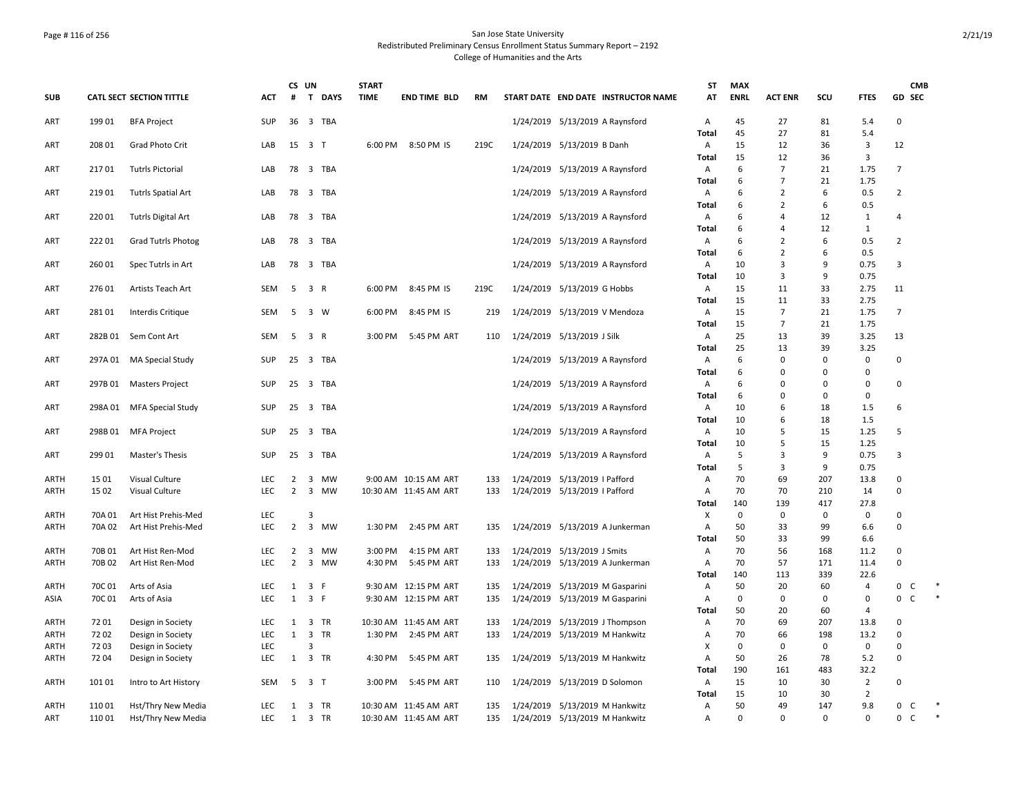## Page # 116 of 256 San Jose State University Redistributed Preliminary Census Enrollment Status Summary Report – 2192 College of Humanities and the Arts

|            |         |                                 |                   | CS UN                            |                                | <b>START</b> |                            |            |                                                                | <b>ST</b>    | <b>MAX</b>  |                      |             |                | <b>CMB</b>                     |  |
|------------|---------|---------------------------------|-------------------|----------------------------------|--------------------------------|--------------|----------------------------|------------|----------------------------------------------------------------|--------------|-------------|----------------------|-------------|----------------|--------------------------------|--|
| <b>SUB</b> |         | <b>CATL SECT SECTION TITTLE</b> | <b>ACT</b>        | #                                | $\mathbf{T}$<br><b>DAYS</b>    | <b>TIME</b>  | <b>END TIME BLD</b>        | RM         | START DATE END DATE INSTRUCTOR NAME                            | AT           | <b>ENRL</b> | <b>ACT ENR</b>       | SCU         | <b>FTES</b>    | GD SEC                         |  |
| ART        | 199 01  | <b>BFA Project</b>              | SUP               |                                  | 36 3 TBA                       |              |                            |            | 1/24/2019 5/13/2019 A Raynsford                                | Α            | 45          | 27                   | 81          | 5.4            | $\mathbf 0$                    |  |
|            |         |                                 |                   |                                  |                                |              |                            |            |                                                                | <b>Total</b> | 45          | 27                   | 81          | 5.4            |                                |  |
| ART        | 208 01  | Grad Photo Crit                 | LAB               |                                  | 15 3 T                         | 6:00 PM      | 8:50 PM IS                 | 219C       | 1/24/2019 5/13/2019 B Danh                                     | Α            | 15          | 12                   | 36          | 3              | 12                             |  |
| ART        | 21701   | <b>Tutrls Pictorial</b>         | LAB               |                                  | 78 3 TBA                       |              |                            |            | 1/24/2019 5/13/2019 A Raynsford                                | Total<br>Α   | 15<br>6     | 12<br>$\overline{7}$ | 36<br>21    | 3<br>1.75      | $\overline{7}$                 |  |
|            |         |                                 |                   |                                  |                                |              |                            |            |                                                                | Total        | 6           | $\overline{7}$       | 21          | 1.75           |                                |  |
| ART        | 21901   | Tutrls Spatial Art              | LAB               |                                  | 78 3 TBA                       |              |                            |            | 1/24/2019 5/13/2019 A Raynsford                                | Α            | 6           | $\overline{2}$       | 6           | 0.5            | $\overline{2}$                 |  |
|            |         |                                 |                   |                                  |                                |              |                            |            |                                                                | <b>Total</b> | 6           | $\overline{2}$       | 6           | 0.5            |                                |  |
| ART        | 22001   | <b>Tutrls Digital Art</b>       | LAB               |                                  | 78 3 TBA                       |              |                            |            | 1/24/2019 5/13/2019 A Raynsford                                | Α            | 6           | 4                    | 12          | $\mathbf{1}$   | $\overline{4}$                 |  |
|            |         |                                 |                   |                                  |                                |              |                            |            |                                                                | Total        | 6           | 4                    | 12          | $\mathbf{1}$   |                                |  |
| ART        | 22201   | <b>Grad Tutrls Photog</b>       | LAB               | 78 3                             | TBA                            |              |                            |            | 1/24/2019 5/13/2019 A Raynsford                                | A            | 6           | 2                    | 6           | 0.5            | $\overline{2}$                 |  |
|            |         |                                 |                   |                                  |                                |              |                            |            |                                                                | Total        | 6           | $\overline{2}$       | 6           | 0.5            |                                |  |
| ART        | 26001   | Spec Tutrls in Art              | LAB               |                                  | 78 3 TBA                       |              |                            |            | 1/24/2019 5/13/2019 A Raynsford                                | Α            | 10          | 3                    | 9           | 0.75           | 3                              |  |
|            |         |                                 |                   |                                  |                                |              |                            |            |                                                                | <b>Total</b> | 10          | 3                    | 9           | 0.75           |                                |  |
| ART        | 276 01  | Artists Teach Art               | SEM               | 5                                | 3 R                            | 6:00 PM      | 8:45 PM IS                 | 219C       | 1/24/2019 5/13/2019 G Hobbs                                    | Α            | 15          | 11                   | 33          | 2.75           | 11                             |  |
|            |         |                                 |                   |                                  |                                |              |                            |            |                                                                | Total        | 15          | 11                   | 33          | 2.75           |                                |  |
| ART        | 28101   | Interdis Critique               | <b>SEM</b>        | 5                                | 3 W                            | 6:00 PM      | 8:45 PM IS                 | 219        | 1/24/2019 5/13/2019 V Mendoza                                  | A            | 15          | $\overline{7}$       | 21          | 1.75           | $\overline{7}$                 |  |
|            |         |                                 |                   |                                  |                                |              |                            |            |                                                                | Total        | 15          | $\overline{7}$       | 21          | 1.75           |                                |  |
| ART        | 282B01  | Sem Cont Art                    | <b>SEM</b>        | 5                                | $\overline{3}$<br>$\mathsf{R}$ | 3:00 PM      | 5:45 PM ART                | 110        | 1/24/2019 5/13/2019 J Silk                                     | $\mathsf{A}$ | 25          | 13                   | 39          | 3.25           | 13                             |  |
|            | 297A 01 |                                 | SUP               |                                  | 25 3 TBA                       |              |                            |            |                                                                | <b>Total</b> | 25<br>6     | 13<br>0              | 39<br>0     | 3.25<br>0      | $\pmb{0}$                      |  |
| ART        |         | MA Special Study                |                   |                                  |                                |              |                            |            | 1/24/2019 5/13/2019 A Raynsford                                | A<br>Total   | 6           | $\Omega$             | $\Omega$    | 0              |                                |  |
| ART        |         | 297B 01 Masters Project         | SUP               |                                  | 25 3 TBA                       |              |                            |            | 1/24/2019 5/13/2019 A Raynsford                                | $\mathsf{A}$ | 6           | 0                    | $\Omega$    | 0              | 0                              |  |
|            |         |                                 |                   |                                  |                                |              |                            |            |                                                                | Total        | 6           | $\Omega$             | $\Omega$    | 0              |                                |  |
| ART        | 298A 01 | MFA Special Study               | <b>SUP</b>        |                                  | 25 3 TBA                       |              |                            |            | 1/24/2019 5/13/2019 A Raynsford                                | Α            | 10          | 6                    | 18          | 1.5            | 6                              |  |
|            |         |                                 |                   |                                  |                                |              |                            |            |                                                                | <b>Total</b> | 10          | 6                    | 18          | 1.5            |                                |  |
| ART        | 298B 01 | MFA Project                     | SUP               |                                  | 25 3 TBA                       |              |                            |            | 1/24/2019 5/13/2019 A Raynsford                                | Α            | 10          | 5                    | 15          | 1.25           | 5                              |  |
|            |         |                                 |                   |                                  |                                |              |                            |            |                                                                | <b>Total</b> | 10          | 5                    | 15          | 1.25           |                                |  |
| ART        | 299 01  | Master's Thesis                 | SUP               | 25                               | $\overline{\mathbf{3}}$<br>TBA |              |                            |            | 1/24/2019 5/13/2019 A Raynsford                                | Α            | 5           | 3                    | 9           | 0.75           | 3                              |  |
|            |         |                                 |                   |                                  |                                |              |                            |            |                                                                | Total        | 5           | 3                    | 9           | 0.75           |                                |  |
| ARTH       | 15 01   | Visual Culture                  | LEC               | $\overline{2}$                   | 3 MW                           |              | 9:00 AM 10:15 AM ART       | 133        | 1/24/2019 5/13/2019   Pafford                                  | Α            | 70          | 69                   | 207         | 13.8           | $\mathbf 0$                    |  |
| ARTH       | 15 02   | Visual Culture                  | LEC               | $\overline{2}$                   | 3<br>MW                        |              | 10:30 AM 11:45 AM ART      | 133        | 1/24/2019 5/13/2019   Pafford                                  | A            | 70          | 70                   | 210         | 14             | $\mathsf 0$                    |  |
|            |         |                                 |                   |                                  |                                |              |                            |            |                                                                | Total        | 140         | 139                  | 417         | 27.8           |                                |  |
| ARTH       | 70A 01  | Art Hist Prehis-Med             | LEC               |                                  | 3                              |              |                            |            |                                                                | Х            | 0           | 0                    | 0           | 0              | $\mathbf 0$                    |  |
| ARTH       | 70A 02  | Art Hist Prehis-Med             | LEC               | $\overline{2}$                   | 3 MW                           | 1:30 PM      | 2:45 PM ART                | 135        | 1/24/2019 5/13/2019 A Junkerman                                | Α            | 50          | 33                   | 99          | 6.6            | $\mathbf 0$                    |  |
|            | 70B 01  |                                 |                   |                                  |                                | 3:00 PM      |                            |            |                                                                | Total        | 50          | 33                   | 99          | 6.6            | $\mathbf 0$                    |  |
| ARTH       | 70B 02  | Art Hist Ren-Mod                | LEC<br><b>LEC</b> | $\overline{2}$<br>$\overline{2}$ | 3<br>MW<br>3 MW                | 4:30 PM      | 4:15 PM ART<br>5:45 PM ART | 133<br>133 | 1/24/2019 5/13/2019 J Smits<br>1/24/2019 5/13/2019 A Junkerman | Α            | 70<br>70    | 56<br>57             | 168<br>171  | 11.2<br>11.4   | $\mathsf 0$                    |  |
| ARTH       |         | Art Hist Ren-Mod                |                   |                                  |                                |              |                            |            |                                                                | Α<br>Total   | 140         | 113                  | 339         | 22.6           |                                |  |
| ARTH       | 70C 01  | Arts of Asia                    | <b>LEC</b>        | 1                                | 3<br>-F                        |              | 9:30 AM 12:15 PM ART       | 135        | 1/24/2019 5/13/2019 M Gasparini                                | A            | 50          | 20                   | 60          | 4              | 0<br>C                         |  |
| ASIA       | 70C 01  | Arts of Asia                    | <b>LEC</b>        | 1                                | 3 F                            |              | 9:30 AM 12:15 PM ART       | 135        | 1/24/2019 5/13/2019 M Gasparini                                | A            | 0           | 0                    | $\mathbf 0$ | $\pmb{0}$      | $\mathbf{0}$<br><sub>c</sub>   |  |
|            |         |                                 |                   |                                  |                                |              |                            |            |                                                                | Total        | 50          | 20                   | 60          | $\overline{4}$ |                                |  |
| ARTH       | 7201    | Design in Society               | <b>LEC</b>        | 1                                | 3 TR                           |              | 10:30 AM 11:45 AM ART      | 133        | 1/24/2019 5/13/2019 J Thompson                                 | Α            | 70          | 69                   | 207         | 13.8           | 0                              |  |
| ARTH       | 7202    | Design in Society               | LEC               | 1                                | 3 TR                           | 1:30 PM      | 2:45 PM ART                | 133        | 1/24/2019 5/13/2019 M Hankwitz                                 | Α            | 70          | 66                   | 198         | 13.2           | $\mathbf 0$                    |  |
| ARTH       | 7203    | Design in Society               | <b>LEC</b>        |                                  | 3                              |              |                            |            |                                                                | $\mathsf{x}$ | 0           | 0                    | 0           | 0              | $\mathbf 0$                    |  |
| ARTH       | 7204    | Design in Society               | <b>LEC</b>        |                                  | 1 3 TR                         | 4:30 PM      | 5:45 PM ART                | 135        | 1/24/2019 5/13/2019 M Hankwitz                                 | Α            | 50          | 26                   | 78          | 5.2            | $\mathbf 0$                    |  |
|            |         |                                 |                   |                                  |                                |              |                            |            |                                                                | <b>Total</b> | 190         | 161                  | 483         | 32.2           |                                |  |
| ARTH       | 101 01  | Intro to Art History            | SEM               | 5                                | 3 <sub>7</sub>                 | 3:00 PM      | 5:45 PM ART                | 110        | 1/24/2019 5/13/2019 D Solomon                                  | A            | 15          | 10                   | 30          | $\overline{2}$ | $\mathbf 0$                    |  |
|            |         |                                 |                   |                                  |                                |              |                            |            |                                                                | Total        | 15          | 10                   | 30          | $\overline{2}$ |                                |  |
| ARTH       | 11001   | Hst/Thry New Media              | LEC               | 1                                | 3 TR                           |              | 10:30 AM 11:45 AM ART      | 135        | 1/24/2019 5/13/2019 M Hankwitz                                 | Α            | 50          | 49                   | 147         | 9.8            | $\mathbf 0$<br>C.              |  |
| ART        | 110 01  | Hst/Thry New Media              | <b>LEC</b>        | 1                                | 3 TR                           |              | 10:30 AM 11:45 AM ART      | 135        | 1/24/2019 5/13/2019 M Hankwitz                                 | A            | 0           | $\Omega$             | $\Omega$    | $\Omega$       | $\mathbf{0}$<br>C <sub>1</sub> |  |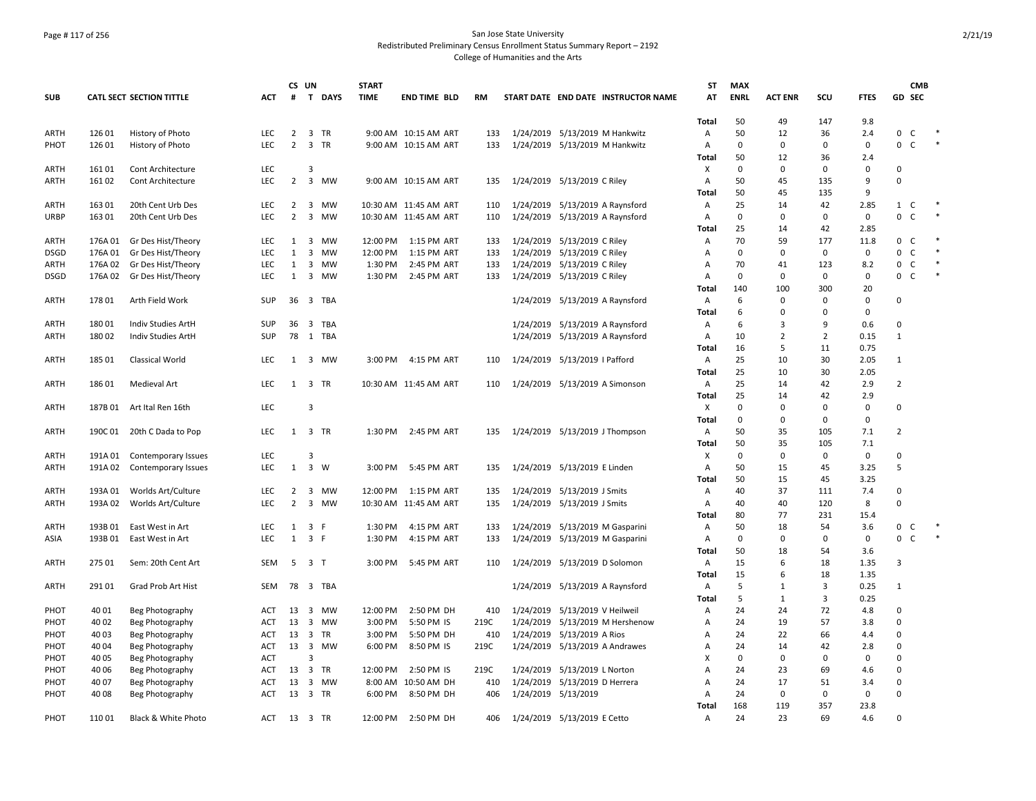## Page # 117 of 256 San Jose State University Redistributed Preliminary Census Enrollment Status Summary Report – 2192 College of Humanities and the Arts

|                     |                    |                                          |            | CS UN          |                                          | <b>START</b> |                            |            |                                                            | ST             | <b>MAX</b>  |                |                |              | <b>CMB</b>                        |        |
|---------------------|--------------------|------------------------------------------|------------|----------------|------------------------------------------|--------------|----------------------------|------------|------------------------------------------------------------|----------------|-------------|----------------|----------------|--------------|-----------------------------------|--------|
| <b>SUB</b>          |                    | <b>CATL SECT SECTION TITTLE</b>          | ACT        | #              | T DAYS                                   | <b>TIME</b>  | <b>END TIME BLD</b>        | <b>RM</b>  | START DATE END DATE INSTRUCTOR NAME                        | AT             | <b>ENRL</b> | <b>ACT ENR</b> | scu            | <b>FTES</b>  | GD SEC                            |        |
|                     |                    |                                          |            |                |                                          |              |                            |            |                                                            | <b>Total</b>   | 50          | 49             | 147            | 9.8          |                                   |        |
| <b>ARTH</b>         | 126 01             | History of Photo                         | LEC        | $\overline{2}$ | 3 TR                                     |              | 9:00 AM 10:15 AM ART       | 133        | 1/24/2019 5/13/2019 M Hankwitz                             | Α              | 50          | 12             | 36             | 2.4          | 0 C                               |        |
| PHOT                | 126 01             | History of Photo                         | <b>LEC</b> | $\overline{2}$ | 3 TR                                     |              | 9:00 AM 10:15 AM ART       | 133        | 1/24/2019 5/13/2019 M Hankwitz                             | A              | $\mathbf 0$ | $\Omega$       | 0              | 0            | $\mathsf{C}$<br>0                 | $\ast$ |
|                     |                    |                                          |            |                |                                          |              |                            |            |                                                            | Total          | 50          | 12             | 36             | 2.4          |                                   |        |
| <b>ARTH</b>         | 16101              | <b>Cont Architecture</b>                 | LEC        |                | 3                                        |              |                            |            |                                                            | Х              | $\Omega$    | $\Omega$       | 0              | 0            | $\Omega$                          |        |
| <b>ARTH</b>         | 16102              | Cont Architecture                        | LEC        | $\overline{2}$ | 3 MW                                     |              | 9:00 AM 10:15 AM ART       | 135        | 1/24/2019 5/13/2019 C Riley                                | Α              | 50          | 45             | 135            | 9            | $\Omega$                          |        |
|                     |                    |                                          |            |                |                                          |              |                            |            |                                                            | Total          | 50          | 45             | 135            | 9            |                                   |        |
| ARTH                | 163 01             | 20th Cent Urb Des                        | <b>LEC</b> | $\overline{2}$ | 3 MW                                     |              | 10:30 AM 11:45 AM ART      | 110        | 1/24/2019 5/13/2019 A Raynsford                            | Α              | 25          | 14             | 42             | 2.85         | $1 \quad C$                       | $\ast$ |
| <b>URBP</b>         | 16301              | 20th Cent Urb Des                        | <b>LEC</b> | $\overline{2}$ | $\overline{3}$<br>MW                     |              | 10:30 AM 11:45 AM ART      | 110        | 1/24/2019 5/13/2019 A Raynsford                            | A              | $\Omega$    | $\Omega$       | 0              | $\mathbf 0$  | 0 <sup>o</sup>                    |        |
|                     |                    |                                          |            |                |                                          | 12:00 PM     |                            |            |                                                            | Total          | 25          | 14             | 42<br>177      | 2.85         | C                                 | $\ast$ |
| <b>ARTH</b>         | 176A 01<br>176A 01 | Gr Des Hist/Theory                       | LEC<br>LEC | 1<br>1         | $\overline{\mathbf{3}}$<br>MW<br>3<br>MW | 12:00 PM     | 1:15 PM ART<br>1:15 PM ART | 133<br>133 | 1/24/2019 5/13/2019 C Riley                                | Α<br>Α         | 70<br>0     | 59<br>0        | 0              | 11.8<br>0    | $\mathbf{0}$<br>0<br>$\mathsf{C}$ | $\ast$ |
| DSGD<br><b>ARTH</b> | 176A 02            | Gr Des Hist/Theory                       | <b>LEC</b> | 1              | 3 MW                                     | 1:30 PM      | 2:45 PM ART                | 133        | 1/24/2019 5/13/2019 C Riley                                | Α              | 70          | 41             | 123            | 8.2          | $0-$                              | $\ast$ |
| <b>DSGD</b>         | 176A 02            | Gr Des Hist/Theory<br>Gr Des Hist/Theory | LEC        | 1              | $\overline{3}$<br>MW                     | 1:30 PM      | 2:45 PM ART                | 133        | 1/24/2019 5/13/2019 C Riley<br>1/24/2019 5/13/2019 C Riley | Α              | $\Omega$    | $\Omega$       | 0              | $\mathbf 0$  | 0<br>C                            | $\ast$ |
|                     |                    |                                          |            |                |                                          |              |                            |            |                                                            | Total          | 140         | 100            | 300            | 20           |                                   |        |
| ARTH                | 17801              | Arth Field Work                          | SUP        |                | 36 3 TBA                                 |              |                            |            | 1/24/2019 5/13/2019 A Raynsford                            | Α              | 6           | $\Omega$       | 0              | 0            | 0                                 |        |
|                     |                    |                                          |            |                |                                          |              |                            |            |                                                            | Total          | 6           | $\Omega$       | $\Omega$       | 0            |                                   |        |
| ARTH                | 18001              | Indiv Studies ArtH                       | SUP        | 36             | 3 TBA                                    |              |                            |            | 1/24/2019 5/13/2019 A Raynsford                            | Α              | 6           | 3              | 9              | 0.6          | $\Omega$                          |        |
| <b>ARTH</b>         | 180 02             | Indiv Studies ArtH                       | SUP        | 78             | 1 TBA                                    |              |                            |            | 1/24/2019 5/13/2019 A Raynsford                            | Α              | 10          | 2              | $\overline{2}$ | 0.15         | $\mathbf{1}$                      |        |
|                     |                    |                                          |            |                |                                          |              |                            |            |                                                            | Total          | 16          | .5             | 11             | 0.75         |                                   |        |
| <b>ARTH</b>         | 185 01             | Classical World                          | <b>LEC</b> |                | 1 3 MW                                   | 3:00 PM      | 4:15 PM ART                | 110        | 1/24/2019 5/13/2019   Pafford                              | Α              | 25          | 10             | 30             | 2.05         | 1                                 |        |
|                     |                    |                                          |            |                |                                          |              |                            |            |                                                            | <b>Total</b>   | 25          | 10             | 30             | 2.05         |                                   |        |
| <b>ARTH</b>         | 18601              | Medieval Art                             | LEC        | 1              | 3 TR                                     |              | 10:30 AM 11:45 AM ART      | 110        | 1/24/2019 5/13/2019 A Simonson                             | Α              | 25          | 14             | 42             | 2.9          | $\overline{2}$                    |        |
|                     |                    |                                          |            |                |                                          |              |                            |            |                                                            | Total          | 25          | 14             | 42             | 2.9          |                                   |        |
| ARTH                | 187B 01            | Art Ital Ren 16th                        | LEC        |                | $\overline{3}$                           |              |                            |            |                                                            | Х              | $\Omega$    | $\Omega$       | $\Omega$       | $\mathbf 0$  | $\mathbf 0$                       |        |
|                     |                    |                                          |            |                |                                          |              |                            |            |                                                            | Total          | $\Omega$    | $\Omega$       | 0              | $\mathbf 0$  |                                   |        |
| <b>ARTH</b>         | 190C 01            | 20th C Dada to Pop                       | LEC        | 1              | 3 TR                                     | 1:30 PM      | 2:45 PM ART                | 135        | 1/24/2019 5/13/2019 J Thompson                             | Α              | 50          | 35             | 105            | 7.1          | $\overline{2}$                    |        |
|                     |                    |                                          |            |                |                                          |              |                            |            |                                                            | Total          | 50          | 35             | 105            | 7.1          |                                   |        |
| ARTH                | 191A 01            | Contemporary Issues                      | LEC        |                | 3                                        |              |                            |            |                                                            | Х              | 0           | 0              | $\mathbf 0$    | 0            | $\Omega$                          |        |
| <b>ARTH</b>         | 191A 02            | Contemporary Issues                      | <b>LEC</b> | 1              | 3 W                                      | 3:00 PM      | 5:45 PM ART                | 135        | 1/24/2019 5/13/2019 E Linden                               | $\overline{A}$ | 50          | 15             | 45             | 3.25         | 5                                 |        |
|                     |                    |                                          |            |                |                                          |              |                            |            |                                                            | Total          | 50          | 15             | 45             | 3.25         |                                   |        |
| ARTH                | 193A 01            | Worlds Art/Culture                       | <b>LEC</b> | 2              | $\overline{\mathbf{3}}$<br>MW            | 12:00 PM     | 1:15 PM ART                | 135        | 1/24/2019 5/13/2019 J Smits                                | Α              | 40          | 37             | 111            | 7.4          | 0                                 |        |
| ARTH                | 193A 02            | Worlds Art/Culture                       | LEC        | $\overline{2}$ | 3 MW                                     |              | 10:30 AM 11:45 AM ART      | 135        | 1/24/2019 5/13/2019 J Smits                                | Α              | 40          | 40             | 120            | 8            | 0                                 |        |
|                     |                    |                                          |            |                |                                          |              |                            |            |                                                            | Total          | 80          | 77             | 231            | 15.4         |                                   |        |
| ARTH                | 193B 01            | East West in Art                         | <b>LEC</b> | 1              | $\overline{\mathbf{3}}$<br>F             | 1:30 PM      | 4:15 PM ART                | 133        | 1/24/2019 5/13/2019 M Gasparini                            | Α              | 50          | 18             | 54             | 3.6          | 0<br>$\mathsf{C}$                 |        |
| ASIA                | 193B 01            | East West in Art                         | <b>LEC</b> | 1              | 3 F                                      | 1:30 PM      | 4:15 PM ART                | 133        | 1/24/2019 5/13/2019 M Gasparini                            | Α              | 0           | 0              | 0              | 0            | $\mathsf{C}$<br>0                 |        |
|                     |                    |                                          |            |                |                                          |              |                            |            |                                                            | Total          | 50          | 18             | 54             | 3.6          |                                   |        |
| <b>ARTH</b>         | 27501              | Sem: 20th Cent Art                       | <b>SEM</b> | -5             | 3 <sub>1</sub>                           | 3:00 PM      | 5:45 PM ART                | 110        | 1/24/2019 5/13/2019 D Solomon                              | Α              | 15          | 6              | 18             | 1.35         | 3                                 |        |
|                     | 29101              |                                          | <b>SEM</b> | 78             | 3 TBA                                    |              |                            |            |                                                            | <b>Total</b>   | 15<br>5     | 6<br>1         | 18<br>3        | 1.35<br>0.25 |                                   |        |
| ARTH                |                    | Grad Prob Art Hist                       |            |                |                                          |              |                            |            | 1/24/2019 5/13/2019 A Raynsford                            | Α              | 5           |                |                |              | 1                                 |        |
| PHOT                | 40 01              |                                          | ACT        | 13 3           | MW                                       | 12:00 PM     | 2:50 PM DH                 | 410        | 1/24/2019 5/13/2019 V Heilweil                             | Total<br>Α     | 24          | 1<br>24        | 3<br>72        | 0.25<br>4.8  | $\Omega$                          |        |
| PHOT                | 40 02              | Beg Photography<br>Beg Photography       | <b>ACT</b> | 13             | $\overline{\mathbf{3}}$<br>MW            | 3:00 PM      | 5:50 PM IS                 | 219C       | 1/24/2019 5/13/2019 M Hershenow                            | Α              | 24          | 19             | 57             | 3.8          | $\Omega$                          |        |
|                     |                    |                                          | ACT        | 13             | 3 TR                                     | 3:00 PM      | 5:50 PM DH                 | 410        | 1/24/2019 5/13/2019 A Rios                                 | Α              | 24          | 22             | 66             | 4.4          | $\mathbf 0$                       |        |
| PHOT<br>PHOT        | 40 03<br>40 04     | Beg Photography<br>Beg Photography       | ACT        | 13             | 3 MW                                     | 6:00 PM      | 8:50 PM IS                 | 219C       | 1/24/2019 5/13/2019 A Andrawes                             | Α              | 24          | 14             | 42             | 2.8          | 0                                 |        |
| PHOT                | 40 05              | Beg Photography                          | <b>ACT</b> |                | 3                                        |              |                            |            |                                                            | Х              | $\Omega$    | 0              | $\Omega$       | 0            | $\Omega$                          |        |
| PHOT                | 40 06              | Beg Photography                          | ACT        | 13             | 3 TR                                     | 12:00 PM     | 2:50 PM IS                 | 219C       | 1/24/2019 5/13/2019 L Norton                               | Α              | 24          | 23             | 69             | 4.6          | $\Omega$                          |        |
| PHOT                | 40 07              | Beg Photography                          | ACT        | 13             | 3 MW                                     |              | 8:00 AM 10:50 AM DH        | 410        | 1/24/2019 5/13/2019 D Herrera                              | A              | 24          | 17             | 51             | 3.4          | $\mathbf 0$                       |        |
| PHOT                | 40 08              | Beg Photography                          | ACT        | 13             | 3 TR                                     | 6:00 PM      | 8:50 PM DH                 | 406        | 1/24/2019 5/13/2019                                        | Α              | 24          | 0              | 0              | 0            | $\Omega$                          |        |
|                     |                    |                                          |            |                |                                          |              |                            |            |                                                            | Total          | 168         | 119            | 357            | 23.8         |                                   |        |
| PHOT                | 110 01             | Black & White Photo                      | ACT        | 13             | 3 TR                                     | 12:00 PM     | 2:50 PM DH                 | 406        | 1/24/2019 5/13/2019 E Cetto                                | $\overline{A}$ | 24          | 23             | 69             | 4.6          | $\Omega$                          |        |
|                     |                    |                                          |            |                |                                          |              |                            |            |                                                            |                |             |                |                |              |                                   |        |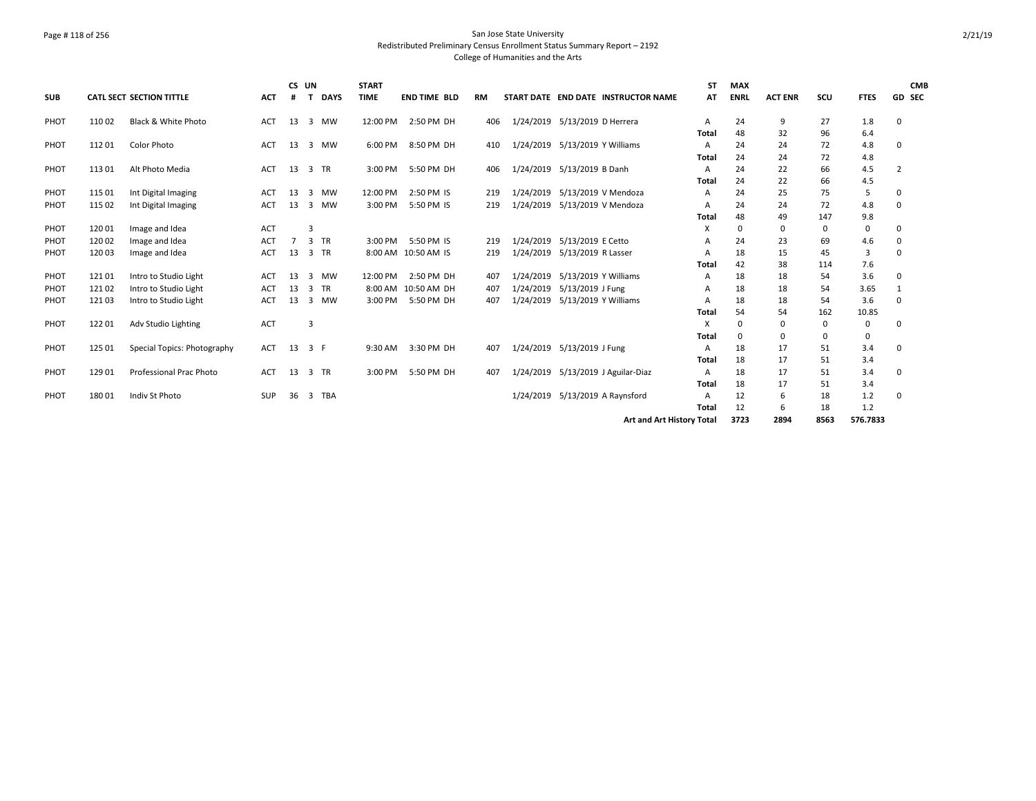## Page # 118 of 256 San Jose State University Redistributed Preliminary Census Enrollment Status Summary Report – 2192 College of Humanities and the Arts

|            | <b>CATL SECT SECTION TITTLE</b> |                             |            | CS UN          |                             | <b>START</b> |                     |           |           |                                |                                     | <b>ST</b> | <b>MAX</b>  |                |      |             | <b>CMB</b>    |  |
|------------|---------------------------------|-----------------------------|------------|----------------|-----------------------------|--------------|---------------------|-----------|-----------|--------------------------------|-------------------------------------|-----------|-------------|----------------|------|-------------|---------------|--|
| <b>SUB</b> |                                 |                             | <b>ACT</b> | #              | <b>DAYS</b><br>$\mathbf{T}$ | <b>TIME</b>  | <b>END TIME BLD</b> | <b>RM</b> |           |                                | START DATE END DATE INSTRUCTOR NAME | АТ        | <b>ENRL</b> | <b>ACT ENR</b> | SCU  | <b>FTES</b> | <b>GD SEC</b> |  |
| PHOT       | 110 02                          | Black & White Photo         | ACT        | 13             | 3 MW                        | 12:00 PM     | 2:50 PM DH          | 406       |           | 1/24/2019 5/13/2019 D Herrera  |                                     | A         | 24          | 9              | 27   | 1.8         | 0             |  |
|            |                                 |                             |            |                |                             |              |                     |           |           |                                |                                     | Total     | 48          | 32             | 96   | 6.4         |               |  |
| PHOT       | 11201                           | <b>Color Photo</b>          | ACT        | 13             | 3 MW                        | 6:00 PM      | 8:50 PM DH          | 410       |           | 1/24/2019 5/13/2019 Y Williams |                                     | A         | 24          | 24             | 72   | 4.8         | 0             |  |
|            |                                 |                             |            |                |                             |              |                     |           |           |                                |                                     | Total     | 24          | 24             | 72   | 4.8         |               |  |
| PHOT       | 11301                           | Alt Photo Media             | ACT        | 13             | 3 TR                        | 3:00 PM      | 5:50 PM DH          | 406       |           | 1/24/2019 5/13/2019 B Danh     |                                     | A         | 24          | 22             | 66   | 4.5         | 2             |  |
|            |                                 |                             |            |                |                             |              |                     |           |           |                                |                                     | Total     | 24          | 22             | 66   | 4.5         |               |  |
| PHOT       | 115 01                          | Int Digital Imaging         | ACT        | 13             | 3<br><b>MW</b>              | 12:00 PM     | 2:50 PM IS          | 219       |           | 1/24/2019 5/13/2019 V Mendoza  |                                     | А         | 24          | 25             | 75   | 5           | $\Omega$      |  |
| PHOT       | 115 02                          | Int Digital Imaging         | ACT        | 13             | 3<br><b>MW</b>              | 3:00 PM      | 5:50 PM IS          | 219       |           | 1/24/2019 5/13/2019 V Mendoza  |                                     | A         | 24          | 24             | 72   | 4.8         | 0             |  |
|            |                                 |                             |            |                |                             |              |                     |           |           |                                |                                     | Total     | 48          | 49             | 147  | 9.8         |               |  |
| PHOT       | 12001                           | Image and Idea              | <b>ACT</b> |                | 3                           |              |                     |           |           |                                |                                     | x         | $\Omega$    | 0              | 0    | 0           | 0             |  |
| PHOT       | 12002                           | Image and Idea              | ACT        | $\overline{7}$ | 3 TR                        | 3:00 PM      | 5:50 PM IS          | 219       | 1/24/2019 | 5/13/2019 E Cetto              |                                     | A         | 24          | 23             | 69   | 4.6         | 0             |  |
| PHOT       | 120 03                          | Image and Idea              | <b>ACT</b> | 13             | 3 TR                        |              | 8:00 AM 10:50 AM IS | 219       |           | 1/24/2019 5/13/2019 R Lasser   |                                     | A         | 18          | 15             | 45   | 3           | $\Omega$      |  |
|            |                                 |                             |            |                |                             |              |                     |           |           |                                |                                     | Total     | 42          | 38             | 114  | 7.6         |               |  |
| PHOT       | 12101                           | Intro to Studio Light       | ACT        | 13             | <b>MW</b><br>3              | 12:00 PM     | 2:50 PM DH          | 407       | 1/24/2019 | 5/13/2019 Y Williams           |                                     | A         | 18          | 18             | 54   | 3.6         | 0             |  |
| PHOT       | 12102                           | Intro to Studio Light       | <b>ACT</b> | 13             | <b>TR</b><br>$\mathbf{3}$   | 8:00 AM      | 10:50 AM DH         | 407       | 1/24/2019 | 5/13/2019 J Fung               |                                     | Α         | 18          | 18             | 54   | 3.65        |               |  |
| PHOT       | 12103                           | Intro to Studio Light       | <b>ACT</b> | 13             | 3<br>MW                     | 3:00 PM      | 5:50 PM DH          | 407       |           | 1/24/2019 5/13/2019 Y Williams |                                     | A         | 18          | 18             | 54   | 3.6         | 0             |  |
|            |                                 |                             |            |                |                             |              |                     |           |           |                                |                                     | Total     | 54          | 54             | 162  | 10.85       |               |  |
| PHOT       | 12201                           | Adv Studio Lighting         | <b>ACT</b> |                | 3                           |              |                     |           |           |                                |                                     | X         | $\Omega$    | 0              | 0    | 0           | $\Omega$      |  |
|            |                                 |                             |            |                |                             |              |                     |           |           |                                |                                     | Total     | 0           | 0              | 0    | 0           |               |  |
| PHOT       | 125 01                          | Special Topics: Photography | ACT        | 13             | 3 F                         | 9:30 AM      | 3:30 PM DH          | 407       |           | 1/24/2019 5/13/2019 J Fung     |                                     | A         | 18          | 17             | 51   | 3.4         | $\Omega$      |  |
|            |                                 |                             |            |                |                             |              |                     |           |           |                                |                                     | Total     | 18          | 17             | 51   | 3.4         |               |  |
| PHOT       | 129 01                          | Professional Prac Photo     | ACT        | 13             | 3 TR                        | 3:00 PM      | 5:50 PM DH          | 407       |           |                                | 1/24/2019 5/13/2019 J Aguilar-Diaz  | Α         | 18          | 17             | 51   | 3.4         | 0             |  |
|            |                                 |                             |            |                |                             |              |                     |           |           |                                |                                     | Total     | 18          | 17             | 51   | 3.4         |               |  |
| PHOT       | 18001                           | Indiv St Photo              | <b>SUP</b> | 36             | 3 TBA                       |              |                     |           |           |                                | 1/24/2019 5/13/2019 A Raynsford     | А         | 12          | 6              | 18   | 1.2         | 0             |  |
|            |                                 |                             |            |                |                             |              |                     |           |           |                                |                                     | Total     | 12          | 6              | 18   | 1.2         |               |  |
|            |                                 |                             |            |                |                             |              |                     |           |           |                                | Art and Art History Total           |           | 3723        | 2894           | 8563 | 576.7833    |               |  |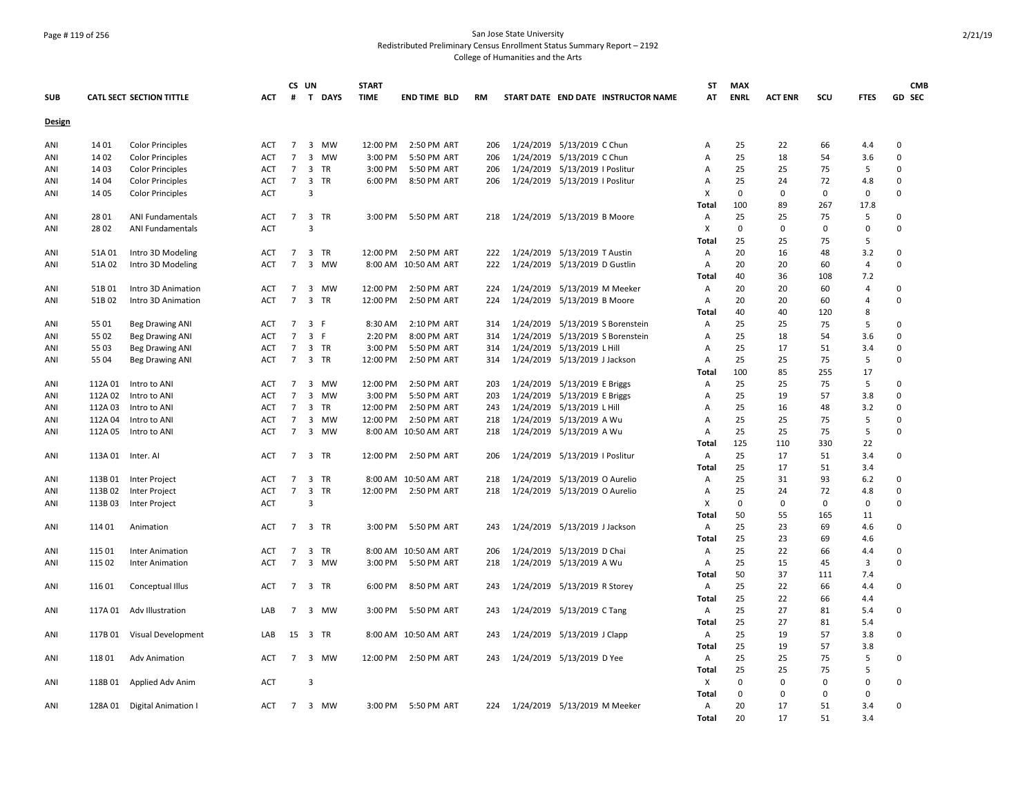## Page # 119 of 256 San Jose State University Redistributed Preliminary Census Enrollment Status Summary Report – 2192 College of Humanities and the Arts

|            |         |                                 |            |                 | CS UN          |           | <b>START</b> |                      |           |                                     | ST           | <b>MAX</b>  |                |             |             | <b>CMB</b>  |
|------------|---------|---------------------------------|------------|-----------------|----------------|-----------|--------------|----------------------|-----------|-------------------------------------|--------------|-------------|----------------|-------------|-------------|-------------|
| <b>SUB</b> |         | <b>CATL SECT SECTION TITTLE</b> | ACT        | #               |                | T DAYS    | <b>TIME</b>  | <b>END TIME BLD</b>  | <b>RM</b> | START DATE END DATE INSTRUCTOR NAME | AT           | <b>ENRL</b> | <b>ACT ENR</b> | SCU         | <b>FTES</b> | GD SEC      |
| Design     |         |                                 |            |                 |                |           |              |                      |           |                                     |              |             |                |             |             |             |
| ANI        | 14 01   | <b>Color Principles</b>         | ACT        | $\overline{7}$  |                | 3 MW      | 12:00 PM     | 2:50 PM ART          | 206       | 1/24/2019 5/13/2019 C Chun          | Α            | 25          | 22             | 66          | 4.4         | $\Omega$    |
| ANI        | 14 02   | <b>Color Principles</b>         | ACT        | $\overline{7}$  |                | 3 MW      | 3:00 PM      | 5:50 PM ART          | 206       | 1/24/2019 5/13/2019 C Chun          | Α            | 25          | 18             | 54          | 3.6         | $\mathbf 0$ |
| ANI        | 14 03   | <b>Color Principles</b>         | <b>ACT</b> | $\overline{7}$  | 3 TR           |           | 3:00 PM      | 5:50 PM ART          | 206       | 1/24/2019 5/13/2019   Poslitur      | Α            | 25          | 25             | 75          | 5           | $\Omega$    |
| ANI        | 14 04   | <b>Color Principles</b>         | ACT        | $\overline{7}$  | 3 TR           |           | 6:00 PM      | 8:50 PM ART          | 206       | 1/24/2019 5/13/2019   Poslitur      | Α            | 25          | 24             | 72          | 4.8         | $\mathbf 0$ |
| ANI        | 14 05   | <b>Color Principles</b>         | <b>ACT</b> |                 | 3              |           |              |                      |           |                                     | X            | $\mathbf 0$ | $\mathbf 0$    | $\mathbf 0$ | $\mathbf 0$ | $\mathbf 0$ |
|            |         |                                 |            |                 |                |           |              |                      |           |                                     | Total        | 100         | 89             | 267         | 17.8        |             |
| ANI        | 28 01   | <b>ANI Fundamentals</b>         | ACT        | $\overline{7}$  | 3 TR           |           | 3:00 PM      | 5:50 PM ART          | 218       | 1/24/2019 5/13/2019 B Moore         | Α            | 25          | 25             | 75          | 5           | $\mathbf 0$ |
| ANI        | 28 02   | <b>ANI Fundamentals</b>         | <b>ACT</b> |                 | $\overline{3}$ |           |              |                      |           |                                     | X            | $\mathbf 0$ | 0              | 0           | $\Omega$    | $\Omega$    |
|            |         |                                 |            |                 |                |           |              |                      |           |                                     | <b>Total</b> | 25          | 25             | 75          | 5           |             |
| ANI        | 51A 01  | Intro 3D Modeling               | ACT        | $\overline{7}$  | 3 TR           |           | 12:00 PM     | 2:50 PM ART          | 222       | 1/24/2019 5/13/2019 T Austin        | Α            | 20          | 16             | 48          | 3.2         | $\mathbf 0$ |
| ANI        | 51A 02  | Intro 3D Modeling               | ACT        | $\overline{7}$  |                | 3 MW      |              | 8:00 AM 10:50 AM ART | 222       | 1/24/2019 5/13/2019 D Gustlin       | Α            | 20          | 20             | 60          | 4           | $\mathbf 0$ |
|            |         |                                 |            |                 |                |           |              |                      |           |                                     | <b>Total</b> | 40          | 36             | 108         | 7.2         |             |
| ANI        | 51B 01  | Intro 3D Animation              | <b>ACT</b> | $\overline{7}$  |                | 3 MW      | 12:00 PM     | 2:50 PM ART          | 224       | 1/24/2019 5/13/2019 M Meeker        | Α            | 20          | 20             | 60          | 4           | $\mathbf 0$ |
| ANI        | 51B02   | Intro 3D Animation              | <b>ACT</b> | $\overline{7}$  | 3 TR           |           | 12:00 PM     | 2:50 PM ART          | 224       | 1/24/2019 5/13/2019 B Moore         | Α            | 20          | 20             | 60          | 4           | $\Omega$    |
|            |         |                                 |            |                 |                |           |              |                      |           |                                     | Total        | 40          | 40             | 120         | 8           |             |
| ANI        | 55 01   | <b>Beg Drawing ANI</b>          | ACT        | $\overline{7}$  | 3 F            |           | 8:30 AM      | 2:10 PM ART          | 314       | 1/24/2019 5/13/2019 S Borenstein    | Α            | 25          | 25             | 75          | 5           | $\Omega$    |
| ANI        | 55 02   | <b>Beg Drawing ANI</b>          | ACT        | $\overline{7}$  | 3 F            |           | 2:20 PM      | 8:00 PM ART          | 314       | 1/24/2019 5/13/2019 S Borenstein    | Α            | 25          | 18             | 54          | 3.6         | $\Omega$    |
| ANI        | 55 03   | <b>Beg Drawing ANI</b>          | ACT        | $\overline{7}$  | 3 TR           |           | 3:00 PM      | 5:50 PM ART          | 314       | 1/24/2019 5/13/2019 L Hill          | Α            | 25          | 17             | 51          | 3.4         | 0           |
| ANI        | 55 04   | <b>Beg Drawing ANI</b>          | <b>ACT</b> | $\overline{7}$  | 3 TR           |           | 12:00 PM     | 2:50 PM ART          | 314       | 1/24/2019 5/13/2019 J Jackson       | Α            | 25          | 25             | 75          | 5           | $\mathbf 0$ |
|            |         |                                 |            |                 |                |           |              |                      |           |                                     | <b>Total</b> | 100         | 85             | 255         | 17          |             |
| ANI        | 112A 01 | Intro to ANI                    | ACT        | $\overline{7}$  |                | 3 MW      | 12:00 PM     | 2:50 PM ART          | 203       | 1/24/2019 5/13/2019 E Briggs        | Α            | 25          | 25             | 75          | 5           | 0           |
| ANI        | 112A 02 | Intro to ANI                    | <b>ACT</b> | $\overline{7}$  | 3              | MW        | 3:00 PM      | 5:50 PM ART          | 203       | 1/24/2019 5/13/2019 E Briggs        | Α            | 25          | 19             | 57          | 3.8         | $\mathbf 0$ |
|            |         |                                 | <b>ACT</b> | $\overline{7}$  | 3 TR           |           |              |                      |           | 1/24/2019 5/13/2019 L Hill          |              | 25          | 16             | 48          |             | $\mathbf 0$ |
| ANI        | 112A 03 | Intro to ANI                    |            | $\overline{7}$  |                | <b>MW</b> | 12:00 PM     | 2:50 PM ART          | 243       |                                     | A            | 25          |                |             | 3.2<br>5    | $\Omega$    |
| ANI        | 112A 04 | Intro to ANI                    | <b>ACT</b> |                 | 3              |           | 12:00 PM     | 2:50 PM ART          | 218       | 1/24/2019 5/13/2019 A Wu            | Α            |             | 25             | 75          |             | $\Omega$    |
| ANI        | 112A 05 | Intro to ANI                    | <b>ACT</b> | $\overline{7}$  |                | 3 MW      |              | 8:00 AM 10:50 AM ART | 218       | 1/24/2019 5/13/2019 A Wu            | Α            | 25          | 25             | 75          | 5           |             |
|            |         |                                 |            |                 |                |           |              |                      |           |                                     | Total        | 125         | 110            | 330         | 22          |             |
| ANI        | 113A 01 | Inter. Al                       | ACT        | $\overline{7}$  | 3 TR           |           | 12:00 PM     | 2:50 PM ART          | 206       | 1/24/2019 5/13/2019   Poslitur      | Α            | 25          | 17             | 51          | 3.4         | $\mathbf 0$ |
|            |         |                                 |            |                 |                |           |              |                      |           |                                     | Total        | 25          | 17             | 51          | 3.4         |             |
| ANI        | 113B01  | Inter Project                   | <b>ACT</b> | $\overline{7}$  | 3 TR           |           |              | 8:00 AM 10:50 AM ART | 218       | 1/24/2019 5/13/2019 O Aurelio       | Α            | 25          | 31             | 93          | 6.2         | $\mathbf 0$ |
| ANI        | 113B02  | Inter Project                   | ACT        | $7\overline{ }$ | 3 TR           |           | 12:00 PM     | 2:50 PM ART          | 218       | 1/24/2019 5/13/2019 O Aurelio       | Α            | 25          | 24             | 72          | 4.8         | $\mathbf 0$ |
| ANI        | 113B 03 | Inter Project                   | ACT        |                 | $\overline{3}$ |           |              |                      |           |                                     | X            | $\mathbf 0$ | $\mathbf 0$    | $\mathbf 0$ | 0           | $\mathbf 0$ |
|            |         |                                 |            |                 |                |           |              |                      |           |                                     | Total        | 50          | 55             | 165         | 11          |             |
| ANI        | 114 01  | Animation                       | <b>ACT</b> | $\overline{7}$  | 3 TR           |           | 3:00 PM      | 5:50 PM ART          | 243       | 1/24/2019 5/13/2019 J Jackson       | Α            | 25          | 23             | 69          | 4.6         | 0           |
|            |         |                                 |            |                 |                |           |              |                      |           |                                     | Total        | 25          | 23             | 69          | 4.6         |             |
| ANI        | 115 01  | <b>Inter Animation</b>          | <b>ACT</b> | $\overline{7}$  | 3 TR           |           |              | 8:00 AM 10:50 AM ART | 206       | 1/24/2019 5/13/2019 D Chai          | Α            | 25          | 22             | 66          | 4.4         | 0           |
| ANI        | 115 02  | <b>Inter Animation</b>          | ACT        | $\overline{7}$  |                | 3 MW      | 3:00 PM      | 5:50 PM ART          | 218       | 1/24/2019 5/13/2019 A Wu            | Α            | 25          | 15             | 45          | 3           | $\mathbf 0$ |
|            |         |                                 |            |                 |                |           |              |                      |           |                                     | Total        | 50          | 37             | 111         | 7.4         |             |
| ANI        | 11601   | Conceptual Illus                | ACT        | $\overline{7}$  | 3 TR           |           | 6:00 PM      | 8:50 PM ART          | 243       | 1/24/2019 5/13/2019 R Storey        | Α            | 25          | 22             | 66          | 4.4         | $\mathbf 0$ |
|            |         |                                 |            |                 |                |           |              |                      |           |                                     | Total        | 25          | 22             | 66          | 4.4         |             |
| ANI        | 117A 01 | Adv Illustration                | LAB        | $\overline{7}$  |                | 3 MW      | 3:00 PM      | 5:50 PM ART          | 243       | 1/24/2019 5/13/2019 C Tang          | A            | 25          | 27             | 81          | 5.4         | $\mathbf 0$ |
|            |         |                                 |            |                 |                |           |              |                      |           |                                     | Total        | 25          | 27             | 81          | 5.4         |             |
| ANI        | 117B 01 | Visual Development              | LAB        |                 | 15 3 TR        |           |              | 8:00 AM 10:50 AM ART | 243       | 1/24/2019 5/13/2019 J Clapp         | Α            | 25          | 19             | 57          | 3.8         | 0           |
|            |         |                                 |            |                 |                |           |              |                      |           |                                     | <b>Total</b> | 25          | 19             | 57          | 3.8         |             |
| ANI        | 11801   | <b>Adv Animation</b>            | <b>ACT</b> | $7^{\circ}$     |                | 3 MW      | 12:00 PM     | 2:50 PM ART          | 243       | 1/24/2019 5/13/2019 D Yee           | Α            | 25          | 25             | 75          | 5           | 0           |
|            |         |                                 |            |                 |                |           |              |                      |           |                                     | Total        | 25          | 25             | 75          | 5           |             |
| ANI        | 118B01  | Applied Adv Anim                | <b>ACT</b> |                 | 3              |           |              |                      |           |                                     | Χ            | $\Omega$    | 0              | 0           | 0           | $\mathbf 0$ |
|            |         |                                 |            |                 |                |           |              |                      |           |                                     | Total        | 0           | 0              | 0           | $\mathbf 0$ |             |
| ANI        |         | 128A 01 Digital Animation I     | ACT        | $7^{\circ}$     |                | 3 MW      | 3:00 PM      | 5:50 PM ART          |           | 224 1/24/2019 5/13/2019 M Meeker    | Α            | 20          | 17             | 51          | 3.4         | $\mathbf 0$ |
|            |         |                                 |            |                 |                |           |              |                      |           |                                     | Total        | 20          | 17             | 51          | 3.4         |             |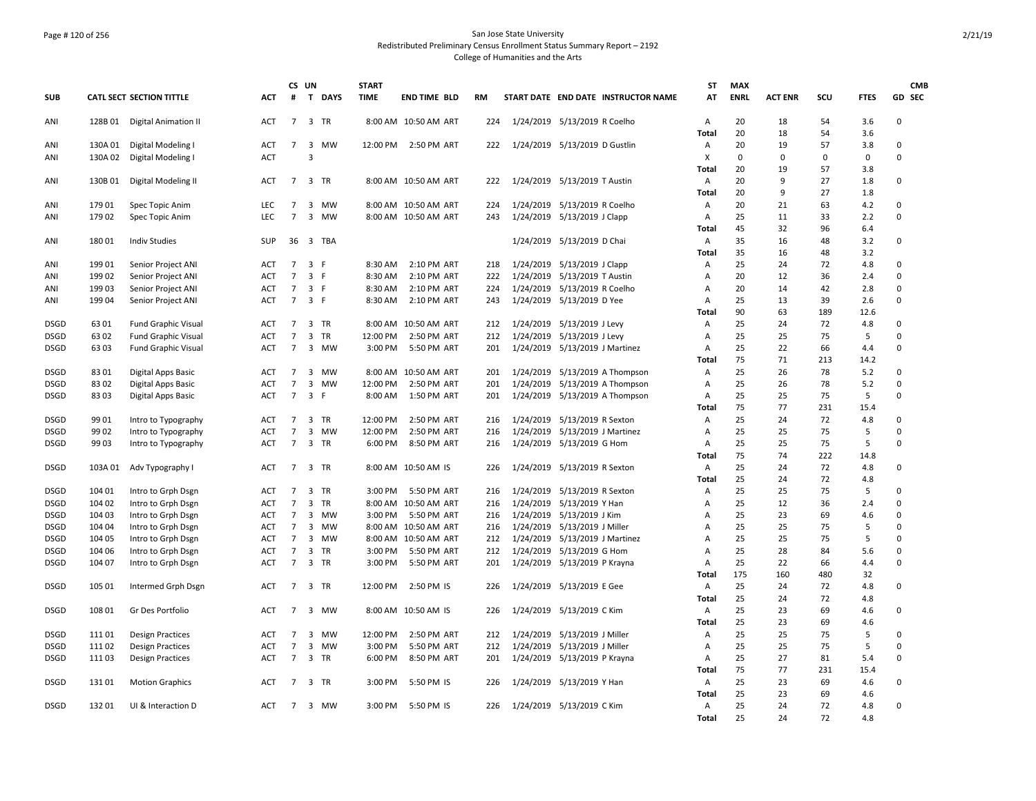## Page # 120 of 256 San Jose State University Redistributed Preliminary Census Enrollment Status Summary Report – 2192 College of Humanities and the Arts

|             |         |                                 |            |                                  | CS UN                   |            | <b>START</b> |                      |     |                                     | <b>ST</b>         | <b>MAX</b>  |                |           |             | <b>CMB</b>              |
|-------------|---------|---------------------------------|------------|----------------------------------|-------------------------|------------|--------------|----------------------|-----|-------------------------------------|-------------------|-------------|----------------|-----------|-------------|-------------------------|
| <b>SUB</b>  |         | <b>CATL SECT SECTION TITTLE</b> | <b>ACT</b> | #                                |                         | T DAYS     | <b>TIME</b>  | <b>END TIME BLD</b>  | RM  | START DATE END DATE INSTRUCTOR NAME | AT                | <b>ENRL</b> | <b>ACT ENR</b> | SCU       | <b>FTES</b> | GD SEC                  |
| ANI         |         | 128B 01 Digital Animation II    | <b>ACT</b> | $\overline{7}$                   |                         | 3 TR       |              | 8:00 AM 10:50 AM ART | 224 | 1/24/2019 5/13/2019 R Coelho        | Α                 | 20          | 18             | 54        | 3.6         | $\mathbf 0$             |
|             |         |                                 |            |                                  |                         |            |              |                      |     |                                     | Total             | 20          | 18             | 54        | 3.6         |                         |
| ANI         | 130A 01 | Digital Modeling I              | <b>ACT</b> | $\overline{7}$                   | $\overline{3}$          | <b>MW</b>  |              | 12:00 PM 2:50 PM ART | 222 | 1/24/2019 5/13/2019 D Gustlin       | Α                 | 20          | 19             | 57        | 3.8         | $\mathbf 0$<br>$\Omega$ |
| ANI         | 130A 02 | Digital Modeling I              | <b>ACT</b> |                                  | 3                       |            |              |                      |     |                                     | X                 | $\Omega$    | 0              | 0         | 0           |                         |
|             |         |                                 |            |                                  |                         |            |              |                      |     |                                     | <b>Total</b>      | 20          | 19             | 57        | 3.8         |                         |
| ANI         |         | 130B 01 Digital Modeling II     | ACT        | $\overline{7}$                   |                         | 3 TR       |              | 8:00 AM 10:50 AM ART | 222 | 1/24/2019 5/13/2019 T Austin        | Α<br><b>Total</b> | 20<br>20    | 9<br>9         | 27<br>27  | 1.8<br>1.8  | $\mathbf 0$             |
| ANI         | 179 01  | Spec Topic Anim                 | <b>LEC</b> | $\overline{7}$                   |                         | 3 MW       |              | 8:00 AM 10:50 AM ART | 224 | 1/24/2019 5/13/2019 R Coelho        | А                 | 20          | 21             | 63        | 4.2         | $\mathbf 0$             |
| ANI         | 179 02  | Spec Topic Anim                 | <b>LEC</b> | $\overline{7}$                   |                         | 3 MW       |              | 8:00 AM 10:50 AM ART | 243 | 1/24/2019 5/13/2019 J Clapp         | А                 | 25          | 11             | 33        | 2.2         | $\Omega$                |
|             |         |                                 |            |                                  |                         |            |              |                      |     |                                     | <b>Total</b>      | 45          | 32             | 96        | 6.4         |                         |
| ANI         | 18001   | <b>Indiv Studies</b>            | SUP        | 36                               |                         | 3 TBA      |              |                      |     | 1/24/2019 5/13/2019 D Chai          | А                 | 35          | 16             | 48        | 3.2         | $\mathbf 0$             |
|             |         |                                 |            |                                  |                         |            |              |                      |     |                                     | Total             | 35          | 16             | 48        | 3.2         |                         |
| ANI         | 19901   | Senior Project ANI              | <b>ACT</b> | $\overline{7}$                   | 3 F                     |            | 8:30 AM      | 2:10 PM ART          | 218 | 1/24/2019 5/13/2019 J Clapp         | Α                 | 25          | 24             | 72        | 4.8         | $\mathbf 0$             |
| ANI         | 199 02  | Senior Project ANI              | ACT        | $\overline{7}$                   | 3 F                     |            | 8:30 AM      | 2:10 PM ART          | 222 | 1/24/2019 5/13/2019 T Austin        | Α                 | 20          | 12             | 36        | 2.4         | $\mathbf 0$             |
| ANI         | 199 03  | Senior Project ANI              | ACT        | $\overline{7}$                   | 3 F                     |            | 8:30 AM      | 2:10 PM ART          | 224 | 1/24/2019 5/13/2019 R Coelho        | Α                 | 20          | 14             | 42        | 2.8         | $\mathbf 0$             |
| ANI         | 19904   | Senior Project ANI              | ACT        | $7^{\circ}$                      | 3 F                     |            | 8:30 AM      | 2:10 PM ART          | 243 | 1/24/2019 5/13/2019 D Yee           | А                 | 25          | 13             | 39        | 2.6         | $\mathbf 0$             |
|             |         |                                 |            |                                  |                         |            |              |                      |     |                                     | <b>Total</b>      | 90          | 63             | 189       | 12.6        |                         |
| <b>DSGD</b> | 63 01   | Fund Graphic Visual             | ACT        | $\overline{7}$                   |                         | 3 TR       |              | 8:00 AM 10:50 AM ART | 212 | 1/24/2019 5/13/2019 J Levy          | Α                 | 25          | 24             | 72        | 4.8         | $\mathbf 0$             |
| <b>DSGD</b> | 63 02   | Fund Graphic Visual             | ACT        | $\overline{7}$                   | 3                       | <b>TR</b>  | 12:00 PM     | 2:50 PM ART          | 212 | 1/24/2019 5/13/2019 J Levy          | Α                 | 25          | 25             | 75        | 5           | $\Omega$                |
| <b>DSGD</b> | 63 03   | Fund Graphic Visual             | ACT        | $7^{\circ}$                      |                         | 3 MW       | 3:00 PM      | 5:50 PM ART          | 201 | 1/24/2019 5/13/2019 J Martinez      | Α                 | 25          | 22             | 66        | 4.4         | $\mathbf 0$             |
|             |         |                                 |            |                                  |                         |            |              |                      |     |                                     | <b>Total</b>      | 75          | 71             | 213       | 14.2        |                         |
| <b>DSGD</b> | 8301    | Digital Apps Basic              | ACT        | $\overline{7}$                   |                         | 3 MW       |              | 8:00 AM 10:50 AM ART | 201 | 1/24/2019 5/13/2019 A Thompson      | Α                 | 25          | 26             | 78        | 5.2         | $\mathbf 0$             |
| DSGD        | 8302    | Digital Apps Basic              | ACT        | $\overline{7}$                   |                         | 3 MW       | 12:00 PM     | 2:50 PM ART          | 201 | 1/24/2019 5/13/2019 A Thompson      | Α                 | 25          | 26             | 78        | 5.2         | $\Omega$                |
| DSGD        | 83 03   | Digital Apps Basic              | ACT        | $\overline{7}$                   | 3 F                     |            | 8:00 AM      | 1:50 PM ART          | 201 | 1/24/2019 5/13/2019 A Thompson      | A                 | 25          | 25             | 75        | 5           | $\mathsf 0$             |
|             |         |                                 |            |                                  |                         |            |              |                      |     |                                     | <b>Total</b>      | 75          | 77             | 231       | 15.4        |                         |
| <b>DSGD</b> | 99 01   | Intro to Typography             | ACT        | $\overline{7}$                   |                         | 3 TR       | 12:00 PM     | 2:50 PM ART          | 216 | 1/24/2019 5/13/2019 R Sexton        | Α                 | 25          | 24             | 72        | 4.8         | $\mathbf 0$             |
| <b>DSGD</b> | 99 02   | Intro to Typography             | ACT        | $\overline{7}$                   |                         | 3 MW       | 12:00 PM     | 2:50 PM ART          | 216 | 1/24/2019 5/13/2019 J Martinez      | Α                 | 25          | 25             | 75        | 5           | $\mathbf 0$             |
| <b>DSGD</b> | 9903    | Intro to Typography             | <b>ACT</b> | $\overline{7}$                   |                         | 3 TR       | 6:00 PM      | 8:50 PM ART          | 216 | 1/24/2019 5/13/2019 G Hom           | A                 | 25          | 25             | 75        | 5           | $\mathbf 0$             |
|             |         |                                 |            |                                  |                         |            |              |                      |     |                                     | <b>Total</b>      | 75          | 74             | 222       | 14.8        |                         |
| <b>DSGD</b> | 103A 01 | Adv Typography I                | ACT        | $\overline{7}$                   |                         | 3 TR       |              | 8:00 AM 10:50 AM IS  | 226 | 1/24/2019 5/13/2019 R Sexton        | Α                 | 25          | 24             | 72        | 4.8         | $\mathbf 0$             |
|             |         |                                 |            |                                  |                         |            |              |                      |     |                                     | Total             | 25          | 24             | 72        | 4.8         |                         |
| DSGD        | 104 01  | Intro to Grph Dsgn              | ACT        | $\overline{7}$                   | 3                       | <b>TR</b>  | 3:00 PM      | 5:50 PM ART          | 216 | 1/24/2019 5/13/2019 R Sexton        | Α                 | 25          | 25             | 75        | 5           | $\Omega$                |
| <b>DSGD</b> | 104 02  | Intro to Grph Dsgn              | ACT        | $\overline{7}$                   | $\overline{3}$          | TR         |              | 8:00 AM 10:50 AM ART | 216 | 1/24/2019 5/13/2019 Y Han           | A                 | 25          | 12             | 36        | 2.4         | $\mathbf 0$             |
| <b>DSGD</b> | 104 03  | Intro to Grph Dsgn              | ACT        | $\overline{7}$                   |                         | 3 MW       | 3:00 PM      | 5:50 PM ART          | 216 | 1/24/2019 5/13/2019 J Kim           | A                 | 25          | 23             | 69        | 4.6         | $\mathbf 0$             |
| <b>DSGD</b> | 104 04  | Intro to Grph Dsgn              | ACT        | $\overline{7}$                   |                         | 3 MW       |              | 8:00 AM 10:50 AM ART | 216 | 1/24/2019 5/13/2019 J Miller        | A                 | 25          | 25             | 75        | 5           | $\mathbf 0$<br>$\Omega$ |
| <b>DSGD</b> | 104 05  | Intro to Grph Dsgn              | ACT        | $\overline{7}$<br>$\overline{7}$ |                         | 3 MW       |              | 8:00 AM 10:50 AM ART | 212 | 1/24/2019 5/13/2019 J Martinez      | A                 | 25<br>25    | 25             | 75        | 5           | $\mathbf 0$             |
| DSGD        | 104 06  | Intro to Grph Dsgn              | ACT        | $\overline{7}$                   | $\overline{\mathbf{3}}$ | TR<br>3 TR | 3:00 PM      | 5:50 PM ART          | 212 | 1/24/2019 5/13/2019 G Hom           | Α                 | 25          | 28<br>22       | 84        | 5.6         | $\mathbf 0$             |
| <b>DSGD</b> | 104 07  | Intro to Grph Dsgn              | ACT        |                                  |                         |            | 3:00 PM      | 5:50 PM ART          | 201 | 1/24/2019 5/13/2019 P Krayna        | Α<br>Total        | 175         | 160            | 66<br>480 | 4.4<br>32   |                         |
| <b>DSGD</b> | 105 01  | Intermed Grph Dsgn              | ACT        | $\overline{7}$                   |                         | 3 TR       | 12:00 PM     | 2:50 PM IS           | 226 | 1/24/2019 5/13/2019 E Gee           | А                 | 25          | 24             | 72        | 4.8         | $\mathbf 0$             |
|             |         |                                 |            |                                  |                         |            |              |                      |     |                                     | <b>Total</b>      | 25          | 24             | 72        | 4.8         |                         |
| <b>DSGD</b> | 108 01  | Gr Des Portfolio                | ACT        | $\overline{7}$                   |                         | 3 MW       |              | 8:00 AM 10:50 AM IS  | 226 | 1/24/2019 5/13/2019 C Kim           | А                 | 25          | 23             | 69        | 4.6         | $\mathsf 0$             |
|             |         |                                 |            |                                  |                         |            |              |                      |     |                                     | Total             | 25          | 23             | 69        | 4.6         |                         |
| <b>DSGD</b> | 111 01  | <b>Design Practices</b>         | ACT        | $\overline{7}$                   |                         | 3 MW       | 12:00 PM     | 2:50 PM ART          | 212 | 1/24/2019 5/13/2019 J Miller        | Α                 | 25          | 25             | 75        | 5           | $\mathbf 0$             |
| DSGD        | 11102   | <b>Design Practices</b>         | <b>ACT</b> | $\overline{7}$                   | 3                       | <b>MW</b>  | 3:00 PM      | 5:50 PM ART          | 212 | 1/24/2019 5/13/2019 J Miller        | Α                 | 25          | 25             | 75        | 5           | $\Omega$                |
| <b>DSGD</b> | 11103   | <b>Design Practices</b>         | ACT        | $7\overline{ }$                  |                         | 3 TR       | 6:00 PM      | 8:50 PM ART          | 201 | 1/24/2019 5/13/2019 P Krayna        | Α                 | 25          | 27             | 81        | 5.4         | $\mathbf 0$             |
|             |         |                                 |            |                                  |                         |            |              |                      |     |                                     | <b>Total</b>      | 75          | 77             | 231       | 15.4        |                         |
| <b>DSGD</b> | 13101   | <b>Motion Graphics</b>          | ACT        | $\overline{7}$                   |                         | 3 TR       | 3:00 PM      | 5:50 PM IS           | 226 | 1/24/2019 5/13/2019 Y Han           | Α                 | 25          | 23             | 69        | 4.6         | $\mathbf 0$             |
|             |         |                                 |            |                                  |                         |            |              |                      |     |                                     | <b>Total</b>      | 25          | 23             | 69        | 4.6         |                         |
| <b>DSGD</b> | 13201   | UI & Interaction D              | ACT        | $7^{\circ}$                      |                         | 3 MW       |              | 3:00 PM 5:50 PM IS   | 226 | 1/24/2019 5/13/2019 C Kim           | Α                 | 25          | 24             | 72        | 4.8         | $\mathbf 0$             |
|             |         |                                 |            |                                  |                         |            |              |                      |     |                                     | Total             | 25          | 24             | 72        | 4.8         |                         |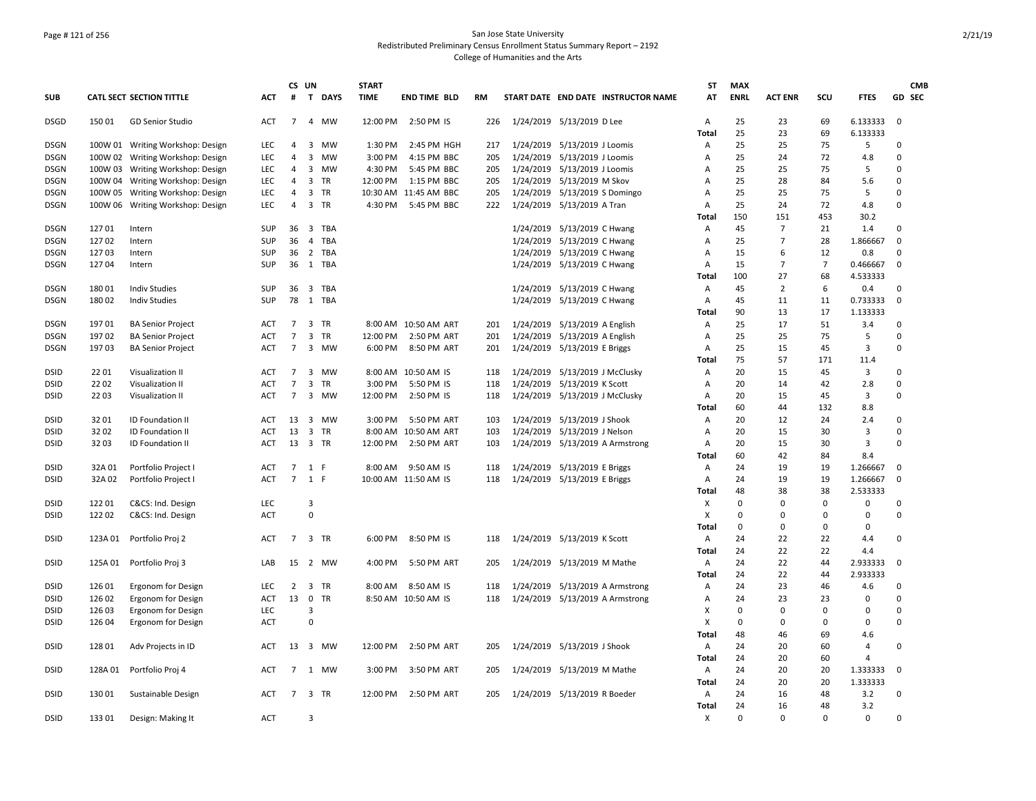## Page # 121 of 256 San Jose State University Redistributed Preliminary Census Enrollment Status Summary Report – 2192 College of Humanities and the Arts

|                            |         |                                        |                          | CS UN                            |                |              | <b>START</b> |                       |            |                                                             |                                     | <b>ST</b>    | <b>MAX</b>        |                |             |               | <b>CMB</b>                 |  |
|----------------------------|---------|----------------------------------------|--------------------------|----------------------------------|----------------|--------------|--------------|-----------------------|------------|-------------------------------------------------------------|-------------------------------------|--------------|-------------------|----------------|-------------|---------------|----------------------------|--|
| <b>SUB</b>                 |         | <b>CATL SECT SECTION TITTLE</b>        | <b>ACT</b>               | #                                |                | T DAYS       | <b>TIME</b>  | <b>END TIME BLD</b>   | RM         |                                                             | START DATE END DATE INSTRUCTOR NAME | AT           | <b>ENRL</b>       | <b>ACT ENR</b> | scu         | <b>FTES</b>   | GD SEC                     |  |
| <b>DSGD</b>                | 150 01  | <b>GD Senior Studio</b>                | ACT                      | $\overline{7}$                   |                | 4 MW         | 12:00 PM     | 2:50 PM IS            | 226        | 1/24/2019 5/13/2019 D Lee                                   |                                     | A            | 25                | 23             | 69          | 6.133333      | $\mathbf 0$                |  |
|                            |         |                                        |                          |                                  |                |              |              |                       |            |                                                             |                                     | Total        | 25                | 23             | 69          | 6.133333      |                            |  |
| <b>DSGN</b>                |         | 100W 01 Writing Workshop: Design       | <b>LEC</b>               | $\overline{4}$                   | 3              | <b>MW</b>    | 1:30 PM      | 2:45 PM HGH           | 217        | 1/24/2019 5/13/2019 J Loomis                                |                                     | Α            | 25                | 25             | 75          | 5             | 0                          |  |
| DSGN                       |         | 100W 02 Writing Workshop: Design       | LEC                      | $\overline{4}$                   | $\overline{3}$ | <b>MW</b>    | 3:00 PM      | 4:15 PM BBC           | 205        | 1/24/2019 5/13/2019 J Loomis                                |                                     | Α            | 25                | 24             | 72          | 4.8           | $\mathbf 0$                |  |
| <b>DSGN</b>                |         | 100W 03 Writing Workshop: Design       | <b>LEC</b>               | $\overline{4}$                   |                | 3 MW         | 4:30 PM      | 5:45 PM BBC           | 205        | 1/24/2019 5/13/2019 J Loomis                                |                                     | A            | 25                | 25             | 75          | 5             | $\Omega$<br>$\Omega$       |  |
| <b>DSGN</b>                |         | 100W 04 Writing Workshop: Design       | <b>LEC</b>               | $\overline{4}$                   | 3              | <b>TR</b>    | 12:00 PM     | 1:15 PM BBC           | 205        | 1/24/2019 5/13/2019 M Skov                                  |                                     | Α            | 25                | 28             | 84          | 5.6           |                            |  |
| <b>DSGN</b>                |         | 100W 05 Writing Workshop: Design       | <b>LEC</b><br><b>LEC</b> | $\overline{4}$<br>$\overline{4}$ |                | 3 TR<br>3 TR | 4:30 PM      | 10:30 AM 11:45 AM BBC | 205<br>222 | 1/24/2019 5/13/2019 S Domingo<br>1/24/2019 5/13/2019 A Tran |                                     | Α<br>А       | 25<br>25          | 25<br>24       | 75<br>72    | 5<br>4.8      | $\mathbf 0$<br>$\mathsf 0$ |  |
| DSGN                       |         | 100W 06 Writing Workshop: Design       |                          |                                  |                |              |              | 5:45 PM BBC           |            |                                                             |                                     | <b>Total</b> | 150               | 151            | 453         | 30.2          |                            |  |
| <b>DSGN</b>                | 127 01  | Intern                                 | SUP                      | 36                               |                | 3 TBA        |              |                       |            | 1/24/2019 5/13/2019 C Hwang                                 |                                     | Α            | 45                | $\overline{7}$ | 21          | 1.4           | $\mathbf 0$                |  |
| <b>DSGN</b>                | 127 02  | Intern                                 | SUP                      | 36                               | $\overline{4}$ | TBA          |              |                       |            | 1/24/2019 5/13/2019 C Hwang                                 |                                     | Α            | 25                | $\overline{7}$ | 28          | 1.866667      | $\pmb{0}$                  |  |
| <b>DSGN</b>                | 12703   | Intern                                 | SUP                      | 36                               |                | 2 TBA        |              |                       |            | 1/24/2019 5/13/2019 C Hwang                                 |                                     | Α            | 15                | 6              | 12          | 0.8           | $\mathbf 0$                |  |
| <b>DSGN</b>                | 12704   | Intern                                 | SUP                      |                                  |                | 36 1 TBA     |              |                       |            | 1/24/2019 5/13/2019 C Hwang                                 |                                     | Α            | 15                | $\overline{7}$ | 7           | 0.466667      | $\mathbf 0$                |  |
|                            |         |                                        |                          |                                  |                |              |              |                       |            |                                                             |                                     | Total        | 100               | 27             | 68          | 4.533333      |                            |  |
| <b>DSGN</b>                | 18001   | <b>Indiv Studies</b>                   | <b>SUP</b>               | 36                               |                | 3 TBA        |              |                       |            | 1/24/2019 5/13/2019 C Hwang                                 |                                     | Α            | 45                | 2              | 6           | 0.4           | $\Omega$                   |  |
| <b>DSGN</b>                | 18002   | <b>Indiv Studies</b>                   | SUP                      | 78                               |                | 1 TBA        |              |                       |            | 1/24/2019 5/13/2019 C Hwang                                 |                                     | Α            | 45                | 11             | 11          | 0.733333      | $\overline{0}$             |  |
|                            |         |                                        |                          |                                  |                |              |              |                       |            |                                                             |                                     | Total        | 90                | 13             | 17          | 1.133333      |                            |  |
| DSGN                       | 19701   | <b>BA Senior Project</b>               | ACT                      | $\overline{7}$                   |                | 3 TR         |              | 8:00 AM 10:50 AM ART  | 201        | 1/24/2019 5/13/2019 A English                               |                                     | Α            | 25                | 17             | 51          | 3.4           | 0                          |  |
| <b>DSGN</b>                | 197 02  | <b>BA Senior Project</b>               | <b>ACT</b>               | $\overline{7}$                   | 3              | <b>TR</b>    | 12:00 PM     | 2:50 PM ART           | 201        | 1/24/2019 5/13/2019 A English                               |                                     | Α            | 25                | 25             | 75          | 5             | $\mathbf 0$                |  |
| <b>DSGN</b>                | 19703   | <b>BA Senior Project</b>               | ACT                      | $\overline{7}$                   |                | 3 MW         | 6:00 PM      | 8:50 PM ART           | 201        | 1/24/2019 5/13/2019 E Briggs                                |                                     | Α            | 25                | 15             | 45          | 3             | $\mathbf 0$                |  |
|                            |         |                                        |                          |                                  |                |              |              |                       |            |                                                             |                                     | Total        | 75                | 57             | 171         | 11.4          |                            |  |
| DSID                       | 2201    | Visualization II                       | ACT                      | $\overline{7}$                   | 3              | <b>MW</b>    |              | 8:00 AM 10:50 AM IS   | 118        | 1/24/2019 5/13/2019 J McClusky                              |                                     | A            | 20                | 15             | 45          | 3             | 0                          |  |
| <b>DSID</b>                | 22 02   | Visualization II                       | ACT                      | $\overline{7}$                   | 3              | TR           | 3:00 PM      | 5:50 PM IS            | 118        | 1/24/2019 5/13/2019 K Scott                                 |                                     | Α            | 20                | 14             | 42          | 2.8           | $\mathbf 0$                |  |
| <b>DSID</b>                | 22 03   | Visualization II                       | <b>ACT</b>               | $\overline{7}$                   |                | 3 MW         | 12:00 PM     | 2:50 PM IS            | 118        | 1/24/2019 5/13/2019 J McClusky                              |                                     | A            | 20                | 15             | 45          | 3             | $\mathbf 0$                |  |
|                            |         |                                        |                          |                                  |                |              |              |                       |            |                                                             |                                     | Total        | 60                | 44             | 132         | 8.8           |                            |  |
| <b>DSID</b>                | 3201    | ID Foundation II                       | ACT                      |                                  |                | 13 3 MW      | 3:00 PM      | 5:50 PM ART           | 103        | 1/24/2019 5/13/2019 J Shook                                 |                                     | Α            | 20                | 12             | 24          | 2.4           | 0                          |  |
| <b>DSID</b>                | 3202    | ID Foundation II                       | ACT                      | 13                               |                | 3 TR         | 8:00 AM      | 10:50 AM ART          | 103        | 1/24/2019 5/13/2019 J Nelson                                |                                     | Α            | 20                | 15             | 30          | 3             | $\mathbf 0$                |  |
| <b>DSID</b>                | 3203    | <b>ID Foundation II</b>                | ACT                      | 13 3 TR                          |                |              | 12:00 PM     | 2:50 PM ART           | 103        |                                                             | 1/24/2019 5/13/2019 A Armstrong     | Α            | 20                | 15             | 30          | 3             | $\Omega$                   |  |
|                            |         |                                        |                          |                                  |                |              |              |                       |            |                                                             |                                     | Total        | 60                | 42             | 84          | 8.4           |                            |  |
| DSID                       | 32A 01  | Portfolio Project I                    | ACT                      | $\overline{7}$                   | 1 F            |              | 8:00 AM      | 9:50 AM IS            | 118        | 1/24/2019 5/13/2019 E Briggs                                |                                     | Α            | 24                | 19             | 19          | 1.266667      | $\Omega$                   |  |
| <b>DSID</b>                | 32A 02  | Portfolio Project I                    | ACT                      | $7^{\circ}$                      | 1 F            |              |              | 10:00 AM 11:50 AM IS  | 118        | 1/24/2019 5/13/2019 E Briggs                                |                                     | Α            | 24                | 19             | 19<br>38    | 1.266667      | $\Omega$                   |  |
|                            | 12201   |                                        | <b>LEC</b>               |                                  | 3              |              |              |                       |            |                                                             |                                     | <b>Total</b> | 48<br>$\mathbf 0$ | 38<br>0        | $\mathbf 0$ | 2.533333<br>0 | 0                          |  |
| <b>DSID</b><br><b>DSID</b> | 122 02  | C&CS: Ind. Design<br>C&CS: Ind. Design | <b>ACT</b>               |                                  | $\mathbf 0$    |              |              |                       |            |                                                             |                                     | Х            | $\mathbf 0$       | $\mathbf 0$    | $\Omega$    | $\mathbf 0$   | $\mathbf 0$                |  |
|                            |         |                                        |                          |                                  |                |              |              |                       |            |                                                             |                                     | X<br>Total   | 0                 | 0              | 0           | 0             |                            |  |
| <b>DSID</b>                | 123A 01 | Portfolio Proj 2                       | <b>ACT</b>               | $\overline{7}$                   |                | 3 TR         | 6:00 PM      | 8:50 PM IS            | 118        | 1/24/2019 5/13/2019 K Scott                                 |                                     | Α            | 24                | 22             | 22          | 4.4           | $\mathbf 0$                |  |
|                            |         |                                        |                          |                                  |                |              |              |                       |            |                                                             |                                     | Total        | 24                | 22             | 22          | 4.4           |                            |  |
| <b>DSID</b>                | 125A 01 | Portfolio Proj 3                       | LAB                      | 15                               |                | 2 MW         | 4:00 PM      | 5:50 PM ART           | 205        | 1/24/2019 5/13/2019 M Mathe                                 |                                     | Α            | 24                | 22             | 44          | 2.933333      | $\mathbf 0$                |  |
|                            |         |                                        |                          |                                  |                |              |              |                       |            |                                                             |                                     | Total        | 24                | 22             | 44          | 2.933333      |                            |  |
| <b>DSID</b>                | 12601   | Ergonom for Design                     | LEC                      | $\overline{2}$                   |                | 3 TR         | 8:00 AM      | 8:50 AM IS            | 118        |                                                             | 1/24/2019 5/13/2019 A Armstrong     | Α            | 24                | 23             | 46          | 4.6           | 0                          |  |
| <b>DSID</b>                | 126 02  | Ergonom for Design                     | ACT                      | 13                               | $\mathsf{O}$   | <b>TR</b>    |              | 8:50 AM 10:50 AM IS   | 118        |                                                             | 1/24/2019 5/13/2019 A Armstrong     | A            | 24                | 23             | 23          | 0             | $\Omega$                   |  |
| <b>DSID</b>                | 126 03  | Ergonom for Design                     | LEC                      |                                  | 3              |              |              |                       |            |                                                             |                                     | X            | 0                 | $\Omega$       | $\Omega$    | $\Omega$      | $\Omega$                   |  |
| DSID                       | 126 04  | Ergonom for Design                     | ACT                      |                                  | $\mathbf 0$    |              |              |                       |            |                                                             |                                     | X            | $\mathbf 0$       | 0              | 0           | 0             | $\mathbf 0$                |  |
|                            |         |                                        |                          |                                  |                |              |              |                       |            |                                                             |                                     | <b>Total</b> | 48                | 46             | 69          | 4.6           |                            |  |
| DSID                       | 128 01  | Adv Projects in ID                     | ACT                      | 13                               |                | 3 MW         | 12:00 PM     | 2:50 PM ART           | 205        | 1/24/2019 5/13/2019 J Shook                                 |                                     | Α            | 24                | 20             | 60          | 4             | $\mathbf 0$                |  |
|                            |         |                                        |                          |                                  |                |              |              |                       |            |                                                             |                                     | <b>Total</b> | 24                | 20             | 60          | 4             |                            |  |
| DSID                       | 128A 01 | Portfolio Proj 4                       | ACT                      | $7\overline{ }$                  |                | 1 MW         | 3:00 PM      | 3:50 PM ART           | 205        | 1/24/2019 5/13/2019 M Mathe                                 |                                     | Α            | 24                | 20             | 20          | 1.333333      | 0                          |  |
|                            |         |                                        |                          |                                  |                |              |              |                       |            |                                                             |                                     | Total        | 24                | 20             | 20          | 1.333333      |                            |  |
| <b>DSID</b>                | 13001   | Sustainable Design                     | ACT                      | $\overline{7}$                   |                | 3 TR         | 12:00 PM     | 2:50 PM ART           | 205        | 1/24/2019 5/13/2019 R Boeder                                |                                     | Α            | 24                | 16             | 48          | 3.2           | 0                          |  |
|                            |         |                                        |                          |                                  |                |              |              |                       |            |                                                             |                                     | Total        | 24                | 16             | 48          | 3.2           |                            |  |
| <b>DSID</b>                | 133 01  | Design: Making It                      | <b>ACT</b>               |                                  | 3              |              |              |                       |            |                                                             |                                     | х            | $\Omega$          | $\Omega$       | $\Omega$    | $\Omega$      | $\Omega$                   |  |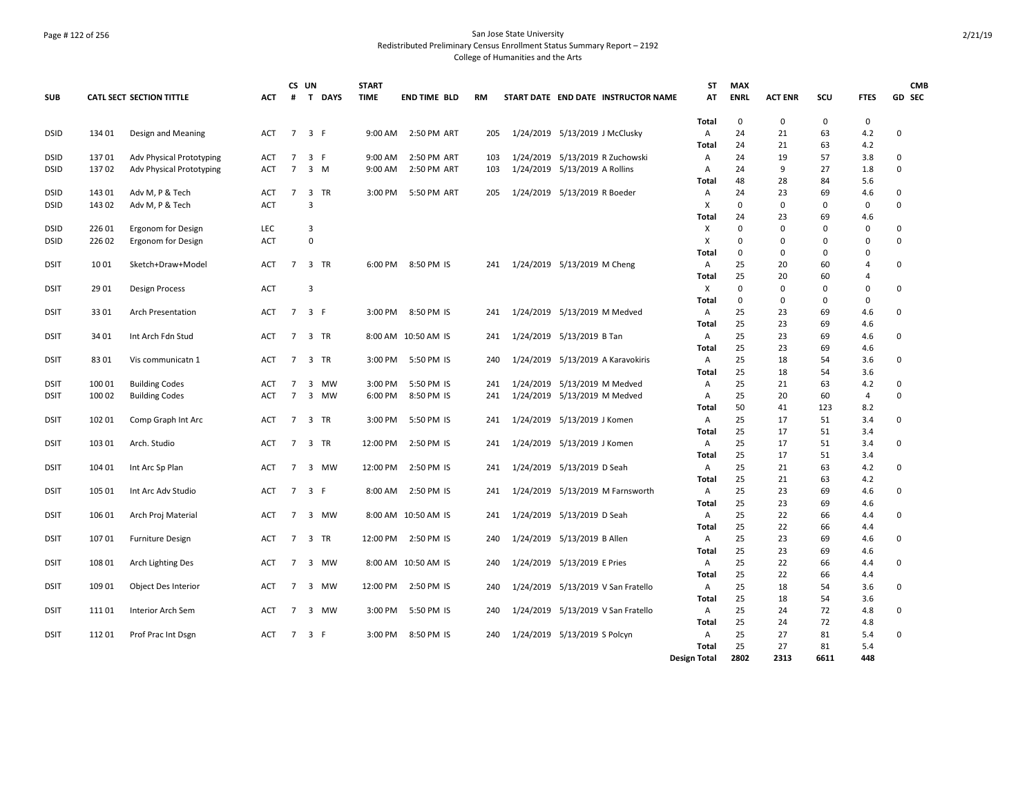## Page # 122 of 256 San Jose State University Redistributed Preliminary Census Enrollment Status Summary Report – 2192 College of Humanities and the Arts

|                            |                  |                                    |                   | CS UN          |             | <b>START</b> |                     |           |                                     | <b>ST</b>                    | <b>MAX</b>  |                |             |                    | <b>CMB</b>       |
|----------------------------|------------------|------------------------------------|-------------------|----------------|-------------|--------------|---------------------|-----------|-------------------------------------|------------------------------|-------------|----------------|-------------|--------------------|------------------|
| <b>SUB</b>                 |                  | <b>CATL SECT SECTION TITTLE</b>    | <b>ACT</b>        | #              | T DAYS      | <b>TIME</b>  | <b>END TIME BLD</b> | <b>RM</b> | START DATE END DATE INSTRUCTOR NAME | AT                           | <b>ENRL</b> | <b>ACT ENR</b> | SCU         | <b>FTES</b>        | GD SEC           |
|                            |                  |                                    |                   |                |             |              |                     |           |                                     | Total                        | $\mathbf 0$ | $\mathbf 0$    | $\mathbf 0$ | $\mathbf 0$        |                  |
| <b>DSID</b>                | 134 01           | Design and Meaning                 | ACT               | $\overline{7}$ | 3 F         | 9:00 AM      | 2:50 PM ART         | 205       | 1/24/2019 5/13/2019 J McClusky      | Α                            | 24          | 21             | 63          | 4.2                | 0                |
|                            |                  |                                    |                   |                |             |              |                     |           |                                     | Total                        | 24          | 21             | 63          | 4.2                |                  |
| <b>DSID</b>                | 13701            | Adv Physical Prototyping           | <b>ACT</b>        | $\overline{7}$ | 3 F         | 9:00 AM      | 2:50 PM ART         | 103       | 1/24/2019 5/13/2019 R Zuchowski     | Α                            | 24          | 19             | 57          | 3.8                | $\mathbf 0$      |
| <b>DSID</b>                | 13702            | Adv Physical Prototyping           | <b>ACT</b>        | $\overline{7}$ | $3 \, M$    | 9:00 AM      | 2:50 PM ART         | 103       | 1/24/2019 5/13/2019 A Rollins       | Α                            | 24          | 9              | 27          | 1.8                | $\mathbf 0$      |
|                            |                  |                                    |                   | $\overline{7}$ |             |              |                     |           |                                     | Total                        | 48          | 28<br>23       | 84<br>69    | 5.6                |                  |
| <b>DSID</b><br><b>DSID</b> | 143 01<br>143 02 | Adv M, P & Tech<br>Adv M, P & Tech | ACT<br><b>ACT</b> |                | 3 TR<br>3   | 3:00 PM      | 5:50 PM ART         | 205       | 1/24/2019 5/13/2019 R Boeder        | Α<br>X                       | 24<br>0     | $\mathbf 0$    | 0           | 4.6<br>$\mathbf 0$ | 0<br>$\mathbf 0$ |
|                            |                  |                                    |                   |                |             |              |                     |           |                                     | Total                        | 24          | 23             | 69          | 4.6                |                  |
| <b>DSID</b>                | 226 01           | Ergonom for Design                 | <b>LEC</b>        |                | 3           |              |                     |           |                                     | Χ                            | $\Omega$    | $\mathbf 0$    | $\Omega$    | 0                  | $\mathbf 0$      |
| <b>DSID</b>                | 226 02           | Ergonom for Design                 | <b>ACT</b>        |                | $\mathbf 0$ |              |                     |           |                                     | X                            | $\Omega$    | $\Omega$       | $\Omega$    | $\Omega$           | $\Omega$         |
|                            |                  |                                    |                   |                |             |              |                     |           |                                     | Total                        | 0           | $\mathbf 0$    | $\Omega$    | $\Omega$           |                  |
| <b>DSIT</b>                | 1001             | Sketch+Draw+Model                  | ACT               | $\overline{7}$ | 3 TR        | 6:00 PM      | 8:50 PM IS          | 241       | 1/24/2019 5/13/2019 M Cheng         | Α                            | 25          | 20             | 60          | 4                  | 0                |
|                            |                  |                                    |                   |                |             |              |                     |           |                                     | Total                        | 25          | 20             | 60          | 4                  |                  |
| <b>DSIT</b>                | 29 01            | Design Process                     | ACT               |                | 3           |              |                     |           |                                     | Χ                            | 0           | 0              | 0           | 0                  | 0                |
|                            |                  |                                    |                   |                |             |              |                     |           |                                     | Total                        | $\Omega$    | 0              | $\Omega$    | 0                  |                  |
| <b>DSIT</b>                | 33 01            | <b>Arch Presentation</b>           | <b>ACT</b>        | $\overline{7}$ | 3 F         | 3:00 PM      | 8:50 PM IS          | 241       | 1/24/2019 5/13/2019 M Medved        | Α                            | 25          | 23             | 69          | 4.6                | $\Omega$         |
|                            |                  |                                    |                   |                |             |              |                     |           |                                     | Total                        | 25          | 23             | 69          | 4.6                |                  |
| <b>DSIT</b>                | 34 01            | Int Arch Fdn Stud                  | ACT               | $\overline{7}$ | 3 TR        |              | 8:00 AM 10:50 AM IS | 241       | 1/24/2019 5/13/2019 B Tan           | Α                            | 25          | 23             | 69          | 4.6                | 0                |
|                            |                  |                                    |                   |                |             |              |                     |           |                                     | Total                        | 25          | 23             | 69          | 4.6                |                  |
| <b>DSIT</b>                | 8301             | Vis communicatn 1                  | <b>ACT</b>        | 7              | 3 TR        | 3:00 PM      | 5:50 PM IS          | 240       | 1/24/2019 5/13/2019 A Karavokiris   | Α                            | 25          | 18             | 54          | 3.6                | $\mathbf 0$      |
|                            |                  |                                    |                   |                |             |              |                     |           |                                     | Total                        | 25          | 18             | 54          | 3.6                |                  |
| <b>DSIT</b>                | 100 01           | <b>Building Codes</b>              | <b>ACT</b>        | 7              | 3 MW        | 3:00 PM      | 5:50 PM IS          | 241       | 1/24/2019 5/13/2019 M Medved        | Α                            | 25          | 21             | 63          | 4.2                | 0                |
| <b>DSIT</b>                | 100 02           | <b>Building Codes</b>              | <b>ACT</b>        | $\overline{7}$ | 3 MW        | 6:00 PM      | 8:50 PM IS          | 241       | 1/24/2019 5/13/2019 M Medved        | Α                            | 25          | 20             | 60          | 4                  | $\mathbf 0$      |
|                            |                  |                                    |                   |                |             |              |                     |           |                                     | Total                        | 50          | 41             | 123         | 8.2                |                  |
| DSIT                       | 102 01           | Comp Graph Int Arc                 | ACT               | 7              | 3 TR        | 3:00 PM      | 5:50 PM IS          | 241       | 1/24/2019 5/13/2019 J Komen         | Α                            | 25<br>25    | 17             | 51          | 3.4                | 0                |
|                            | 103 01           |                                    |                   | $\overline{7}$ | 3 TR        | 12:00 PM     | 2:50 PM IS          |           | 1/24/2019 5/13/2019 J Komen         | Total                        | 25          | 17<br>17       | 51<br>51    | 3.4<br>3.4         | 0                |
| <b>DSIT</b>                |                  | Arch. Studio                       | ACT               |                |             |              |                     | 241       |                                     | A<br>Total                   | 25          | 17             | 51          | 3.4                |                  |
| <b>DSIT</b>                | 104 01           | Int Arc Sp Plan                    | ACT               | $\overline{7}$ | 3 MW        | 12:00 PM     | 2:50 PM IS          | 241       | 1/24/2019 5/13/2019 D Seah          | Α                            | 25          | 21             | 63          | 4.2                | 0                |
|                            |                  |                                    |                   |                |             |              |                     |           |                                     | Total                        | 25          | 21             | 63          | 4.2                |                  |
| <b>DSIT</b>                | 105 01           | Int Arc Adv Studio                 | <b>ACT</b>        | $\overline{7}$ | 3 F         | 8:00 AM      | 2:50 PM IS          | 241       | 1/24/2019 5/13/2019 M Farnsworth    | Α                            | 25          | 23             | 69          | 4.6                | 0                |
|                            |                  |                                    |                   |                |             |              |                     |           |                                     | Total                        | 25          | 23             | 69          | 4.6                |                  |
| DSIT                       | 106 01           | Arch Proj Material                 | <b>ACT</b>        | $\overline{7}$ | 3 MW        |              | 8:00 AM 10:50 AM IS | 241       | 1/24/2019 5/13/2019 D Seah          | A                            | 25          | 22             | 66          | 4.4                | $\Omega$         |
|                            |                  |                                    |                   |                |             |              |                     |           |                                     | Total                        | 25          | 22             | 66          | 4.4                |                  |
| <b>DSIT</b>                | 10701            | <b>Furniture Design</b>            | ACT               | $\overline{7}$ | 3 TR        | 12:00 PM     | 2:50 PM IS          | 240       | 1/24/2019 5/13/2019 B Allen         | Α                            | 25          | 23             | 69          | 4.6                | 0                |
|                            |                  |                                    |                   |                |             |              |                     |           |                                     | Total                        | 25          | 23             | 69          | 4.6                |                  |
| <b>DSIT</b>                | 108 01           | Arch Lighting Des                  | ACT               | $\overline{7}$ | 3 MW        |              | 8:00 AM 10:50 AM IS | 240       | 1/24/2019 5/13/2019 E Pries         | Α                            | 25          | 22             | 66          | 4.4                | 0                |
|                            |                  |                                    |                   |                |             |              |                     |           |                                     | Total                        | 25          | 22             | 66          | 4.4                |                  |
| <b>DSIT</b>                | 109 01           | Object Des Interior                | ACT               | $\overline{7}$ | 3 MW        | 12:00 PM     | 2:50 PM IS          | 240       | 1/24/2019 5/13/2019 V San Fratello  | Α                            | 25          | 18             | 54          | 3.6                | 0                |
|                            |                  |                                    |                   |                |             |              |                     |           |                                     | Total                        | 25          | 18             | 54          | 3.6                |                  |
| <b>DSIT</b>                | 11101            | Interior Arch Sem                  | <b>ACT</b>        | 7              | 3 MW        | 3:00 PM      | 5:50 PM IS          | 240       | 1/24/2019 5/13/2019 V San Fratello  | Α                            | 25          | 24             | 72          | 4.8                | $\mathbf 0$      |
|                            |                  |                                    |                   |                |             |              |                     |           |                                     | Total                        | 25          | 24             | 72          | 4.8                |                  |
| <b>DSIT</b>                | 11201            | Prof Prac Int Dsgn                 | ACT               | $\overline{7}$ | 3 F         | 3:00 PM      | 8:50 PM IS          | 240       | 1/24/2019 5/13/2019 S Polcyn        | A                            | 25<br>25    | 27<br>27       | 81<br>81    | 5.4<br>5.4         | 0                |
|                            |                  |                                    |                   |                |             |              |                     |           |                                     | Total<br><b>Design Total</b> | 2802        | 2313           | 6611        | 448                |                  |
|                            |                  |                                    |                   |                |             |              |                     |           |                                     |                              |             |                |             |                    |                  |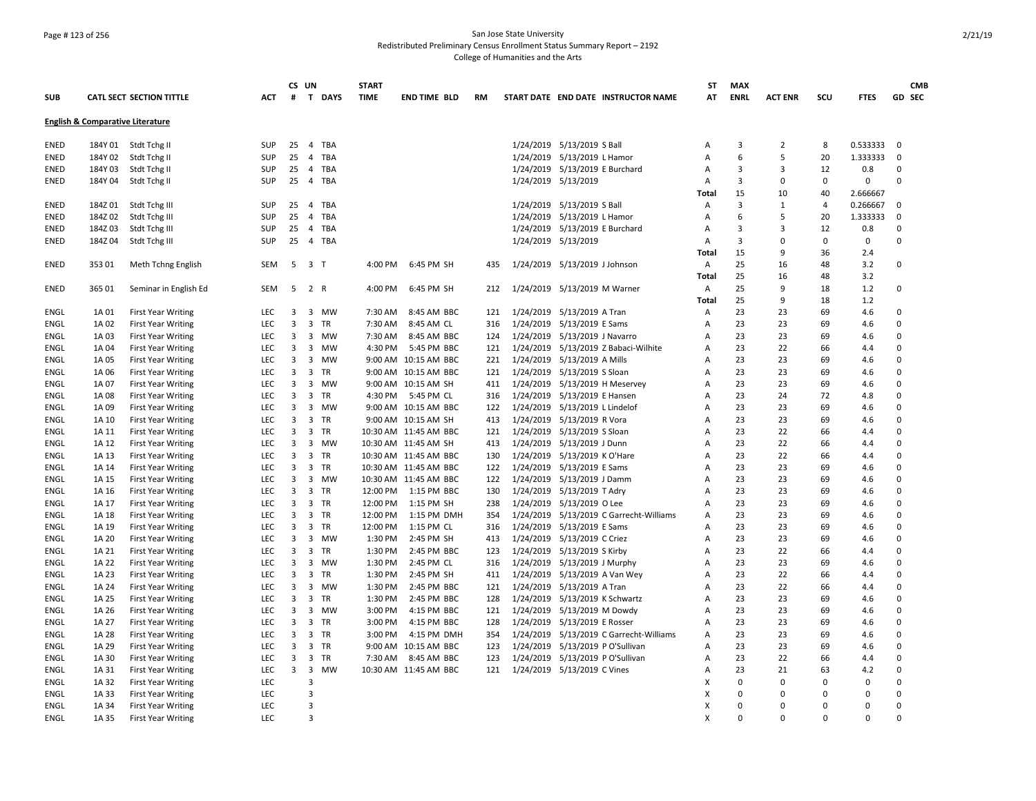## Page # 123 of 256 San Jose State University Redistributed Preliminary Census Enrollment Status Summary Report – 2192 College of Humanities and the Arts

|             |         |                                             |            |                | CS UN                   |            | <b>START</b> |                       |           |                                               | ST           | <b>MAX</b>  |                |                |             | <b>CMB</b>  |
|-------------|---------|---------------------------------------------|------------|----------------|-------------------------|------------|--------------|-----------------------|-----------|-----------------------------------------------|--------------|-------------|----------------|----------------|-------------|-------------|
| <b>SUB</b>  |         | <b>CATL SECT SECTION TITTLE</b>             | <b>ACT</b> | #              |                         | T DAYS     | <b>TIME</b>  | <b>END TIME BLD</b>   | <b>RM</b> | START DATE END DATE INSTRUCTOR NAME           | AT           | <b>ENRL</b> | <b>ACT ENR</b> | SCU            | <b>FTES</b> | GD SEC      |
|             |         | <b>English &amp; Comparative Literature</b> |            |                |                         |            |              |                       |           |                                               |              |             |                |                |             |             |
| <b>ENED</b> |         | 184Y 01 Stdt Tchg II                        | <b>SUP</b> | 25             |                         | 4 TBA      |              |                       |           | 1/24/2019 5/13/2019 S Ball                    | Α            | 3           | $\overline{2}$ | 8              | 0.533333    | $\mathbf 0$ |
| <b>ENED</b> | 184Y 02 | Stdt Tchg II                                | SUP        | 25             | $\overline{4}$          | <b>TBA</b> |              |                       |           | 1/24/2019 5/13/2019 L Hamor                   | A            | 6           | 5              | 20             | 1.333333    | $\mathbf 0$ |
| <b>ENED</b> | 184Y03  | Stdt Tchg II                                | SUP        | 25             |                         | 4 TBA      |              |                       |           | 1/24/2019 5/13/2019 E Burchard                | А            | 3           | 3              | 12             | 0.8         | $\mathbf 0$ |
| ENED        | 184Y 04 | Stdt Tchg II                                | SUP        | 25             |                         | 4 TBA      |              |                       |           | 1/24/2019 5/13/2019                           | Α            | 3           | $\mathbf 0$    | 0              | 0           | $\Omega$    |
|             |         |                                             |            |                |                         |            |              |                       |           |                                               | Total        | 15          | 10             | 40             | 2.666667    |             |
| ENED        | 184Z01  | Stdt Tchg III                               | SUP        | 25             |                         | 4 TBA      |              |                       |           | 1/24/2019 5/13/2019 S Ball                    | Α            | 3           | 1              | $\overline{4}$ | 0.266667    | $\mathbf 0$ |
| ENED        | 184Z02  | Stdt Tchg III                               | <b>SUP</b> | 25             | $\overline{4}$          | <b>TBA</b> |              |                       |           | 1/24/2019 5/13/2019 L Hamor                   | A            | 6           | 5              | 20             | 1.333333    | $\mathbf 0$ |
| <b>ENED</b> | 184Z03  | Stdt Tchg III                               | <b>SUP</b> | 25             |                         | 4 TBA      |              |                       |           | 1/24/2019 5/13/2019 E Burchard                | Α            | 3           | 3              | 12             | 0.8         | 0           |
| ENED        | 184Z 04 | Stdt Tchg III                               | <b>SUP</b> | 25             |                         | 4 TBA      |              |                       |           | 1/24/2019 5/13/2019                           | A            | 3           | 0              | 0              | 0           | $\mathbf 0$ |
|             |         |                                             |            |                |                         |            |              |                       |           |                                               | Total        | 15          | 9              | 36             | 2.4         |             |
| <b>ENED</b> | 35301   | Meth Tchng English                          | SEM        |                | 5 3 T                   |            | 4:00 PM      | 6:45 PM SH            | 435       | 1/24/2019 5/13/2019 J Johnson                 | Α            | 25          | 16             | 48             | 3.2         | 0           |
|             |         |                                             |            |                |                         |            |              |                       |           |                                               | Total        | 25          | 16             | 48             | 3.2         |             |
| <b>ENED</b> | 365 01  | Seminar in English Ed                       | SEM        | 5              |                         | 2 R        | 4:00 PM      | 6:45 PM SH            | 212       | 1/24/2019 5/13/2019 M Warner                  | Α            | 25          | 9              | 18             | 1.2         | $\mathbf 0$ |
|             |         |                                             |            |                |                         |            |              |                       |           |                                               | <b>Total</b> | 25          | 9              | 18             | 1.2         |             |
| ENGL        | 1A 01   | <b>First Year Writing</b>                   | <b>LEC</b> | 3              |                         | 3 MW       | 7:30 AM      | 8:45 AM BBC           | 121       | 1/24/2019 5/13/2019 A Tran                    | Α            | 23          | 23             | 69             | 4.6         | $\mathbf 0$ |
| ENGL        | 1A 02   | <b>First Year Writing</b>                   | <b>LEC</b> | 3              | 3                       | <b>TR</b>  | 7:30 AM      | 8:45 AM CL            | 316       | 1/24/2019 5/13/2019 E Sams                    | A            | 23          | 23             | 69             | 4.6         | $\mathbf 0$ |
| <b>ENGL</b> | 1A 03   | <b>First Year Writing</b>                   | <b>LEC</b> | 3              | 3                       | <b>MW</b>  | 7:30 AM      | 8:45 AM BBC           | 124       | 1/24/2019 5/13/2019 J Navarro                 | A            | 23          | 23             | 69             | 4.6         | $\Omega$    |
| ENGL        | 1A 04   | <b>First Year Writing</b>                   | <b>LEC</b> | 3              |                         | 3 MW       | 4:30 PM      | 5:45 PM BBC           | 121       | 1/24/2019 5/13/2019 Z Babaci-Wilhite          | A            | 23          | 22             | 66             | 4.4         | $\Omega$    |
| ENGL        | 1A 05   | <b>First Year Writing</b>                   | <b>LEC</b> | $\overline{3}$ |                         | 3 MW       |              | 9:00 AM 10:15 AM BBC  | 221       | 1/24/2019 5/13/2019 A Mills                   | A            | 23          | 23             | 69             | 4.6         | $\Omega$    |
| ENGL        | 1A 06   | <b>First Year Writing</b>                   | LEC        | 3              |                         | 3 TR       |              | 9:00 AM 10:15 AM BBC  | 121       | 1/24/2019 5/13/2019 S Sloan                   | Α            | 23          | 23             | 69             | 4.6         | $\Omega$    |
| ENGL        | 1A 07   | <b>First Year Writing</b>                   | LEC        | 3              | 3                       | MW         |              | 9:00 AM 10:15 AM SH   | 411       | 1/24/2019 5/13/2019 H Meservey                | Α            | 23          | 23             | 69             | 4.6         | $\mathbf 0$ |
| ENGL        | 1A 08   | <b>First Year Writing</b>                   | LEC        | 3              |                         | 3 TR       | 4:30 PM      | 5:45 PM CL            | 316       | 1/24/2019 5/13/2019 E Hansen                  | Α            | 23          | 24             | 72             | 4.8         | $\mathbf 0$ |
| ENGL        | 1A 09   | <b>First Year Writing</b>                   | <b>LEC</b> | 3              |                         | 3 MW       |              | 9:00 AM 10:15 AM BBC  | 122       | 1/24/2019 5/13/2019 L Lindelof                | Α            | 23          | 23             | 69             | 4.6         | 0           |
| ENGL        | 1A 10   | <b>First Year Writing</b>                   | LEC        | $\overline{3}$ |                         | 3 TR       |              | 9:00 AM 10:15 AM SH   | 413       | 1/24/2019 5/13/2019 R Vora                    | A            | 23          | 23             | 69             | 4.6         | $\mathbf 0$ |
| ENGL        | 1A 11   | <b>First Year Writing</b>                   | <b>LEC</b> | 3              |                         | 3 TR       |              | 10:30 AM 11:45 AM BBC | 121       | 1/24/2019 5/13/2019 S Sloan                   | Α            | 23          | 22             | 66             | 4.4         | $\Omega$    |
| ENGL        | 1A 12   | <b>First Year Writing</b>                   | LEC        | 3              |                         | 3 MW       |              | 10:30 AM 11:45 AM SH  | 413       | 1/24/2019 5/13/2019 J Dunn                    | Α            | 23          | 22             | 66             | 4.4         | $\mathbf 0$ |
| ENGL        | 1A 13   | <b>First Year Writing</b>                   | LEC        | 3              |                         | 3 TR       |              | 10:30 AM 11:45 AM BBC | 130       | 1/24/2019 5/13/2019 K O'Hare                  | Α            | 23          | 22             | 66             | 4.4         | $\mathbf 0$ |
| ENGL        | 1A 14   | <b>First Year Writing</b>                   | LEC        | 3              |                         | 3 TR       |              | 10:30 AM 11:45 AM BBC | 122       | 1/24/2019 5/13/2019 E Sams                    | Α            | 23          | 23             | 69             | 4.6         | $\mathbf 0$ |
| ENGL        | 1A 15   | <b>First Year Writing</b>                   | <b>LEC</b> | 3              |                         | 3 MW       |              | 10:30 AM 11:45 AM BBC | 122       | 1/24/2019 5/13/2019 J Damm                    | Α            | 23          | 23             | 69             | 4.6         | $\mathbf 0$ |
| ENGL        | 1A 16   | <b>First Year Writing</b>                   | <b>LEC</b> | $\overline{3}$ | 3                       | TR         | 12:00 PM     | 1:15 PM BBC           | 130       | 1/24/2019 5/13/2019 T Adry                    | A            | 23          | 23             | 69             | 4.6         | $\Omega$    |
| ENGL        | 1A 17   | <b>First Year Writing</b>                   | LEC        | $\overline{3}$ |                         | 3 TR       | 12:00 PM     | 1:15 PM SH            | 238       | 1/24/2019 5/13/2019 O Lee                     | A            | 23          | 23             | 69             | 4.6         | $\mathbf 0$ |
| ENGL        | 1A 18   | <b>First Year Writing</b>                   | <b>LEC</b> | $\overline{3}$ |                         | 3 TR       | 12:00 PM     | 1:15 PM DMH           | 354       | 1/24/2019    5/13/2019    C Garrecht-Williams | Α            | 23          | 23             | 69             | 4.6         | $\Omega$    |
| ENGL        | 1A 19   | <b>First Year Writing</b>                   | <b>LEC</b> | $\overline{3}$ |                         | 3 TR       | 12:00 PM     | 1:15 PM CL            | 316       | 1/24/2019 5/13/2019 E Sams                    | A            | 23          | 23             | 69             | 4.6         | $\mathbf 0$ |
| ENGL        | 1A 20   | <b>First Year Writing</b>                   | <b>LEC</b> | 3              |                         | 3 MW       | 1:30 PM      | 2:45 PM SH            | 413       | 1/24/2019 5/13/2019 C Criez                   | A            | 23          | 23             | 69             | 4.6         | $\mathbf 0$ |
| <b>ENGL</b> | 1A 21   | <b>First Year Writing</b>                   | <b>LEC</b> | 3              | 3                       | <b>TR</b>  | 1:30 PM      | 2:45 PM BBC           | 123       | 1/24/2019 5/13/2019 S Kirby                   | A            | 23          | 22             | 66             | 4.4         | $\mathbf 0$ |
| <b>ENGL</b> | 1A 22   | <b>First Year Writing</b>                   | <b>LEC</b> | 3              |                         | 3 MW       | 1:30 PM      | 2:45 PM CL            | 316       | 1/24/2019 5/13/2019 J Murphy                  | Α            | 23          | 23             | 69             | 4.6         | $\Omega$    |
| ENGL        | 1A 23   | <b>First Year Writing</b>                   | LEC        | 3              |                         | 3 TR       | 1:30 PM      | 2:45 PM SH            | 411       | 1/24/2019 5/13/2019 A Van Wey                 | Α            | 23          | 22             | 66             | 4.4         | $\Omega$    |
| ENGL        | 1A 24   | <b>First Year Writing</b>                   | LEC        | 3              |                         | 3 MW       | 1:30 PM      | 2:45 PM BBC           | 121       | 1/24/2019 5/13/2019 A Tran                    | Α            | 23          | 22             | 66             | 4.4         | $\Omega$    |
| ENGL        | 1A 25   | <b>First Year Writing</b>                   | LEC        | 3              |                         | 3 TR       | 1:30 PM      | 2:45 PM BBC           | 128       | 1/24/2019 5/13/2019 K Schwartz                | Α            | 23          | 23             | 69             | 4.6         | $\Omega$    |
| ENGL        | 1A 26   | <b>First Year Writing</b>                   | LEC        | $\overline{3}$ | 3                       | MW         | 3:00 PM      | 4:15 PM BBC           | 121       | 1/24/2019 5/13/2019 M Dowdy                   | Α            | 23          | 23             | 69             | 4.6         | $\mathbf 0$ |
| ENGL        | 1A 27   | <b>First Year Writing</b>                   | <b>LEC</b> | 3              |                         | 3 TR       | 3:00 PM      | 4:15 PM BBC           | 128       | 1/24/2019 5/13/2019 E Rosser                  | Α            | 23          | 23             | 69             | 4.6         | 0           |
| ENGL        | 1A 28   | <b>First Year Writing</b>                   | <b>LEC</b> | 3              |                         | 3 TR       | 3:00 PM      | 4:15 PM DMH           | 354       | 1/24/2019 5/13/2019 C Garrecht-Williams       | Α            | 23          | 23             | 69             | 4.6         | $\mathbf 0$ |
| ENGL        | 1A 29   | <b>First Year Writing</b>                   | <b>LEC</b> | 3              |                         | 3 TR       | 9:00 AM      | 10:15 AM BBC          | 123       | 1/24/2019 5/13/2019 P O'Sullivan              | A            | 23          | 23             | 69             | 4.6         | $\Omega$    |
| ENGL        | 1A 30   | <b>First Year Writing</b>                   | LEC        | 3              |                         | 3 TR       | 7:30 AM      | 8:45 AM BBC           | 123       | 1/24/2019 5/13/2019 P O'Sullivan              | Α            | 23          | 22             | 66             | 4.4         | $\mathbf 0$ |
| <b>ENGL</b> | 1A 31   | <b>First Year Writing</b>                   | LEC        | $\overline{3}$ | $\overline{\mathbf{3}}$ | <b>MW</b>  |              | 10:30 AM 11:45 AM BBC | 121       | 1/24/2019 5/13/2019 C Vines                   | Α            | 23          | 21             | 63             | 4.2         | $\mathbf 0$ |
| ENGL        | 1A 32   | <b>First Year Writing</b>                   | <b>LEC</b> |                | 3                       |            |              |                       |           |                                               | X            | 0           | 0              | 0              | 0           | $\mathbf 0$ |
| <b>ENGL</b> | 1A 33   | <b>First Year Writing</b>                   | <b>LEC</b> |                | 3                       |            |              |                       |           |                                               | x            | 0           | $\Omega$       | $\Omega$       | $\mathbf 0$ | $\mathbf 0$ |
| <b>ENGL</b> | 1A 34   | <b>First Year Writing</b>                   | <b>LEC</b> |                | 3                       |            |              |                       |           |                                               | x            | $\Omega$    | $\Omega$       | $\Omega$       | $\Omega$    | $\Omega$    |
| <b>ENGL</b> | 1A 35   | <b>First Year Writing</b>                   | LEC.       |                | 3                       |            |              |                       |           |                                               | X            | $\Omega$    | $\Omega$       | <sup>n</sup>   | $\Omega$    | $\Omega$    |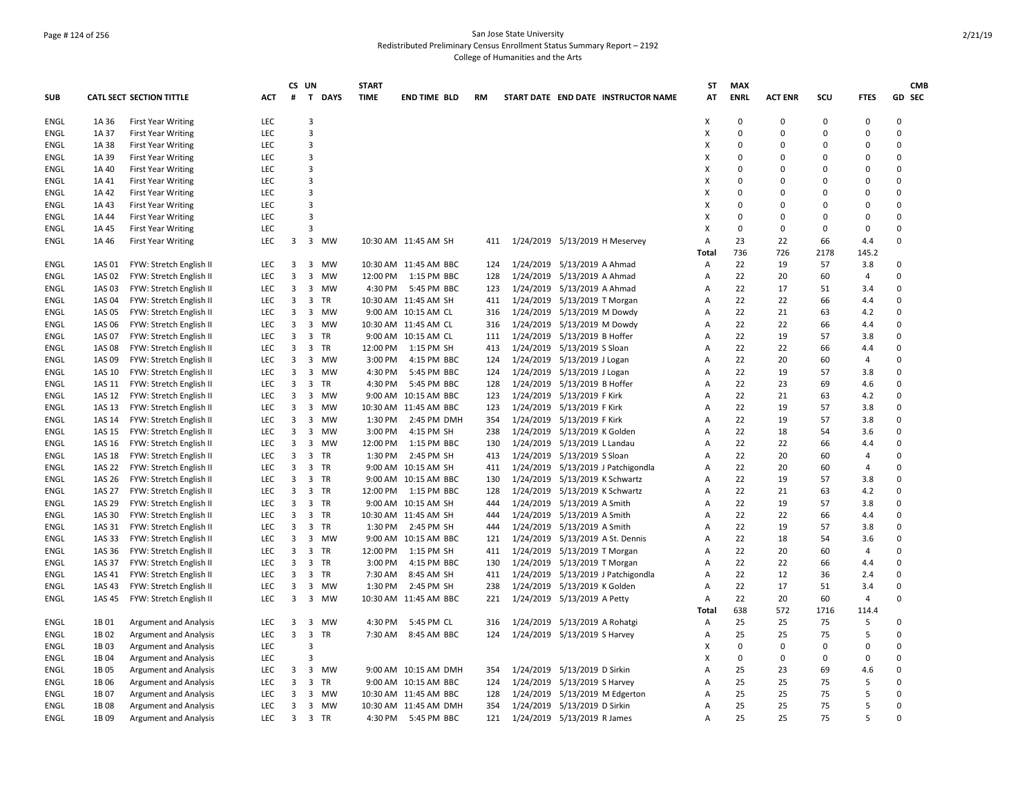## Page # 124 of 256 San Jose State University Redistributed Preliminary Census Enrollment Status Summary Report – 2192 College of Humanities and the Arts

|             |        |                                 |            |        | CS UN                        |             | <b>START</b> |                       |           |                               |                   |                                     | ST             | <b>MAX</b>     |                   |               |                      |                      | <b>CMB</b> |
|-------------|--------|---------------------------------|------------|--------|------------------------------|-------------|--------------|-----------------------|-----------|-------------------------------|-------------------|-------------------------------------|----------------|----------------|-------------------|---------------|----------------------|----------------------|------------|
| <b>SUB</b>  |        | <b>CATL SECT SECTION TITTLE</b> | <b>ACT</b> | #      | $\mathbf{T}$                 | <b>DAYS</b> | <b>TIME</b>  | <b>END TIME BLD</b>   | <b>RM</b> |                               |                   | START DATE END DATE INSTRUCTOR NAME | AT             | <b>ENRL</b>    | <b>ACT ENR</b>    | scu           | <b>FTES</b>          | GD SEC               |            |
| ENGL        | 1A 36  | <b>First Year Writing</b>       | LEC        |        | 3                            |             |              |                       |           |                               |                   |                                     | X              | $\mathbf 0$    | $\mathbf 0$       | 0             | $\pmb{0}$            | 0                    |            |
| ENGL        | 1A 37  | <b>First Year Writing</b>       | LEC        |        | 3                            |             |              |                       |           |                               |                   |                                     | Х              | $\mathbf 0$    | 0                 | $\Omega$      | $\Omega$             | $\Omega$             |            |
| ENGL        | 1A 38  | <b>First Year Writing</b>       | LEC        |        | 3                            |             |              |                       |           |                               |                   |                                     | Х              | $\Omega$       | $\Omega$          | $\Omega$      | $\Omega$             | $\Omega$             |            |
| ENGL        | 1A 39  | <b>First Year Writing</b>       | LEC        |        | 3                            |             |              |                       |           |                               |                   |                                     | х              | $\Omega$       | $\Omega$          | $\Omega$      | $\Omega$             | $\Omega$             |            |
| ENGL        | 1A 40  | <b>First Year Writing</b>       | LEC        |        | 3                            |             |              |                       |           |                               |                   |                                     | X              | $\Omega$       | $\Omega$          | $\Omega$      | $\Omega$             | 0                    |            |
| <b>ENGL</b> | 1A 41  | <b>First Year Writing</b>       | LEC        |        | 3                            |             |              |                       |           |                               |                   |                                     | X              | $\Omega$       | $\Omega$          | $\Omega$      | $\Omega$             | $\Omega$             |            |
| <b>ENGL</b> | 1A 42  | <b>First Year Writing</b>       | <b>LEC</b> |        | 3                            |             |              |                       |           |                               |                   |                                     | X              | $\Omega$       | $\Omega$          | $\Omega$      | $\Omega$             | $\Omega$             |            |
| <b>ENGL</b> | 1A 43  | <b>First Year Writing</b>       | LEC        |        | 3                            |             |              |                       |           |                               |                   |                                     | х              | $\Omega$       | $\Omega$          | $\Omega$      | $\Omega$             | $\Omega$             |            |
| ENGL        | 1A 44  | <b>First Year Writing</b>       | LEC        |        | 3                            |             |              |                       |           |                               |                   |                                     | X              | $\Omega$       | $\Omega$          | $\Omega$      | $\Omega$             | $\Omega$             |            |
| ENGL        | 1A 45  | <b>First Year Writing</b>       | LEC        |        | 3                            |             |              |                       |           |                               |                   |                                     | Х              | $\mathbf 0$    | 0                 | 0             | $\Omega$             | $\mathbf 0$          |            |
| ENGL        | 1A 46  | <b>First Year Writing</b>       | LEC        | 3      | 3                            | MW          |              | 10:30 AM 11:45 AM SH  | 411       |                               |                   | 1/24/2019 5/13/2019 H Meservey      | Α              | 23             | 22                | 66            | 4.4                  | 0                    |            |
| ENGL        | 1AS 01 | FYW: Stretch English II         | <b>LEC</b> | 3      | $\overline{\mathbf{3}}$      | MW          |              | 10:30 AM 11:45 AM BBC | 124       | 1/24/2019 5/13/2019 A Ahmad   |                   |                                     | Total<br>Α     | 736<br>22      | 726<br>19         | 2178<br>57    | 145.2<br>3.8         | $\Omega$             |            |
| <b>ENGL</b> | 1AS 02 | FYW: Stretch English II         | <b>LEC</b> | 3      | 3                            | <b>MW</b>   | 12:00 PM     | 1:15 PM BBC           | 128       | 1/24/2019                     | 5/13/2019 A Ahmad |                                     | A              | 22             | 20                | 60            | $\overline{4}$       | 0                    |            |
| <b>ENGL</b> | 1AS 03 | FYW: Stretch English II         | <b>LEC</b> | 3      | $\overline{\mathbf{3}}$      | MW          |              | 4:30 PM 5:45 PM BBC   | 123       | 1/24/2019 5/13/2019 A Ahmad   |                   |                                     | $\overline{A}$ | 22             | 17                | 51            | 3.4                  | $\Omega$             |            |
|             |        |                                 |            |        |                              | TR          |              |                       |           |                               |                   |                                     |                | 22             | 22                | 66            |                      | $\Omega$             |            |
| ENGL        | 1AS 04 | FYW: Stretch English II         | <b>LEC</b> | 3      | $\overline{\mathbf{3}}$      | <b>MW</b>   |              | 10:30 AM 11:45 AM SH  | 411       | 1/24/2019 5/13/2019 T Morgan  |                   |                                     | Α              |                |                   |               | 4.4                  | 0                    |            |
| ENGL        | 1AS 05 | FYW: Stretch English II         | LEC        | 3<br>3 | 3                            |             |              | 9:00 AM 10:15 AM CL   | 316       | 1/24/2019 5/13/2019 M Dowdy   |                   |                                     | Α              | 22             | 21<br>22          | 63            | 4.2                  |                      |            |
| ENGL        | 1AS 06 | FYW: Stretch English II         | LEC        |        | $\overline{3}$               | MW          |              | 10:30 AM 11:45 AM CL  | 316       | 1/24/2019 5/13/2019 M Dowdy   |                   |                                     | Α              | 22             |                   | 66            | 4.4                  | 0                    |            |
| ENGL        | 1AS 07 | FYW: Stretch English II         | LEC        | 3      | $\overline{\mathbf{3}}$      | TR          |              | 9:00 AM 10:15 AM CL   | 111       | 1/24/2019 5/13/2019 B Hoffer  |                   |                                     | Α              | 22             | 19                | 57            | 3.8                  | 0                    |            |
| ENGL        | 1AS 08 | FYW: Stretch English II         | <b>LEC</b> | 3      | $\overline{\mathbf{3}}$      | <b>TR</b>   | 12:00 PM     | 1:15 PM SH            | 413       | 1/24/2019 5/13/2019 S Sloan   |                   |                                     | Α              | 22             | 22                | 66            | 4.4                  | 0                    |            |
| ENGL        | 1AS 09 | FYW: Stretch English II         | LEC        | 3      | $\overline{\mathbf{3}}$      | <b>MW</b>   | 3:00 PM      | 4:15 PM BBC           | 124       | 1/24/2019 5/13/2019 J Logan   |                   |                                     | A              | 22             | 20                | 60            | $\overline{4}$       | $\Omega$             |            |
| ENGL        | 1AS 10 | FYW: Stretch English II         | <b>LEC</b> | 3      | $\overline{3}$               | <b>MW</b>   | 4:30 PM      | 5:45 PM BBC           | 124       | 1/24/2019 5/13/2019 J Logan   |                   |                                     | $\overline{A}$ | 22             | 19                | 57            | 3.8                  | $\Omega$             |            |
| ENGL        | 1AS 11 | FYW: Stretch English II         | LEC        | 3      | $\overline{\mathbf{3}}$      | <b>TR</b>   | 4:30 PM      | 5:45 PM BBC           | 128       | 1/24/2019 5/13/2019 B Hoffer  |                   |                                     | $\overline{A}$ | 22             | 23                | 69            | 4.6                  | 0                    |            |
| ENGL        | 1AS 12 | FYW: Stretch English II         | LEC        | 3      | $\overline{3}$               | MW          |              | 9:00 AM 10:15 AM BBC  | 123       | 1/24/2019 5/13/2019 F Kirk    |                   |                                     | Α              | 22             | 21                | 63            | 4.2                  | $\Omega$             |            |
| ENGL        | 1AS 13 | FYW: Stretch English II         | LEC        | 3      | 3                            | <b>MW</b>   |              | 10:30 AM 11:45 AM BBC | 123       | 1/24/2019 5/13/2019 F Kirk    |                   |                                     | Α              | 22             | 19                | 57            | 3.8                  | 0                    |            |
| ENGL        | 1AS 14 | FYW: Stretch English II         | <b>LEC</b> | 3      | $\overline{\mathbf{3}}$      | MW          | 1:30 PM      | 2:45 PM DMH           | 354       | 1/24/2019 5/13/2019 F Kirk    |                   |                                     | A              | 22             | 19                | 57            | 3.8                  | $\Omega$             |            |
| ENGL        | 1AS 15 | FYW: Stretch English II         | LEC        | 3      | 3                            | MW          | 3:00 PM      | 4:15 PM SH            | 238       | 1/24/2019 5/13/2019 K Golden  |                   |                                     | Α              | 22             | 18                | 54            | 3.6                  | 0                    |            |
| <b>ENGL</b> | 1AS 16 | FYW: Stretch English II         | <b>LEC</b> | 3      | 3                            | MW          | 12:00 PM     | 1:15 PM BBC           | 130       | 1/24/2019 5/13/2019 L Landau  |                   |                                     | Α              | 22             | 22                | 66            | 4.4                  | 0                    |            |
| ENGL        | 1AS 18 | FYW: Stretch English II         | <b>LEC</b> | 3      |                              | 3 TR        | 1:30 PM      | 2:45 PM SH            | 413       | 1/24/2019 5/13/2019 S Sloan   |                   |                                     | A              | 22             | 20                | 60            | $\overline{4}$       | $\Omega$             |            |
| ENGL        | 1AS 22 | FYW: Stretch English II         | <b>LEC</b> | 3      |                              | 3 TR        |              | 9:00 AM 10:15 AM SH   | 411       |                               |                   | 1/24/2019 5/13/2019 J Patchigondla  | A              | 22             | 20                | 60            | 4                    | $\Omega$             |            |
| ENGL        | 1AS 26 | FYW: Stretch English II         | <b>LEC</b> | 3      |                              | 3 TR        |              | 9:00 AM 10:15 AM BBC  | 130       |                               |                   | 1/24/2019 5/13/2019 K Schwartz      | A              | 22             | 19                | 57            | 3.8                  | $\Omega$             |            |
| ENGL        | 1AS 27 | FYW: Stretch English II         | LEC        | 3      | $\overline{\mathbf{3}}$      | TR          | 12:00 PM     | 1:15 PM BBC           | 128       |                               |                   | 1/24/2019 5/13/2019 K Schwartz      | Α              | 22             | 21                | 63            | 4.2                  | 0                    |            |
| ENGL        | 1AS 29 | FYW: Stretch English II         | LEC        | 3      |                              | 3 TR        |              | 9:00 AM 10:15 AM SH   | 444       | 1/24/2019 5/13/2019 A Smith   |                   |                                     | Α              | 22             | 19                | 57            | 3.8                  | 0                    |            |
| ENGL        | 1AS 30 | FYW: Stretch English II         | LEC        | 3      |                              | 3 TR        |              | 10:30 AM 11:45 AM SH  | 444       | 1/24/2019 5/13/2019 A Smith   |                   |                                     | Α              | 22             | 22                | 66            | 4.4                  | $\Omega$             |            |
| ENGL        | 1AS 31 | FYW: Stretch English II         | <b>LEC</b> | 3      | $\overline{\mathbf{3}}$      | <b>TR</b>   | 1:30 PM      | 2:45 PM SH            | 444       | 1/24/2019 5/13/2019 A Smith   |                   |                                     | $\overline{A}$ | 22             | 19                | 57            | 3.8                  | $\Omega$             |            |
| ENGL        | 1AS 33 | FYW: Stretch English II         | <b>LEC</b> | 3      | $\overline{3}$               | MW          |              | 9:00 AM 10:15 AM BBC  | 121       |                               |                   | 1/24/2019 5/13/2019 A St. Dennis    | A              | 22             | 18                | 54            | 3.6                  | $\Omega$             |            |
| <b>ENGL</b> | 1AS 36 | FYW: Stretch English II         | <b>LEC</b> | 3      | $\overline{3}$               | TR          | 12:00 PM     | 1:15 PM SH            | 411       | 1/24/2019 5/13/2019 T Morgan  |                   |                                     | Α              | 22             | 20                | 60            | $\overline{4}$       | 0                    |            |
| ENGL        | 1AS 37 | FYW: Stretch English II         | <b>LEC</b> | 3      |                              | 3 TR        | 3:00 PM      | 4:15 PM BBC           | 130       | 1/24/2019 5/13/2019 T Morgan  |                   |                                     | A              | 22             | 22                | 66            | 4.4                  | 0                    |            |
| ENGL        | 1AS 41 | FYW: Stretch English II         | <b>LEC</b> | 3      |                              | 3 TR        | 7:30 AM      | 8:45 AM SH            | 411       |                               |                   | 1/24/2019 5/13/2019 J Patchigondla  | $\overline{A}$ | 22             | 12                | 36            | 2.4                  | 0                    |            |
| <b>ENGL</b> | 1AS 43 | FYW: Stretch English II         | LEC        | 3      | 3                            | MW          | 1:30 PM      | 2:45 PM SH            | 238       | 1/24/2019 5/13/2019 K Golden  |                   |                                     | Α              | 22             | 17                | 51            | 3.4                  | 0                    |            |
| ENGL        | 1AS 45 | FYW: Stretch English II         | <b>LEC</b> | 3      |                              | 3 MW        |              | 10:30 AM 11:45 AM BBC | 221       | 1/24/2019 5/13/2019 A Petty   |                   |                                     | Α              | 22             | 20                | 60            | 4                    | 0                    |            |
|             | 1B 01  |                                 | <b>LEC</b> | 3      | $\overline{\mathbf{3}}$      | MW          | 4:30 PM      | 5:45 PM CL            |           |                               |                   |                                     | Total          | 638<br>25      | 572<br>25         | 1716<br>75    | 114.4<br>5           | 0                    |            |
| ENGL        |        | <b>Argument and Analysis</b>    |            |        |                              |             |              |                       | 316       | 1/24/2019 5/13/2019 A Rohatgi |                   |                                     | Α              |                |                   |               |                      |                      |            |
| ENGL        | 1B02   | <b>Argument and Analysis</b>    | <b>LEC</b> | 3      | $\overline{\mathbf{3}}$<br>3 | <b>TR</b>   |              | 7:30 AM 8:45 AM BBC   | 124       | 1/24/2019 5/13/2019 S Harvey  |                   |                                     | Α              | 25<br>$\Omega$ | 25<br>$\mathbf 0$ | 75            | 5                    | $\Omega$<br>0        |            |
| ENGL        | 1B03   | <b>Argument and Analysis</b>    | LEC        |        |                              |             |              |                       |           |                               |                   |                                     | X              |                | $\Omega$          | 0<br>$\Omega$ | $\Omega$<br>$\Omega$ | 0                    |            |
| ENGL        | 1B04   | <b>Argument and Analysis</b>    | LEC        |        | 3                            |             |              |                       |           |                               |                   |                                     | X              | 0              |                   |               |                      |                      |            |
| <b>ENGL</b> | 1B 05  | <b>Argument and Analysis</b>    | <b>LEC</b> | 3      |                              | 3 MW        |              | 9:00 AM 10:15 AM DMH  | 354       | 1/24/2019 5/13/2019 D Sirkin  |                   |                                     | A              | 25             | 23                | 69            | 4.6                  | $\Omega$<br>$\Omega$ |            |
| <b>ENGL</b> | 1B 06  | <b>Argument and Analysis</b>    | LEC        | 3      | 3                            | TR          |              | 9:00 AM 10:15 AM BBC  | 124       | 1/24/2019 5/13/2019 S Harvey  |                   |                                     | Α              | 25             | 25                | 75            | 5                    |                      |            |
| ENGL        | 1B 07  | <b>Argument and Analysis</b>    | LEC        | 3      |                              | 3 MW        |              | 10:30 AM 11:45 AM BBC | 128       |                               |                   | 1/24/2019 5/13/2019 M Edgerton      | $\overline{A}$ | 25             | 25                | 75            | .5                   | 0                    |            |
| <b>ENGL</b> | 1B08   | <b>Argument and Analysis</b>    | LEC        | 3      | $\overline{\mathbf{3}}$      | MW          |              | 10:30 AM 11:45 AM DMH | 354       | 1/24/2019 5/13/2019 D Sirkin  |                   |                                     | Α              | 25             | 25                | 75            | 5                    | 0                    |            |
| ENGL        | 1B 09  | <b>Argument and Analysis</b>    | <b>LEC</b> | 3      |                              | 3 TR        |              | 4:30 PM 5:45 PM BBC   | 121       | 1/24/2019 5/13/2019 R James   |                   |                                     | $\overline{A}$ | 25             | 25                | 75            | 5                    | $\Omega$             |            |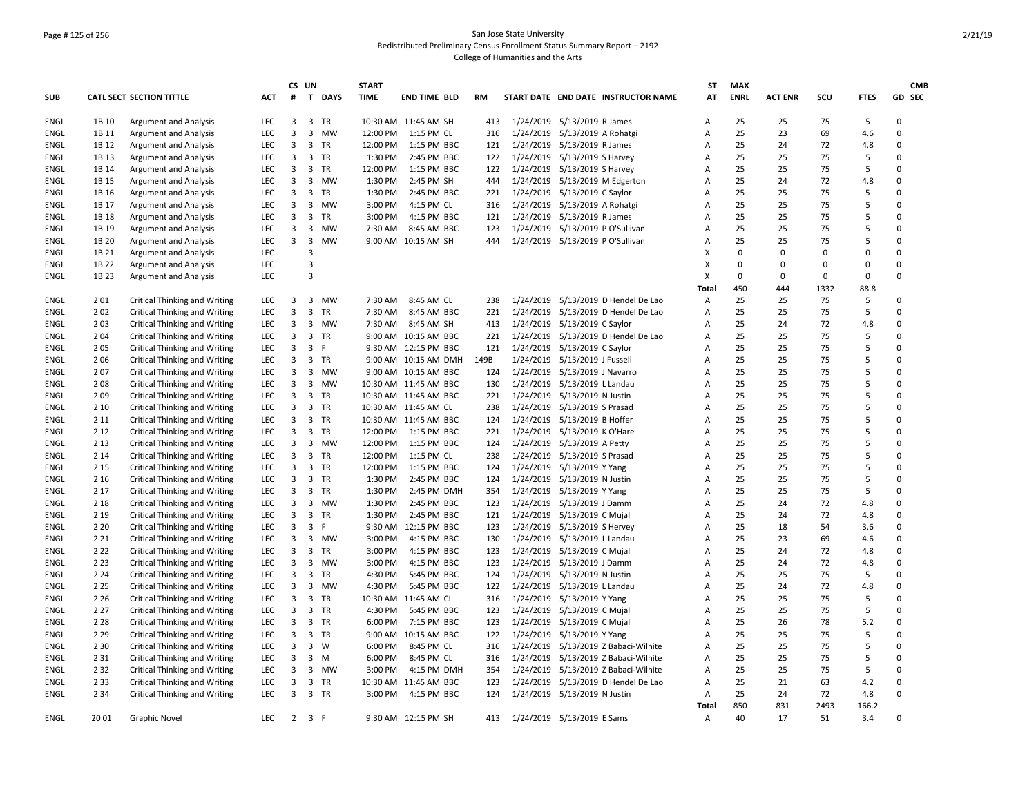## Page # 125 of 256 San Jose State University Redistributed Preliminary Census Enrollment Status Summary Report – 2192 College of Humanities and the Arts

|             |       |                                      |            |                | CS UN          |           | <b>START</b> |                       |           |                                      | ST    | <b>MAX</b>  |                |      |             |             | <b>CMB</b> |
|-------------|-------|--------------------------------------|------------|----------------|----------------|-----------|--------------|-----------------------|-----------|--------------------------------------|-------|-------------|----------------|------|-------------|-------------|------------|
| <b>SUB</b>  |       | <b>CATL SECT SECTION TITTLE</b>      | <b>ACT</b> | #              |                | T DAYS    | <b>TIME</b>  | <b>END TIME BLD</b>   | <b>RM</b> | START DATE END DATE INSTRUCTOR NAME  | AT    | <b>ENRL</b> | <b>ACT ENR</b> | SCU  | <b>FTES</b> | GD SEC      |            |
| ENGL        | 1B 10 | <b>Argument and Analysis</b>         | <b>LEC</b> | 3              |                | 3 TR      |              | 10:30 AM 11:45 AM SH  | 413       | 1/24/2019 5/13/2019 R James          | Α     | 25          | 25             | 75   | 5           | $\Omega$    |            |
| ENGL        | 1B 11 | <b>Argument and Analysis</b>         | <b>LEC</b> | 3              |                | 3 MW      | 12:00 PM     | 1:15 PM CL            | 316       | 1/24/2019 5/13/2019 A Rohatgi        | А     | 25          | 23             | 69   | 4.6         | $\mathbf 0$ |            |
| ENGL        | 1B 12 | <b>Argument and Analysis</b>         | <b>LEC</b> | 3              |                | 3 TR      | 12:00 PM     | 1:15 PM BBC           | 121       | 1/24/2019 5/13/2019 R James          | Α     | 25          | 24             | 72   | 4.8         | $\mathbf 0$ |            |
| ENGL        | 1B 13 | <b>Argument and Analysis</b>         | <b>LEC</b> | 3              |                | 3 TR      | 1:30 PM      | 2:45 PM BBC           | 122       | 1/24/2019 5/13/2019 S Harvey         | Α     | 25          | 25             | 75   | 5           | $\Omega$    |            |
| ENGL        | 1B 14 | <b>Argument and Analysis</b>         | <b>LEC</b> | 3              |                | 3 TR      | 12:00 PM     | 1:15 PM BBC           | 122       | 1/24/2019 5/13/2019 S Harvey         | Α     | 25          | 25             | 75   | 5           | $\mathbf 0$ |            |
| ENGL        | 1B 15 | <b>Argument and Analysis</b>         | <b>LEC</b> | 3              | 3              | MW        | 1:30 PM      | 2:45 PM SH            | 444       | 1/24/2019 5/13/2019 M Edgerton       | Α     | 25          | 24             | 72   | 4.8         | $\mathbf 0$ |            |
| <b>ENGL</b> | 1B 16 | <b>Argument and Analysis</b>         | LEC        | 3              |                | 3 TR      | 1:30 PM      | 2:45 PM BBC           | 221       | 1/24/2019 5/13/2019 C Saylor         | Α     | 25          | 25             | 75   | 5           | $\mathbf 0$ |            |
| ENGL        | 1B 17 | <b>Argument and Analysis</b>         | LEC        | 3              |                | 3 MW      | 3:00 PM      | 4:15 PM CL            | 316       | 1/24/2019 5/13/2019 A Rohatgi        | A     | 25          | 25             | 75   | 5           | $\mathbf 0$ |            |
| ENGL        | 1B 18 | <b>Argument and Analysis</b>         | <b>LEC</b> | 3              |                | 3 TR      | 3:00 PM      | 4:15 PM BBC           | 121       | 1/24/2019 5/13/2019 R James          | Α     | 25          | 25             | 75   | 5           | $\Omega$    |            |
| ENGL        | 1B 19 | <b>Argument and Analysis</b>         | <b>LEC</b> | 3              |                | 3 MW      | 7:30 AM      | 8:45 AM BBC           | 123       | 1/24/2019 5/13/2019 P O'Sullivan     | A     | 25          | 25             | 75   | 5           | $\Omega$    |            |
| ENGL        | 1B 20 | <b>Argument and Analysis</b>         | LEC        | 3              | $\overline{3}$ | MW        |              | 9:00 AM 10:15 AM SH   | 444       | 1/24/2019 5/13/2019 P O'Sullivan     | Α     | 25          | 25             | 75   | 5           | $\mathbf 0$ |            |
| ENGL        | 1B 21 | <b>Argument and Analysis</b>         | LEC        |                | 3              |           |              |                       |           |                                      | x     | $\mathbf 0$ | 0              | 0    | 0           | $\mathbf 0$ |            |
| ENGL        | 1B 22 | <b>Argument and Analysis</b>         | LEC        |                | 3              |           |              |                       |           |                                      | x     | 0           | 0              | 0    | 0           | $\mathbf 0$ |            |
| ENGL        | 1B 23 | <b>Argument and Analysis</b>         | <b>LEC</b> |                | $\overline{3}$ |           |              |                       |           |                                      | x     | 0           | 0              | 0    | $\Omega$    | $\Omega$    |            |
|             |       |                                      |            |                |                |           |              |                       |           |                                      | Total | 450         | 444            | 1332 | 88.8        |             |            |
| ENGL        | 201   | <b>Critical Thinking and Writing</b> | <b>LEC</b> | 3              |                | 3 MW      | 7:30 AM      | 8:45 AM CL            | 238       | 1/24/2019 5/13/2019 D Hendel De Lao  | Α     | 25          | 25             | 75   | 5           | $\mathbf 0$ |            |
| ENGL        | 202   | Critical Thinking and Writing        | <b>LEC</b> | 3              | 3              | <b>TR</b> | 7:30 AM      | 8:45 AM BBC           | 221       | 1/24/2019 5/13/2019 D Hendel De Lao  | A     | 25          | 25             | 75   | 5           | $\Omega$    |            |
| ENGL        | 203   | <b>Critical Thinking and Writing</b> | LEC        | 3              |                | 3 MW      | 7:30 AM      | 8:45 AM SH            | 413       | 1/24/2019 5/13/2019 C Saylor         | Α     | 25          | 24             | 72   | 4.8         | $\mathbf 0$ |            |
| ENGL        | 204   | <b>Critical Thinking and Writing</b> | LEC        | 3              |                | 3 TR      |              | 9:00 AM 10:15 AM BBC  | 221       | 1/24/2019 5/13/2019 D Hendel De Lao  | Α     | 25          | 25             | 75   | 5           | $\mathbf 0$ |            |
| <b>ENGL</b> | 205   | <b>Critical Thinking and Writing</b> | LEC        | 3              |                | 3 F       |              | 9:30 AM 12:15 PM BBC  | 121       | 1/24/2019 5/13/2019 C Saylor         | Α     | 25          | 25             | 75   | 5           | $\mathbf 0$ |            |
| ENGL        | 206   | <b>Critical Thinking and Writing</b> | LEC        | 3              |                | 3 TR      |              | 9:00 AM 10:15 AM DMH  | 149B      | 1/24/2019 5/13/2019 J Fussell        | Α     | 25          | 25             | 75   | 5           | $\mathbf 0$ |            |
| ENGL        | 207   | <b>Critical Thinking and Writing</b> | <b>LEC</b> | 3              |                | 3 MW      |              | 9:00 AM 10:15 AM BBC  | 124       | 1/24/2019 5/13/2019 J Navarro        | Α     | 25          | 25             | 75   | 5           | $\Omega$    |            |
| ENGL        | 208   | <b>Critical Thinking and Writing</b> | <b>LEC</b> | 3              |                | 3 MW      |              | 10:30 AM 11:45 AM BBC | 130       | 1/24/2019 5/13/2019 L Landau         | A     | 25          | 25             | 75   | 5           | $\Omega$    |            |
| <b>ENGL</b> | 209   | <b>Critical Thinking and Writing</b> | LEC        | 3              |                | 3 TR      |              | 10:30 AM 11:45 AM BBC | 221       | 1/24/2019 5/13/2019 N Justin         | Α     | 25          | 25             | 75   | 5           | $\mathbf 0$ |            |
| ENGL        | 2 10  | <b>Critical Thinking and Writing</b> | LEC        | 3              |                | 3 TR      |              | 10:30 AM 11:45 AM CL  | 238       | 1/24/2019 5/13/2019 S Prasad         | Α     | 25          | 25             | 75   | 5           | $\mathbf 0$ |            |
| ENGL        | 2 1 1 | <b>Critical Thinking and Writing</b> | LEC        | 3              |                | 3 TR      |              | 10:30 AM 11:45 AM BBC | 124       | 1/24/2019 5/13/2019 B Hoffer         | Α     | 25          | 25             | 75   | 5           | $\mathbf 0$ |            |
| ENGL        | 2 1 2 | <b>Critical Thinking and Writing</b> | LEC        | 3              |                | 3 TR      | 12:00 PM     | 1:15 PM BBC           | 221       | 1/24/2019 5/13/2019 K O'Hare         | Α     | 25          | 25             | 75   | 5           | $\mathbf 0$ |            |
| ENGL        | 2 1 3 | <b>Critical Thinking and Writing</b> | LEC        | 3              |                | 3 MW      | 12:00 PM     | 1:15 PM BBC           | 124       | 1/24/2019 5/13/2019 A Petty          | Α     | 25          | 25             | 75   | 5           | $\mathbf 0$ |            |
| <b>ENGL</b> | 2 1 4 | <b>Critical Thinking and Writing</b> | LEC        | 3              |                | 3 TR      | 12:00 PM     | 1:15 PM CL            | 238       | 1/24/2019 5/13/2019 S Prasad         | Α     | 25          | 25             | 75   | 5           | $\Omega$    |            |
| ENGL        | 2 1 5 | <b>Critical Thinking and Writing</b> | <b>LEC</b> | 3              |                | 3 TR      | 12:00 PM     | 1:15 PM BBC           | 124       | 1/24/2019 5/13/2019 Y Yang           | Α     | 25          | 25             | 75   | 5           | $\Omega$    |            |
| ENGL        | 2 1 6 | <b>Critical Thinking and Writing</b> | LEC        | 3              |                | 3 TR      | 1:30 PM      | 2:45 PM BBC           | 124       | 1/24/2019 5/13/2019 N Justin         | Α     | 25          | 25             | 75   | 5           | $\mathbf 0$ |            |
| ENGL        | 2 1 7 | <b>Critical Thinking and Writing</b> | LEC        | 3              | 3              | TR        | 1:30 PM      | 2:45 PM DMH           | 354       | 1/24/2019 5/13/2019 Y Yang           | Α     | 25          | 25             | 75   | 5           | $\mathbf 0$ |            |
| <b>ENGL</b> | 2 1 8 | <b>Critical Thinking and Writing</b> | LEC        | 3              |                | 3 MW      | 1:30 PM      | 2:45 PM BBC           | 123       | 1/24/2019 5/13/2019 J Damm           | Α     | 25          | 24             | 72   | 4.8         | $\mathbf 0$ |            |
| ENGL        | 2 1 9 | <b>Critical Thinking and Writing</b> | LEC        | 3              |                | 3 TR      | 1:30 PM      | 2:45 PM BBC           | 121       | 1/24/2019 5/13/2019 C Mujal          | Α     | 25          | 24             | 72   | 4.8         | $\mathbf 0$ |            |
| ENGL        | 2 2 0 | <b>Critical Thinking and Writing</b> | <b>LEC</b> | 3              |                | 3 F       |              | 9:30 AM 12:15 PM BBC  | 123       | 1/24/2019 5/13/2019 S Hervey         | Α     | 25          | 18             | 54   | 3.6         | $\Omega$    |            |
| ENGL        | 2 2 1 | <b>Critical Thinking and Writing</b> | <b>LEC</b> | 3              |                | 3 MW      | 3:00 PM      | 4:15 PM BBC           | 130       | 1/24/2019 5/13/2019 L Landau         | Α     | 25          | 23             | 69   | 4.6         | 0           |            |
| ENGL        | 2 2 2 | <b>Critical Thinking and Writing</b> | LEC        | 3              |                | 3 TR      | 3:00 PM      | 4:15 PM BBC           | 123       | 1/24/2019 5/13/2019 C Mujal          | Α     | 25          | 24             | 72   | 4.8         | $\mathbf 0$ |            |
| ENGL        | 2 2 3 | <b>Critical Thinking and Writing</b> | LEC        | 3              |                | 3 MW      | 3:00 PM      | 4:15 PM BBC           | 123       | 1/24/2019 5/13/2019 J Damm           | Α     | 25          | 24             | 72   | 4.8         | $\mathbf 0$ |            |
| <b>ENGL</b> | 2 2 4 | <b>Critical Thinking and Writing</b> | LEC        | 3              |                | 3 TR      | 4:30 PM      | 5:45 PM BBC           | 124       | 1/24/2019 5/13/2019 N Justin         | Α     | 25          | 25             | 75   | 5           | $\mathbf 0$ |            |
| ENGL        | 2 2 5 | <b>Critical Thinking and Writing</b> | LEC        | 3              |                | 3 MW      | 4:30 PM      | 5:45 PM BBC           | 122       | 1/24/2019 5/13/2019 L Landau         | Α     | 25          | 24             | 72   | 4.8         | $\mathbf 0$ |            |
| <b>ENGL</b> | 2 2 6 | <b>Critical Thinking and Writing</b> | <b>LEC</b> | 3              |                | 3 TR      |              | 10:30 AM 11:45 AM CL  | 316       | 1/24/2019 5/13/2019 Y Yang           | Α     | 25          | 25             | 75   | 5           | $\mathsf 0$ |            |
| <b>ENGL</b> | 2 2 7 | <b>Critical Thinking and Writing</b> | LEC        | 3              |                | 3 TR      | 4:30 PM      | 5:45 PM BBC           | 123       | 1/24/2019 5/13/2019 C Mujal          | Α     | 25          | 25             | 75   | 5           | $\Omega$    |            |
| ENGL        | 2 2 8 | <b>Critical Thinking and Writing</b> | <b>LEC</b> | 3              |                | 3 TR      | 6:00 PM      | 7:15 PM BBC           | 123       | 1/24/2019 5/13/2019 C Mujal          | Α     | 25          | 26             | 78   | 5.2         | $\mathbf 0$ |            |
| ENGL        | 2 2 9 | <b>Critical Thinking and Writing</b> | LEC        | 3              |                | 3 TR      |              | 9:00 AM 10:15 AM BBC  | 122       | 1/24/2019 5/13/2019 Y Yang           | Α     | 25          | 25             | 75   | 5           | $\mathbf 0$ |            |
| ENGL        | 2 3 0 | <b>Critical Thinking and Writing</b> | LEC        | 3              | 3              | W         | 6:00 PM      | 8:45 PM CL            | 316       | 1/24/2019 5/13/2019 Z Babaci-Wilhite | Α     | 25          | 25             | 75   | 5           | $\mathbf 0$ |            |
| <b>ENGL</b> | 2 3 1 | <b>Critical Thinking and Writing</b> | LEC        | 3              |                | 3 M       | 6:00 PM      | 8:45 PM CL            | 316       | 1/24/2019 5/13/2019 Z Babaci-Wilhite | Α     | 25          | 25             | 75   | 5           | $\mathbf 0$ |            |
| <b>ENGL</b> | 232   | Critical Thinking and Writing        | <b>LEC</b> | $\overline{3}$ |                | 3 MW      | 3:00 PM      | 4:15 PM DMH           | 354       | 1/24/2019 5/13/2019 Z Babaci-Wilhite | Α     | 25          | 25             | 75   | 5           | $\Omega$    |            |
| ENGL        | 2 3 3 | <b>Critical Thinking and Writing</b> | LEC        | 3              |                | 3 TR      |              | 10:30 AM 11:45 AM BBC | 123       | 1/24/2019 5/13/2019 D Hendel De Lao  | Α     | 25          | 21             | 63   | 4.2         | $\Omega$    |            |
| ENGL        | 2 3 4 | <b>Critical Thinking and Writing</b> | <b>LEC</b> | 3              |                | 3 TR      |              | 3:00 PM 4:15 PM BBC   | 124       | 1/24/2019 5/13/2019 N Justin         | Α     | 25          | 24             | 72   | 4.8         | $\mathbf 0$ |            |
|             |       |                                      |            |                |                |           |              |                       |           |                                      | Total | 850         | 831            | 2493 | 166.2       |             |            |
| ENGL        | 2001  | <b>Graphic Novel</b>                 | <b>LEC</b> | $\overline{2}$ | 3 F            |           |              | 9:30 AM 12:15 PM SH   | 413       | 1/24/2019 5/13/2019 E Sams           | A     | 40          | 17             | 51   | 3.4         | 0           |            |
|             |       |                                      |            |                |                |           |              |                       |           |                                      |       |             |                |      |             |             |            |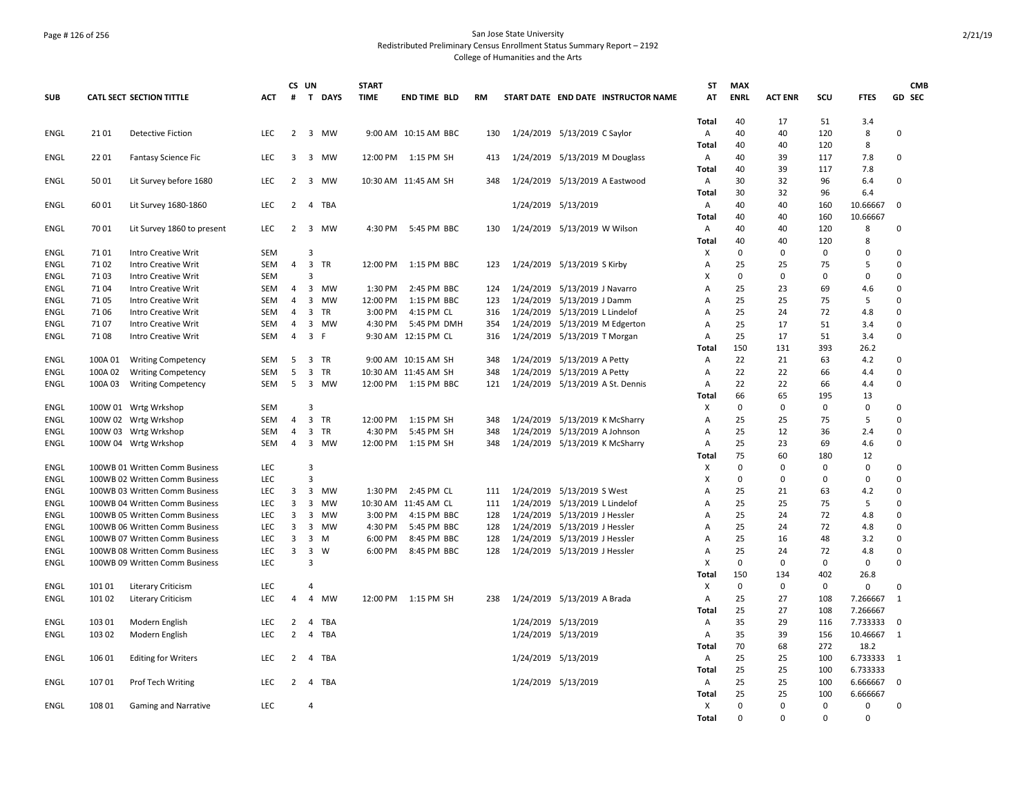## Page # 126 of 256 San Jose State University Redistributed Preliminary Census Enrollment Status Summary Report – 2192 College of Humanities and the Arts

|             |         |                                |                   |                | CS UN          |              | <b>START</b> |                      |           |                                |                                     | <b>ST</b>      | <b>MAX</b>  |                |             |             | <b>CMB</b>     |
|-------------|---------|--------------------------------|-------------------|----------------|----------------|--------------|--------------|----------------------|-----------|--------------------------------|-------------------------------------|----------------|-------------|----------------|-------------|-------------|----------------|
| <b>SUB</b>  |         | CATL SECT SECTION TITTLE       | <b>ACT</b>        | #              |                | T DAYS       | <b>TIME</b>  | <b>END TIME BLD</b>  | <b>RM</b> |                                | START DATE END DATE INSTRUCTOR NAME | AT             | <b>ENRL</b> | <b>ACT ENR</b> | scu         | <b>FTES</b> | GD SEC         |
|             |         |                                |                   |                |                |              |              |                      |           |                                |                                     | Total          | 40          | 17             | 51          | 3.4         |                |
| <b>ENGL</b> | 2101    | <b>Detective Fiction</b>       | <b>LEC</b>        |                |                | 2 3 MW       |              | 9:00 AM 10:15 AM BBC | 130       | 1/24/2019 5/13/2019 C Saylor   |                                     | Α              | 40          | 40             | 120         | 8           | 0              |
|             |         |                                |                   |                |                |              |              |                      |           |                                |                                     | Total          | 40          | 40             | 120         | 8           |                |
| <b>ENGL</b> | 2201    | <b>Fantasy Science Fic</b>     | <b>LEC</b>        | 3              |                | 3 MW         |              | 12:00 PM 1:15 PM SH  | 413       | 1/24/2019 5/13/2019 M Douglass |                                     | $\overline{A}$ | 40          | 39             | 117         | 7.8         | 0              |
|             |         |                                |                   |                |                |              |              |                      |           |                                |                                     | <b>Total</b>   | 40          | 39             | 117         | 7.8         |                |
| ENGL        | 5001    | Lit Survey before 1680         | <b>LEC</b>        | $\overline{2}$ | 3              | <b>MW</b>    |              | 10:30 AM 11:45 AM SH | 348       | 1/24/2019 5/13/2019 A Eastwood |                                     | Α              | 30          | 32             | 96          | 6.4         | 0              |
|             |         |                                |                   |                |                |              |              |                      |           |                                |                                     | Total          | 30          | 32             | 96          | 6.4         |                |
| <b>ENGL</b> | 60 01   | Lit Survey 1680-1860           | <b>LEC</b>        | 2              |                | 4 TBA        |              |                      |           | 1/24/2019 5/13/2019            |                                     | A              | 40          | 40             | 160         | 10.66667    | $\mathbf 0$    |
|             |         |                                |                   |                |                |              |              |                      |           |                                |                                     | Total          | 40          | 40             | 160         | 10.66667    |                |
| <b>ENGL</b> | 70 01   | Lit Survey 1860 to present     | <b>LEC</b>        | $\overline{2}$ |                | 3 MW         | 4:30 PM      | 5:45 PM BBC          | 130       | 1/24/2019 5/13/2019 W Wilson   |                                     | Α              | 40          | 40             | 120         | 8           | 0              |
|             |         |                                |                   |                |                |              |              |                      |           |                                |                                     | Total          | 40          | 40             | 120         | 8           |                |
| <b>ENGL</b> | 7101    | <b>Intro Creative Writ</b>     | <b>SEM</b>        |                | 3              |              |              |                      |           |                                |                                     | х              | $\mathbf 0$ | $\mathbf 0$    | $\mathbf 0$ | $\Omega$    | $\Omega$       |
| ENGL        | 7102    | Intro Creative Writ            | SEM               | $\overline{4}$ |                | 3 TR         | 12:00 PM     | 1:15 PM BBC          | 123       | 1/24/2019 5/13/2019 S Kirby    |                                     | Α              | 25          | 25             | 75          | 5           | $\Omega$       |
| ENGL        | 7103    | Intro Creative Writ            | SEM               |                | 3              |              |              |                      |           |                                |                                     | X              | 0           | $\mathbf 0$    | 0           | 0           | $\Omega$       |
| <b>ENGL</b> | 7104    | Intro Creative Writ            | SEM               | 4              |                | 3 MW         | 1:30 PM      | 2:45 PM BBC          | 124       | 1/24/2019 5/13/2019 J Navarro  |                                     | A              | 25          | 23             | 69          | 4.6         | 0              |
| ENGL        | 7105    | Intro Creative Writ            | SEM               | 4              | 3              | <b>MW</b>    | 12:00 PM     | 1:15 PM BBC          | 123       | 1/24/2019 5/13/2019 J Damm     |                                     | A              | 25          | 25             | 75          | 5           | 0              |
| <b>ENGL</b> | 7106    | Intro Creative Writ            | <b>SEM</b>        | 4              | 3              | <b>TR</b>    | 3:00 PM      | 4:15 PM CL           | 316       | 1/24/2019 5/13/2019 L Lindelof |                                     | A              | 25          | 24             | 72          | 4.8         | 0              |
| <b>ENGL</b> | 7107    | Intro Creative Writ            | <b>SEM</b>        | 4              |                | 3 MW         | 4:30 PM      | 5:45 PM DMH          | 354       | 1/24/2019 5/13/2019 M Edgerton |                                     | $\overline{A}$ | 25          | 17             | 51          | 3.4         | $\Omega$       |
| <b>ENGL</b> | 7108    | <b>Intro Creative Writ</b>     | SEM               | $\overline{4}$ |                | 3 F          |              | 9:30 AM 12:15 PM CL  | 316       | 1/24/2019 5/13/2019 T Morgan   |                                     | Α              | 25          | 17             | 51          | 3.4         | $\Omega$       |
|             |         |                                |                   |                |                |              |              |                      |           |                                |                                     | Total          | 150         | 131            | 393         | 26.2        |                |
| <b>ENGL</b> | 100A01  |                                | <b>SEM</b>        | 5              |                | 3 TR         |              | 9:00 AM 10:15 AM SH  | 348       | 1/24/2019 5/13/2019 A Petty    |                                     | A              | 22          | 21             | 63          | 4.2         | 0              |
|             |         | <b>Writing Competency</b>      |                   | 5              |                |              |              |                      | 348       |                                |                                     |                | 22          | 22             | 66          |             | 0              |
| ENGL        | 100A 02 | <b>Writing Competency</b>      | SEM<br><b>SEM</b> | 5              |                | 3 TR<br>3 MW |              | 10:30 AM 11:45 AM SH | 121       | 1/24/2019 5/13/2019 A Petty    |                                     | A<br>A         | 22          | 22             | 66          | 4.4         | 0              |
| <b>ENGL</b> | 100A03  | <b>Writing Competency</b>      |                   |                |                |              |              | 12:00 PM 1:15 PM BBC |           |                                | 1/24/2019 5/13/2019 A St. Dennis    |                | 66          | 65             | 195         | 4.4         |                |
|             |         |                                |                   |                |                |              |              |                      |           |                                |                                     | Total          |             |                |             | 13          | 0              |
| <b>ENGL</b> |         | 100W 01 Wrtg Wrkshop           | <b>SEM</b>        |                | 3              |              |              |                      |           |                                |                                     | X              | $\mathbf 0$ | $\mathbf 0$    | $\mathbf 0$ | $\mathbf 0$ | $\Omega$       |
| <b>ENGL</b> |         | 100W 02 Wrtg Wrkshop           | SEM               | 4              |                | 3 TR         | 12:00 PM     | 1:15 PM SH           | 348       | 1/24/2019 5/13/2019 K McSharry |                                     | Α              | 25          | 25             | 75          | 5           |                |
| ENGL        |         | 100W 03 Wrtg Wrkshop           | SEM               | $\overline{4}$ |                | 3 TR         | 4:30 PM      | 5:45 PM SH           | 348       | 1/24/2019 5/13/2019 A Johnson  |                                     | Α              | 25          | 12             | 36          | 2.4         | 0              |
| ENGL        |         | 100W 04 Wrtg Wrkshop           | <b>SEM</b>        | $\overline{4}$ |                | 3 MW         | 12:00 PM     | 1:15 PM SH           | 348       | 1/24/2019 5/13/2019 K McSharry |                                     | A              | 25          | 23             | 69          | 4.6         | 0              |
|             |         |                                |                   |                |                |              |              |                      |           |                                |                                     | Total          | 75          | 60             | 180         | 12          |                |
| ENGL        |         | 100WB 01 Written Comm Business | <b>LEC</b>        |                | 3              |              |              |                      |           |                                |                                     | X              | 0           | $\mathbf 0$    | 0           | 0           | 0              |
| <b>ENGL</b> |         | 100WB 02 Written Comm Business | <b>LEC</b>        |                | $\overline{3}$ |              |              |                      |           |                                |                                     | X              | $\mathbf 0$ | $\mathbf 0$    | $\mathbf 0$ | $\mathbf 0$ | 0<br>$\Omega$  |
| <b>ENGL</b> |         | 100WB 03 Written Comm Business | LEC.              | 3              | 3              | <b>MW</b>    | 1:30 PM      | 2:45 PM CL           | 111       | 1/24/2019 5/13/2019 S West     |                                     | A              | 25          | 21             | 63          | 4.2         |                |
| <b>ENGL</b> |         | 100WB 04 Written Comm Business | LEC               | 3              | 3              | MW           |              | 10:30 AM 11:45 AM CL | 111       | 1/24/2019 5/13/2019 L Lindelof |                                     | Α              | 25          | 25             | 75          | 5           | 0              |
| <b>ENGL</b> |         | 100WB 05 Written Comm Business | LEC               | 3              | 3              | <b>MW</b>    | 3:00 PM      | 4:15 PM BBC          | 128       | 1/24/2019 5/13/2019 J Hessler  |                                     | Α              | 25          | 24             | 72          | 4.8         | 0              |
| ENGL        |         | 100WB 06 Written Comm Business | LEC               | 3              | 3              | MW           | 4:30 PM      | 5:45 PM BBC          | 128       | 1/24/2019 5/13/2019 J Hessler  |                                     | Α              | 25          | 24             | 72          | 4.8         | 0              |
| <b>ENGL</b> |         | 100WB 07 Written Comm Business | <b>LEC</b>        | 3              | 3              | M            | 6:00 PM      | 8:45 PM BBC          | 128       | 1/24/2019 5/13/2019 J Hessler  |                                     | A              | 25          | 16             | 48          | 3.2         | 0              |
| ENGL        |         | 100WB 08 Written Comm Business | LEC               | 3              | 3              | W            | 6:00 PM      | 8:45 PM BBC          | 128       | 1/24/2019 5/13/2019 J Hessler  |                                     | A              | 25          | 24             | 72          | 4.8         | 0              |
| <b>ENGL</b> |         | 100WB 09 Written Comm Business | <b>LEC</b>        |                | 3              |              |              |                      |           |                                |                                     | X              | $\mathbf 0$ | $\mathbf 0$    | $\mathbf 0$ | $\mathbf 0$ | 0              |
|             |         |                                |                   |                |                |              |              |                      |           |                                |                                     | Total          | 150         | 134            | 402         | 26.8        |                |
| <b>ENGL</b> | 101 01  | <b>Literary Criticism</b>      | LEC               |                | 4              |              |              |                      |           |                                |                                     | X              | $\Omega$    | $\Omega$       | 0           | $\Omega$    | 0              |
| ENGL        | 101 02  | <b>Literary Criticism</b>      | <b>LEC</b>        | $\overline{4}$ | $\overline{4}$ | MW           |              | 12:00 PM 1:15 PM SH  | 238       | 1/24/2019 5/13/2019 A Brada    |                                     | Α              | 25          | 27             | 108         | 7.266667    | 1              |
|             |         |                                |                   |                |                |              |              |                      |           |                                |                                     | Total          | 25          | 27             | 108         | 7.266667    |                |
| <b>ENGL</b> | 103 01  | Modern English                 | <b>LEC</b>        | 2              | $\overline{4}$ | TBA          |              |                      |           | 1/24/2019 5/13/2019            |                                     | A              | 35          | 29             | 116         | 7.733333    | $\mathbf 0$    |
| ENGL        | 103 02  | Modern English                 | <b>LEC</b>        | $\overline{2}$ | 4              | TBA          |              |                      |           | 1/24/2019 5/13/2019            |                                     | Α              | 35          | 39             | 156         | 10.46667    | $\overline{1}$ |
|             |         |                                |                   |                |                |              |              |                      |           |                                |                                     | Total          | 70          | 68             | 272         | 18.2        |                |
| <b>ENGL</b> | 106 01  | <b>Editing for Writers</b>     | <b>LEC</b>        | $\overline{2}$ |                | 4 TBA        |              |                      |           | 1/24/2019 5/13/2019            |                                     | Α              | 25          | 25             | 100         | 6.733333 1  |                |
|             |         |                                |                   |                |                |              |              |                      |           |                                |                                     | <b>Total</b>   | 25          | 25             | 100         | 6.733333    |                |
| ENGL        | 10701   | Prof Tech Writing              | <b>LEC</b>        | 2              | 4              | TBA          |              |                      |           | 1/24/2019 5/13/2019            |                                     | Α              | 25          | 25             | 100         | 6.666667    | $\mathbf 0$    |
|             |         |                                |                   |                |                |              |              |                      |           |                                |                                     | Total          | 25          | 25             | 100         | 6.666667    |                |
| ENGL        | 108 01  | <b>Gaming and Narrative</b>    | <b>LEC</b>        |                | 4              |              |              |                      |           |                                |                                     | X              | $\mathbf 0$ | $\Omega$       | $\Omega$    | 0           | 0              |
|             |         |                                |                   |                |                |              |              |                      |           |                                |                                     | Total          | $\Omega$    | $\Omega$       | $\Omega$    | $\Omega$    |                |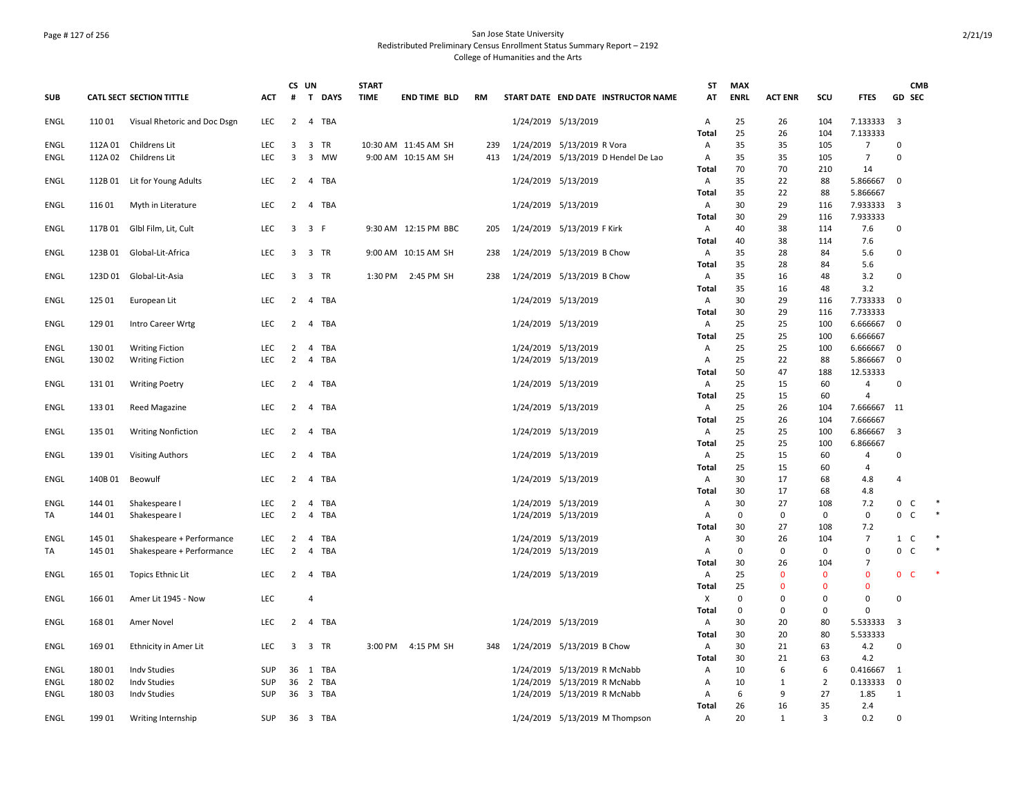## Page # 127 of 256 San Jose State University Redistributed Preliminary Census Enrollment Status Summary Report – 2192 College of Humanities and the Arts

|             |         |                                 |            |                                  | CS UN                       | <b>START</b> |                      |     |                                     | ST           | <b>MAX</b>  |                |                |                      |                | <b>CMB</b> |        |
|-------------|---------|---------------------------------|------------|----------------------------------|-----------------------------|--------------|----------------------|-----|-------------------------------------|--------------|-------------|----------------|----------------|----------------------|----------------|------------|--------|
| <b>SUB</b>  |         | <b>CATL SECT SECTION TITTLE</b> | <b>ACT</b> | #                                | $\mathbf{T}$<br><b>DAYS</b> | <b>TIME</b>  | <b>END TIME BLD</b>  | RM  | START DATE END DATE INSTRUCTOR NAME | AT           | <b>ENRL</b> | <b>ACT ENR</b> | SCU            | <b>FTES</b>          | <b>GD SEC</b>  |            |        |
| ENGL        | 110 01  | Visual Rhetoric and Doc Dsgn    | LEC        | $\overline{2}$                   | 4 TBA                       |              |                      |     | 1/24/2019 5/13/2019                 | A            | 25          | 26             | 104            | 7.133333             | $\overline{3}$ |            |        |
|             |         |                                 |            |                                  |                             |              |                      |     |                                     | Total        | 25          | 26             | 104            | 7.133333             |                |            |        |
| ENGL        | 112A 01 | Childrens Lit                   | <b>LEC</b> | 3                                | TR<br>3                     |              | 10:30 AM 11:45 AM SH | 239 | 1/24/2019 5/13/2019 R Vora          | A            | 35          | 35             | 105            | $\overline{7}$       | 0              |            |        |
| ENGL        |         | 112A 02 Childrens Lit           | <b>LEC</b> | 3                                | 3 MW                        |              | 9:00 AM 10:15 AM SH  | 413 | 1/24/2019 5/13/2019 D Hendel De Lao | A            | 35          | 35             | 105            | $\overline{7}$       | $\mathbf 0$    |            |        |
|             |         |                                 |            |                                  |                             |              |                      |     |                                     | Total        | 70          | 70             | 210            | 14                   |                |            |        |
| ENGL        | 112B 01 | Lit for Young Adults            | LEC        | $\overline{2}$                   | 4 TBA                       |              |                      |     | 1/24/2019 5/13/2019                 | $\mathsf{A}$ | 35          | 22             | 88             | 5.866667             | $\mathbf 0$    |            |        |
|             |         |                                 |            |                                  |                             |              |                      |     |                                     | Total        | 35          | 22             | 88             | 5.866667             |                |            |        |
| ENGL        | 11601   | Myth in Literature              | LEC        | $\overline{2}$                   | 4 TBA                       |              |                      |     | 1/24/2019 5/13/2019                 | $\mathsf{A}$ | 30          | 29             | 116            | 7.933333             | 3              |            |        |
|             |         |                                 |            |                                  |                             |              |                      |     |                                     | <b>Total</b> | 30          | 29             | 116            | 7.933333             |                |            |        |
| <b>ENGL</b> |         | 117B 01 Glbl Film, Lit, Cult    | <b>LEC</b> |                                  | 3 3 F                       |              | 9:30 AM 12:15 PM BBC | 205 | 1/24/2019 5/13/2019 F Kirk          | Α            | 40          | 38             | 114            | 7.6                  | $\pmb{0}$      |            |        |
|             |         |                                 |            |                                  |                             |              |                      |     |                                     | Total        | 40          | 38             | 114            | 7.6                  |                |            |        |
| ENGL        | 123B 01 | Global-Lit-Africa               | LEC        | 3                                | 3 TR                        |              | 9:00 AM 10:15 AM SH  | 238 | 1/24/2019 5/13/2019 B Chow          | A            | 35          | 28             | 84             | 5.6                  | 0              |            |        |
|             |         |                                 |            |                                  |                             |              |                      |     |                                     | Total        | 35          | 28             | 84             | 5.6                  |                |            |        |
| ENGL        |         | 123D 01 Global-Lit-Asia         | <b>LEC</b> | $\overline{3}$                   | 3 TR                        | 1:30 PM      | 2:45 PM SH           | 238 | 1/24/2019 5/13/2019 B Chow          | $\mathsf{A}$ | 35          | 16             | 48             | 3.2                  | $\mathbf 0$    |            |        |
|             |         |                                 |            |                                  |                             |              |                      |     |                                     | <b>Total</b> | 35          | 16             | 48             | 3.2                  |                |            |        |
| ENGL        | 125 01  | European Lit                    | <b>LEC</b> | $\overline{2}$                   | 4 TBA                       |              |                      |     | 1/24/2019 5/13/2019                 | $\mathsf{A}$ | 30          | 29             | 116            | 7.733333             | 0              |            |        |
|             |         |                                 |            |                                  |                             |              |                      |     |                                     | Total        | 30          | 29             | 116            | 7.733333             |                |            |        |
| ENGL        | 12901   | Intro Career Wrtg               | LEC        |                                  | 2 4 TBA                     |              |                      |     | 1/24/2019 5/13/2019                 | $\mathsf{A}$ | 25          | 25             | 100            | 6.666667             | $\mathbf{0}$   |            |        |
|             |         |                                 |            |                                  |                             |              |                      |     |                                     | <b>Total</b> | 25          | 25             | 100            | 6.666667             |                |            |        |
| ENGL        | 13001   | <b>Writing Fiction</b>          | LEC<br>LEC | $\overline{2}$<br>$\overline{2}$ | 4 TBA<br>TBA                |              |                      |     | 1/24/2019 5/13/2019                 | Α            | 25<br>25    | 25<br>22       | 100            | 6.666667             | 0<br>0         |            |        |
| ENGL        | 13002   | <b>Writing Fiction</b>          |            |                                  | 4                           |              |                      |     | 1/24/2019 5/13/2019                 | A            | 50          | 47             | 88<br>188      | 5.866667<br>12.53333 |                |            |        |
| ENGL        | 131 01  | <b>Writing Poetry</b>           | <b>LEC</b> | 2                                | 4 TBA                       |              |                      |     | 1/24/2019 5/13/2019                 | Total<br>A   | 25          | 15             | 60             | $\overline{4}$       | $\mathbf 0$    |            |        |
|             |         |                                 |            |                                  |                             |              |                      |     |                                     | <b>Total</b> | 25          | 15             | 60             | $\overline{4}$       |                |            |        |
| ENGL        | 13301   | Reed Magazine                   | <b>LEC</b> | $\overline{2}$                   | 4 TBA                       |              |                      |     | 1/24/2019 5/13/2019                 | A            | 25          | 26             | 104            | 7.666667 11          |                |            |        |
|             |         |                                 |            |                                  |                             |              |                      |     |                                     | Total        | 25          | 26             | 104            | 7.666667             |                |            |        |
| ENGL        | 135 01  | <b>Writing Nonfiction</b>       | LEC        | 2                                | $\overline{4}$<br>TBA       |              |                      |     | 1/24/2019 5/13/2019                 | A            | 25          | 25             | 100            | 6.866667             | 3              |            |        |
|             |         |                                 |            |                                  |                             |              |                      |     |                                     | <b>Total</b> | 25          | 25             | 100            | 6.866667             |                |            |        |
| ENGL        | 13901   | <b>Visiting Authors</b>         | LEC        | $\overline{2}$                   | 4 TBA                       |              |                      |     | 1/24/2019 5/13/2019                 | $\mathsf{A}$ | 25          | 15             | 60             | 4                    | $\pmb{0}$      |            |        |
|             |         |                                 |            |                                  |                             |              |                      |     |                                     | Total        | 25          | 15             | 60             | $\overline{4}$       |                |            |        |
| <b>ENGL</b> | 140B 01 | Beowulf                         | LEC        | $\overline{2}$                   | 4 TBA                       |              |                      |     | 1/24/2019 5/13/2019                 | A            | 30          | 17             | 68             | 4.8                  | $\overline{4}$ |            |        |
|             |         |                                 |            |                                  |                             |              |                      |     |                                     | Total        | 30          | 17             | 68             | 4.8                  |                |            |        |
| <b>ENGL</b> | 144 01  | Shakespeare I                   | LEC        | $\overline{2}$                   | 4 TBA                       |              |                      |     | 1/24/2019 5/13/2019                 | Α            | 30          | 27             | 108            | 7.2                  | $\mathbf 0$    | C          |        |
| TA          | 144 01  | Shakespeare I                   | <b>LEC</b> | $\overline{2}$                   | TBA<br>4                    |              |                      |     | 1/24/2019 5/13/2019                 | A            | 0           | 0              | 0              | 0                    | $0-$           |            | $\ast$ |
|             |         |                                 |            |                                  |                             |              |                      |     |                                     | <b>Total</b> | 30          | 27             | 108            | 7.2                  |                |            |        |
| <b>ENGL</b> | 145 01  | Shakespeare + Performance       | <b>LEC</b> | $\overline{2}$                   | TBA<br>4                    |              |                      |     | 1/24/2019 5/13/2019                 | A            | 30          | 26             | 104            | $\overline{7}$       | $1\quad C$     |            |        |
| TA          | 145 01  | Shakespeare + Performance       | LEC        | $\overline{2}$                   | 4 TBA                       |              |                      |     | 1/24/2019 5/13/2019                 | $\mathsf{A}$ | $\mathbf 0$ | 0              | 0              | $\Omega$             | $0-$           |            | $\ast$ |
|             |         |                                 |            |                                  |                             |              |                      |     |                                     | Total        | 30          | 26             | 104            | $\overline{7}$       |                |            |        |
| <b>ENGL</b> | 165 01  | <b>Topics Ethnic Lit</b>        | LEC        |                                  | 2 4 TBA                     |              |                      |     | 1/24/2019 5/13/2019                 | A            | 25          | $\mathbf{0}$   | $\mathbf{0}$   | $\mathbf 0$          | 0 <sup>o</sup> |            |        |
|             |         |                                 |            |                                  |                             |              |                      |     |                                     | Total        | 25          | $\Omega$       | $\mathbf{0}$   | $\mathbf 0$          |                |            |        |
| <b>ENGL</b> | 16601   | Amer Lit 1945 - Now             | LEC        |                                  | 4                           |              |                      |     |                                     | X            | 0           | 0              | 0              | $\pmb{0}$            | $\mathbf 0$    |            |        |
|             |         |                                 |            |                                  |                             |              |                      |     |                                     | Total        | 0           | 0              | 0              | $\mathbf 0$          |                |            |        |
| ENGL        | 168 01  | Amer Novel                      | LEC        | $\overline{2}$                   | 4 TBA                       |              |                      |     | 1/24/2019 5/13/2019                 | A            | 30          | 20             | 80             | 5.533333             | 3              |            |        |
|             |         |                                 |            |                                  |                             |              |                      |     |                                     | <b>Total</b> | 30          | 20             | 80             | 5.533333             |                |            |        |
| ENGL        | 169 01  | Ethnicity in Amer Lit           | <b>LEC</b> | $\overline{3}$                   | 3 TR                        | 3:00 PM      | 4:15 PM SH           | 348 | 1/24/2019 5/13/2019 B Chow          | A            | 30          | 21             | 63             | 4.2                  | $\mathbf 0$    |            |        |
|             |         |                                 |            |                                  |                             |              |                      |     |                                     | <b>Total</b> | 30          | 21             | 63             | 4.2                  |                |            |        |
| ENGL        | 18001   | Indv Studies                    | SUP        |                                  | 36 1 TBA                    |              |                      |     | 1/24/2019 5/13/2019 R McNabb        | A            | 10          | 6              | 6              | 0.416667             | 1              |            |        |
| ENGL        | 18002   | <b>Indy Studies</b>             | <b>SUP</b> | 36                               | $\overline{2}$<br>TBA       |              |                      |     | 1/24/2019 5/13/2019 R McNabb        | $\mathsf{A}$ | 10          | 1              | $\overline{2}$ | 0.133333             | 0              |            |        |
| <b>ENGL</b> | 18003   | <b>Indv Studies</b>             | SUP        |                                  | 36 3 TBA                    |              |                      |     | 1/24/2019 5/13/2019 R McNabb        | Α            | 6           | 9              | 27             | 1.85                 | $\mathbf{1}$   |            |        |
|             |         |                                 |            |                                  |                             |              |                      |     |                                     | <b>Total</b> | 26          | 16             | 35             | 2.4                  |                |            |        |
| <b>ENGL</b> | 199 01  | Writing Internship              | <b>SUP</b> |                                  | 36 3 TBA                    |              |                      |     | 1/24/2019 5/13/2019 M Thompson      | A            | 20          | $1\,$          | 3              | 0.2                  | $\mathbf 0$    |            |        |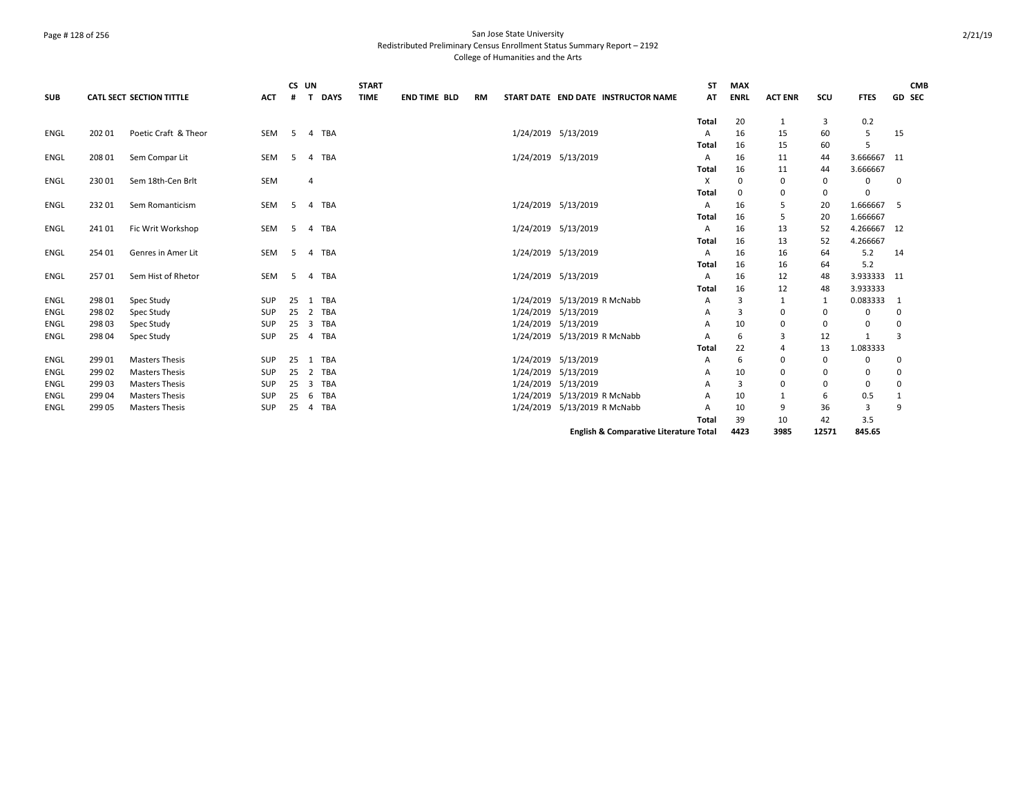## Page # 128 of 256 San Jose State University Redistributed Preliminary Census Enrollment Status Summary Report – 2192 College of Humanities and the Arts

|             |        |                                 |            |    | CS UN          |             | <b>START</b> |                     |    |                     |                              |                                                   | ST    | <b>MAX</b>  |                |          |             |    | <b>CMB</b> |
|-------------|--------|---------------------------------|------------|----|----------------|-------------|--------------|---------------------|----|---------------------|------------------------------|---------------------------------------------------|-------|-------------|----------------|----------|-------------|----|------------|
| <b>SUB</b>  |        | <b>CATL SECT SECTION TITTLE</b> | <b>ACT</b> | #  | T              | <b>DAYS</b> | <b>TIME</b>  | <b>END TIME BLD</b> | RM |                     |                              | START DATE END DATE INSTRUCTOR NAME               | AT    | <b>ENRL</b> | <b>ACT ENR</b> | SCU      | <b>FTES</b> |    | GD SEC     |
|             |        |                                 |            |    |                |             |              |                     |    |                     |                              |                                                   | Total | 20          | 1              | 3        | 0.2         |    |            |
| <b>ENGL</b> | 202 01 | Poetic Craft & Theor            | SEM        | 5  |                | 4 TBA       |              |                     |    |                     | 1/24/2019 5/13/2019          |                                                   | A     | 16          | 15             | 60       | 5           | 15 |            |
|             |        |                                 |            |    |                |             |              |                     |    |                     |                              |                                                   | Total | 16          | 15             | 60       |             |    |            |
| ENGL        | 208 01 | Sem Compar Lit                  | SEM        | 5  | $\overline{a}$ | <b>TBA</b>  |              |                     |    |                     | 1/24/2019 5/13/2019          |                                                   | A     | 16          | 11             | 44       | 3.666667 11 |    |            |
|             |        |                                 |            |    |                |             |              |                     |    |                     |                              |                                                   | Total | 16          | 11             | 44       | 3.666667    |    |            |
| ENGL        | 23001  | Sem 18th-Cen Brlt               | <b>SEM</b> |    | $\overline{4}$ |             |              |                     |    |                     |                              |                                                   | X     | 0           | 0              | 0        | 0           | 0  |            |
|             |        |                                 |            |    |                |             |              |                     |    |                     |                              |                                                   | Total | 0           | $\mathbf 0$    | 0        | $\Omega$    |    |            |
| <b>ENGL</b> | 23201  | Sem Romanticism                 | SEM        | -5 | $\overline{4}$ | <b>TBA</b>  |              |                     |    |                     | 1/24/2019 5/13/2019          |                                                   | A     | 16          | 5              | 20       | 1.666667    | -5 |            |
|             |        |                                 |            |    |                |             |              |                     |    |                     |                              |                                                   | Total | 16          | 5              | 20       | 1.666667    |    |            |
| ENGL        | 24101  | Fic Writ Workshop               | SEM        | -5 |                | 4 TBA       |              |                     |    | 1/24/2019 5/13/2019 |                              |                                                   | A     | 16          | 13             | 52       | 4.266667 12 |    |            |
|             |        |                                 |            |    |                |             |              |                     |    |                     |                              |                                                   | Total | 16          | 13             | 52       | 4.266667    |    |            |
| <b>ENGL</b> | 254 01 | Genres in Amer Lit              | <b>SEM</b> | 5  | $\overline{4}$ | <b>TBA</b>  |              |                     |    |                     | 1/24/2019 5/13/2019          |                                                   | A     | 16          | 16             | 64       | 5.2         | 14 |            |
|             |        |                                 |            |    |                |             |              |                     |    |                     |                              |                                                   | Total | 16          | 16             | 64       | 5.2         |    |            |
| ENGL        | 25701  | Sem Hist of Rhetor              | <b>SEM</b> | 5  |                | 4 TBA       |              |                     |    |                     | 1/24/2019 5/13/2019          |                                                   | A     | 16          | 12             | 48       | 3.933333 11 |    |            |
|             |        |                                 |            |    |                |             |              |                     |    |                     |                              |                                                   | Total | 16          | 12             | 48       | 3.933333    |    |            |
| ENGL        | 298 01 | Spec Study                      | SUP        | 25 |                | 1 TBA       |              |                     |    |                     | 1/24/2019 5/13/2019 R McNabb |                                                   | Α     | 3           | 1              | -1       | 0.083333    |    |            |
| ENGL        | 298 02 | Spec Study                      | SUP        | 25 |                | 2 TBA       |              |                     |    |                     | 1/24/2019 5/13/2019          |                                                   | А     | 3           | 0              | 0        | 0           | 0  |            |
| ENGL        | 298 03 | Spec Study                      | <b>SUP</b> | 25 | 3              | <b>TBA</b>  |              |                     |    |                     | 1/24/2019 5/13/2019          |                                                   | А     | 10          | 0              | 0        | 0           | 0  |            |
| ENGL        | 298 04 | Spec Study                      | SUP        | 25 |                | 4 TBA       |              |                     |    |                     | 1/24/2019 5/13/2019 R McNabb |                                                   | А     | 6           | 3              | 12       |             | 3  |            |
|             |        |                                 |            |    |                |             |              |                     |    |                     |                              |                                                   | Total | 22          | $\overline{4}$ | 13       | 1.083333    |    |            |
| ENGL        | 299 01 | <b>Masters Thesis</b>           | <b>SUP</b> | 25 |                | 1 TBA       |              |                     |    |                     | 1/24/2019 5/13/2019          |                                                   | А     | 6           | 0              | $\Omega$ | $\Omega$    |    |            |
| ENGL        | 299 02 | <b>Masters Thesis</b>           | SUP        | 25 | 2              | TBA         |              |                     |    |                     | 1/24/2019 5/13/2019          |                                                   | А     | 10          | 0              | $\Omega$ | 0           | 0  |            |
| ENGL        | 299 03 | <b>Masters Thesis</b>           | SUP        | 25 | $\overline{3}$ | TBA         |              |                     |    |                     | 1/24/2019 5/13/2019          |                                                   |       | 3           | 0              | $\Omega$ | 0           | 0  |            |
| ENGL        | 299 04 | <b>Masters Thesis</b>           | <b>SUP</b> | 25 |                | 6 TBA       |              |                     |    |                     | 1/24/2019 5/13/2019 R McNabb |                                                   |       | 10          | $\mathbf{1}$   | 6        | 0.5         | 1  |            |
| ENGL        | 299 05 | <b>Masters Thesis</b>           | SUP        | 25 |                | 4 TBA       |              |                     |    |                     | 1/24/2019 5/13/2019 R McNabb |                                                   |       | 10          | 9              | 36       | 3           | 9  |            |
|             |        |                                 |            |    |                |             |              |                     |    |                     |                              |                                                   | Total | 39          | 10             | 42       | 3.5         |    |            |
|             |        |                                 |            |    |                |             |              |                     |    |                     |                              | <b>English &amp; Comparative Literature Total</b> |       | 4423        | 3985           | 12571    | 845.65      |    |            |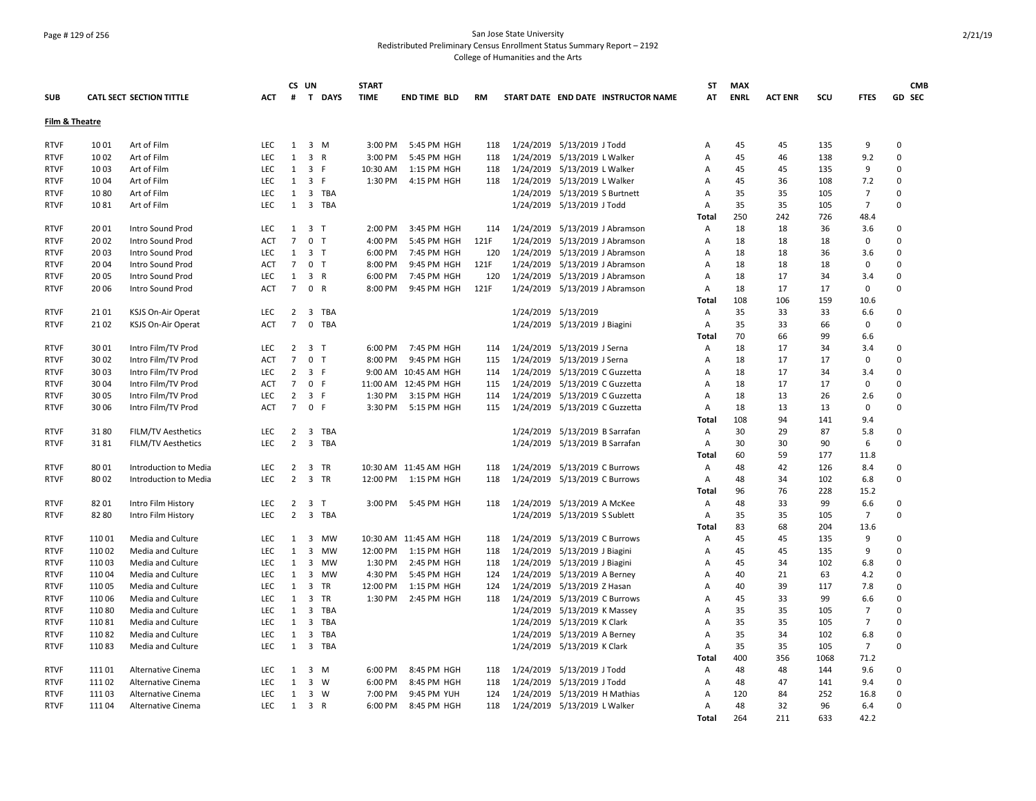## Page # 129 of 256 San Jose State University Redistributed Preliminary Census Enrollment Status Summary Report – 2192 College of Humanities and the Arts

|                            |        |                                          |            |                | CS UN               |            | <b>START</b> |                       |      |           |                                |                                     | ST                | <b>MAX</b>  |                |      |                | <b>CMB</b>  |
|----------------------------|--------|------------------------------------------|------------|----------------|---------------------|------------|--------------|-----------------------|------|-----------|--------------------------------|-------------------------------------|-------------------|-------------|----------------|------|----------------|-------------|
| <b>SUB</b>                 |        | <b>CATL SECT SECTION TITTLE</b>          | <b>ACT</b> | #              |                     | T DAYS     | <b>TIME</b>  | END TIME BLD          | RM   |           |                                | START DATE END DATE INSTRUCTOR NAME | AT                | <b>ENRL</b> | <b>ACT ENR</b> | SCU  | <b>FTES</b>    | GD SEC      |
| Film & Theatre             |        |                                          |            |                |                     |            |              |                       |      |           |                                |                                     |                   |             |                |      |                |             |
| <b>RTVF</b>                | 1001   | Art of Film                              | <b>LEC</b> | 1              | $3 \, M$            |            | 3:00 PM      | 5:45 PM HGH           | 118  |           | 1/24/2019 5/13/2019 J Todd     |                                     | Α                 | 45          | 45             | 135  | 9              | $\Omega$    |
| <b>RTVF</b>                | 1002   | Art of Film                              | LEC        | $\mathbf{1}$   | 3 R                 |            | 3:00 PM      | 5:45 PM HGH           | 118  |           | 1/24/2019 5/13/2019 L Walker   |                                     | Α                 | 45          | 46             | 138  | 9.2            | $\mathbf 0$ |
| <b>RTVF</b>                | 1003   | Art of Film                              | <b>LEC</b> | 1              | 3 F                 |            | 10:30 AM     | 1:15 PM HGH           | 118  |           | 1/24/2019 5/13/2019 L Walker   |                                     | Α                 | 45          | 45             | 135  | 9              | $\Omega$    |
| RTVF                       | 1004   | Art of Film                              | <b>LEC</b> | 1              | 3 F                 |            | 1:30 PM      | 4:15 PM HGH           | 118  |           | 1/24/2019 5/13/2019 L Walker   |                                     | A                 | 45          | 36             | 108  | 7.2            | $\mathbf 0$ |
| <b>RTVF</b>                | 1080   | Art of Film                              | <b>LEC</b> | 1              |                     | 3 TBA      |              |                       |      |           | 1/24/2019 5/13/2019 S Burtnett |                                     | Α                 | 35          | 35             | 105  | $\overline{7}$ | $\mathbf 0$ |
| <b>RTVF</b>                | 1081   | Art of Film                              | <b>LEC</b> | $\mathbf{1}$   |                     | 3 TBA      |              |                       |      |           | 1/24/2019 5/13/2019 J Todd     |                                     | A                 | 35          | 35             | 105  | $\overline{7}$ | $\mathbf 0$ |
|                            |        |                                          |            |                |                     |            |              |                       |      |           |                                |                                     | Total             | 250         | 242            | 726  | 48.4           |             |
| <b>RTVF</b>                | 2001   | Intro Sound Prod                         | LEC.       |                | $1 \quad 3 \quad T$ |            | 2:00 PM      | 3:45 PM HGH           | 114  |           |                                | 1/24/2019 5/13/2019 J Abramson      | Α                 | 18          | 18             | 36   | 3.6            | $\Omega$    |
| <b>RTVF</b>                | 2002   | Intro Sound Prod                         | <b>ACT</b> | $\overline{7}$ | 0 <sub>T</sub>      |            | 4:00 PM      | 5:45 PM HGH           | 121F | 1/24/2019 |                                | 5/13/2019 J Abramson                | Α                 | 18          | 18             | 18   | 0              | $\mathbf 0$ |
| <b>RTVF</b>                | 2003   | Intro Sound Prod                         | <b>LEC</b> | 1              | 3 <sub>7</sub>      |            | 6:00 PM      | 7:45 PM HGH           | 120  |           | 1/24/2019 5/13/2019 J Abramson |                                     | Α                 | 18          | 18             | 36   | 3.6            | $\mathbf 0$ |
| <b>RTVF</b>                | 2004   | Intro Sound Prod                         | ACT        | $\overline{7}$ | 0 <sub>T</sub>      |            | 8:00 PM      | 9:45 PM HGH           | 121F |           | 1/24/2019 5/13/2019 J Abramson |                                     | Α                 | 18          | 18             | 18   | 0              | $\mathbf 0$ |
| <b>RTVF</b>                | 20 05  | Intro Sound Prod                         | <b>LEC</b> | 1              | 3 R                 |            | 6:00 PM      | 7:45 PM HGH           | 120  |           | 1/24/2019 5/13/2019 J Abramson |                                     | Α                 | 18          | 17             | 34   | 3.4            | $\mathbf 0$ |
| <b>RTVF</b>                | 20 06  | Intro Sound Prod                         | <b>ACT</b> | $7^{\circ}$    | 0 R                 |            | 8:00 PM      | 9:45 PM HGH           | 121F |           |                                | 1/24/2019 5/13/2019 J Abramson      | Α                 | 18          | 17             | 17   | $\mathbf 0$    | $\mathbf 0$ |
|                            |        |                                          |            |                |                     |            |              |                       |      |           |                                |                                     | <b>Total</b>      | 108         | 106            | 159  | 10.6           |             |
| <b>RTVF</b>                | 21 01  | KSJS On-Air Operat                       | <b>LEC</b> | $\overline{2}$ |                     | 3 TBA      |              |                       |      |           | 1/24/2019 5/13/2019            |                                     | Α                 | 35          | 33             | 33   | 6.6            | $\mathbf 0$ |
| <b>RTVF</b>                | 2102   | KSJS On-Air Operat                       | ACT        | $\overline{7}$ | $\mathsf{O}$        | TBA        |              |                       |      |           | 1/24/2019 5/13/2019 J Biagini  |                                     | Α                 | 35          | 33             | 66   | $\mathbf 0$    | $\mathbf 0$ |
|                            |        |                                          |            |                |                     |            |              |                       |      |           |                                |                                     | <b>Total</b>      | 70          | 66             | 99   | 6.6            |             |
| <b>RTVF</b>                | 3001   | Intro Film/TV Prod                       | <b>LEC</b> | $\overline{2}$ | 3 <sub>1</sub>      |            | 6:00 PM      | 7:45 PM HGH           | 114  |           | 1/24/2019 5/13/2019 J Serna    |                                     | Α                 | 18          | 17             | 34   | 3.4            | $\mathbf 0$ |
| <b>RTVF</b>                | 3002   | Intro Film/TV Prod                       | <b>ACT</b> | $\overline{7}$ | 0 <sub>T</sub>      |            | 8:00 PM      | 9:45 PM HGH           | 115  |           | 1/24/2019 5/13/2019 J Serna    |                                     | A                 | 18          | 17             | 17   | 0              | $\mathbf 0$ |
| <b>RTVF</b>                | 30 03  | Intro Film/TV Prod                       | <b>LEC</b> | 2              | 3 F                 |            |              | 9:00 AM 10:45 AM HGH  | 114  |           | 1/24/2019 5/13/2019 C Guzzetta |                                     | A                 | 18          | 17             | 34   | 3.4            | $\mathbf 0$ |
| <b>RTVF</b>                | 30 04  | Intro Film/TV Prod                       | <b>ACT</b> | $\overline{7}$ | 0 F                 |            |              | 11:00 AM 12:45 PM HGH | 115  |           | 1/24/2019 5/13/2019 C Guzzetta |                                     | Α                 | 18          | 17             | 17   | $\Omega$       | $\Omega$    |
| <b>RTVF</b>                | 30 05  | Intro Film/TV Prod                       | LEC        | $\overline{2}$ | 3 F                 |            | 1:30 PM      | 3:15 PM HGH           | 114  |           | 1/24/2019 5/13/2019 C Guzzetta |                                     | Α                 | 18          | 13             | 26   | 2.6            | $\mathbf 0$ |
| <b>RTVF</b>                | 3006   | Intro Film/TV Prod                       | <b>ACT</b> | $7^{\circ}$    | 0 F                 |            | 3:30 PM      | 5:15 PM HGH           | 115  |           | 1/24/2019 5/13/2019 C Guzzetta |                                     | Α                 | 18          | 13             | 13   | 0              | $\Omega$    |
|                            |        |                                          |            |                |                     |            |              |                       |      |           |                                |                                     | Total             | 108         | 94             | 141  | 9.4            |             |
| <b>RTVF</b>                | 3180   | FILM/TV Aesthetics                       | <b>LEC</b> | $\overline{2}$ | $\overline{3}$      | TBA        |              |                       |      |           | 1/24/2019 5/13/2019 B Sarrafan |                                     | Α                 | 30          | 29             | 87   | 5.8            | 0           |
| <b>RTVF</b>                | 3181   | <b>FILM/TV Aesthetics</b>                | <b>LEC</b> | $\overline{2}$ |                     | 3 TBA      |              |                       |      |           | 1/24/2019 5/13/2019 B Sarrafan |                                     | A                 | 30          | 30             | 90   | 6              | $\Omega$    |
|                            |        |                                          |            |                |                     |            |              |                       |      |           |                                |                                     | Total             | 60          | 59             | 177  | 11.8           |             |
| <b>RTVF</b>                | 8001   | Introduction to Media                    | LEC        | $\overline{2}$ | 3 TR                |            |              | 10:30 AM 11:45 AM HGH | 118  |           | 1/24/2019 5/13/2019 C Burrows  |                                     | Α                 | 48          | 42             | 126  | 8.4            | $\mathbf 0$ |
| <b>RTVF</b>                | 80 02  | Introduction to Media                    | <b>LEC</b> | $\overline{2}$ | 3 TR                |            |              | 12:00 PM 1:15 PM HGH  | 118  |           | 1/24/2019 5/13/2019 C Burrows  |                                     | Α                 | 48          | 34             | 102  | 6.8            | 0           |
|                            |        |                                          |            |                |                     |            |              |                       |      |           |                                |                                     | <b>Total</b>      | 96          | 76             | 228  | 15.2           |             |
| <b>RTVF</b>                | 82 01  | Intro Film History                       | <b>LEC</b> | $\overline{2}$ | 3 <sub>T</sub>      |            |              | 3:00 PM 5:45 PM HGH   | 118  |           | 1/24/2019 5/13/2019 A McKee    |                                     | Α                 | 48          | 33             | 99   | 6.6            | 0           |
| <b>RTVF</b>                | 82 80  | Intro Film History                       | LEC.       | $\overline{2}$ | $\overline{3}$      | <b>TBA</b> |              |                       |      |           | 1/24/2019 5/13/2019 S Sublett  |                                     | Α                 | 35          | 35             | 105  | $\overline{7}$ | $\Omega$    |
|                            |        |                                          |            |                |                     |            |              |                       |      |           |                                |                                     | Total             | 83          | 68             | 204  | 13.6           |             |
| <b>RTVF</b>                | 11001  | Media and Culture                        | <b>LEC</b> | 1              |                     | 3 MW       |              | 10:30 AM 11:45 AM HGH | 118  |           | 1/24/2019 5/13/2019 C Burrows  |                                     | Α                 | 45          | 45             | 135  | 9              | $\Omega$    |
| <b>RTVF</b>                | 11002  | Media and Culture                        | LEC        | 1              | 3                   | MW         | 12:00 PM     | 1:15 PM HGH           | 118  |           | 1/24/2019 5/13/2019 J Biagini  |                                     | Α                 | 45          | 45             | 135  | 9              | $\mathbf 0$ |
| <b>RTVF</b>                | 11003  | Media and Culture                        | <b>LEC</b> | 1              |                     | 3 MW       | 1:30 PM      | 2:45 PM HGH           | 118  |           | 1/24/2019 5/13/2019 J Biagini  |                                     | Α                 | 45          | 34             | 102  | 6.8            | $\mathbf 0$ |
| <b>RTVF</b>                | 11004  | Media and Culture                        | LEC        | 1              |                     | 3 MW       | 4:30 PM      | 5:45 PM HGH           | 124  |           | 1/24/2019 5/13/2019 A Berney   |                                     | Α                 | 40          | 21             | 63   | 4.2            | $\mathbf 0$ |
| <b>RTVF</b>                | 11005  | Media and Culture                        | <b>LEC</b> | 1              | $\overline{3}$      | TR         | 12:00 PM     | 1:15 PM HGH           | 124  |           | 1/24/2019 5/13/2019 Z Hasan    |                                     | Α                 | 40          | 39             | 117  | 7.8            | 0           |
| <b>RTVF</b>                | 110 06 | Media and Culture                        | <b>LEC</b> | 1              | $\overline{3}$      | <b>TR</b>  | 1:30 PM      | 2:45 PM HGH           | 118  |           | 1/24/2019 5/13/2019 C Burrows  |                                     | A                 | 45          | 33             | 99   | 6.6            | $\Omega$    |
| <b>RTVF</b>                | 11080  | Media and Culture                        | <b>LEC</b> | $\mathbf{1}$   | 3                   | <b>TBA</b> |              |                       |      |           | 1/24/2019 5/13/2019 K Massey   |                                     | Α                 | 35          | 35             | 105  | $\overline{7}$ | $\mathbf 0$ |
| <b>RTVF</b>                | 11081  | Media and Culture                        | LEC        | $\mathbf{1}$   |                     | 3 TBA      |              |                       |      |           | 1/24/2019 5/13/2019 K Clark    |                                     | Α                 | 35          | 35             | 105  | $\overline{7}$ | $\mathbf 0$ |
| <b>RTVF</b>                | 11082  | Media and Culture                        | LEC        | 1              |                     | 3 TBA      |              |                       |      |           | 1/24/2019 5/13/2019 A Berney   |                                     | Α                 | 35          | 34             | 102  | 6.8            | $\mathbf 0$ |
| <b>RTVF</b>                | 11083  | Media and Culture                        | <b>LEC</b> | 1              | 3                   | <b>TBA</b> |              |                       |      |           | 1/24/2019 5/13/2019 K Clark    |                                     | A                 | 35          | 35             | 105  | $\overline{7}$ | $\mathbf 0$ |
|                            |        |                                          |            |                |                     |            |              |                       |      |           |                                |                                     | Total             | 400         | 356            | 1068 | 71.2           |             |
| <b>RTVF</b>                | 11101  | Alternative Cinema                       | <b>LEC</b> | 1              | $3 \, M$            |            | 6:00 PM      | 8:45 PM HGH           | 118  |           | 1/24/2019 5/13/2019 J Todd     |                                     | Α                 | 48          | 48             | 144  | 9.6            | $\mathbf 0$ |
|                            | 11102  |                                          | LEC        | $\mathbf{1}$   | $3 \quad W$         |            | 6:00 PM      | 8:45 PM HGH           | 118  |           | 1/24/2019 5/13/2019 J Todd     |                                     |                   | 48          | 47             | 141  | 9.4            | $\mathbf 0$ |
| <b>RTVF</b><br><b>RTVF</b> | 111 03 | Alternative Cinema<br>Alternative Cinema | LEC        | 1              | 3 W                 |            | 7:00 PM      | 9:45 PM YUH           | 124  |           | 1/24/2019 5/13/2019 H Mathias  |                                     | Α<br>A            | 120         | 84             | 252  | 16.8           | $\Omega$    |
|                            |        |                                          | <b>LEC</b> | 1              | 3 R                 |            | 6:00 PM      |                       | 118  |           | 1/24/2019 5/13/2019 L Walker   |                                     |                   | 48          | 32             | 96   | 6.4            | $\Omega$    |
| RTVF                       | 11104  | Alternative Cinema                       |            |                |                     |            |              | 8:45 PM HGH           |      |           |                                |                                     | Α<br><b>Total</b> | 264         | 211            | 633  | 42.2           |             |
|                            |        |                                          |            |                |                     |            |              |                       |      |           |                                |                                     |                   |             |                |      |                |             |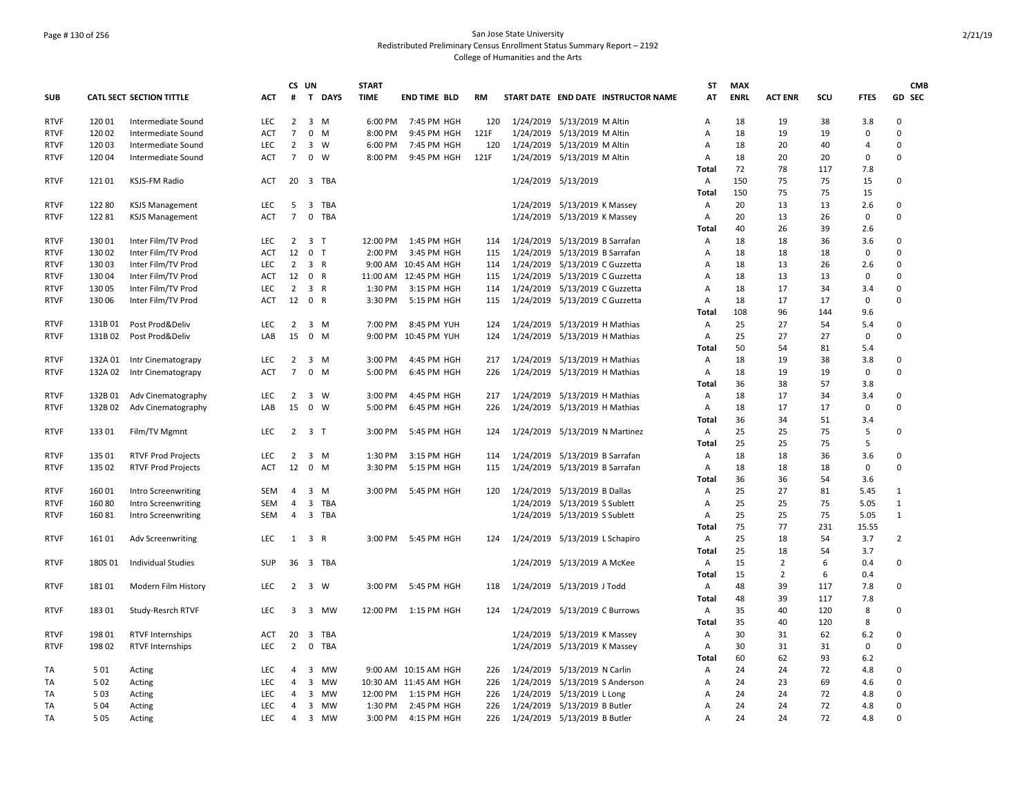## Page # 130 of 256 San Jose State University Redistributed Preliminary Census Enrollment Status Summary Report – 2192 College of Humanities and the Arts

|                            |                 |                                          |                          | CS UN                |                                  |             | <b>START</b> |                                      |            |                                                                  | ST           | <b>MAX</b>  |                |          |                    | <b>CMB</b>                 |
|----------------------------|-----------------|------------------------------------------|--------------------------|----------------------|----------------------------------|-------------|--------------|--------------------------------------|------------|------------------------------------------------------------------|--------------|-------------|----------------|----------|--------------------|----------------------------|
| <b>SUB</b>                 |                 | <b>CATL SECT SECTION TITTLE</b>          | <b>ACT</b>               | #                    |                                  | T DAYS      | <b>TIME</b>  | <b>END TIME BLD</b>                  | RM         | START DATE END DATE INSTRUCTOR NAME                              | AT           | <b>ENRL</b> | <b>ACT ENR</b> | SCU      | <b>FTES</b>        | GD SEC                     |
| <b>RTVF</b>                | 120 01          | Intermediate Sound                       | <b>LEC</b>               | $\overline{2}$       |                                  | 3 M         | 6:00 PM      | 7:45 PM HGH                          | 120        | 1/24/2019 5/13/2019 M Altin                                      | A            | 18          | 19             | 38       | 3.8                | $\mathbf 0$                |
| <b>RTVF</b>                | 120 02          | Intermediate Sound                       | ACT                      | $\overline{7}$       |                                  | $0$ M       | 8:00 PM      | 9:45 PM HGH                          | 121F       | 1/24/2019 5/13/2019 M Altin                                      | Α            | 18          | 19             | 19       | 0                  | $\Omega$                   |
| <b>RTVF</b>                | 12003           | Intermediate Sound                       | <b>LEC</b>               | $\overline{2}$       |                                  | 3 W         | 6:00 PM      | 7:45 PM HGH                          | 120        | 1/24/2019 5/13/2019 M Altin                                      | Α            | 18          | 20             | 40       | 4                  | $\Omega$                   |
| <b>RTVF</b>                | 12004           | Intermediate Sound                       | <b>ACT</b>               | $\overline{7}$       |                                  | $0 \quad W$ | 8:00 PM      | 9:45 PM HGH                          | 121F       | 1/24/2019 5/13/2019 M Altin                                      | Α            | 18          | 20             | 20       | $\mathbf 0$        | $\Omega$                   |
|                            |                 |                                          |                          |                      |                                  |             |              |                                      |            |                                                                  | Total        | 72          | 78             | 117      | 7.8                |                            |
| <b>RTVF</b>                | 12101           | KSJS-FM Radio                            | ACT                      | 20                   |                                  | 3 TBA       |              |                                      |            | 1/24/2019 5/13/2019                                              | Α            | 150         | 75             | 75       | 15                 | $\mathsf 0$                |
|                            |                 |                                          |                          |                      |                                  |             |              |                                      |            |                                                                  | <b>Total</b> | 150         | 75             | 75       | 15                 |                            |
| <b>RTVF</b>                | 12280           | <b>KSJS Management</b>                   | <b>LEC</b>               | 5                    |                                  | 3 TBA       |              |                                      |            | 1/24/2019 5/13/2019 K Massey                                     | Α            | 20          | 13             | 13       | 2.6                | $\mathbf 0$                |
| <b>RTVF</b>                | 12281           | <b>KSJS Management</b>                   | <b>ACT</b>               | $\overline{7}$       | $\mathbf 0$                      | <b>TBA</b>  |              |                                      |            | 1/24/2019 5/13/2019 K Massey                                     | A            | 20          | 13             | 26       | $\mathbf 0$        | $\mathbf 0$                |
|                            |                 |                                          |                          |                      |                                  |             |              |                                      |            |                                                                  | Total        | 40          | 26             | 39       | 2.6                |                            |
| <b>RTVF</b>                | 130 01          | Inter Film/TV Prod<br>Inter Film/TV Prod | LEC                      | $\overline{2}$<br>12 | 3 <sub>7</sub><br>0 <sub>T</sub> |             | 12:00 PM     | 1:45 PM HGH                          | 114        | 1/24/2019 5/13/2019 B Sarrafan                                   | Α            | 18<br>18    | 18             | 36       | 3.6                | $\mathbf 0$<br>$\mathbf 0$ |
| <b>RTVF</b>                | 13002           |                                          | ACT                      |                      |                                  |             | 2:00 PM      | 3:45 PM HGH                          | 115        | 1/24/2019 5/13/2019 B Sarrafan                                   | Α            |             | 18             | 18       | 0                  | $\Omega$                   |
| <b>RTVF</b>                | 13003           | Inter Film/TV Prod<br>Inter Film/TV Prod | <b>LEC</b><br><b>ACT</b> | $\overline{2}$<br>12 |                                  | 3 R<br>0 R  |              | 9:00 AM 10:45 AM HGH                 | 114        | 1/24/2019 5/13/2019 C Guzzetta                                   | Α            | 18<br>18    | 13<br>13       | 26<br>13 | 2.6<br>$\mathbf 0$ | $\mathbf 0$                |
| <b>RTVF</b><br><b>RTVF</b> | 13004<br>130 05 | Inter Film/TV Prod                       | <b>LEC</b>               | $\overline{2}$       |                                  | 3 R         | 1:30 PM      | 11:00 AM 12:45 PM HGH<br>3:15 PM HGH | 115<br>114 | 1/24/2019 5/13/2019 C Guzzetta                                   | Α<br>Α       | 18          | 17             | 34       | 3.4                | $\mathbf 0$                |
| <b>RTVF</b>                | 130 06          |                                          | ACT                      | 12                   | 0 R                              |             | 3:30 PM      | 5:15 PM HGH                          | 115        | 1/24/2019 5/13/2019 C Guzzetta<br>1/24/2019 5/13/2019 C Guzzetta | A            | 18          | 17             | 17       | 0                  | $\mathbf 0$                |
|                            |                 | Inter Film/TV Prod                       |                          |                      |                                  |             |              |                                      |            |                                                                  | Total        | 108         | 96             | 144      | 9.6                |                            |
| <b>RTVF</b>                | 131B 01         | Post Prod&Deliv                          | LEC                      | 2                    |                                  | 3 M         | 7:00 PM      | 8:45 PM YUH                          | 124        | 1/24/2019 5/13/2019 H Mathias                                    | Α            | 25          | 27             | 54       | 5.4                | $\mathbf 0$                |
| <b>RTVF</b>                | 131B02          | Post Prod&Deliv                          | LAB                      | 15                   |                                  | $0 \quad M$ |              | 9:00 PM 10:45 PM YUH                 | 124        | 1/24/2019 5/13/2019 H Mathias                                    | Α            | 25          | 27             | 27       | 0                  | $\mathbf 0$                |
|                            |                 |                                          |                          |                      |                                  |             |              |                                      |            |                                                                  | <b>Total</b> | 50          | 54             | 81       | 5.4                |                            |
| <b>RTVF</b>                | 132A 01         | Intr Cinematograpy                       | <b>LEC</b>               | $\overline{2}$       |                                  | $3 \, M$    | 3:00 PM      | 4:45 PM HGH                          | 217        | 1/24/2019 5/13/2019 H Mathias                                    | Α            | 18          | 19             | 38       | 3.8                | $\mathbf 0$                |
| <b>RTVF</b>                | 132A 02         | Intr Cinematograpy                       | ACT                      | $\overline{7}$       |                                  | $0$ M       | 5:00 PM      | 6:45 PM HGH                          | 226        | 1/24/2019 5/13/2019 H Mathias                                    | Α            | 18          | 19             | 19       | $\mathbf 0$        | $\Omega$                   |
|                            |                 |                                          |                          |                      |                                  |             |              |                                      |            |                                                                  | Total        | 36          | 38             | 57       | 3.8                |                            |
| <b>RTVF</b>                | 132B01          | Adv Cinematography                       | <b>LEC</b>               | 2                    |                                  | 3 W         | 3:00 PM      | 4:45 PM HGH                          | 217        | 1/24/2019 5/13/2019 H Mathias                                    | Α            | 18          | 17             | 34       | 3.4                | $\mathbf 0$                |
| <b>RTVF</b>                | 132B 02         | Adv Cinematography                       | LAB                      | 15                   |                                  | $0 \quad W$ | 5:00 PM      | 6:45 PM HGH                          | 226        | 1/24/2019 5/13/2019 H Mathias                                    | Α            | 18          | 17             | 17       | $\mathbf 0$        | $\mathbf 0$                |
|                            |                 |                                          |                          |                      |                                  |             |              |                                      |            |                                                                  | <b>Total</b> | 36          | 34             | 51       | 3.4                |                            |
| <b>RTVF</b>                | 133 01          | Film/TV Mgmnt                            | <b>LEC</b>               | 2                    | 3 <sub>1</sub>                   |             | 3:00 PM      | 5:45 PM HGH                          | 124        | 1/24/2019 5/13/2019 N Martinez                                   | А            | 25          | 25             | 75       | 5                  | $\mathbf 0$                |
|                            |                 |                                          |                          |                      |                                  |             |              |                                      |            |                                                                  | Total        | 25          | 25             | 75       | 5                  |                            |
| <b>RTVF</b>                | 135 01          | <b>RTVF Prod Projects</b>                | LEC                      | 2                    |                                  | 3 M         | 1:30 PM      | 3:15 PM HGH                          | 114        | 1/24/2019 5/13/2019 B Sarrafan                                   | Α            | 18          | 18             | 36       | 3.6                | 0                          |
| <b>RTVF</b>                | 135 02          | <b>RTVF Prod Projects</b>                | <b>ACT</b>               | 12                   |                                  | $0$ M       | 3:30 PM      | 5:15 PM HGH                          | 115        | 1/24/2019 5/13/2019 B Sarrafan                                   | Α            | 18          | 18             | 18       | 0                  | $\Omega$                   |
|                            |                 |                                          |                          |                      |                                  |             |              |                                      |            |                                                                  | <b>Total</b> | 36          | 36             | 54       | 3.6                |                            |
| <b>RTVF</b>                | 16001           | Intro Screenwriting                      | <b>SEM</b>               | $\overline{4}$       | 3                                | M           | 3:00 PM      | 5:45 PM HGH                          | 120        | 1/24/2019 5/13/2019 B Dallas                                     | Α            | 25          | 27             | 81       | 5.45               | $\mathbf{1}$               |
| <b>RTVF</b>                | 16080           | Intro Screenwriting                      | <b>SEM</b>               | $\overline{4}$       |                                  | 3 TBA       |              |                                      |            | 1/24/2019 5/13/2019 S Sublett                                    | Α            | 25          | 25             | 75       | 5.05               | $\mathbf{1}$               |
| <b>RTVF</b>                | 16081           | Intro Screenwriting                      | SEM                      | $\overline{4}$       |                                  | 3 TBA       |              |                                      |            | 1/24/2019 5/13/2019 S Sublett                                    | A            | 25          | 25             | 75       | 5.05               | $\mathbf{1}$               |
|                            |                 |                                          |                          |                      |                                  |             |              |                                      |            |                                                                  | <b>Total</b> | 75          | 77             | 231      | 15.55              |                            |
| <b>RTVF</b>                | 161 01          | <b>Adv Screenwriting</b>                 | <b>LEC</b>               |                      | $1 \quad 3 \quad R$              |             |              | 3:00 PM 5:45 PM HGH                  | 124        | 1/24/2019 5/13/2019 L Schapiro                                   | Α            | 25          | 18             | 54       | 3.7                | $\overline{2}$             |
|                            |                 |                                          |                          |                      |                                  |             |              |                                      |            |                                                                  | <b>Total</b> | 25          | 18             | 54       | 3.7                |                            |
| <b>RTVF</b>                | 180S01          | <b>Individual Studies</b>                | <b>SUP</b>               | 36                   |                                  | 3 TBA       |              |                                      |            | 1/24/2019 5/13/2019 A McKee                                      | A            | 15          | $\overline{2}$ | 6        | 0.4                | $\mathbf 0$                |
|                            |                 |                                          |                          |                      |                                  |             |              |                                      |            |                                                                  | <b>Total</b> | 15          | $\overline{2}$ | 6        | 0.4                |                            |
| <b>RTVF</b>                | 18101           | Modern Film History                      | LEC                      | $\overline{2}$       |                                  | 3 W         | 3:00 PM      | 5:45 PM HGH                          | 118        | 1/24/2019 5/13/2019 J Todd                                       | Α            | 48          | 39             | 117      | 7.8                | $\mathsf 0$                |
|                            |                 |                                          |                          |                      |                                  |             |              |                                      |            |                                                                  | <b>Total</b> | 48          | 39             | 117      | 7.8                |                            |
| <b>RTVF</b>                | 18301           | Study-Resrch RTVF                        | <b>LEC</b>               | 3                    |                                  | 3 MW        | 12:00 PM     | 1:15 PM HGH                          | 124        | 1/24/2019 5/13/2019 C Burrows                                    | Α            | 35          | 40             | 120      | 8                  | $\mathbf 0$                |
|                            |                 |                                          |                          |                      |                                  |             |              |                                      |            |                                                                  | <b>Total</b> | 35          | 40             | 120      | 8                  |                            |
| <b>RTVF</b>                | 198 01          | <b>RTVF Internships</b>                  | <b>ACT</b>               | 20                   | 3                                | TBA         |              |                                      |            | 1/24/2019 5/13/2019 K Massey                                     | Α            | 30          | 31             | 62       | 6.2                | $\mathbf 0$                |
| <b>RTVF</b>                | 198 02          | <b>RTVF Internships</b>                  | LEC                      | $\overline{2}$       | $\mathbf 0$                      | <b>TBA</b>  |              |                                      |            | 1/24/2019 5/13/2019 K Massey                                     | А            | 30          | 31             | 31       | 0                  | $\mathbf 0$                |
|                            |                 |                                          |                          |                      |                                  |             |              |                                      |            |                                                                  | Total        | 60          | 62             | 93       | 6.2                |                            |
| TA                         | 501             | Acting                                   | LEC                      | $\overline{4}$       |                                  | 3 MW        |              | 9:00 AM 10:15 AM HGH                 | 226        | 1/24/2019 5/13/2019 N Carlin                                     | Α            | 24          | 24             | 72       | 4.8                | $\mathbf 0$                |
| <b>TA</b>                  | 502             | Acting                                   | <b>LEC</b>               | $\overline{4}$       | 3                                | MW          |              | 10:30 AM 11:45 AM HGH                | 226        | 1/24/2019 5/13/2019 S Anderson                                   | A            | 24          | 23             | 69       | 4.6                | $\Omega$                   |
| TA                         | 503             | Acting                                   | <b>LEC</b>               | $\overline{4}$       |                                  | 3 MW        | 12:00 PM     | 1:15 PM HGH                          | 226        | 1/24/2019 5/13/2019 L Long                                       | A            | 24          | 24             | 72       | 4.8                | $\mathbf 0$                |
| TA                         | 504             | Acting                                   | <b>LEC</b>               | $\overline{4}$       |                                  | 3 MW        | 1:30 PM      | 2:45 PM HGH                          | 226        | 1/24/2019 5/13/2019 B Butler                                     | Α            | 24          | 24             | 72       | 4.8                | $\mathbf 0$                |
| TA                         | 505             | Acting                                   | LEC                      | $\overline{4}$       |                                  | 3 MW        | 3:00 PM      | 4:15 PM HGH                          | 226        | 1/24/2019 5/13/2019 B Butler                                     | Α            | 24          | 24             | 72       | 4.8                | $\Omega$                   |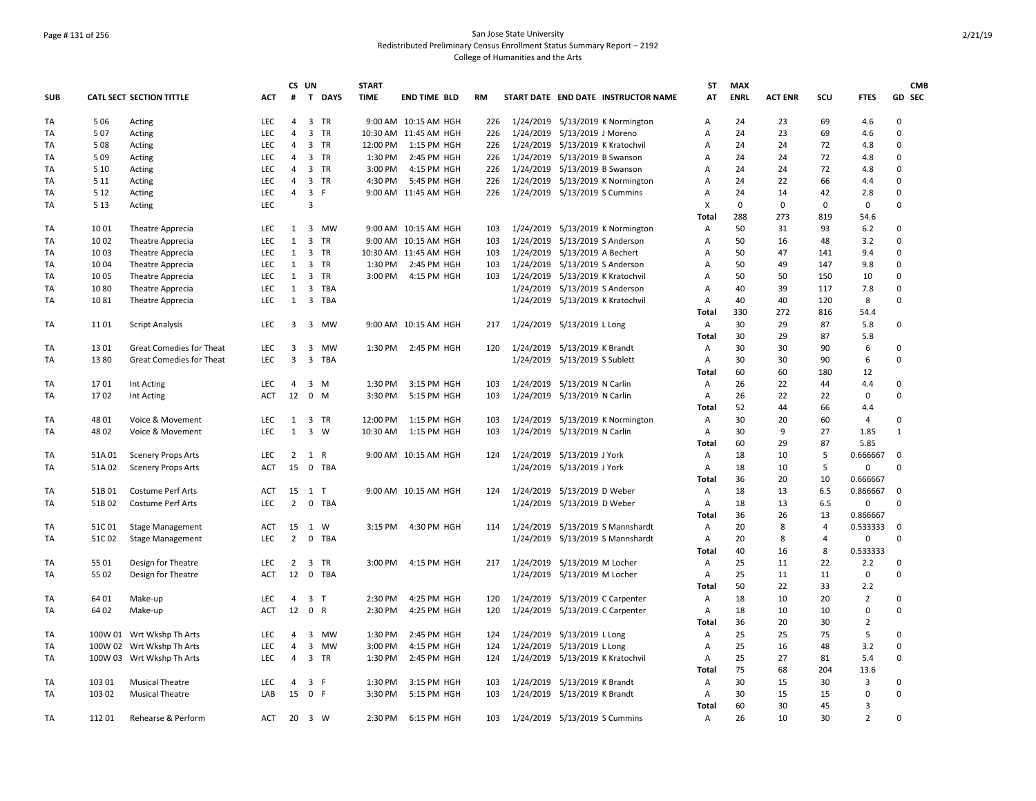## Page # 131 of 256 San Jose State University Redistributed Preliminary Census Enrollment Status Summary Report – 2192 College of Humanities and the Arts

|            |        |                                      |            |                | CS UN       |                | <b>START</b> |                       |           |                                |                                     | ST         | <b>MAX</b>  |                    |                    |                     | <b>CMB</b>  |
|------------|--------|--------------------------------------|------------|----------------|-------------|----------------|--------------|-----------------------|-----------|--------------------------------|-------------------------------------|------------|-------------|--------------------|--------------------|---------------------|-------------|
| <b>SUB</b> |        | <b>CATL SECT SECTION TITTLE</b>      | <b>ACT</b> | #              |             | T DAYS         | <b>TIME</b>  | <b>END TIME BLD</b>   | <b>RM</b> |                                | START DATE END DATE INSTRUCTOR NAME | AT         | <b>ENRL</b> | <b>ACT ENR</b>     | SCU                | <b>FTES</b>         | GD SEC      |
| TA         | 506    | Acting                               | <b>LEC</b> | 4              |             | 3 TR           |              | 9:00 AM 10:15 AM HGH  | 226       |                                | 1/24/2019 5/13/2019 K Normington    | A          | 24          | 23                 | 69                 | 4.6                 | 0           |
| TA         | 507    | Acting                               | <b>LEC</b> | $\overline{4}$ |             | 3 TR           |              | 10:30 AM 11:45 AM HGH | 226       | 1/24/2019 5/13/2019 J Moreno   |                                     | A          | 24          | 23                 | 69                 | 4.6                 | $\Omega$    |
| TA         | 508    | Acting                               | <b>LEC</b> | $\overline{4}$ |             | 3 TR           | 12:00 PM     | 1:15 PM HGH           | 226       |                                | 1/24/2019 5/13/2019 K Kratochvil    | Α          | 24          | 24                 | 72                 | 4.8                 | $\mathbf 0$ |
| TA         | 509    | Acting                               | LEC.       | $\overline{4}$ |             | 3 TR           | 1:30 PM      | 2:45 PM HGH           | 226       | 1/24/2019 5/13/2019 B Swanson  |                                     | A          | 24          | 24                 | 72                 | 4.8                 | $\mathbf 0$ |
| TA         | 5 10   | Acting                               | LEC        | $\overline{4}$ |             | 3 TR           | 3:00 PM      | 4:15 PM HGH           | 226       | 1/24/2019 5/13/2019 B Swanson  |                                     | A          | 24          | 24                 | 72                 | 4.8                 | $\mathbf 0$ |
| TA         | 5 1 1  | Acting                               | <b>LEC</b> | $\overline{4}$ |             | 3 TR           | 4:30 PM      | 5:45 PM HGH           | 226       |                                | 1/24/2019 5/13/2019 K Normington    | Α          | 24          | 22                 | 66                 | 4.4                 | 0           |
| TA         | 5 1 2  | Acting                               | <b>LEC</b> | 4              | 3 F         |                |              | 9:00 AM 11:45 AM HGH  | 226       | 1/24/2019 5/13/2019 S Cummins  |                                     | Α          | 24          | 14                 | 42                 | 2.8                 | 0           |
| TA         | 5 1 3  | Acting                               | <b>LEC</b> |                | 3           |                |              |                       |           |                                |                                     | X<br>Total | 0<br>288    | $\mathbf 0$<br>273 | $\mathbf 0$<br>819 | $\mathbf 0$<br>54.6 | $\Omega$    |
|            | 1001   |                                      | LEC        | 1              |             | 3 MW           |              | 9:00 AM 10:15 AM HGH  | 103       |                                | 1/24/2019 5/13/2019 K Normington    |            | 50          | 31                 | 93                 | $6.2$               | $\mathbf 0$ |
| TA<br>TA   | 1002   | Theatre Apprecia                     | LEC        | $\mathbf{1}$   |             | 3 TR           |              | 9:00 AM 10:15 AM HGH  | 103       | 1/24/2019 5/13/2019 S Anderson |                                     | Α<br>Α     | 50          | 16                 | 48                 | 3.2                 | 0           |
| TA         | 1003   | Theatre Apprecia<br>Theatre Apprecia | <b>LEC</b> | $\mathbf{1}$   |             | 3 TR           |              | 10:30 AM 11:45 AM HGH | 103       | 1/24/2019 5/13/2019 A Bechert  |                                     | Α          | 50          | 47                 | 141                | 9.4                 | 0           |
| TA         | 10 04  | Theatre Apprecia                     | <b>LEC</b> | 1              |             | 3 TR           | 1:30 PM      | 2:45 PM HGH           | 103       | 1/24/2019 5/13/2019 S Anderson |                                     | A          | 50          | 49                 | 147                | 9.8                 | $\Omega$    |
| TA         | 10 05  |                                      | <b>LEC</b> | 1              |             | 3 TR           | 3:00 PM      | 4:15 PM HGH           | 103       |                                | 1/24/2019 5/13/2019 K Kratochvil    | Α          | 50          | 50                 | 150                | 10                  | $\mathbf 0$ |
| TA         | 1080   | Theatre Apprecia<br>Theatre Apprecia | <b>LEC</b> | 1              |             | 3 TBA          |              |                       |           | 1/24/2019 5/13/2019 S Anderson |                                     | Α          | 40          | 39                 | 117                | 7.8                 | $\Omega$    |
| TA         | 1081   |                                      | <b>LEC</b> | 1              |             | 3 TBA          |              |                       |           |                                | 1/24/2019 5/13/2019 K Kratochvil    | Α          | 40          | 40                 | 120                | 8                   | $\mathbf 0$ |
|            |        | Theatre Apprecia                     |            |                |             |                |              |                       |           |                                |                                     | Total      | 330         | 272                | 816                | 54.4                |             |
| TA         | 1101   |                                      | LEC        | 3              |             | 3 MW           |              | 9:00 AM 10:15 AM HGH  | 217       | 1/24/2019 5/13/2019 L Long     |                                     | A          | 30          | 29                 | 87                 | 5.8                 | 0           |
|            |        | <b>Script Analysis</b>               |            |                |             |                |              |                       |           |                                |                                     | Total      | 30          | 29                 | 87                 | 5.8                 |             |
| TA         | 1301   | Great Comedies for Theat             | LEC        | 3              |             | 3 MW           | 1:30 PM      | 2:45 PM HGH           | 120       | 1/24/2019 5/13/2019 K Brandt   |                                     | Α          | 30          | 30                 | 90                 | 6                   | 0           |
| TA         | 13 80  | <b>Great Comedies for Theat</b>      | <b>LEC</b> | 3              |             | 3 TBA          |              |                       |           | 1/24/2019 5/13/2019 S Sublett  |                                     | Α          | 30          | 30                 | 90                 | 6                   | $\mathbf 0$ |
|            |        |                                      |            |                |             |                |              |                       |           |                                |                                     | Total      | 60          | 60                 | 180                | 12                  |             |
| TA         | 1701   | Int Acting                           | <b>LEC</b> | $\overline{4}$ |             | 3 M            | 1:30 PM      | 3:15 PM HGH           | 103       | 1/24/2019 5/13/2019 N Carlin   |                                     | A          | 26          | 22                 | 44                 | 4.4                 | 0           |
| TA         | 1702   | Int Acting                           | <b>ACT</b> | 12             |             | $0 \quad M$    | 3:30 PM      | 5:15 PM HGH           | 103       | 1/24/2019 5/13/2019 N Carlin   |                                     | Α          | 26          | 22                 | 22                 | 0                   | $\mathbf 0$ |
|            |        |                                      |            |                |             |                |              |                       |           |                                |                                     | Total      | 52          | 44                 | 66                 | 4.4                 |             |
| TA         | 48 01  | Voice & Movement                     | LEC        | 1              |             | 3 TR           | 12:00 PM     | 1:15 PM HGH           | 103       |                                | 1/24/2019 5/13/2019 K Normington    | Α          | 30          | 20                 | 60                 | 4                   | $\mathbf 0$ |
| TA         | 48 02  | Voice & Movement                     | <b>LEC</b> | $\mathbf{1}$   |             | $3 \quad W$    | 10:30 AM     | 1:15 PM HGH           | 103       | 1/24/2019 5/13/2019 N Carlin   |                                     | Α          | 30          | 9                  | 27                 | 1.85                | 1           |
|            |        |                                      |            |                |             |                |              |                       |           |                                |                                     | Total      | 60          | 29                 | 87                 | 5.85                |             |
| TA         | 51A 01 | <b>Scenery Props Arts</b>            | <b>LEC</b> |                | $2 \t1 R$   |                |              | 9:00 AM 10:15 AM HGH  | 124       | 1/24/2019 5/13/2019 J York     |                                     | Α          | 18          | 10                 | 5                  | 0.666667            | $\mathbf 0$ |
| <b>TA</b>  | 51A02  | <b>Scenery Props Arts</b>            | <b>ACT</b> | 15             | $\mathbf 0$ | <b>TBA</b>     |              |                       |           | 1/24/2019 5/13/2019 J York     |                                     | A          | 18          | 10                 | 5                  | $\mathbf 0$         | $\Omega$    |
|            |        |                                      |            |                |             |                |              |                       |           |                                |                                     | Total      | 36          | 20                 | 10                 | 0.666667            |             |
| TA         | 51B01  | Costume Perf Arts                    | <b>ACT</b> | 15             | 1 T         |                |              | 9:00 AM 10:15 AM HGH  | 124       | 1/24/2019 5/13/2019 D Weber    |                                     | Α          | 18          | 13                 | 6.5                | 0.866667            | $\Omega$    |
| TA         | 51B02  | <b>Costume Perf Arts</b>             | <b>LEC</b> | $\overline{2}$ |             | 0 TBA          |              |                       |           | 1/24/2019 5/13/2019 D Weber    |                                     | Α          | 18          | 13                 | 6.5                | 0                   | $\mathbf 0$ |
|            |        |                                      |            |                |             |                |              |                       |           |                                |                                     | Total      | 36          | 26                 | 13                 | 0.866667            |             |
| TA         | 51C01  | <b>Stage Management</b>              | <b>ACT</b> | 15             | 1           | W              | 3:15 PM      | 4:30 PM HGH           | 114       |                                | 1/24/2019 5/13/2019 S Mannshardt    | Α          | 20          | 8                  | $\overline{4}$     | 0.533333            | 0           |
| TA         | 51C02  | <b>Stage Management</b>              | <b>LEC</b> | $\overline{2}$ |             | 0 TBA          |              |                       |           |                                | 1/24/2019 5/13/2019 S Mannshardt    | Α          | 20          | 8                  | $\overline{4}$     | $\pmb{0}$           | $\Omega$    |
|            |        |                                      |            |                |             |                |              |                       |           |                                |                                     | Total      | 40          | 16                 | 8                  | 0.533333            |             |
| TA         | 55 01  | Design for Theatre                   | <b>LEC</b> | $\overline{2}$ | 3           | <b>TR</b>      | 3:00 PM      | 4:15 PM HGH           | 217       | 1/24/2019 5/13/2019 M Locher   |                                     | Α          | 25          | 11                 | 22                 | 2.2                 | 0           |
| TA         | 55 02  | Design for Theatre                   | <b>ACT</b> | 12             |             | 0 TBA          |              |                       |           | 1/24/2019 5/13/2019 M Locher   |                                     | A          | 25          | 11                 | 11                 | $\mathbf 0$         | $\Omega$    |
|            |        |                                      |            |                |             |                |              |                       |           |                                |                                     | Total      | 50          | 22                 | 33                 | 2.2                 |             |
| TA         | 64 01  | Make-up                              | LEC        | 4              |             | 3 <sub>T</sub> | 2:30 PM      | 4:25 PM HGH           | 120       |                                | 1/24/2019 5/13/2019 C Carpenter     | Α          | 18          | 10                 | 20                 | $\overline{2}$      | 0           |
| TA         | 64 02  | Make-up                              | <b>ACT</b> | 12 0 R         |             |                | 2:30 PM      | 4:25 PM HGH           | 120       |                                | 1/24/2019 5/13/2019 C Carpenter     | Α          | 18          | 10                 | 10                 | 0                   | $\mathbf 0$ |
|            |        |                                      |            |                |             |                |              |                       |           |                                |                                     | Total      | 36          | 20                 | 30                 | 2                   |             |
| TA         |        | 100W 01 Wrt Wkshp Th Arts            | <b>LEC</b> | $\overline{4}$ |             | 3 MW           | 1:30 PM      | 2:45 PM HGH           | 124       | 1/24/2019 5/13/2019 L Long     |                                     | Α          | 25          | 25                 | 75                 | 5                   | $\mathbf 0$ |
| TA         |        | 100W 02 Wrt Wkshp Th Arts            | <b>LEC</b> | $\overline{4}$ |             | 3 MW           | 3:00 PM      | 4:15 PM HGH           | 124       | 1/24/2019 5/13/2019 L Long     |                                     | A          | 25          | 16                 | 48                 | 3.2                 | $\Omega$    |
| TA         |        | 100W 03 Wrt Wkshp Th Arts            | LEC        | $\overline{4}$ |             | 3 TR           | 1:30 PM      | 2:45 PM HGH           | 124       |                                | 1/24/2019 5/13/2019 K Kratochvil    | Α          | 25          | 27                 | 81                 | 5.4                 | $\mathbf 0$ |
|            |        |                                      |            |                |             |                |              |                       |           |                                |                                     | Total      | 75          | 68                 | 204                | 13.6                |             |
| TA         | 103 01 | <b>Musical Theatre</b>               | LEC        | 4              |             | 3 F            | 1:30 PM      | 3:15 PM HGH           | 103       | 1/24/2019 5/13/2019 K Brandt   |                                     | Α          | 30          | 15                 | 30                 | 3                   | 0           |
| <b>TA</b>  | 103 02 | <b>Musical Theatre</b>               | LAB        | 15             | 0 F         |                | 3:30 PM      | 5:15 PM HGH           | 103       | 1/24/2019 5/13/2019 K Brandt   |                                     | Α          | 30          | 15                 | 15                 | 0                   | $\Omega$    |
|            |        |                                      |            |                |             |                |              |                       |           |                                |                                     | Total      | 60          | 30                 | 45                 | 3                   |             |
| TA         | 112 01 | Rehearse & Perform                   | ACT        | 20             | 3 W         |                | 2:30 PM      | 6:15 PM HGH           | 103       | 1/24/2019 5/13/2019 S Cummins  |                                     | Α          | 26          | 10                 | 30                 | $\overline{2}$      | $\Omega$    |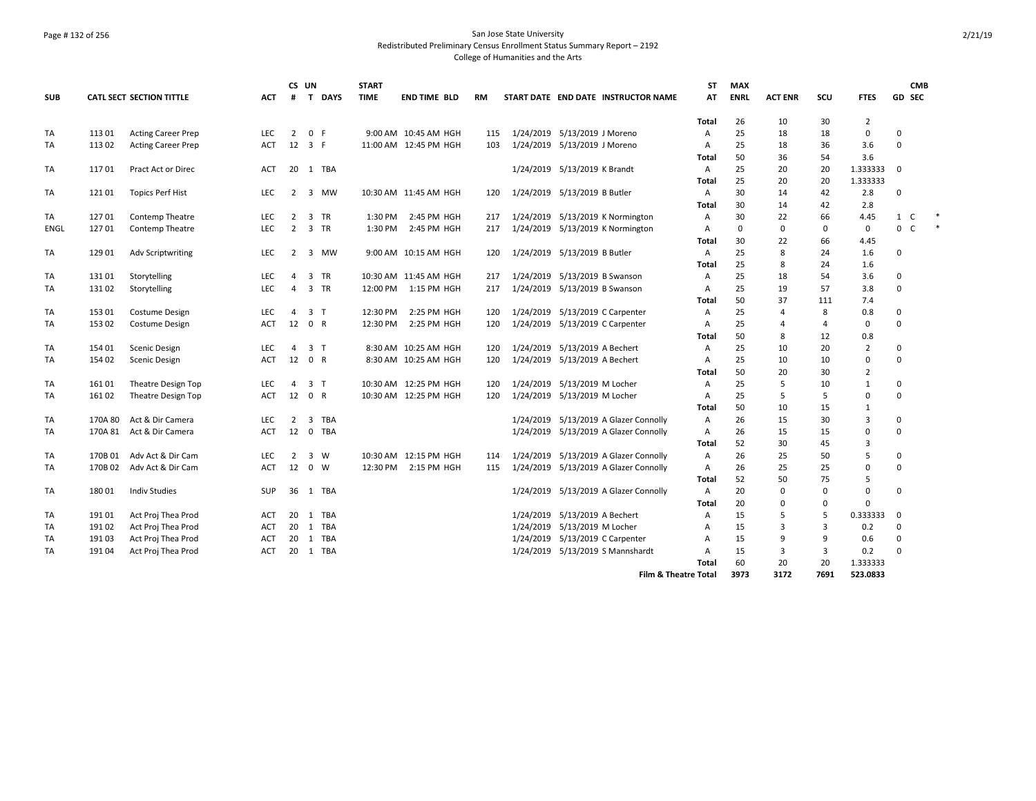## Page # 132 of 256 San Jose State University Redistributed Preliminary Census Enrollment Status Summary Report – 2192 College of Humanities and the Arts

|            |         |                           |            |                | CS UN          |             | <b>START</b> |                       |           |                                       | <b>ST</b>      | <b>MAX</b>  |                |                |                |                   | <b>CMB</b> |        |
|------------|---------|---------------------------|------------|----------------|----------------|-------------|--------------|-----------------------|-----------|---------------------------------------|----------------|-------------|----------------|----------------|----------------|-------------------|------------|--------|
| <b>SUB</b> |         | CATL SECT SECTION TITTLE  | <b>ACT</b> | #              | $\mathbf{T}$   | <b>DAYS</b> | <b>TIME</b>  | <b>END TIME BLD</b>   | <b>RM</b> | START DATE END DATE INSTRUCTOR NAME   | AT             | <b>ENRL</b> | <b>ACT ENR</b> | SCU            | <b>FTES</b>    | GD SEC            |            |        |
|            |         |                           |            |                |                |             |              |                       |           |                                       | Total          | 26          | 10             | 30             | $\overline{2}$ |                   |            |        |
| TA         | 113 01  | <b>Acting Career Prep</b> | LEC.       | $\overline{2}$ | 0 F            |             |              | 9:00 AM 10:45 AM HGH  | 115       | 1/24/2019 5/13/2019 J Moreno          | A              | 25          | 18             | 18             | 0              | $\Omega$          |            |        |
| TA         | 11302   | <b>Acting Career Prep</b> | <b>ACT</b> | 12             | 3 F            |             |              | 11:00 AM 12:45 PM HGH | 103       | 1/24/2019 5/13/2019 J Moreno          | A              | 25          | 18             | 36             | 3.6            | $\Omega$          |            |        |
|            |         |                           |            |                |                |             |              |                       |           |                                       | Total          | 50          | 36             | 54             | 3.6            |                   |            |        |
| TA         | 11701   | Pract Act or Direc        | <b>ACT</b> | 20             | 1 TBA          |             |              |                       |           | 1/24/2019 5/13/2019 K Brandt          | A              | 25          | 20             | 20             | 1.333333       | $\Omega$          |            |        |
|            |         |                           |            |                |                |             |              |                       |           |                                       | Total          | 25          | 20             | 20             | 1.333333       |                   |            |        |
| TA         | 12101   | <b>Topics Perf Hist</b>   | LEC        | $\overline{2}$ | 3 MW           |             |              | 10:30 AM 11:45 AM HGH | 120       | 1/24/2019 5/13/2019 B Butler          | Α              | 30          | 14             | 42             | 2.8            | $\Omega$          |            |        |
|            |         |                           |            |                |                |             |              |                       |           |                                       | Total          | 30          | 14             | 42             | 2.8            |                   |            |        |
| TA         | 12701   | <b>Contemp Theatre</b>    | LEC        | $\overline{2}$ | 3 TR           |             | 1:30 PM      | 2:45 PM HGH           | 217       | 1/24/2019 5/13/2019 K Normington      | Α              | 30          | 22             | 66             | 4.45           | $\mathbf{1}$<br>C |            | $\ast$ |
| ENGL       | 12701   | Contemp Theatre           | <b>LEC</b> | 2              | 3 TR           |             | 1:30 PM      | 2:45 PM HGH           | 217       | 1/24/2019 5/13/2019 K Normington      | A              | $\mathbf 0$ | $\mathbf 0$    | 0              | $\mathbf 0$    | 0<br>$\mathsf{C}$ |            | $\ast$ |
|            |         |                           |            |                |                |             |              |                       |           |                                       | Total          | 30          | 22             | 66             | 4.45           |                   |            |        |
| TA         | 129 01  | <b>Adv Scriptwriting</b>  | <b>LEC</b> | 2              | 3 MW           |             |              | 9:00 AM 10:15 AM HGH  | 120       | 1/24/2019 5/13/2019 B Butler          | A              | 25          | 8              | 24             | 1.6            | $\Omega$          |            |        |
|            |         |                           |            |                |                |             |              |                       |           |                                       | <b>Total</b>   | 25          | 8              | 24             | 1.6            |                   |            |        |
| TA         | 13101   | Storytelling              | LEC        | 4              | 3 TR           |             |              | 10:30 AM 11:45 AM HGH | 217       | 1/24/2019 5/13/2019 B Swanson         | Α              | 25          | 18             | 54             | 3.6            | 0                 |            |        |
| TA         | 13102   | Storytelling              | LEC        | $\overline{4}$ | 3 TR           |             | 12:00 PM     | 1:15 PM HGH           | 217       | 1/24/2019 5/13/2019 B Swanson         | A              | 25          | 19             | 57             | 3.8            | $\Omega$          |            |        |
|            |         |                           |            |                |                |             |              |                       |           |                                       | Total          | 50          | 37             | 111            | 7.4            |                   |            |        |
| TA         | 153 01  | Costume Design            | <b>LEC</b> | 4              | 3 <sub>T</sub> |             | 12:30 PM     | 2:25 PM HGH           | 120       | 1/24/2019 5/13/2019 C Carpenter       | A              | 25          | $\overline{4}$ | 8              | 0.8            | 0                 |            |        |
| <b>TA</b>  | 153 02  | Costume Design            | <b>ACT</b> | 12             | 0 R            |             | 12:30 PM     | 2:25 PM HGH           | 120       | 1/24/2019 5/13/2019 C Carpenter       | A              | 25          | $\overline{4}$ | $\overline{4}$ | $\mathbf 0$    | $\Omega$          |            |        |
|            |         |                           |            |                |                |             |              |                       |           |                                       | Total          | 50          | 8              | 12             | 0.8            |                   |            |        |
| TA         | 154 01  | Scenic Design             | <b>LEC</b> | $\overline{4}$ | 3 <sub>T</sub> |             |              | 8:30 AM 10:25 AM HGH  | 120       | 1/24/2019 5/13/2019 A Bechert         | $\overline{A}$ | 25          | 10             | 20             | $\overline{2}$ | $\Omega$          |            |        |
| TA         | 154 02  | Scenic Design             | ACT        | 12             | 0 R            |             |              | 8:30 AM 10:25 AM HGH  | 120       | 1/24/2019 5/13/2019 A Bechert         | Α              | 25          | 10             | 10             | 0              | $\mathbf 0$       |            |        |
|            |         |                           |            |                |                |             |              |                       |           |                                       | Total          | 50          | 20             | 30             | $\overline{2}$ |                   |            |        |
| TA         | 16101   | Theatre Design Top        | <b>LEC</b> | 4              | 3 <sub>T</sub> |             |              | 10:30 AM 12:25 PM HGH | 120       | 1/24/2019 5/13/2019 M Locher          | A              | 25          | 5              | 10             | $\mathbf{1}$   | 0                 |            |        |
| TA         | 16102   | Theatre Design Top        | <b>ACT</b> | 12             | 0 R            |             |              | 10:30 AM 12:25 PM HGH | 120       | 1/24/2019 5/13/2019 M Locher          | A              | 25          | 5              | 5              | 0              | $\Omega$          |            |        |
|            |         |                           |            |                |                |             |              |                       |           |                                       | Total          | 50          | 10             | 15             | $\mathbf{1}$   |                   |            |        |
| <b>TA</b>  | 170A 80 | Act & Dir Camera          | <b>LEC</b> | 2              | 3              | <b>TBA</b>  |              |                       |           | 1/24/2019 5/13/2019 A Glazer Connolly | A              | 26          | 15             | 30             | 3              | $\Omega$          |            |        |
| <b>TA</b>  |         | 170A 81 Act & Dir Camera  | <b>ACT</b> | 12             | $\mathbf{0}$   | <b>TBA</b>  |              |                       |           | 1/24/2019 5/13/2019 A Glazer Connolly | A              | 26          | 15             | 15             | $\mathbf 0$    | $\Omega$          |            |        |
|            |         |                           |            |                |                |             |              |                       |           |                                       | Total          | 52          | 30             | 45             | 3              |                   |            |        |
| TA         | 170B 01 | Adv Act & Dir Cam         | LEC        | $\overline{2}$ | 3 W            |             |              | 10:30 AM 12:15 PM HGH | 114       | 1/24/2019 5/13/2019 A Glazer Connolly | Α              | 26          | 25             | 50             | 5              | 0                 |            |        |
| TA         | 170B 02 | Adv Act & Dir Cam         | <b>ACT</b> | 12             | $0 \quad W$    |             | 12:30 PM     | 2:15 PM HGH           | 115       | 1/24/2019 5/13/2019 A Glazer Connolly | A              | 26          | 25             | 25             | 0              | 0                 |            |        |
|            |         |                           |            |                |                |             |              |                       |           |                                       | Total          | 52          | 50             | 75             | 5              |                   |            |        |
| TA         | 18001   | <b>Indiv Studies</b>      | <b>SUP</b> | 36             | 1 TBA          |             |              |                       |           | 1/24/2019 5/13/2019 A Glazer Connolly | Α              | 20          | $\Omega$       | $\Omega$       | $\mathbf 0$    | $\Omega$          |            |        |
|            |         |                           |            |                |                |             |              |                       |           |                                       | Total          | 20          | $\mathbf 0$    | $\mathbf 0$    | $\mathbf 0$    |                   |            |        |
| TA         | 19101   | Act Proj Thea Prod        | ACT        | 20             | 1 TBA          |             |              |                       |           | 1/24/2019 5/13/2019 A Bechert         | Α              | 15          | 5              | 5              | 0.333333       | 0                 |            |        |
| TA         | 19102   | Act Proj Thea Prod        | ACT        | 20             | 1 TBA          |             |              |                       |           | 1/24/2019 5/13/2019 M Locher          | A              | 15          | $\overline{3}$ | 3              | 0.2            | 0                 |            |        |
| <b>TA</b>  | 19103   | Act Proj Thea Prod        | ACT        | 20             | 1              | TBA         |              |                       |           | 1/24/2019 5/13/2019 C Carpenter       | A              | 15          | 9              | 9              | 0.6            | 0                 |            |        |
| <b>TA</b>  | 19104   | Act Proj Thea Prod        | ACT        | 20             | 1 TBA          |             |              |                       |           | 1/24/2019 5/13/2019 S Mannshardt      | $\overline{A}$ | 15          | 3              | $\overline{3}$ | 0.2            | $\Omega$          |            |        |
|            |         |                           |            |                |                |             |              |                       |           |                                       | Total          | 60          | 20             | 20             | 1.333333       |                   |            |        |
|            |         |                           |            |                |                |             |              |                       |           | <b>Film &amp; Theatre Total</b>       |                | 3973        | 3172           | 7691           | 523.0833       |                   |            |        |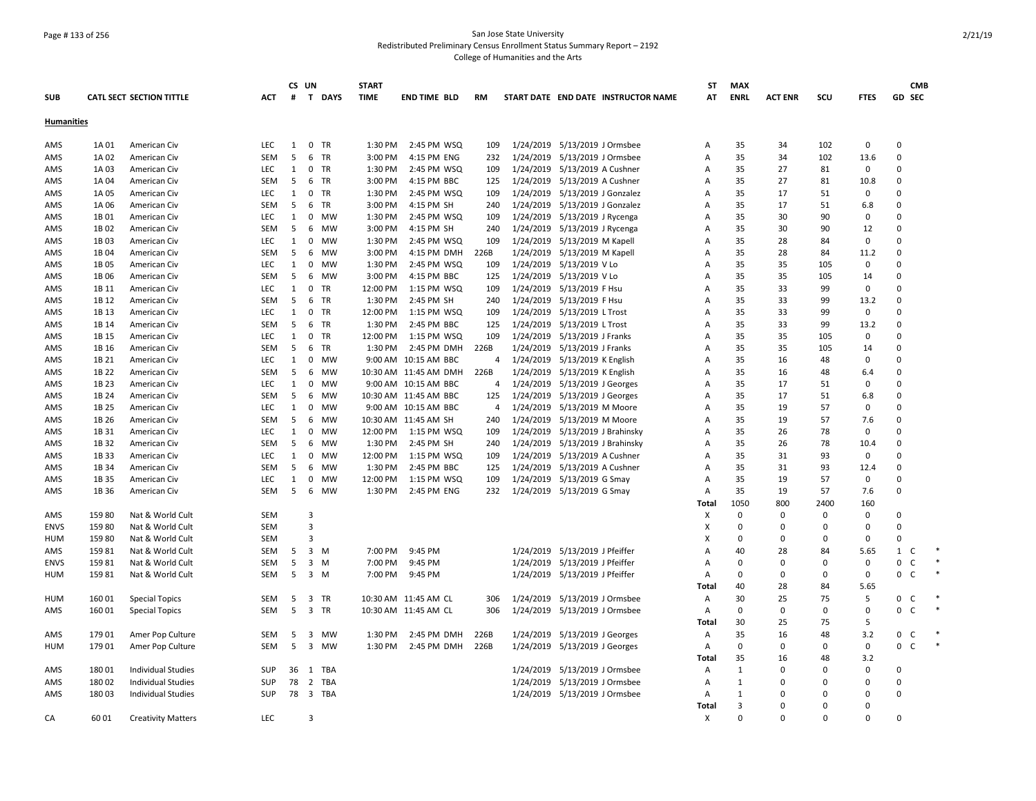## Page # 133 of 256 San Jose State University Redistributed Preliminary Census Enrollment Status Summary Report – 2192 College of Humanities and the Arts

|                   |        |                                 |            |    | CS UN                         | <b>START</b> |                       |                |           |                                     | ST                        | <b>MAX</b>   |                |              |             | <b>CMB</b>        |  |
|-------------------|--------|---------------------------------|------------|----|-------------------------------|--------------|-----------------------|----------------|-----------|-------------------------------------|---------------------------|--------------|----------------|--------------|-------------|-------------------|--|
| <b>SUB</b>        |        | <b>CATL SECT SECTION TITTLE</b> | ACT        | #  | $\mathbf{T}$<br><b>DAYS</b>   | <b>TIME</b>  | END TIME BLD          | <b>RM</b>      |           | START DATE END DATE INSTRUCTOR NAME | AT                        | <b>ENRL</b>  | <b>ACT ENR</b> | scu          | <b>FTES</b> | <b>GD SEC</b>     |  |
| <b>Humanities</b> |        |                                 |            |    |                               |              |                       |                |           |                                     |                           |              |                |              |             |                   |  |
| AMS               | 1A 01  | American Civ                    | <b>LEC</b> | 1  | $0$ TR                        | 1:30 PM      | 2:45 PM WSQ           | 109            |           | 1/24/2019 5/13/2019 J Ormsbee       | Α                         | 35           | 34             | 102          | 0           | $\Omega$          |  |
| AMS               | 1A 02  | American Civ                    | <b>SEM</b> | 5  | <b>TR</b><br>6                | 3:00 PM      | 4:15 PM ENG           | 232            |           | 1/24/2019 5/13/2019 J Ormsbee       | A                         | 35           | 34             | 102          | 13.6        | $\mathbf 0$       |  |
| AMS               | 1A 03  | American Civ                    | <b>LEC</b> | 1  | 0 TR                          | 1:30 PM      | 2:45 PM WSQ           | 109            |           | 1/24/2019 5/13/2019 A Cushner       | Α                         | 35           | 27             | 81           | 0           | $\Omega$          |  |
| AMS               | 1A 04  | American Civ                    | <b>SEM</b> | -5 | 6<br>TR                       | 3:00 PM      | 4:15 PM BBC           | 125            |           | 1/24/2019 5/13/2019 A Cushner       | $\mathsf{A}$              | 35           | 27             | 81           | 10.8        | $\Omega$          |  |
| AMS               | 1A 05  | American Civ                    | LEC        | 1  | 0 TR                          | 1:30 PM      | 2:45 PM WSQ           | 109            |           | 1/24/2019 5/13/2019 J Gonzalez      | Α                         | 35           | 17             | 51           | 0           | $\Omega$          |  |
| AMS               | 1A 06  | American Civ                    | <b>SEM</b> | -5 | <b>TR</b><br>6                | 3:00 PM      | 4:15 PM SH            | 240            |           | 1/24/2019 5/13/2019 J Gonzalez      | $\overline{A}$            | 35           | 17             | 51           | 6.8         | $\Omega$          |  |
| AMS               | 1B 01  | American Civ                    | LEC        | 1  | 0<br>MW                       | 1:30 PM      | 2:45 PM WSQ           | 109            | 1/24/2019 | 5/13/2019 J Rycenga                 | Α                         | 35           | 30             | 90           | 0           | $\Omega$          |  |
| AMS               | 1B02   | American Civ                    | SEM        | 5  | 6<br>MW                       | 3:00 PM      | 4:15 PM SH            | 240            |           | 1/24/2019 5/13/2019 J Rycenga       | Α                         | 35           | 30             | 90           | 12          | $\Omega$          |  |
| AMS               | 1B03   | American Civ                    | <b>LEC</b> | 1  | MW<br>0                       | 1:30 PM      | 2:45 PM WSQ           | 109            |           | 1/24/2019 5/13/2019 M Kapell        | Α                         | 35           | 28             | 84           | 0           | $\Omega$          |  |
| AMS               | 1B04   | American Civ                    | SEM        | 5  | MW<br>6                       | 3:00 PM      | 4:15 PM DMH           | 226B           |           | 1/24/2019 5/13/2019 M Kapell        | Α                         | 35           | 28             | 84           | 11.2        | $\Omega$          |  |
| AMS               | 1B 05  | American Civ                    | <b>LEC</b> | 1  | 0<br>MW                       | 1:30 PM      | 2:45 PM WSQ           | 109            |           | 1/24/2019 5/13/2019 V Lo            | $\overline{A}$            | 35           | 35             | 105          | 0           | $\Omega$          |  |
| AMS               | 1B 06  | American Civ                    | SEM        | 5  | <b>MW</b><br>6                | 3:00 PM      | 4:15 PM BBC           | 125            |           | 1/24/2019 5/13/2019 V Lo            | $\overline{A}$            | 35           | 35             | 105          | 14          | $\Omega$          |  |
| AMS               | 1B 11  | American Civ                    | LEC        | 1  | 0<br>TR                       | 12:00 PM     | 1:15 PM WSQ           | 109            |           | 1/24/2019 5/13/2019 F Hsu           | Α                         | 35           | 33             | 99           | 0           | $\Omega$          |  |
| AMS               | 1B 12  | American Civ                    | SEM        | 5  | TR<br>6                       | 1:30 PM      | 2:45 PM SH            | 240            |           | 1/24/2019 5/13/2019 F Hsu           | Α                         | 35           | 33             | 99           | 13.2        | $\Omega$          |  |
| AMS               | 1B 13  | American Civ                    | <b>LEC</b> | 1  | 0<br><b>TR</b>                | 12:00 PM     | 1:15 PM WSQ           | 109            |           | 1/24/2019 5/13/2019 L Trost         | $\overline{A}$            | 35           | 33             | 99           | 0           | $\Omega$          |  |
| AMS               | 1B 14  | American Civ                    | SEM        | 5  | 6 TR                          | 1:30 PM      | 2:45 PM BBC           | 125            |           | 1/24/2019 5/13/2019 L Trost         | A                         | 35           | 33             | 99           | 13.2        | $\Omega$          |  |
| AMS               | 1B 15  | American Civ                    | <b>LEC</b> | 1  | TR<br>0                       | 12:00 PM     | 1:15 PM WSQ           | 109            |           | 1/24/2019 5/13/2019 J Franks        | $\overline{A}$            | 35           | 35             | 105          | 0           | $\Omega$          |  |
| AMS               | 1B 16  | American Civ                    | SEM        | 5  | 6 TR                          | 1:30 PM      | 2:45 PM DMH           | 226B           |           | 1/24/2019 5/13/2019 J Franks        | Α                         | 35           | 35             | 105          | 14          | $\Omega$          |  |
| AMS               | 1B 21  | American Civ                    | <b>LEC</b> | 1  | 0<br>MW                       |              | 9:00 AM 10:15 AM BBC  | 4              |           | 1/24/2019 5/13/2019 K English       | Α                         | 35           | 16             | 48           | 0           | $\Omega$          |  |
| AMS               | 1B 22  | American Civ                    | SEM        | 5  | MW<br>6                       |              | 10:30 AM 11:45 AM DMH | 226B           |           | 1/24/2019 5/13/2019 K English       | Α                         | 35           | 16             | 48           | 6.4         | $\Omega$          |  |
| AMS               | 1B 23  | American Civ                    | <b>LEC</b> | 1  | 0<br>MW                       |              | 9:00 AM 10:15 AM BBC  | 4              |           | 1/24/2019 5/13/2019 J Georges       | A                         | 35           | 17             | 51           | 0           | $\Omega$          |  |
| AMS               | 1B 24  | American Civ                    | SEM        | -5 | MW<br>6                       |              | 10:30 AM 11:45 AM BBC | 125            | 1/24/2019 | 5/13/2019 J Georges                 | A                         | 35           | 17             | 51           | 6.8         | $\Omega$          |  |
| AMS               | 1B 25  | American Civ                    | LEC        | 1  | <b>MW</b><br>0                |              | 9:00 AM 10:15 AM BBC  | $\overline{4}$ |           | 1/24/2019 5/13/2019 M Moore         | $\overline{A}$            | 35           | 19             | 57           | 0           | $\Omega$          |  |
| AMS               | 1B 26  | American Civ                    | SEM        | 5  | 6<br>MW                       |              | 10:30 AM 11:45 AM SH  | 240            |           | 1/24/2019 5/13/2019 M Moore         | Α                         | 35           | 19             | 57           | 7.6         | $\Omega$          |  |
| AMS               | 1B 31  | American Civ                    | LEC        | 1  | MW<br>0                       | 12:00 PM     | 1:15 PM WSQ           | 109            |           | 1/24/2019 5/13/2019 J Brahinsky     | Α                         | 35           | 26             | 78           | 0           | $\Omega$          |  |
| AMS               | 1B 32  | American Civ                    | SEM        | 5  | 6<br>MW                       | 1:30 PM      | 2:45 PM SH            | 240            |           | 1/24/2019 5/13/2019 J Brahinsky     | $\overline{A}$            | 35           | 26             | 78           | 10.4        | $\Omega$          |  |
| AMS               | 1B 33  | American Civ                    | <b>LEC</b> | 1  | 0<br>MW                       | 12:00 PM     | 1:15 PM WSQ           | 109            |           | 1/24/2019 5/13/2019 A Cushner       | Α                         | 35           | 31             | 93           | 0           | $\Omega$          |  |
| AMS               | 1B 34  | American Civ                    | <b>SEM</b> | 5  | 6<br>MW                       | 1:30 PM      | 2:45 PM BBC           | 125            |           | 1/24/2019 5/13/2019 A Cushner       | $\overline{A}$            | 35           | 31             | 93           | 12.4        | $\Omega$          |  |
| AMS               | 1B 35  | American Civ                    | LEC        | 1  | 0<br><b>MW</b>                | 12:00 PM     | 1:15 PM WSQ           | 109            |           | 1/24/2019 5/13/2019 G Smay          | A                         | 35           | 19             | 57           | 0           | $\Omega$          |  |
| AMS               | 1B 36  | American Civ                    | <b>SEM</b> | 5  | <b>MW</b><br>6                | 1:30 PM      | 2:45 PM ENG           | 232            |           | 1/24/2019 5/13/2019 G Smay          | $\mathsf{A}$              | 35           | 19             | 57           | 7.6         | $\Omega$          |  |
|                   |        |                                 |            |    |                               |              |                       |                |           |                                     | Total                     | 1050         | 800            | 2400         | 160         |                   |  |
| AMS               | 15980  | Nat & World Cult                | SEM        |    | 3                             |              |                       |                |           |                                     | Χ                         | 0            | $\Omega$       | 0            | 0           | $\Omega$          |  |
| <b>ENVS</b>       | 15980  | Nat & World Cult                | SEM        |    | $\overline{3}$                |              |                       |                |           |                                     | $\times$                  | $\Omega$     | 0              | 0            | 0           | $\Omega$          |  |
| <b>HUM</b>        | 159 80 | Nat & World Cult                | <b>SEM</b> |    | $\mathbf{a}$                  |              |                       |                |           |                                     | $\boldsymbol{\mathsf{x}}$ | $\Omega$     | $\Omega$       | $\Omega$     | $\mathbf 0$ | $\Omega$          |  |
| AMS               | 15981  | Nat & World Cult                | SEM        | 5  | 3<br>M                        | 7:00 PM      | 9:45 PM               |                | 1/24/2019 | 5/13/2019 J Pfeiffer                | Α                         | 40           | 28             | 84           | 5.65        | $\mathbf{1}$<br>C |  |
| <b>ENVS</b>       | 15981  | Nat & World Cult                | SEM        | 5  | 3<br>M                        | 7:00 PM      | 9:45 PM               |                |           | 1/24/2019 5/13/2019 J Pfeiffer      | A                         | 0            | $\mathbf 0$    | 0            | 0           | 0<br>C            |  |
| <b>HUM</b>        | 15981  | Nat & World Cult                | SEM        | 5  | $3 \, M$                      | 7:00 PM      | 9:45 PM               |                |           | 1/24/2019 5/13/2019 J Pfeiffer      | Α                         | $\Omega$     | 0              | $\Omega$     | 0           | $\mathbf{0}$<br>C |  |
|                   |        |                                 |            |    |                               |              |                       |                |           |                                     | Total                     | 40           | 28             | 84           | 5.65        |                   |  |
| <b>HUM</b>        | 16001  | <b>Special Topics</b>           | SEM        | -5 | 3 TR                          |              | 10:30 AM 11:45 AM CL  | 306            |           | 1/24/2019 5/13/2019 J Ormsbee       | $\overline{A}$            | 30           | 25             | 75           | 5           | $\mathbf{0}$<br>C |  |
| AMS               | 16001  | <b>Special Topics</b>           | SEM        | 5  | 3 TR                          |              | 10:30 AM 11:45 AM CL  | 306            | 1/24/2019 | 5/13/2019 J Ormsbee                 | Α                         | $\Omega$     | $\mathbf 0$    | 0            | 0           | 0<br>C            |  |
|                   |        |                                 |            |    |                               |              |                       |                |           |                                     | Total                     | 30           | 25             | 75           | 5           |                   |  |
| AMS               | 17901  | Amer Pop Culture                | SEM        | 5  | 3 MW                          | 1:30 PM      | 2:45 PM DMH           | 226B           | 1/24/2019 | 5/13/2019 J Georges                 | A                         | 35           | 16             | 48           | 3.2         | $\mathsf{O}$<br>C |  |
| HUM               | 17901  | Amer Pop Culture                | SEM        | 5  | $\overline{\mathbf{3}}$<br>MW | 1:30 PM      | 2:45 PM DMH           | 226B           |           | 1/24/2019 5/13/2019 J Georges       | $\mathsf{A}$              | 0            | $\Omega$       | $\Omega$     | 0           | 0<br>C            |  |
|                   |        |                                 |            |    |                               |              |                       |                |           |                                     | Total                     | 35           | 16             | 48           | 3.2         |                   |  |
| AMS               | 18001  | <b>Individual Studies</b>       | <b>SUP</b> | 36 | 1 TBA                         |              |                       |                |           | 1/24/2019 5/13/2019 J Ormsbee       | $\overline{A}$            | 1            | $\Omega$       | $\Omega$     | 0           | $\Omega$          |  |
| AMS               | 18002  | <b>Individual Studies</b>       | SUP        | 78 | $\overline{2}$<br>TBA         |              |                       |                |           | 1/24/2019 5/13/2019 J Ormsbee       | Α                         | $\mathbf{1}$ | $\Omega$       | 0            | 0           | $\Omega$          |  |
| AMS               | 18003  | <b>Individual Studies</b>       | SUP        |    | 78 3 TBA                      |              |                       |                |           | 1/24/2019 5/13/2019 J Ormsbee       | $\mathsf{A}$              | 1            | O              | $\Omega$     | 0           | $\Omega$          |  |
|                   |        |                                 |            |    |                               |              |                       |                |           |                                     | Total                     | 3            | 0              | 0            | 0           |                   |  |
| CA                | 6001   | <b>Creativity Matters</b>       | <b>LEC</b> |    | $\mathbf{a}$                  |              |                       |                |           |                                     | $\mathsf{x}$              | O            | $\Omega$       | <sup>0</sup> | $\Omega$    | $\Omega$          |  |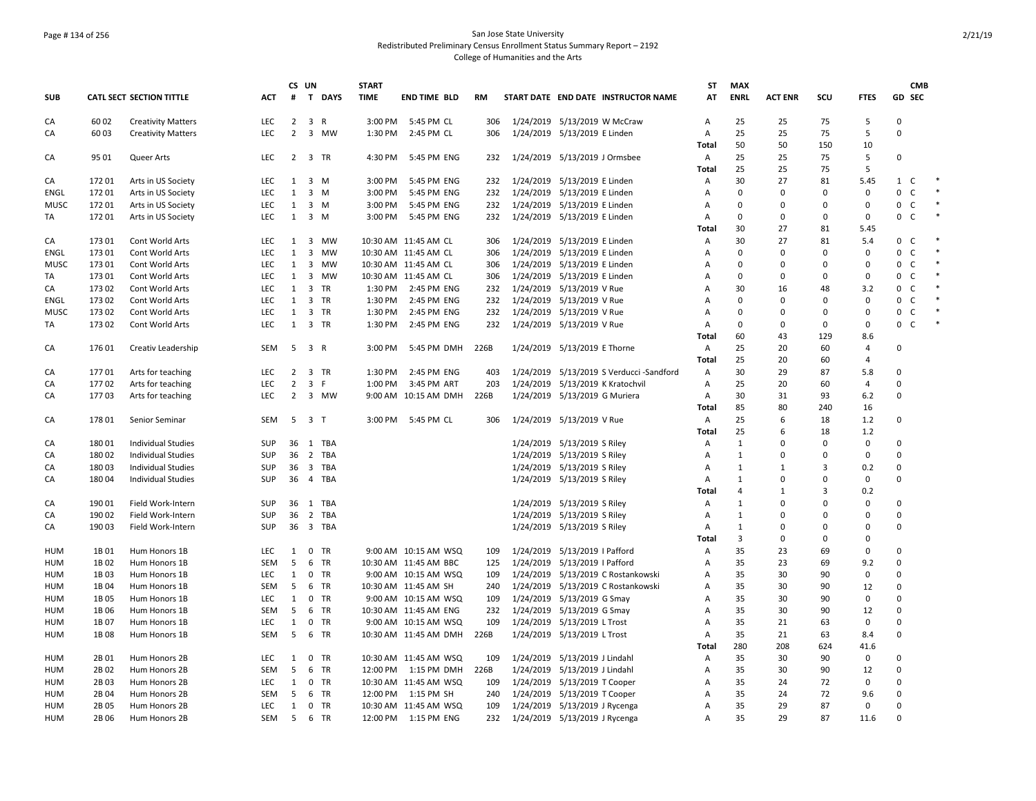## Page # 134 of 256 San Jose State University Redistributed Preliminary Census Enrollment Status Summary Report – 2192 College of Humanities and the Arts

|             |        |                                 |            |                | CS UN                         | <b>START</b> |                          |      |                                         | <b>ST</b>      | <b>MAX</b>     |                |                |                | <b>CMB</b>        |        |
|-------------|--------|---------------------------------|------------|----------------|-------------------------------|--------------|--------------------------|------|-----------------------------------------|----------------|----------------|----------------|----------------|----------------|-------------------|--------|
| <b>SUB</b>  |        | <b>CATL SECT SECTION TITTLE</b> | <b>ACT</b> | #              | $\mathbf{T}$<br><b>DAYS</b>   | <b>TIME</b>  | <b>END TIME BLD</b>      | RM   | START DATE END DATE INSTRUCTOR NAME     | AT             | <b>ENRL</b>    | <b>ACT ENR</b> | SCU            | <b>FTES</b>    | GD SEC            |        |
| CA          | 60 02  | <b>Creativity Matters</b>       | LEC        | $\overline{2}$ | $\overline{3}$<br>R           | 3:00 PM      | 5:45 PM CL               | 306  | 1/24/2019 5/13/2019 W McCraw            | Α              | 25             | 25             | 75             | 5              | $\Omega$          |        |
| CA          | 6003   | <b>Creativity Matters</b>       | LEC        | $\overline{2}$ | 3 MW                          | 1:30 PM      | 2:45 PM CL               | 306  | 1/24/2019 5/13/2019 E Linden            | Α              | 25             | 25             | 75             | 5              | $\Omega$          |        |
|             |        |                                 |            |                |                               |              |                          |      |                                         | <b>Total</b>   | 50             | 50             | 150            | 10             |                   |        |
| CA          | 95 01  | Queer Arts                      | <b>LEC</b> |                | 2 3 TR                        | 4:30 PM      | 5:45 PM ENG              | 232  | 1/24/2019 5/13/2019 J Ormsbee           | Α              | 25             | 25             | 75             | 5              | $\Omega$          |        |
|             |        |                                 |            |                |                               |              |                          |      |                                         | Total          | 25             | 25             | 75             | 5              |                   |        |
| CA          | 17201  | Arts in US Society              | LEC        | 1              | 3 M                           | 3:00 PM      | 5:45 PM ENG              | 232  | 1/24/2019 5/13/2019 E Linden            | Α              | 30             | 27             | 81             | 5.45           | $\mathbf{1}$<br>C | $\ast$ |
| <b>ENGL</b> | 17201  | Arts in US Society              | <b>LEC</b> | $\mathbf{1}$   | $3 \, M$                      | 3:00 PM      | 5:45 PM ENG              | 232  | 1/24/2019 5/13/2019 E Linden            | A              | $\Omega$       | $\Omega$       | $\Omega$       | 0              | 0<br>C            | $\ast$ |
| <b>MUSC</b> | 17201  | Arts in US Society              | LEC        | 1              | $3 \, M$                      | 3:00 PM      | 5:45 PM ENG              | 232  | 1/24/2019 5/13/2019 E Linden            | A              | $\Omega$       | $\Omega$       | 0              | $\mathbf 0$    | 0<br>$\mathsf{C}$ | $\ast$ |
| TA          | 17201  | Arts in US Society              | <b>LEC</b> | 1              | $3 \, M$                      | 3:00 PM      | 5:45 PM ENG              | 232  | 1/24/2019 5/13/2019 E Linden            | A              | $\Omega$       | $\Omega$       | 0              | $\mathbf 0$    | 0<br>C            | $\ast$ |
|             |        |                                 |            |                |                               |              |                          |      |                                         | Total          | 30             | 27             | 81             | 5.45           |                   |        |
| CA          | 173 01 | Cont World Arts                 | LEC        | 1              | 3 MW                          |              | 10:30 AM 11:45 AM CL     | 306  | 1/24/2019 5/13/2019 E Linden            | A              | 30             | 27             | 81             | 5.4            | 0<br>$\mathsf{C}$ | $\ast$ |
| ENGL        | 17301  | Cont World Arts                 | LEC        | 1              | 3<br>MW                       |              | 10:30 AM 11:45 AM CL     | 306  | 1/24/2019 5/13/2019 E Linden            | Α              | $\Omega$       | $\Omega$       | 0              | $\mathsf 0$    | $\mathsf C$<br>0  |        |
| <b>MUSC</b> | 17301  | Cont World Arts                 | <b>LEC</b> | 1              | 3 MW                          |              | 10:30 AM 11:45 AM CL     | 306  | 1/24/2019 5/13/2019 E Linden            | A              | $\Omega$       | $\Omega$       | $\Omega$       | $\mathbf 0$    | $\mathsf{C}$<br>0 |        |
| TA          | 17301  | Cont World Arts                 | LEC        | 1              | $\overline{\mathbf{3}}$<br>MW |              | 10:30 AM 11:45 AM CL     | 306  | 1/24/2019 5/13/2019 E Linden            | A              | $\Omega$       | $\Omega$       | $\Omega$       | $\mathbf 0$    | $\mathsf{C}$<br>0 |        |
| CA          | 17302  | Cont World Arts                 | <b>LEC</b> | 1              | 3 TR                          |              | 1:30 PM 2:45 PM ENG      | 232  | 1/24/2019 5/13/2019 V Rue               | A              | 30             | 16             | 48             | 3.2            | $\mathsf{C}$<br>0 |        |
| <b>ENGL</b> | 17302  | Cont World Arts                 | LEC        | $\mathbf{1}$   | 3 TR                          | 1:30 PM      | 2:45 PM ENG              | 232  | 1/24/2019 5/13/2019 V Rue               | Α              | $\mathbf 0$    | $\Omega$       | $\overline{0}$ | $\mathbf 0$    | $\mathsf{C}$<br>0 |        |
| <b>MUSC</b> | 173 02 | Cont World Arts                 | LEC        | 1              | 3 TR                          | 1:30 PM      | 2:45 PM ENG              | 232  | 1/24/2019 5/13/2019 V Rue               | Α              | $\Omega$       | $\Omega$       | $\mathbf 0$    | $\mathbf 0$    | $\mathsf C$<br>0  | $\ast$ |
| TA          | 17302  | Cont World Arts                 | LEC        | 1              | 3 TR                          | 1:30 PM      | 2:45 PM ENG              | 232  | 1/24/2019 5/13/2019 V Rue               | Α              | $\mathbf 0$    | $\Omega$       | $\Omega$       | 0              | C<br>0            |        |
|             |        |                                 |            |                |                               |              |                          |      |                                         | Total          | 60             | 43             | 129            | 8.6            |                   |        |
| CA          | 17601  | Creativ Leadership              | <b>SEM</b> | 5              | 3 R                           | 3:00 PM      | 5:45 PM DMH              | 226B | 1/24/2019 5/13/2019 E Thorne            | Α              | 25             | 20             | 60             | 4              | $\Omega$          |        |
|             |        |                                 |            |                |                               |              |                          |      |                                         | <b>Total</b>   | 25             | 20             | 60             | $\overline{4}$ |                   |        |
| CA          | 17701  | Arts for teaching               | <b>LEC</b> | 2              | 3 TR                          | 1:30 PM      | 2:45 PM ENG              | 403  | 1/24/2019 5/13/2019 S Verducci-Sandford | $\mathsf{A}$   | 30             | 29             | 87             | 5.8            | $\Omega$          |        |
| CA          | 17702  | Arts for teaching               | LEC        | $\overline{2}$ | $\overline{3}$<br>-F          | 1:00 PM      | 3:45 PM ART              | 203  | 1/24/2019 5/13/2019 K Kratochvil        | Α              | 25             | 20             | 60             | 4              | 0                 |        |
| CA          | 17703  | Arts for teaching               | <b>LEC</b> | $\overline{2}$ | 3 MW                          |              | 9:00 AM 10:15 AM DMH     | 226B | 1/24/2019 5/13/2019 G Muriera           | $\overline{A}$ | 30             | 31             | 93             | 6.2            | 0                 |        |
|             |        |                                 |            |                |                               |              |                          |      |                                         | Total          | 85             | 80             | 240            | 16             |                   |        |
| CA          | 17801  | Senior Seminar                  | SEM        |                | 5 3 T                         |              | 3:00 PM 5:45 PM CL       | 306  | 1/24/2019 5/13/2019 V Rue               | A              | 25             | 6              | 18             | 1.2            | $\mathbf 0$       |        |
|             |        |                                 |            |                |                               |              |                          |      |                                         | Total          | 25             | 6              | 18             | 1.2            |                   |        |
| CA          | 18001  | <b>Individual Studies</b>       | SUP        |                | 36 1 TBA                      |              |                          |      | 1/24/2019 5/13/2019 S Riley             | Α              | $\mathbf{1}$   | $\Omega$       | $\Omega$       | $\pmb{0}$      | $\mathbf 0$       |        |
| CA          | 18002  | <b>Individual Studies</b>       | SUP        | 36             | 2 TBA                         |              |                          |      | 1/24/2019 5/13/2019 S Riley             | Α              | $\mathbf{1}$   | $\Omega$       | $\Omega$       | 0              | 0                 |        |
| CA          | 18003  | <b>Individual Studies</b>       | SUP        |                | 36 3 TBA                      |              |                          |      | 1/24/2019 5/13/2019 S Riley             | $\mathsf{A}$   | $\mathbf{1}$   | 1              | 3              | 0.2            | 0                 |        |
| CA          | 18004  | <b>Individual Studies</b>       | <b>SUP</b> |                | 36 4 TBA                      |              |                          |      | 1/24/2019 5/13/2019 S Riley             | A              | $\mathbf{1}$   | $\Omega$       | $\Omega$       | $\mathbf 0$    | $\Omega$          |        |
|             |        |                                 |            |                |                               |              |                          |      |                                         | Total          | $\overline{a}$ | $\mathbf{1}$   | $\overline{3}$ | 0.2            |                   |        |
| CA          | 190 01 | Field Work-Intern               | SUP        |                | 36 1 TBA                      |              |                          |      | 1/24/2019 5/13/2019 S Riley             | Α              | $\mathbf{1}$   | $\Omega$       | $\Omega$       | 0              | $\Omega$          |        |
| CA          | 190 02 | Field Work-Intern               | SUP        |                | 36 2 TBA                      |              |                          |      | 1/24/2019 5/13/2019 S Riley             | Α              | $\mathbf{1}$   | $\Omega$       | $\Omega$       | 0              | 0                 |        |
| CA          | 190 03 | Field Work-Intern               | SUP        |                | 36 3 TBA                      |              |                          |      | 1/24/2019 5/13/2019 S Riley             | A              | $\mathbf{1}$   | $\Omega$       | $\Omega$       | $\Omega$       | 0                 |        |
|             |        |                                 |            |                |                               |              |                          |      |                                         | Total          | 3              | $\Omega$       | $\Omega$       | $\mathbf 0$    |                   |        |
| <b>HUM</b>  | 1B 01  | Hum Honors 1B                   | <b>LEC</b> | 1              | $0$ TR                        |              | 9:00 AM 10:15 AM WSQ     | 109  | 1/24/2019 5/13/2019   Pafford           | $\overline{A}$ | 35             | 23             | 69             | 0              | $\Omega$          |        |
| <b>HUM</b>  | 1B 02  | Hum Honors 1B                   | <b>SEM</b> | 5              | 6 TR                          |              | 10:30 AM 11:45 AM BBC    | 125  | 1/24/2019 5/13/2019   Pafford           | Α              | 35             | 23             | 69             | 9.2            | 0                 |        |
| <b>HUM</b>  | 1B03   | Hum Honors 1B                   | LEC        | 1              | 0 TR                          |              | 9:00 AM 10:15 AM WSQ     | 109  | 1/24/2019 5/13/2019 C Rostankowski      | A              | 35             | 30             | 90             | $\mathbf 0$    | $\Omega$          |        |
| HUM         | 1B 04  | Hum Honors 1B                   | SEM        | 5              | 6 TR                          |              | 10:30 AM 11:45 AM SH     | 240  | 1/24/2019 5/13/2019 C Rostankowski      | Α              | 35             | 30             | 90             | 12             | 0                 |        |
| <b>HUM</b>  | 1B 05  | Hum Honors 1B                   | <b>LEC</b> | 1              | 0 TR                          |              | 9:00 AM 10:15 AM WSQ     | 109  | 1/24/2019 5/13/2019 G Smay              | Α              | 35             | 30             | 90             | 0              | $\Omega$          |        |
| HUM         | 1B 06  | Hum Honors 1B                   | <b>SEM</b> | 5              | 6 TR                          |              | 10:30 AM 11:45 AM ENG    | 232  | 1/24/2019 5/13/2019 G Smay              | Α              | 35             | 30             | 90             | 12             | $\mathbf 0$       |        |
| <b>HUM</b>  | 1B 07  | Hum Honors 1B                   | <b>LEC</b> | 1              | 0 TR                          |              | 9:00 AM 10:15 AM WSQ     | 109  | 1/24/2019 5/13/2019 L Trost             | $\overline{A}$ | 35             | 21             | 63             | $\mathbf 0$    | 0                 |        |
| HUM         | 1B08   | Hum Honors 1B                   | SEM        | 5              | 6 TR                          |              | 10:30 AM 11:45 AM DMH    | 226B | 1/24/2019 5/13/2019 L Trost             | Α              | 35             | 21             | 63             | 8.4            | 0                 |        |
|             |        |                                 |            |                |                               |              |                          |      |                                         | Total          | 280            | 208            | 624            | 41.6           |                   |        |
| <b>HUM</b>  | 2B 01  | Hum Honors 2B                   | LEC        | 1              | 0 TR                          |              | 10:30 AM 11:45 AM WSQ    | 109  | 1/24/2019 5/13/2019 J Lindahl           | Α              | 35             | 30             | 90             | 0              | $\Omega$          |        |
| HUM         | 2B 02  | Hum Honors 2B                   | SEM        | 5              | 6 TR                          |              | 12:00 PM 1:15 PM DMH     | 226B | 1/24/2019 5/13/2019 J Lindahl           | Α              | 35             | 30             | 90             | 12             | 0                 |        |
| <b>HUM</b>  | 2B 03  | Hum Honors 2B                   | <b>LEC</b> | 1              | $0$ TR                        |              | 10:30 AM 11:45 AM WSQ    | 109  | 1/24/2019 5/13/2019 T Cooper            | A              | 35             | 24             | 72             | $\mathbf 0$    | $\Omega$          |        |
| <b>HUM</b>  | 2B 04  | Hum Honors 2B                   | <b>SEM</b> | 5              | 6 TR                          |              | 12:00 PM 1:15 PM SH      | 240  | 1/24/2019 5/13/2019 T Cooper            | Α              | 35             | 24             | 72             | 9.6            | $\mathbf 0$       |        |
| HUM         | 2B 05  | Hum Honors 2B                   | LEC        | 1              | $0$ TR                        |              | 10:30 AM 11:45 AM WSQ    | 109  | 1/24/2019 5/13/2019 J Rycenga           | Α              | 35             | 29             | 87             | $\mathbf 0$    | $\Omega$          |        |
| HUM         | 2B 06  | Hum Honors 2B                   | SEM        | 5              | 6 TR                          |              | 12:00 PM   1:15 PM   ENG | 232  | 1/24/2019 5/13/2019 J Rycenga           | Α              | 35             | 29             | 87             | 11.6           | $\Omega$          |        |
|             |        |                                 |            |                |                               |              |                          |      |                                         |                |                |                |                |                |                   |        |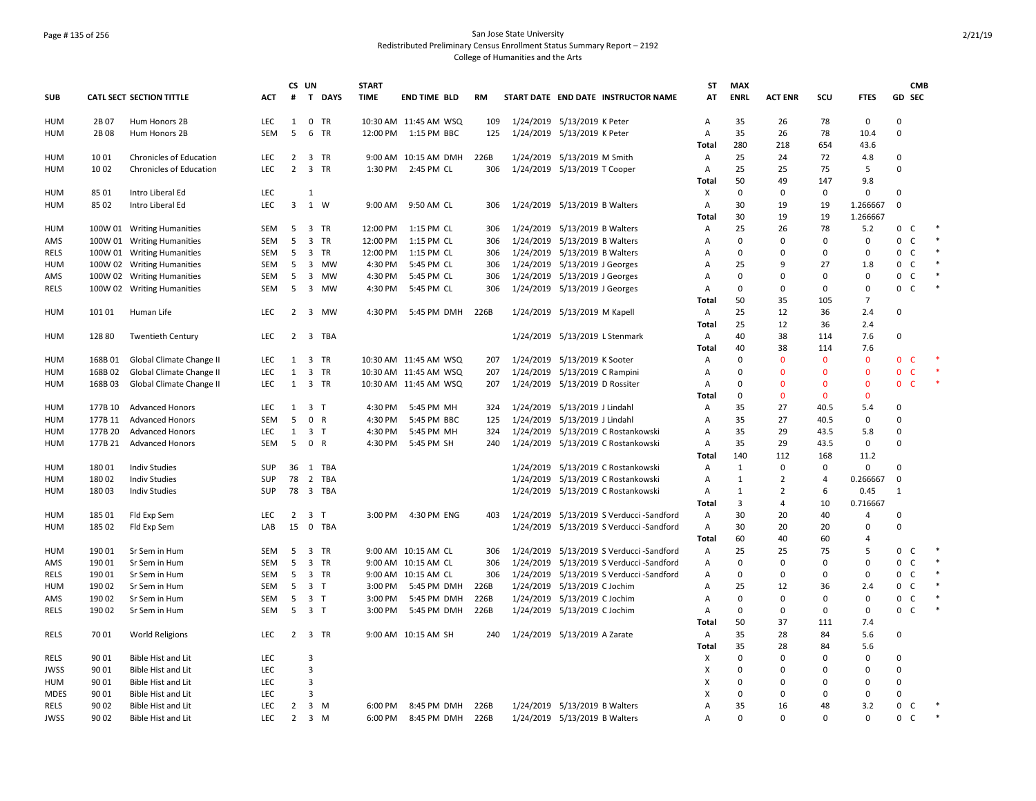## Page # 135 of 256 San Jose State University Redistributed Preliminary Census Enrollment Status Summary Report – 2192 College of Humanities and the Arts

|             |         |                                 |            |                | CS UN                         | <b>START</b> |                       |           |                                         | <b>ST</b>      | <b>MAX</b>   |                |                |                |                | <b>CMB</b>   |        |
|-------------|---------|---------------------------------|------------|----------------|-------------------------------|--------------|-----------------------|-----------|-----------------------------------------|----------------|--------------|----------------|----------------|----------------|----------------|--------------|--------|
| <b>SUB</b>  |         | <b>CATL SECT SECTION TITTLE</b> | <b>ACT</b> | #              | T<br><b>DAYS</b>              | <b>TIME</b>  | <b>END TIME BLD</b>   | <b>RM</b> | START DATE END DATE INSTRUCTOR NAME     | AT             | <b>ENRL</b>  | <b>ACT ENR</b> | SCU            | <b>FTES</b>    | GD SEC         |              |        |
| HUM         | 2B 07   | Hum Honors 2B                   | <b>LEC</b> | 1              | 0 TR                          |              | 10:30 AM 11:45 AM WSQ | 109       | 1/24/2019 5/13/2019 K Peter             | A              | 35           | 26             | 78             | $\mathbf 0$    | $\Omega$       |              |        |
| HUM         | 2B 08   | Hum Honors 2B                   | SEM        | 5              | 6<br>TR                       |              | 12:00 PM 1:15 PM BBC  | 125       | 1/24/2019 5/13/2019 K Peter             | A              | 35           | 26             | 78             | 10.4           | 0              |              |        |
|             |         |                                 |            |                |                               |              |                       |           |                                         | Total          | 280          | 218            | 654            | 43.6           |                |              |        |
| HUM         | 1001    | Chronicles of Education         | <b>LEC</b> | 2              | 3 TR                          |              | 9:00 AM 10:15 AM DMH  | 226B      | 1/24/2019 5/13/2019 M Smith             | Α              | 25           | 24             | 72             | 4.8            | 0              |              |        |
| HUM         | 1002    | Chronicles of Education         | <b>LEC</b> | $\overline{2}$ | 3 TR                          |              | 1:30 PM 2:45 PM CL    | 306       | 1/24/2019 5/13/2019 T Cooper            | Α              | 25           | 25             | 75             | 5              | $\mathbf 0$    |              |        |
|             |         |                                 |            |                |                               |              |                       |           |                                         | Total          | 50           | 49             | 147            | 9.8            |                |              |        |
| <b>HUM</b>  | 85 01   | Intro Liberal Ed                | LEC        |                | 1                             |              |                       |           |                                         | X              | $\mathbf 0$  | $\mathbf 0$    | $\mathbf 0$    | 0              | $\mathbf 0$    |              |        |
| HUM         | 85 02   | Intro Liberal Ed                | <b>LEC</b> | 3              | 1 W                           | 9:00 AM      | 9:50 AM CL            | 306       | 1/24/2019 5/13/2019 B Walters           | $\overline{A}$ | 30           | 19             | 19             | 1.266667       | $\mathbf 0$    |              |        |
|             |         |                                 |            |                |                               |              |                       |           |                                         | Total          | 30           | 19             | 19             | 1.266667       |                |              |        |
| HUM         |         | 100W 01 Writing Humanities      | SEM        | - 5            | 3 TR                          | 12:00 PM     | 1:15 PM CL            | 306       | 1/24/2019 5/13/2019 B Walters           | Α              | 25           | 26             | 78             | 5.2            | 0 <sup>o</sup> |              | $\ast$ |
| AMS         |         | 100W 01 Writing Humanities      | SEM        | 5              | 3 TR                          | 12:00 PM     | 1:15 PM CL            | 306       | 1/24/2019 5/13/2019 B Walters           | Α              | 0            | 0              | 0              | 0              | 0              | $\mathsf{C}$ | $\ast$ |
| RELS        |         | 100W 01 Writing Humanities      | SEM        | 5              | 3 TR                          |              | 12:00 PM 1:15 PM CL   | 306       | 1/24/2019 5/13/2019 B Walters           | $\overline{A}$ | 0            | $\Omega$       | $\Omega$       | 0              | 0              | $\mathsf{C}$ |        |
| HUM         |         | 100W 02 Writing Humanities      | SEM        | 5              | 3 MW                          | 4:30 PM      | 5:45 PM CL            | 306       | 1/24/2019 5/13/2019 J Georges           | Α              | 25           | q              | 27             | 1.8            | 0              | $\mathsf{C}$ |        |
| AMS         |         | 100W 02 Writing Humanities      | SEM        | 5              | 3 MW                          | 4:30 PM      | 5:45 PM CL            | 306       | 1/24/2019 5/13/2019 J Georges           | A              | $\Omega$     | $\Omega$       | $\Omega$       | 0              | 0              | $\mathsf{C}$ |        |
| <b>RELS</b> |         | 100W 02 Writing Humanities      | SEM        | 5              | 3 MW                          | 4:30 PM      | 5:45 PM CL            | 306       | 1/24/2019 5/13/2019 J Georges           | Α              | $\mathbf 0$  | $\mathbf 0$    | $\mathbf 0$    | 0              | $\mathbf 0$    | $\mathsf{C}$ |        |
|             |         |                                 |            |                |                               |              |                       |           |                                         | Total          | 50           | 35             | 105            | $\overline{7}$ |                |              |        |
| <b>HUM</b>  | 10101   | Human Life                      | <b>LEC</b> | 2              | 3 MW                          |              | 4:30 PM 5:45 PM DMH   | 226B      | 1/24/2019 5/13/2019 M Kapell            | A              | 25           | 12             | 36             | 2.4            | $\Omega$       |              |        |
|             |         |                                 |            |                |                               |              |                       |           |                                         | Total          | 25           | 12             | 36             | 2.4            |                |              |        |
| HUM         | 12880   | <b>Twentieth Century</b>        | <b>LEC</b> | 2              | 3 TBA                         |              |                       |           | 1/24/2019 5/13/2019 L Stenmark          | Α              | 40           | 38             | 114            | 7.6            | $\Omega$       |              |        |
|             |         |                                 |            |                |                               |              |                       |           |                                         | Total          | 40           | 38             | 114            | 7.6            |                |              |        |
| HUM         | 168B01  | Global Climate Change II        | <b>LEC</b> | 1              | $\overline{\mathbf{3}}$<br>TR |              | 10:30 AM 11:45 AM WSQ | 207       | 1/24/2019 5/13/2019 K Sooter            | Α              | 0            | $\Omega$       | $\mathbf{0}$   | $\mathbf 0$    | 0              | C            |        |
| HUM         | 168B02  | Global Climate Change II        | <b>LEC</b> | $\mathbf{1}$   | 3 TR                          |              | 10:30 AM 11:45 AM WSQ | 207       | 1/24/2019 5/13/2019 C Rampini           | Α              | $\Omega$     | $\Omega$       | $\mathbf{0}$   | $\mathbf 0$    | $\mathbf 0$    | $\mathsf{C}$ |        |
| HUM         | 168B03  | Global Climate Change II        | <b>LEC</b> | 1              | 3 TR                          |              | 10:30 AM 11:45 AM WSQ | 207       | 1/24/2019 5/13/2019 D Rossiter          | A              | 0            | $\mathbf{0}$   | $\mathbf{0}$   | $\mathbf{0}$   | $\mathbf{0}$   | <b>C</b>     |        |
|             |         |                                 |            |                |                               |              |                       |           |                                         | <b>Total</b>   | $\mathbf 0$  | $\Omega$       | $\mathbf{0}$   | $\mathbf 0$    |                |              |        |
| <b>HUM</b>  | 177B 10 | <b>Advanced Honors</b>          | <b>LEC</b> | 1              | 3 <sub>T</sub>                | 4:30 PM      | 5:45 PM MH            | 324       | 1/24/2019 5/13/2019 J Lindahl           | Α              | 35           | 27             | 40.5           | 5.4            | $\mathbf 0$    |              |        |
| <b>HUM</b>  | 177B 11 | <b>Advanced Honors</b>          | <b>SEM</b> | 5              | 0 R                           | 4:30 PM      | 5:45 PM BBC           | 125       | 1/24/2019 5/13/2019 J Lindahl           | $\overline{A}$ | 35           | 27             | 40.5           | $\mathbf 0$    | $\Omega$       |              |        |
| <b>HUM</b>  | 177B 20 | <b>Advanced Honors</b>          | LEC        | 1              | 3 <sub>T</sub>                | 4:30 PM      | 5:45 PM MH            | 324       | 1/24/2019 5/13/2019 C Rostankowski      | A              | 35           | 29             | 43.5           | 5.8            | $\Omega$       |              |        |
| HUM         | 177B 21 | <b>Advanced Honors</b>          | <b>SEM</b> | 5              | 0 R                           |              | 4:30 PM 5:45 PM SH    | 240       | 1/24/2019 5/13/2019 C Rostankowski      | Α              | 35           | 29             | 43.5           | $\mathbf 0$    | $\Omega$       |              |        |
|             |         |                                 |            |                |                               |              |                       |           |                                         | Total          | 140          | 112            | 168            | 11.2           |                |              |        |
| HUM         | 18001   | <b>Indiv Studies</b>            | <b>SUP</b> | 36             | 1 TBA                         |              |                       |           | 1/24/2019 5/13/2019 C Rostankowski      | Α              | 1            | 0              | 0              | 0              | $\Omega$       |              |        |
| HUM         | 18002   | <b>Indiv Studies</b>            | <b>SUP</b> | 78             | 2 TBA                         |              |                       |           | 1/24/2019 5/13/2019 C Rostankowski      | А              | $\mathbf{1}$ | 2              | $\overline{4}$ | 0.266667       | $\mathbf 0$    |              |        |
| HUM         | 18003   | <b>Indiv Studies</b>            | <b>SUP</b> | 78             | 3 TBA                         |              |                       |           | 1/24/2019 5/13/2019 C Rostankowski      | A              | 1            | 2              | 6              | 0.45           | $\mathbf{1}$   |              |        |
|             |         |                                 |            |                |                               |              |                       |           |                                         | Total          | 3            | $\overline{4}$ | 10             | 0.716667       |                |              |        |
| <b>HUM</b>  | 185 01  | Fld Exp Sem                     | <b>LEC</b> | $\overline{2}$ | 3 <sub>T</sub>                | 3:00 PM      | 4:30 PM ENG           | 403       | 1/24/2019 5/13/2019 S Verducci-Sandford | Α              | 30           | 20             | 40             | $\overline{4}$ | $\Omega$       |              |        |
| <b>HUM</b>  | 185 02  | Fld Exp Sem                     | LAB        | 15             | 0 TBA                         |              |                       |           | 1/24/2019 5/13/2019 S Verducci-Sandford | $\overline{A}$ | 30           | 20             | 20             | $\mathbf 0$    | $\Omega$       |              |        |
|             |         |                                 |            |                |                               |              |                       |           |                                         | Total          | 60           | 40             | 60             | 4              |                |              |        |
| HUM         | 190 01  | Sr Sem in Hum                   | SEM        | 5              | 3 TR                          |              | 9:00 AM 10:15 AM CL   | 306       | 1/24/2019 5/13/2019 S Verducci-Sandford | Α              | 25           | 25             | 75             | 5              | 0              | C            |        |
| AMS         | 190 01  | Sr Sem in Hum                   | SEM        | 5              | 3 TR                          |              | 9:00 AM 10:15 AM CL   | 306       | 1/24/2019 5/13/2019 S Verducci-Sandford | Α              | $\mathbf 0$  | 0              | 0              | 0              | 0              | $\mathsf{C}$ |        |
| <b>RELS</b> | 190 01  | Sr Sem in Hum                   | <b>SEM</b> | 5              | 3 TR                          |              | 9:00 AM 10:15 AM CL   | 306       | 1/24/2019 5/13/2019 S Verducci-Sandford | Α              | $\Omega$     | 0              | $\Omega$       | 0              | 0              | $\mathsf{C}$ |        |
| <b>HUM</b>  | 190 02  | Sr Sem in Hum                   | SEM        | 5              | 3 <sub>T</sub>                | 3:00 PM      | 5:45 PM DMH           | 226B      | 1/24/2019 5/13/2019 C Jochim            | Α              | 25           | 12             | 36             | 2.4            | 0              | $\mathsf{C}$ |        |
| AMS         | 190 02  | Sr Sem in Hum                   | <b>SEM</b> | 5              | 3 <sub>T</sub>                | 3:00 PM      | 5:45 PM DMH           | 226B      | 1/24/2019 5/13/2019 C Jochim            | $\overline{A}$ | 0            | $\Omega$       | $\Omega$       | $\mathbf 0$    | 0              | $\mathsf{C}$ |        |
| <b>RELS</b> | 190 02  | Sr Sem in Hum                   | SEM        | 5              | 3 <sub>T</sub>                | 3:00 PM      | 5:45 PM DMH           | 226B      | 1/24/2019 5/13/2019 C Jochim            | A              | $\mathbf 0$  | $\mathbf 0$    | $\mathbf 0$    | $\mathbf 0$    | 0              | C            |        |
|             |         |                                 |            |                |                               |              |                       |           |                                         | Total          | 50           | 37             | 111            | 7.4            |                |              |        |
| <b>RELS</b> | 70 01   | <b>World Religions</b>          | <b>LEC</b> |                | 2 3 TR                        |              | 9:00 AM 10:15 AM SH   | 240       | 1/24/2019 5/13/2019 A Zarate            | A              | 35           | 28             | 84             | 5.6            | $\Omega$       |              |        |
|             |         |                                 |            |                |                               |              |                       |           |                                         | <b>Total</b>   | 35           | 28             | 84             | 5.6            |                |              |        |
| RELS        | 90 01   | <b>Bible Hist and Lit</b>       | <b>LEC</b> |                | $\overline{3}$                |              |                       |           |                                         | X              | 0            | $\Omega$       | $\Omega$       | 0              | 0              |              |        |
| JWSS        | 90 01   | <b>Bible Hist and Lit</b>       | LEC        |                | $\overline{3}$                |              |                       |           |                                         | X              | 0            | $\Omega$       | 0              | 0              | 0              |              |        |
| HUM         | 90 01   | <b>Bible Hist and Lit</b>       | <b>LEC</b> |                | $\overline{3}$                |              |                       |           |                                         | X              | 0            | $\Omega$       | $\Omega$       | 0              | 0              |              |        |
| <b>MDES</b> | 90 01   | Bible Hist and Lit              | LEC        |                | 3                             |              |                       |           |                                         | X              | $\mathbf 0$  | $\Omega$       | $\Omega$       | 0              | $\mathbf 0$    |              |        |
| <b>RELS</b> | 90 02   | <b>Bible Hist and Lit</b>       | <b>LEC</b> | 2              | 3 M                           | 6:00 PM      | 8:45 PM DMH           | 226B      | 1/24/2019 5/13/2019 B Walters           | $\overline{A}$ | 35           | 16             | 48             | 3.2            | 0              | $\mathsf{C}$ | $\ast$ |
| <b>JWSS</b> | 90 02   | Bible Hist and Lit              | <b>LEC</b> | $\overline{2}$ | 3 M                           | 6:00 PM      | 8:45 PM DMH           | 226B      | 1/24/2019 5/13/2019 B Walters           | $\overline{A}$ | $\Omega$     | $\Omega$       | $\Omega$       | 0              | $\mathbf 0$    | C            |        |
|             |         |                                 |            |                |                               |              |                       |           |                                         |                |              |                |                |                |                |              |        |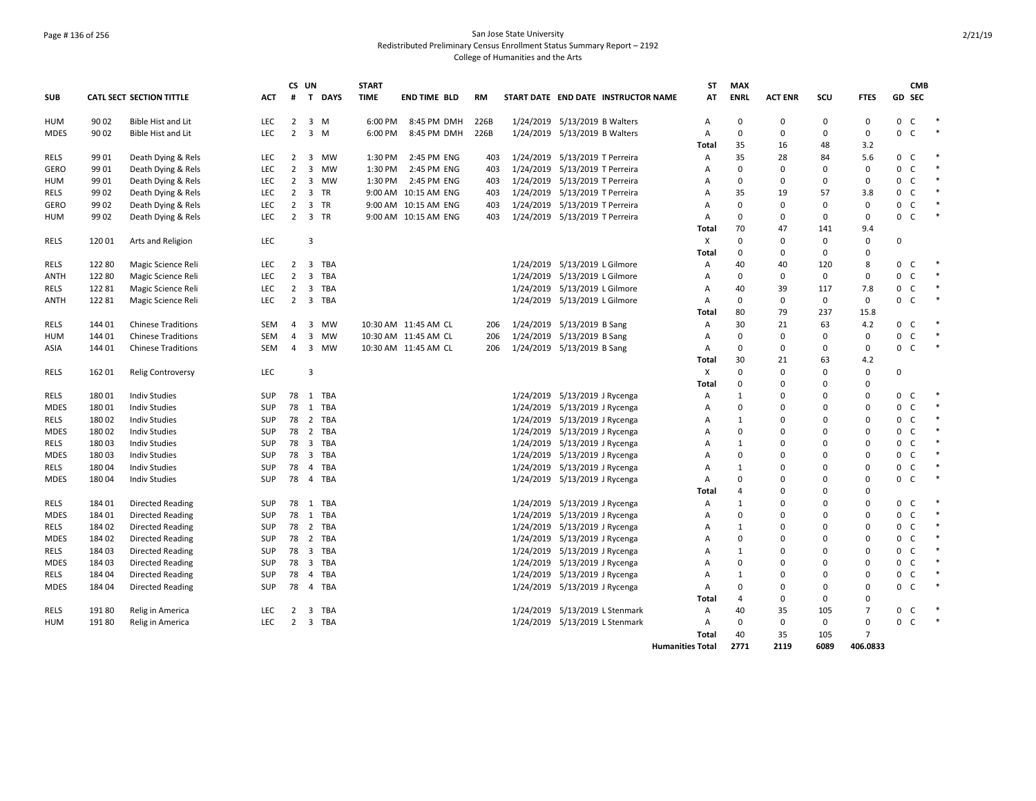## Page # 136 of 256 San Jose State University Redistributed Preliminary Census Enrollment Status Summary Report – 2192 College of Humanities and the Arts

|                     |                |                                          |                   |                     | CS UN                   |                 | <b>START</b>       |                            |            |           |                                                        |                         | ST           | <b>MAX</b>     |                |                |                |                   | <b>CMB</b>                   |        |
|---------------------|----------------|------------------------------------------|-------------------|---------------------|-------------------------|-----------------|--------------------|----------------------------|------------|-----------|--------------------------------------------------------|-------------------------|--------------|----------------|----------------|----------------|----------------|-------------------|------------------------------|--------|
| <b>SUB</b>          |                | <b>CATL SECT SECTION TITTLE</b>          | <b>ACT</b>        |                     |                         | # T DAYS        | <b>TIME</b>        | <b>END TIME BLD</b>        | <b>RM</b>  |           | START DATE END DATE INSTRUCTOR NAME                    |                         | AT           | <b>ENRL</b>    | <b>ACT ENR</b> | SCU            | <b>FTES</b>    |                   | GD SEC                       |        |
| HUM                 | 90 02          | <b>Bible Hist and Lit</b>                | <b>LEC</b>        | $\overline{2}$      |                         | 3 M             | 6:00 PM            | 8:45 PM DMH                | 226B       |           | 1/24/2019 5/13/2019 B Walters                          |                         | Α            | $\mathbf 0$    | 0              | 0              | $\mathbf 0$    | $0-$              |                              |        |
| <b>MDES</b>         | 90 02          | Bible Hist and Lit                       | <b>LEC</b>        | $\overline{2}$      |                         | $3 \, M$        | 6:00 PM            | 8:45 PM DMH                | 226B       |           | 1/24/2019 5/13/2019 B Walters                          |                         | Α            | $\mathbf 0$    | $\Omega$       | 0              | 0              | $\mathbf 0$       | $\mathsf{C}$                 |        |
|                     |                |                                          |                   |                     |                         |                 |                    |                            |            |           |                                                        |                         | Total        | 35             | 16             | 48             | 3.2            |                   |                              |        |
| RELS<br><b>GERO</b> | 99 01<br>99 01 | Death Dying & Rels<br>Death Dying & Rels | <b>LEC</b><br>LEC | 2<br>$\overline{2}$ | 3<br>3                  | <b>MW</b><br>MW | 1:30 PM<br>1:30 PM | 2:45 PM ENG<br>2:45 PM ENG | 403<br>403 | 1/24/2019 | 1/24/2019 5/13/2019 T Perreira<br>5/13/2019 T Perreira |                         | Α<br>A       | 35<br>$\Omega$ | 28<br>$\Omega$ | 84<br>$\Omega$ | 5.6<br>0       | $\mathbf{0}$<br>0 | <sub>c</sub><br>$\mathsf{C}$ | $\ast$ |
| HUM                 | 99 01          | Death Dying & Rels                       | <b>LEC</b>        | $\overline{2}$      |                         | 3 MW            | 1:30 PM            | 2:45 PM ENG                | 403        |           | 1/24/2019 5/13/2019 T Perreira                         |                         | A            | 0              | $\Omega$       | $\Omega$       | $\mathbf 0$    | 0                 | $\mathsf{C}$                 | $\ast$ |
| RELS                | 99 02          | Death Dying & Rels                       | <b>LEC</b>        | $\overline{2}$      |                         | 3 TR            |                    | 9:00 AM 10:15 AM ENG       | 403        |           | 1/24/2019 5/13/2019 T Perreira                         |                         | Α            | 35             | 19             | 57             | 3.8            | $\mathbf{0}$      | $\mathsf{C}$                 | $\ast$ |
| <b>GERO</b>         | 99 02          | Death Dying & Rels                       | LEC               | $\overline{2}$      |                         | 3 TR            |                    | 9:00 AM 10:15 AM ENG       | 403        |           | 1/24/2019 5/13/2019 T Perreira                         |                         | Α            | $\mathbf 0$    | $\Omega$       | $\mathbf 0$    | $\mathbf 0$    | 0                 | $\mathsf{C}$                 |        |
| HUM                 | 99 02          | Death Dying & Rels                       | <b>LEC</b>        | 2                   |                         | 3 TR            |                    | 9:00 AM 10:15 AM ENG       | 403        |           | 1/24/2019 5/13/2019 T Perreira                         |                         | A            | $\Omega$       | <sup>0</sup>   | 0              | 0              | $\mathbf{0}$      | C <sub>1</sub>               |        |
|                     |                |                                          |                   |                     |                         |                 |                    |                            |            |           |                                                        |                         | Total        | 70             | 47             | 141            | 9.4            |                   |                              |        |
| <b>RELS</b>         | 12001          | Arts and Religion                        | LEC               |                     | $\overline{3}$          |                 |                    |                            |            |           |                                                        |                         | X            | $\Omega$       | $\Omega$       | $\mathbf 0$    | 0              | 0                 |                              |        |
|                     |                |                                          |                   |                     |                         |                 |                    |                            |            |           |                                                        |                         | <b>Total</b> | 0              | $\Omega$       | 0              | 0              |                   |                              |        |
| <b>RELS</b>         | 12280          | Magic Science Reli                       | <b>LEC</b>        | 2                   | $\overline{3}$          | TBA             |                    |                            |            |           | 1/24/2019 5/13/2019 L Gilmore                          |                         | Α            | 40             | 40             | 120            | 8              | 0                 | $\mathsf{C}$                 |        |
| ANTH                | 12280          | Magic Science Reli                       | <b>LEC</b>        | 2                   | 3                       | TBA             |                    |                            |            | 1/24/2019 | 5/13/2019 L Gilmore                                    |                         | A            | $\Omega$       | $\Omega$       | $\mathbf 0$    | $\mathbf 0$    | 0                 | $\mathsf{C}$                 | $\ast$ |
| RELS                | 12281          | Magic Science Reli                       | <b>LEC</b>        | $\overline{2}$      |                         | 3 TBA           |                    |                            |            |           | 1/24/2019 5/13/2019 L Gilmore                          |                         | Α            | 40             | 39             | 117            | 7.8            | $\mathbf 0$       | $\mathsf{C}$                 |        |
| <b>ANTH</b>         | 12281          | Magic Science Reli                       | LEC               | 2                   | $\overline{\mathbf{3}}$ | <b>TBA</b>      |                    |                            |            |           | 1/24/2019 5/13/2019 L Gilmore                          |                         | A            | $\mathbf 0$    | 0              | $\mathbf 0$    | $\mathbf 0$    | $0-$              |                              | $\ast$ |
|                     |                |                                          |                   |                     |                         |                 |                    |                            |            |           |                                                        |                         | Total        | 80             | 79             | 237            | 15.8           |                   |                              |        |
| <b>RELS</b>         | 144 01         | <b>Chinese Traditions</b>                | SEM               | 4                   | 3                       | MW              |                    | 10:30 AM 11:45 AM CL       | 206        |           | 1/24/2019 5/13/2019 B Sang                             |                         | Α            | 30             | 21             | 63             | 4.2            | $\overline{0}$    | $\mathsf{C}$                 |        |
| HUM                 | 144 01         | <b>Chinese Traditions</b>                | <b>SEM</b>        | 4                   | 3                       | MW              |                    | 10:30 AM 11:45 AM CL       | 206        |           | 1/24/2019 5/13/2019 B Sang                             |                         | Α            | 0              | $\Omega$       | 0              | 0              | 0                 | $\mathsf C$                  |        |
| ASIA                | 144 01         | <b>Chinese Traditions</b>                | SEM               | 4                   |                         | 3 MW            |                    | 10:30 AM 11:45 AM CL       | 206        |           | 1/24/2019 5/13/2019 B Sang                             |                         | А            | 0              | 0              | 0              | 0              | $\mathbf{0}$      | $\mathsf{C}$                 |        |
|                     |                |                                          |                   |                     |                         |                 |                    |                            |            |           |                                                        |                         | <b>Total</b> | 30             | 21             | 63             | 4.2            |                   |                              |        |
| <b>RELS</b>         | 162 01         | <b>Relig Controversy</b>                 | LEC               |                     | $\overline{3}$          |                 |                    |                            |            |           |                                                        |                         | X            | $\Omega$       | $\Omega$       | $\Omega$       | $\mathbf 0$    | 0                 |                              |        |
|                     |                |                                          |                   |                     |                         |                 |                    |                            |            |           |                                                        |                         | <b>Total</b> | $\Omega$       | O              | $\Omega$       | 0              |                   |                              |        |
| RELS                | 18001          | <b>Indiv Studies</b>                     | SUP               |                     |                         | 78 1 TBA        |                    |                            |            |           | 1/24/2019 5/13/2019 J Rycenga                          |                         | A            | $\mathbf{1}$   | ŋ              | $\Omega$       | 0              | $\mathbf{0}$      | C                            |        |
| <b>MDES</b>         | 18001          | <b>Indiv Studies</b>                     | SUP               | 78                  |                         | 1 TBA           |                    |                            |            |           | 1/24/2019 5/13/2019 J Rycenga                          |                         | Α            | $\mathbf 0$    | 0              | $\Omega$       | $\Omega$       | 0                 | $\mathsf{C}$                 | $\ast$ |
| <b>RELS</b>         | 180 02         | <b>Indiv Studies</b>                     | SUP               |                     |                         | 78 2 TBA        |                    |                            |            |           | 1/24/2019 5/13/2019 J Rycenga                          |                         | A            | 1              | $\Omega$       | $\Omega$       | $\Omega$       | 0                 | $\mathsf{C}$                 | $\ast$ |
| <b>MDES</b>         | 18002          | <b>Indiv Studies</b>                     | <b>SUP</b>        | 78                  |                         | 2 TBA           |                    |                            |            |           | 1/24/2019 5/13/2019 J Rycenga                          |                         | A            | $\Omega$       | 0              | $\Omega$       | $\Omega$       | $\mathbf 0$       | C                            |        |
| RELS                | 18003          | <b>Indiv Studies</b>                     | <b>SUP</b>        | 78                  | $\overline{\mathbf{3}}$ | TBA             |                    |                            |            | 1/24/2019 | 5/13/2019 J Rycenga                                    |                         | Α            | $\mathbf{1}$   | O              | $\Omega$       | $\Omega$       | 0                 | $\mathsf C$                  |        |
| MDES                | 18003          | <b>Indiv Studies</b>                     | <b>SUP</b>        | 78                  |                         | 3 TBA           |                    |                            |            |           | 1/24/2019 5/13/2019 J Rycenga                          |                         | Α            | 0              | <sup>0</sup>   | $\Omega$       | $\Omega$       | 0                 | $\mathsf{C}$                 |        |
| RELS                | 18004          | <b>Indiv Studies</b>                     | <b>SUP</b>        | 78                  |                         | 4 TBA           |                    |                            |            |           | 1/24/2019 5/13/2019 J Rycenga                          |                         | Α            | 1              | O              | $\mathbf 0$    | 0              | 0                 | $\mathsf{C}$                 | $\ast$ |
| <b>MDES</b>         | 18004          | <b>Indiv Studies</b>                     | SUP               | 78                  |                         | 4 TBA           |                    |                            |            |           | 1/24/2019 5/13/2019 J Rycenga                          |                         | A            | $\Omega$       | $\Omega$       | $\Omega$       | $\mathbf 0$    | 0                 | C                            |        |
|                     |                |                                          |                   |                     |                         |                 |                    |                            |            |           |                                                        |                         | Total        | 4              | n              | $\Omega$       | <sup>0</sup>   |                   |                              |        |
| <b>RELS</b>         | 184 01         | <b>Directed Reading</b>                  | <b>SUP</b>        | 78                  |                         | 1 TBA           |                    |                            |            |           | 1/24/2019 5/13/2019 J Rycenga                          |                         | Α            | 1              | O              | $\Omega$       | $\Omega$       | 0                 | C                            |        |
| <b>MDES</b>         | 18401          | <b>Directed Reading</b>                  | <b>SUP</b>        | 78                  |                         | 1 TBA           |                    |                            |            |           | 1/24/2019 5/13/2019 J Rycenga                          |                         | A            | 0              | O              | $\Omega$       | 0              | $\mathbf 0$       | $\mathsf{C}$                 | $\ast$ |
| RELS                | 184 02         | <b>Directed Reading</b>                  | SUP               | 78                  |                         | 2 TBA           |                    |                            |            |           | 1/24/2019 5/13/2019 J Rycenga                          |                         | Α            | 1              | 0              | $\Omega$       | $\Omega$       | 0                 | $\mathsf{C}$                 |        |
| <b>MDES</b>         | 184 02         | <b>Directed Reading</b>                  | <b>SUP</b>        | 78                  |                         | 2 TBA           |                    |                            |            |           | 1/24/2019 5/13/2019 J Rycenga                          |                         | A            | $\mathbf 0$    | $\Omega$       | $\Omega$       | 0              | 0                 | $\mathsf{C}$                 |        |
| RELS                | 18403          | <b>Directed Reading</b>                  | SUP               | 78                  | $\overline{3}$          | TBA             |                    |                            |            |           | 1/24/2019 5/13/2019 J Rycenga                          |                         | A            | 1              | 0              | $\Omega$       | $\Omega$       | 0                 | $\mathsf{C}$                 |        |
| <b>MDES</b>         | 18403          | <b>Directed Reading</b>                  | <b>SUP</b>        | 78                  |                         | 3 TBA           |                    |                            |            |           | 1/24/2019 5/13/2019 J Rycenga                          |                         | Α            | 0              | 0              | $\mathbf 0$    | 0              | 0                 | $\mathsf{C}$                 |        |
| RELS                | 184 04         | <b>Directed Reading</b>                  | <b>SUP</b>        | 78                  |                         | 4 TBA           |                    |                            |            | 1/24/2019 | 5/13/2019 J Rycenga                                    |                         | Α            | $\mathbf{1}$   | O              | $\Omega$       | 0              | 0                 | C                            | $\ast$ |
| <b>MDES</b>         | 184 04         | <b>Directed Reading</b>                  | <b>SUP</b>        | 78                  |                         | 4 TBA           |                    |                            |            |           | 1/24/2019 5/13/2019 J Rycenga                          |                         | Α            | 0              | 0              | $\Omega$       | 0              | 0                 | $\mathsf{C}$                 |        |
|                     |                |                                          |                   |                     |                         |                 |                    |                            |            |           |                                                        |                         | <b>Total</b> | $\overline{4}$ | $\Omega$       | 0              | $\Omega$       |                   |                              |        |
| RELS                | 19180          | Relig in America                         | LEC               | 2                   | 3                       | TBA             |                    |                            |            |           | 1/24/2019 5/13/2019 L Stenmark                         |                         | Α            | 40             | 35             | 105            | 7              | $\mathbf{0}$      | C                            |        |
| HUM                 | 19180          | Relig in America                         | LEC               | 2                   |                         | 3 TBA           |                    |                            |            |           | 1/24/2019 5/13/2019 L Stenmark                         |                         | А            | 0              | 0              | 0              | $\mathbf 0$    | $\Omega$          | $\mathsf{C}$                 | $\ast$ |
|                     |                |                                          |                   |                     |                         |                 |                    |                            |            |           |                                                        |                         | Total        | 40             | 35             | 105            | $\overline{7}$ |                   |                              |        |
|                     |                |                                          |                   |                     |                         |                 |                    |                            |            |           |                                                        | <b>Humanities Total</b> |              | 2771           | 2119           | 6089           | 406.0833       |                   |                              |        |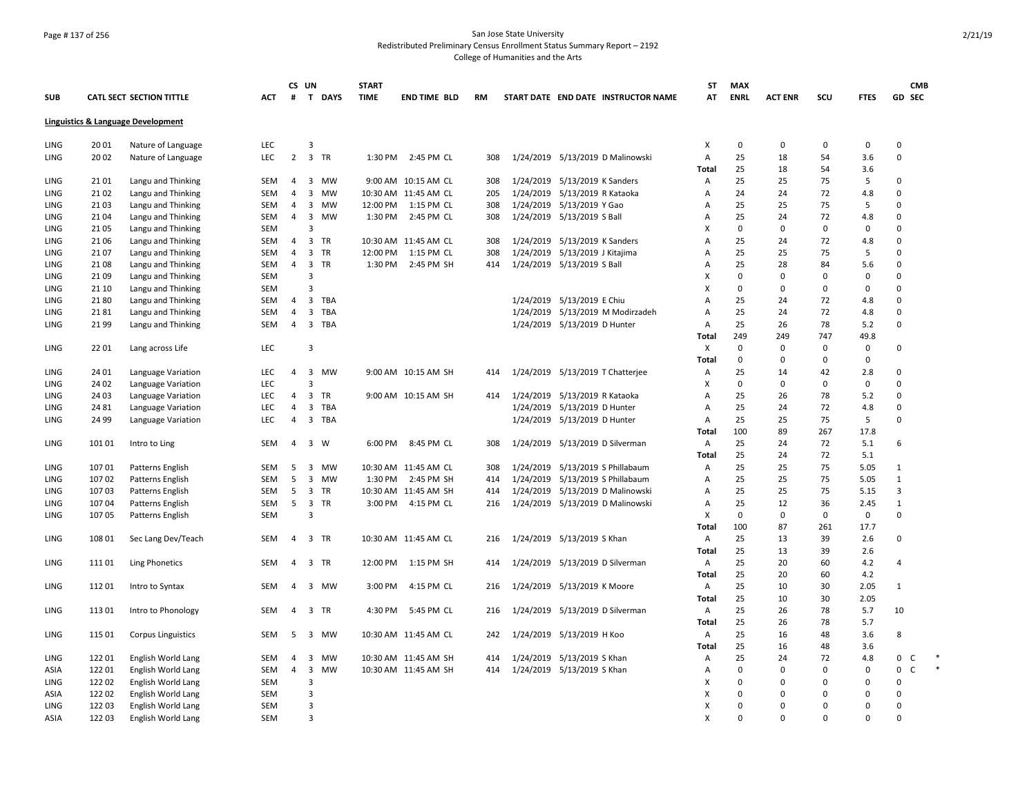## Page # 137 of 256 San Jose State University Redistributed Preliminary Census Enrollment Status Summary Report – 2192 College of Humanities and the Arts

|            |        |                                    |            | CS UN          |                               | <b>START</b> |                      |           |                                     | ST             | <b>MAX</b>  |                |             |             | <b>CMB</b>   |        |
|------------|--------|------------------------------------|------------|----------------|-------------------------------|--------------|----------------------|-----------|-------------------------------------|----------------|-------------|----------------|-------------|-------------|--------------|--------|
| <b>SUB</b> |        | <b>CATL SECT SECTION TITTLE</b>    | <b>ACT</b> | #              | $\mathbf{T}$<br><b>DAYS</b>   | <b>TIME</b>  | <b>END TIME BLD</b>  | <b>RM</b> | START DATE END DATE INSTRUCTOR NAME | AT             | <b>ENRL</b> | <b>ACT ENR</b> | scu         | <b>FTES</b> | GD SEC       |        |
|            |        | Linguistics & Language Development |            |                |                               |              |                      |           |                                     |                |             |                |             |             |              |        |
| LING       | 2001   | Nature of Language                 | LEC        |                | 3                             |              |                      |           |                                     | X              | $\Omega$    | $\Omega$       | 0           | 0           | $\Omega$     |        |
| LING       | 20 02  | Nature of Language                 | LEC        | $\overline{2}$ | 3 TR                          | 1:30 PM      | 2:45 PM CL           | 308       | 1/24/2019 5/13/2019 D Malinowski    | Α              | 25          | 18             | 54          | 3.6         | $\mathbf 0$  |        |
|            |        |                                    |            |                |                               |              |                      |           |                                     | <b>Total</b>   | 25          | 18             | 54          | 3.6         |              |        |
| LING       | 2101   | Langu and Thinking                 | SEM        | 4              | 3<br>MW                       |              | 9:00 AM 10:15 AM CL  | 308       | 1/24/2019 5/13/2019 K Sanders       | Α              | 25          | 25             | 75          | 5           | 0            |        |
| LING       | 21 02  | Langu and Thinking                 | SEM        | $\overline{4}$ | 3<br>MW                       |              | 10:30 AM 11:45 AM CL | 205       | 1/24/2019 5/13/2019 R Kataoka       | Α              | 24          | 24             | 72          | 4.8         | $\Omega$     |        |
| LING       | 21 03  | Langu and Thinking                 | SEM        | 4              | 3 MW                          | 12:00 PM     | 1:15 PM CL           | 308       | 1/24/2019 5/13/2019 Y Gao           | A              | 25          | 25             | 75          | 5           | 0            |        |
| LING       | 21 04  | Langu and Thinking                 | <b>SEM</b> | $\overline{4}$ | 3 MW                          | 1:30 PM      | 2:45 PM CL           | 308       | 1/24/2019 5/13/2019 S Ball          | Α              | 25          | 24             | 72          | 4.8         | $\Omega$     |        |
| LING       | 2105   | Langu and Thinking                 | <b>SEM</b> |                | 3                             |              |                      |           |                                     | X              | $\mathbf 0$ | $\Omega$       | $\mathbf 0$ | $\mathbf 0$ | $\mathbf 0$  |        |
| LING       | 21 06  | Langu and Thinking                 | SEM        | $\overline{4}$ | 3<br>TR                       |              | 10:30 AM 11:45 AM CL | 308       | 1/24/2019 5/13/2019 K Sanders       | $\overline{A}$ | 25          | 24             | 72          | 4.8         | $\Omega$     |        |
| LING       | 2107   | Langu and Thinking                 | SEM        | 4              | 3 TR                          | 12:00 PM     | 1:15 PM CL           | 308       | 1/24/2019 5/13/2019 J Kitajima      | A              | 25          | 25             | 75          | 5           | 0            |        |
| LING       | 2108   | Langu and Thinking                 | SEM        | 4              | 3 TR                          | 1:30 PM      | 2:45 PM SH           | 414       | 1/24/2019 5/13/2019 S Ball          | Α              | 25          | 28             | 84          | 5.6         | $\Omega$     |        |
| LING       | 2109   | Langu and Thinking                 | <b>SEM</b> |                | 3                             |              |                      |           |                                     | X              | $\mathbf 0$ | $\Omega$       | $\Omega$    | $\mathbf 0$ | $\Omega$     |        |
| LING       | 21 10  | Langu and Thinking                 | <b>SEM</b> |                | $\overline{3}$                |              |                      |           |                                     | x              | $\mathbf 0$ | $\Omega$       | $\Omega$    | $\mathbf 0$ | $\Omega$     |        |
| LING       | 2180   | Langu and Thinking                 | SEM        | 4              | 3<br>TBA                      |              |                      |           | 1/24/2019 5/13/2019 E Chiu          | A              | 25          | 24             | 72          | 4.8         | $\mathbf 0$  |        |
| LING       | 2181   | Langu and Thinking                 | SEM        | 4              | 3<br>TBA                      |              |                      |           | 1/24/2019 5/13/2019 M Modirzadeh    | A              | 25          | 24             | 72          | 4.8         | 0            |        |
| LING       | 2199   | Langu and Thinking                 | SEM        | 4              | 3 TBA                         |              |                      |           | 1/24/2019 5/13/2019 D Hunter        | Α              | 25          | 26             | 78          | 5.2         | $\mathbf 0$  |        |
|            |        |                                    |            |                |                               |              |                      |           |                                     | Total          | 249         | 249            | 747         | 49.8        |              |        |
| LING       | 2201   | Lang across Life                   | LEC        |                | $\overline{3}$                |              |                      |           |                                     | X              | $\mathbf 0$ | $\Omega$       | $\Omega$    | $\mathbf 0$ | 0            |        |
|            |        |                                    |            |                |                               |              |                      |           |                                     | Total          | $\pmb{0}$   | 0              | $\mathbf 0$ | $\mathbf 0$ |              |        |
| LING       | 24 01  | Language Variation                 | <b>LEC</b> | $\overline{4}$ | 3<br><b>MW</b>                |              | 9:00 AM 10:15 AM SH  | 414       | 1/24/2019 5/13/2019 T Chatterjee    | Α              | 25          | 14             | 42          | 2.8         | $\Omega$     |        |
| LING       | 24 02  | Language Variation                 | <b>LEC</b> |                | 3                             |              |                      |           |                                     | X              | $\mathbf 0$ | $\Omega$       | $\Omega$    | $\mathbf 0$ | 0            |        |
| LING       | 24 03  | Language Variation                 | <b>LEC</b> | 4              | 3<br><b>TR</b>                |              | 9:00 AM 10:15 AM SH  | 414       | 1/24/2019 5/13/2019 R Kataoka       | A              | 25          | 26             | 78          | 5.2         | $\Omega$     |        |
| LING       | 24 81  | Language Variation                 | LEC        | 4              | 3<br>TBA                      |              |                      |           | 1/24/2019 5/13/2019 D Hunter        | $\overline{A}$ | 25          | 24             | 72          | 4.8         | 0            |        |
| LING       | 24 99  | Language Variation                 | LEC        | 4              | 3 TBA                         |              |                      |           | 1/24/2019 5/13/2019 D Hunter        | Α              | 25          | 25             | 75          | 5           | 0            |        |
|            |        |                                    |            |                |                               |              |                      |           |                                     | Total          | 100         | 89             | 267         | 17.8        |              |        |
| LING       | 101 01 | Intro to Ling                      | <b>SEM</b> | $\overline{4}$ | 3 W                           | 6:00 PM      | 8:45 PM CL           | 308       | 1/24/2019 5/13/2019 D Silverman     | Α              | 25          | 24             | 72          | 5.1         | 6            |        |
|            |        |                                    |            |                |                               |              |                      |           |                                     | Total          | 25          | 24             | 72          | 5.1         |              |        |
| LING       | 107 01 | Patterns English                   | SEM        | 5              | $\overline{3}$<br>MW          |              | 10:30 AM 11:45 AM CL | 308       | 1/24/2019 5/13/2019 S Phillabaum    | Α              | 25          | 25             | 75          | 5.05        | $\mathbf{1}$ |        |
| LING       | 10702  | Patterns English                   | SEM        | 5              | 3 MW                          | 1:30 PM      | 2:45 PM SH           | 414       | 1/24/2019 5/13/2019 S Phillabaum    | Α              | 25          | 25             | 75          | 5.05        | $\mathbf{1}$ |        |
| LING       | 10703  | Patterns English                   | <b>SEM</b> | 5              | 3 TR                          |              | 10:30 AM 11:45 AM SH | 414       | 1/24/2019 5/13/2019 D Malinowski    | Α              | 25          | 25             | 75          | 5.15        | 3            |        |
| LING       | 107 04 | Patterns English                   | SEM        | 5              | $\overline{\mathbf{3}}$<br>TR | 3:00 PM      | 4:15 PM CL           | 216       | 1/24/2019 5/13/2019 D Malinowski    | A              | 25          | 12             | 36          | 2.45        | $\mathbf{1}$ |        |
| LING       | 107 05 | Patterns English                   | <b>SEM</b> |                | 3                             |              |                      |           |                                     | X              | $\mathbf 0$ | $\Omega$       | $\Omega$    | $\mathsf 0$ | 0            |        |
|            |        |                                    |            |                |                               |              |                      |           |                                     | Total          | 100         | 87             | 261         | 17.7        |              |        |
| LING       | 108 01 | Sec Lang Dev/Teach                 | SEM        | $\overline{4}$ | 3 TR                          |              | 10:30 AM 11:45 AM CL | 216       | 1/24/2019 5/13/2019 S Khan          | Α              | 25          | 13             | 39          | 2.6         | 0            |        |
|            |        |                                    |            |                |                               |              |                      |           |                                     | Total          | 25          | 13             | 39          | 2.6         |              |        |
| LING       | 11101  | <b>Ling Phonetics</b>              | SEM        | $\overline{4}$ | 3 TR                          | 12:00 PM     | 1:15 PM SH           | 414       | 1/24/2019 5/13/2019 D Silverman     | Α              | 25          | 20             | 60          | 4.2         | 4            |        |
|            |        |                                    |            |                |                               |              |                      |           |                                     | Total          | 25          | 20             | 60          | 4.2         |              |        |
| LING       | 11201  | Intro to Syntax                    | SEM        | 4              | 3 MW                          | 3:00 PM      | 4:15 PM CL           | 216       | 1/24/2019 5/13/2019 K Moore         | Α              | 25          | 10             | 30          | 2.05        | $\mathbf{1}$ |        |
|            |        |                                    |            |                |                               |              |                      |           |                                     | Total          | 25          | 10             | 30          | 2.05        |              |        |
| LING       | 11301  | Intro to Phonology                 | SEM        | 4              | 3 TR                          | 4:30 PM      | 5:45 PM CL           | 216       | 1/24/2019 5/13/2019 D Silverman     | Α              | 25          | 26             | 78          | 5.7         | 10           |        |
|            |        |                                    |            |                |                               |              |                      |           |                                     | Total          | 25          | 26             | 78          | 5.7         |              |        |
| LING       | 115 01 | <b>Corpus Linguistics</b>          | SEM        | 5              | 3 MW                          |              | 10:30 AM 11:45 AM CL | 242       | 1/24/2019 5/13/2019 H Koo           | Α              | 25          | 16             | 48          | 3.6         | 8            |        |
|            |        |                                    |            |                |                               |              |                      |           |                                     | Total          | 25          | 16             | 48          | 3.6         |              |        |
| LING       | 12201  | English World Lang                 | SEM        | 4              | $\overline{\mathbf{3}}$<br>MW |              | 10:30 AM 11:45 AM SH | 414       | 1/24/2019 5/13/2019 S Khan          | Α              | 25          | 24             | 72          | 4.8         | 0<br>C       |        |
| ASIA       | 12201  | English World Lang                 | SEM        | $\overline{4}$ | $\overline{\mathbf{3}}$<br>MW |              | 10:30 AM 11:45 AM SH | 414       | 1/24/2019 5/13/2019 S Khan          | Α              | $\mathbf 0$ | $\Omega$       | $\Omega$    | $\mathbf 0$ | 0<br>C       | $\ast$ |
| LING       | 12202  | English World Lang                 | <b>SEM</b> |                | 3                             |              |                      |           |                                     | X              | $\mathbf 0$ | $\Omega$       | $\Omega$    | $\mathbf 0$ | 0            |        |
| ASIA       | 12202  | English World Lang                 | SEM        |                | 3                             |              |                      |           |                                     | x              | $\Omega$    | $\Omega$       | $\Omega$    | 0           | $\Omega$     |        |
| LING       | 122 03 | English World Lang                 | SEM        |                | 3                             |              |                      |           |                                     | X              | $\mathbf 0$ | $\Omega$       | $\Omega$    | $\mathbf 0$ | $\Omega$     |        |
| ASIA       | 122 03 | English World Lang                 | <b>SEM</b> |                | $\mathbf{a}$                  |              |                      |           |                                     | X              | $\Omega$    | $\Omega$       | $\Omega$    | $\Omega$    | $\Omega$     |        |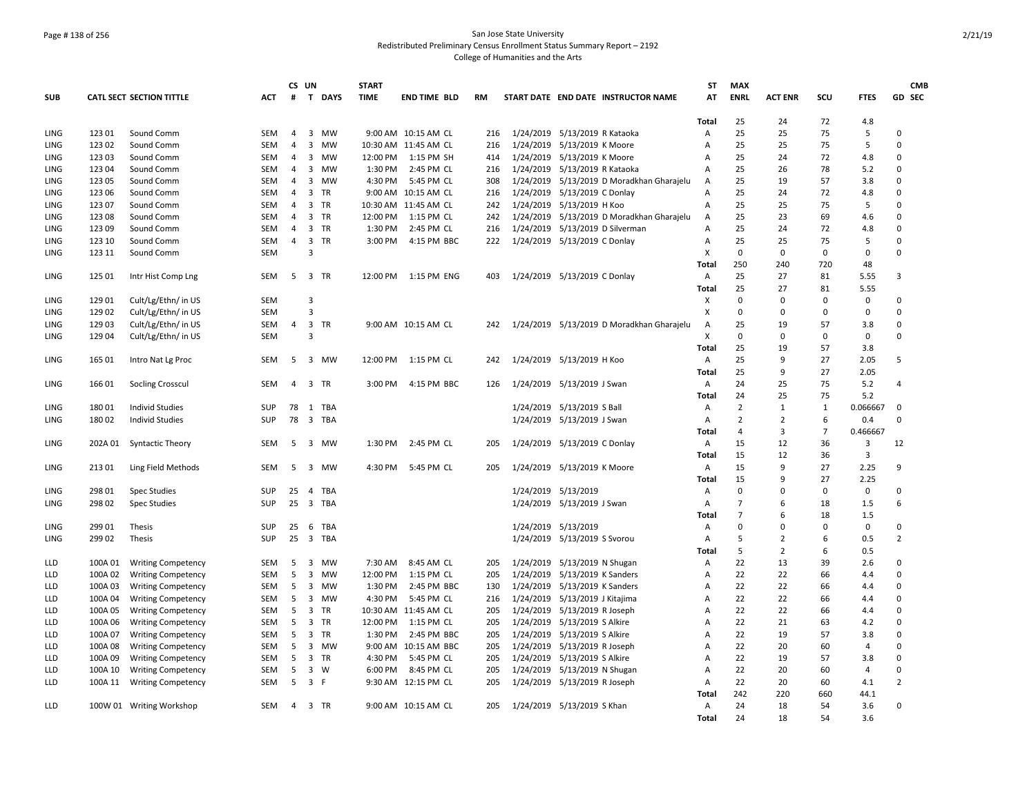## Page # 138 of 256 San Jose State University Redistributed Preliminary Census Enrollment Status Summary Report – 2192 College of Humanities and the Arts

|             |         |                                 |            | CS UN          |                         |           | <b>START</b> |                      |           |                                |                                           | <b>ST</b>      | <b>MAX</b>     |                |                |             | <b>CMB</b>     |
|-------------|---------|---------------------------------|------------|----------------|-------------------------|-----------|--------------|----------------------|-----------|--------------------------------|-------------------------------------------|----------------|----------------|----------------|----------------|-------------|----------------|
| <b>SUB</b>  |         | <b>CATL SECT SECTION TITTLE</b> | <b>ACT</b> | #              |                         | T DAYS    | <b>TIME</b>  | <b>END TIME BLD</b>  | <b>RM</b> |                                | START DATE END DATE INSTRUCTOR NAME       | AT             | <b>ENRL</b>    | <b>ACT ENR</b> | scu            | <b>FTES</b> | GD SEC         |
|             |         |                                 |            |                |                         |           |              |                      |           |                                |                                           | Total          | 25             | 24             | 72             | 4.8         |                |
| LING        | 123 01  | Sound Comm                      | SEM        | 4              |                         | 3 MW      |              | 9:00 AM 10:15 AM CL  | 216       | 1/24/2019 5/13/2019 R Kataoka  |                                           | Α              | 25             | 25             | 75             | 5           | $\Omega$       |
| <b>LING</b> | 12302   | Sound Comm                      | <b>SEM</b> | $\overline{4}$ | 3                       | <b>MW</b> |              | 10:30 AM 11:45 AM CL | 216       | 1/24/2019 5/13/2019 K Moore    |                                           | A              | 25             | 25             | 75             | 5           | $\Omega$       |
| LING        | 123 03  | Sound Comm                      | SEM        | 4              | 3                       | MW        | 12:00 PM     | 1:15 PM SH           | 414       | 1/24/2019 5/13/2019 K Moore    |                                           | A              | 25             | 24             | 72             | 4.8         | $\Omega$       |
| LING        | 12304   | Sound Comm                      | <b>SEM</b> | $\overline{4}$ |                         | 3 MW      | 1:30 PM      | 2:45 PM CL           | 216       | 1/24/2019 5/13/2019 R Kataoka  |                                           | A              | 25             | 26             | 78             | 5.2         | $\Omega$       |
| LING        | 123 05  | Sound Comm                      | <b>SEM</b> | 4              |                         | 3 MW      | 4:30 PM      | 5:45 PM CL           | 308       |                                | 1/24/2019 5/13/2019 D Moradkhan Gharajelu | Α              | 25             | 19             | 57             | 3.8         | $\mathbf 0$    |
| LING        | 123 06  | Sound Comm                      | <b>SEM</b> | $\overline{4}$ | 3                       | <b>TR</b> |              | 9:00 AM 10:15 AM CL  | 216       | 1/24/2019 5/13/2019 C Donlay   |                                           | A              | 25             | 24             | 72             | 4.8         | $\Omega$       |
| LING        | 123 07  | Sound Comm                      | <b>SEM</b> | 4              |                         | 3 TR      |              | 10:30 AM 11:45 AM CL | 242       | 1/24/2019 5/13/2019 H Koo      |                                           | A              | 25             | 25             | 75             | 5           | 0              |
| LING        | 123 08  | Sound Comm                      | <b>SEM</b> | $\overline{4}$ |                         | 3 TR      | 12:00 PM     | 1:15 PM CL           | 242       |                                | 1/24/2019 5/13/2019 D Moradkhan Gharajelu | A              | 25             | 23             | 69             | 4.6         | $\Omega$       |
| LING        | 12309   | Sound Comm                      | <b>SEM</b> | $\overline{4}$ |                         | 3 TR      | 1:30 PM      | 2:45 PM CL           | 216       |                                | 1/24/2019 5/13/2019 D Silverman           | A              | 25             | 24             | 72             | 4.8         | $\mathbf 0$    |
| LING        | 123 10  | Sound Comm                      | SEM        | $\overline{4}$ | 3 TR                    |           | 3:00 PM      | 4:15 PM BBC          | 222       | 1/24/2019 5/13/2019 C Donlay   |                                           | Α              | 25             | 25             | 75             | 5           | $\mathbf 0$    |
| LING        | 123 11  | Sound Comm                      | <b>SEM</b> |                | 3                       |           |              |                      |           |                                |                                           | X              | $\mathbf 0$    | $\mathsf 0$    | 0              | $\pmb{0}$   | 0              |
|             |         |                                 |            |                |                         |           |              |                      |           |                                |                                           | Total          | 250            | 240            | 720            | 48          |                |
| LING        | 125 01  | Intr Hist Comp Lng              | <b>SEM</b> | 5              | 3 TR                    |           | 12:00 PM     | 1:15 PM ENG          | 403       | 1/24/2019 5/13/2019 C Donlay   |                                           | Α              | 25             | 27             | 81             | 5.55        | 3              |
|             |         |                                 |            |                |                         |           |              |                      |           |                                |                                           | Total          | 25             | 27             | 81             | 5.55        |                |
| LING        | 129 01  | Cult/Lg/Ethn/ in US             | SEM        |                | 3                       |           |              |                      |           |                                |                                           | х              | $\mathbf 0$    | $\Omega$       | $\mathbf 0$    | 0           | $\Omega$       |
| LING        | 129 02  | Cult/Lg/Ethn/ in US             | SEM        |                | 3                       |           |              |                      |           |                                |                                           | Х              | 0              | 0              | $\mathbf 0$    | 0           | $\Omega$       |
| LING        | 12903   | Cult/Lg/Ethn/ in US             | <b>SEM</b> | 4              | $\overline{\mathbf{3}}$ | TR        |              | 9:00 AM 10:15 AM CL  | 242       |                                | 1/24/2019 5/13/2019 D Moradkhan Gharajelu | Α              | 25             | 19             | 57             | 3.8         | $\Omega$       |
| LING        | 129 04  | Cult/Lg/Ethn/ in US             | <b>SEM</b> |                | 3                       |           |              |                      |           |                                |                                           | X              | $\Omega$       | $\Omega$       | $\Omega$       | $\Omega$    | $\Omega$       |
|             |         |                                 |            |                |                         |           |              |                      |           |                                |                                           | Total          | 25             | 19             | 57             | 3.8         |                |
| LING        | 165 01  | Intro Nat Lg Proc               | SEM        | 5              |                         | 3 MW      | 12:00 PM     | 1:15 PM CL           | 242       | 1/24/2019 5/13/2019 H Koo      |                                           | Α              | 25             | 9              | 27             | 2.05        | 5              |
|             |         |                                 |            |                |                         |           |              |                      |           |                                |                                           | Total          | 25             | 9              | 27             | 2.05        |                |
| LING        | 16601   | Socling Crosscul                | SEM        | $\overline{4}$ | 3 TR                    |           | 3:00 PM      | 4:15 PM BBC          | 126       | 1/24/2019 5/13/2019 J Swan     |                                           | Α              | 24             | 25             | 75             | 5.2         | $\overline{a}$ |
|             |         |                                 |            |                |                         |           |              |                      |           |                                |                                           | Total          | 24             | 25             | 75             | 5.2         |                |
| LING        | 180 01  | <b>Individ Studies</b>          | SUP        | 78             |                         | 1 TBA     |              |                      |           | 1/24/2019 5/13/2019 S Ball     |                                           | Α              | $\overline{2}$ | $\mathbf{1}$   | 1              | 0.066667    | $\mathbf 0$    |
| LING        | 18002   | <b>Individ Studies</b>          | SUP        | 78             |                         | 3 TBA     |              |                      |           | 1/24/2019 5/13/2019 J Swan     |                                           | Α              | 2              | $\overline{2}$ | 6              | 0.4         | 0              |
|             |         |                                 |            |                |                         |           |              |                      |           |                                |                                           | Total          | $\overline{4}$ | 3              | $\overline{7}$ | 0.466667    |                |
| LING        | 202A 01 | <b>Syntactic Theory</b>         | <b>SEM</b> | 5              |                         | 3 MW      | 1:30 PM      | 2:45 PM CL           | 205       | 1/24/2019 5/13/2019 C Donlay   |                                           | A              | 15             | 12             | 36             | 3           | 12             |
|             |         |                                 |            |                |                         |           |              |                      |           |                                |                                           | Total          | 15             | 12             | 36             | 3           |                |
| LING        | 21301   | Ling Field Methods              | SEM        | 5              |                         | 3 MW      | 4:30 PM      | 5:45 PM CL           | 205       | 1/24/2019 5/13/2019 K Moore    |                                           | Α              | 15             | 9              | 27             | 2.25        | 9              |
|             |         |                                 |            |                |                         |           |              |                      |           |                                |                                           | Total          | 15             | 9              | 27             | 2.25        |                |
| LING        | 298 01  | Spec Studies                    | <b>SUP</b> | 25             | $\overline{4}$          | TBA       |              |                      |           | 1/24/2019 5/13/2019            |                                           | Α              | $\Omega$       | $\Omega$       | $\Omega$       | $\mathbf 0$ | 0              |
| LING        | 298 02  | <b>Spec Studies</b>             | <b>SUP</b> | 25             |                         | 3 TBA     |              |                      |           | 1/24/2019 5/13/2019 J Swan     |                                           | Α              | $\overline{7}$ | 6              | 18             | 1.5         | 6              |
|             |         |                                 |            |                |                         |           |              |                      |           |                                |                                           | Total          | $\overline{7}$ | 6              | 18             | 1.5         |                |
| LING        | 299 01  | Thesis                          | SUP        | 25             | 6                       | TBA       |              |                      |           | 1/24/2019 5/13/2019            |                                           | Α              | 0              | $\Omega$       | $\Omega$       | 0           | $\mathbf 0$    |
| LING        | 299 02  | Thesis                          | <b>SUP</b> | 25             |                         | 3 TBA     |              |                      |           | 1/24/2019 5/13/2019 S Svorou   |                                           | Α              | 5              | 2              | 6              | 0.5         | 2              |
|             |         |                                 |            |                |                         |           |              |                      |           |                                |                                           | Total          | 5              | $\overline{2}$ | 6              | 0.5         |                |
| LLD         | 100A 01 | <b>Writing Competency</b>       | SEM        | 5              |                         | 3 MW      | 7:30 AM      | 8:45 AM CL           | 205       | 1/24/2019 5/13/2019 N Shugan   |                                           | Α              | 22             | 13             | 39             | 2.6         | $\mathbf 0$    |
| LLD         | 100A 02 | <b>Writing Competency</b>       | SEM        | 5              | 3                       | MW        | 12:00 PM     | 1:15 PM CL           | 205       | 1/24/2019 5/13/2019 K Sanders  |                                           | Α              | 22             | 22             | 66             | 4.4         | $\Omega$       |
| LLD         | 100A 03 | <b>Writing Competency</b>       | SEM        | 5              | 3                       | MW        | 1:30 PM      | 2:45 PM BBC          | 130       | 1/24/2019 5/13/2019 K Sanders  |                                           | Α              | 22             | 22             | 66             | 4.4         | $\mathbf 0$    |
| LLD         | 100A 04 | <b>Writing Competency</b>       | <b>SEM</b> | 5              |                         | 3 MW      | 4:30 PM      | 5:45 PM CL           | 216       | 1/24/2019 5/13/2019 J Kitajima |                                           | A              | 22             | 22             | 66             | 4.4         | $\Omega$       |
| LLD         | 100A 05 | <b>Writing Competency</b>       | SEM        | 5              | 3                       | TR        |              | 10:30 AM 11:45 AM CL | 205       | 1/24/2019 5/13/2019 R Joseph   |                                           | $\overline{A}$ | 22             | 22             | 66             | 4.4         | $\mathbf 0$    |
| LLD         | 100A 06 | <b>Writing Competency</b>       | <b>SEM</b> | 5              |                         | 3 TR      | 12:00 PM     | 1:15 PM CL           | 205       | 1/24/2019 5/13/2019 S Alkire   |                                           | A              | 22             | 21             | 63             | 4.2         | $\Omega$       |
| LLD         | 100A 07 | <b>Writing Competency</b>       | <b>SEM</b> | 5              |                         | 3 TR      | 1:30 PM      | 2:45 PM BBC          | 205       | 1/24/2019 5/13/2019 S Alkire   |                                           | A              | 22             | 19             | 57             | 3.8         | $\mathbf 0$    |
| LLD         | 100A08  | <b>Writing Competency</b>       | <b>SEM</b> | 5              | 3                       | <b>MW</b> |              | 9:00 AM 10:15 AM BBC | 205       | 1/24/2019 5/13/2019 R Joseph   |                                           | A              | 22             | 20             | 60             | 4           | $\Omega$       |
| LLD         | 100A 09 | <b>Writing Competency</b>       | SEM        | 5              |                         | 3 TR      | 4:30 PM      | 5:45 PM CL           | 205       | 1/24/2019 5/13/2019 S Alkire   |                                           | A              | 22             | 19             | 57             | 3.8         | 0              |
| LLD         | 100A 10 | <b>Writing Competency</b>       | <b>SEM</b> | 5              | $3 \quad W$             |           | 6:00 PM      | 8:45 PM CL           | 205       | 1/24/2019 5/13/2019 N Shugan   |                                           | Α              | 22             | 20             | 60             | 4           | $\Omega$       |
| LLD         | 100A 11 | <b>Writing Competency</b>       | <b>SEM</b> | 5              | 3 F                     |           |              | 9:30 AM 12:15 PM CL  | 205       | 1/24/2019 5/13/2019 R Joseph   |                                           | A              | 22             | 20             | 60             | 4.1         | $\overline{2}$ |
|             |         |                                 |            |                |                         |           |              |                      |           |                                |                                           | Total          | 242            | 220            | 660            | 44.1        |                |
| LLD         |         | 100W 01 Writing Workshop        | SEM        | 4              |                         | 3 TR      |              | 9:00 AM 10:15 AM CL  | 205       | 1/24/2019 5/13/2019 S Khan     |                                           | A              | 24             | 18             | 54             | 3.6         | $\Omega$       |
|             |         |                                 |            |                |                         |           |              |                      |           |                                |                                           | Total          | 24             | 18             | 54             | 3.6         |                |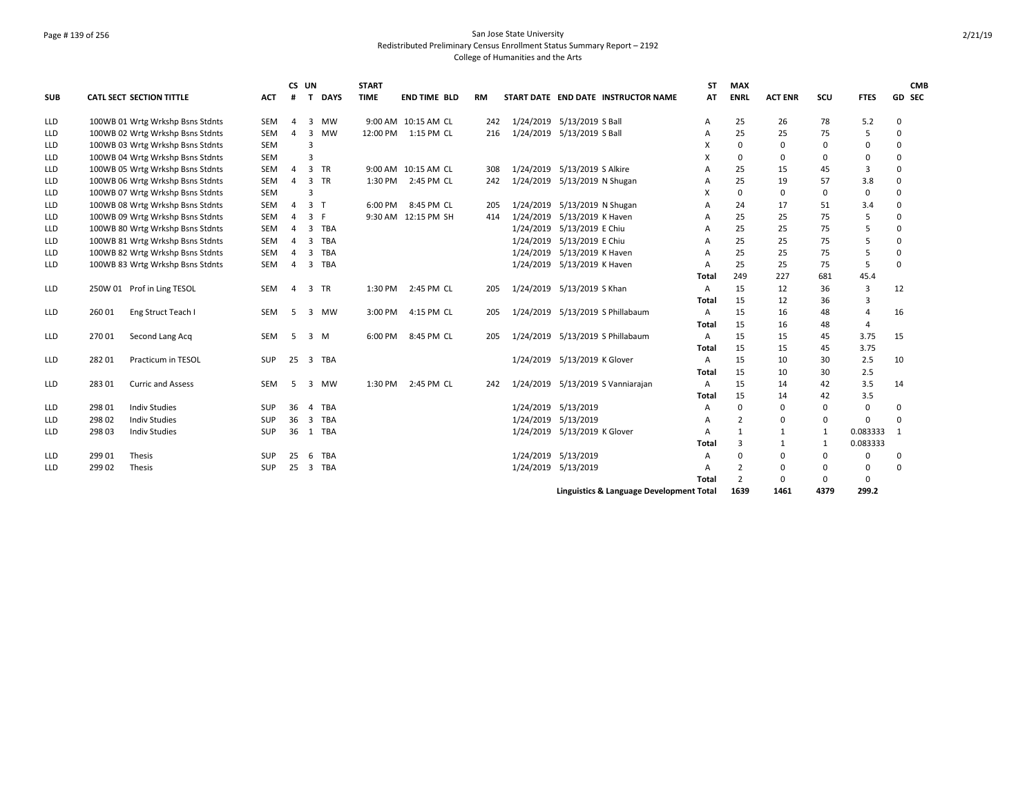## Page # 139 of 256 San Jose State University Redistributed Preliminary Census Enrollment Status Summary Report – 2192 College of Humanities and the Arts

|            |        |                                  |            | CS UN          |                |             | <b>START</b> |                     |           |                              |                              |                                          | <b>ST</b> | <b>MAX</b>     |                |              |                | <b>CMB</b>   |
|------------|--------|----------------------------------|------------|----------------|----------------|-------------|--------------|---------------------|-----------|------------------------------|------------------------------|------------------------------------------|-----------|----------------|----------------|--------------|----------------|--------------|
| <b>SUB</b> |        | <b>CATL SECT SECTION TITTLE</b>  | <b>ACT</b> | #              | T.             | <b>DAYS</b> | <b>TIME</b>  | <b>END TIME BLD</b> | <b>RM</b> |                              |                              | START DATE END DATE INSTRUCTOR NAME      | <b>AT</b> | <b>ENRL</b>    | <b>ACT ENR</b> | scu          | <b>FTES</b>    | GD SEC       |
| <b>LLD</b> |        | 100WB 01 Wrtg Wrkshp Bsns Stdnts | SEM        | 4              | 3              | MW          |              | 9:00 AM 10:15 AM CL | 242       | 1/24/2019 5/13/2019 S Ball   |                              |                                          | A         | 25             | 26             | 78           | 5.2            | $\Omega$     |
| <b>LLD</b> |        | 100WB 02 Wrtg Wrkshp Bsns Stdnts | SEM        | 4              | 3              | <b>MW</b>   | 12:00 PM     | 1:15 PM CL          | 216       | 1/24/2019                    | 5/13/2019 S Ball             |                                          | A         | 25             | 25             | 75           | 5              | $\Omega$     |
| LLD        |        | 100WB 03 Wrtg Wrkshp Bsns Stdnts | SEM        |                | 3              |             |              |                     |           |                              |                              |                                          | X         | $\Omega$       | 0              | $\Omega$     | $\Omega$       | $\Omega$     |
| LLD        |        | 100WB 04 Wrtg Wrkshp Bsns Stdnts | <b>SEM</b> |                | 3              |             |              |                     |           |                              |                              |                                          |           | 0              | 0              | $\Omega$     | $\Omega$       | $\Omega$     |
| LLD        |        | 100WB 05 Wrtg Wrkshp Bsns Stdnts | <b>SEM</b> | 4              | 3              | <b>TR</b>   |              | 9:00 AM 10:15 AM CL | 308       | 1/24/2019 5/13/2019 S Alkire |                              |                                          | А         | 25             | 15             | 45           | 3              | 0            |
| LLD        |        | 100WB 06 Wrtg Wrkshp Bsns Stdnts | <b>SEM</b> | 4              | 3              | <b>TR</b>   | 1:30 PM      | 2:45 PM CL          | 242       |                              | 1/24/2019 5/13/2019 N Shugan |                                          | A         | 25             | 19             | 57           | 3.8            | 0            |
| LLD        |        | 100WB 07 Wrtg Wrkshp Bsns Stdnts | <b>SEM</b> |                | 3              |             |              |                     |           |                              |                              |                                          | x         | $\Omega$       | $\mathbf 0$    | 0            | 0              | $\Omega$     |
| LLD        |        | 100WB 08 Wrtg Wrkshp Bsns Stdnts | <b>SEM</b> | 4              | 3 <sub>T</sub> |             | 6:00 PM      | 8:45 PM CL          | 205       | 1/24/2019 5/13/2019 N Shugan |                              |                                          | А         | 24             | 17             | 51           | 3.4            | $\Omega$     |
| <b>LLD</b> |        | 100WB 09 Wrtg Wrkshp Bsns Stdnts | SEM        | 4              | 3              | - F         |              | 9:30 AM 12:15 PM SH | 414       |                              | 1/24/2019 5/13/2019 K Haven  |                                          |           | 25             | 25             | 75           |                | $\Omega$     |
| LLD        |        | 100WB 80 Wrtg Wrkshp Bsns Stdnts | SEM        | 4              | 3              | TBA         |              |                     |           | 1/24/2019                    | 5/13/2019 E Chiu             |                                          | А         | 25             | 25             | 75           |                | $\Omega$     |
| LLD        |        | 100WB 81 Wrtg Wrkshp Bsns Stdnts | SEM        | 4              | 3              | <b>TBA</b>  |              |                     |           |                              | 1/24/2019 5/13/2019 E Chiu   |                                          | А         | 25             | 25             | 75           |                | $\Omega$     |
| <b>LLD</b> |        | 100WB 82 Wrtg Wrkshp Bsns Stdnts | SEM        | $\overline{a}$ | 3              | <b>TBA</b>  |              |                     |           |                              | 1/24/2019 5/13/2019 K Haven  |                                          | A         | 25             | 25             | 75           | 5              | $\Omega$     |
| <b>LLD</b> |        | 100WB 83 Wrtg Wrkshp Bsns Stdnts | SEM        | $\overline{a}$ | 3              | <b>TBA</b>  |              |                     |           |                              | 1/24/2019 5/13/2019 K Haven  |                                          | A         | 25             | 25             | 75           | 5              | 0            |
|            |        |                                  |            |                |                |             |              |                     |           |                              |                              |                                          | Total     | 249            | 227            | 681          | 45.4           |              |
| LLD        |        | 250W 01 Prof in Ling TESOL       | SEM        | $\overline{4}$ |                | 3 TR        | 1:30 PM      | 2:45 PM CL          | 205       | 1/24/2019 5/13/2019 S Khan   |                              |                                          | A         | 15             | 12             | 36           | 3              | 12           |
|            |        |                                  |            |                |                |             |              |                     |           |                              |                              |                                          | Total     | 15             | 12             | 36           | 3              |              |
| LLD        | 260 01 | Eng Struct Teach I               | SEM        | 5              | 3              | <b>MW</b>   | 3:00 PM      | 4:15 PM CL          | 205       |                              |                              | 1/24/2019 5/13/2019 S Phillabaum         | A         | 15             | 16             | 48           | $\overline{a}$ | 16           |
|            |        |                                  |            |                |                |             |              |                     |           |                              |                              |                                          | Total     | 15             | 16             | 48           | $\overline{4}$ |              |
| <b>LLD</b> | 27001  | Second Lang Acq                  | SEM        | 5              | 3 M            |             | 6:00 PM      | 8:45 PM CL          | 205       | 1/24/2019                    |                              | 5/13/2019 S Phillabaum                   | A         | 15             | 15             | 45           | 3.75           | 15           |
|            |        |                                  |            |                |                |             |              |                     |           |                              |                              |                                          | Total     | 15             | 15             | 45           | 3.75           |              |
| LLD        | 28201  | Practicum in TESOL               | <b>SUP</b> | 25             | $\overline{3}$ | <b>TBA</b>  |              |                     |           |                              | 1/24/2019 5/13/2019 K Glover |                                          | A         | 15             | 10             | 30           | 2.5            | 10           |
|            |        |                                  |            |                |                |             |              |                     |           |                              |                              |                                          | Total     | 15             | 10             | 30           | 2.5            |              |
| LLD        | 28301  | <b>Curric and Assess</b>         | SEM        | 5              | 3              | <b>MW</b>   | 1:30 PM      | 2:45 PM CL          | 242       |                              |                              | 1/24/2019 5/13/2019 S Vanniarajan        | A         | 15             | 14             | 42           | 3.5            | 14           |
|            |        |                                  |            |                |                |             |              |                     |           |                              |                              |                                          | Total     | 15             | 14             | 42           | 3.5            |              |
| LLD        | 298 01 | <b>Indiv Studies</b>             | SUP        | 36             | $\overline{4}$ | <b>TBA</b>  |              |                     |           | 1/24/2019 5/13/2019          |                              |                                          | A         | $\Omega$       | $\pmb{0}$      | 0            | $\mathbf 0$    | 0            |
| LLD        | 298 02 | <b>Indiv Studies</b>             | SUP        | 36             | 3              | <b>TBA</b>  |              |                     |           | 1/24/2019 5/13/2019          |                              |                                          | A         | $\overline{2}$ | 0              | $\mathbf 0$  | $\Omega$       | $\Omega$     |
| <b>LLD</b> | 298 03 | <b>Indiv Studies</b>             | <b>SUP</b> | 36             |                | 1 TBA       |              |                     |           |                              | 1/24/2019 5/13/2019 K Glover |                                          | A         | $\mathbf{1}$   | 1              | 1            | 0.083333       | $\mathbf{1}$ |
|            |        |                                  |            |                |                |             |              |                     |           |                              |                              |                                          | Total     | 3              | 1              | $\mathbf{1}$ | 0.083333       |              |
| LLD        | 299 01 | Thesis                           | <b>SUP</b> | 25             | 6              | TBA         |              |                     |           |                              | 1/24/2019 5/13/2019          |                                          | Α         | 0              | $\pmb{0}$      | 0            | $\Omega$       | 0            |
| LLD        | 299 02 | Thesis                           | SUP        | 25             | 3              | <b>TBA</b>  |              |                     |           | 1/24/2019 5/13/2019          |                              |                                          | А         | $\overline{2}$ | 0              | 0            | 0              | 0            |
|            |        |                                  |            |                |                |             |              |                     |           |                              |                              |                                          | Total     | $\overline{2}$ | $\mathbf 0$    | 0            | 0              |              |
|            |        |                                  |            |                |                |             |              |                     |           |                              |                              | Linguistics & Language Development Total |           | 1639           | 1461           | 4379         | 299.2          |              |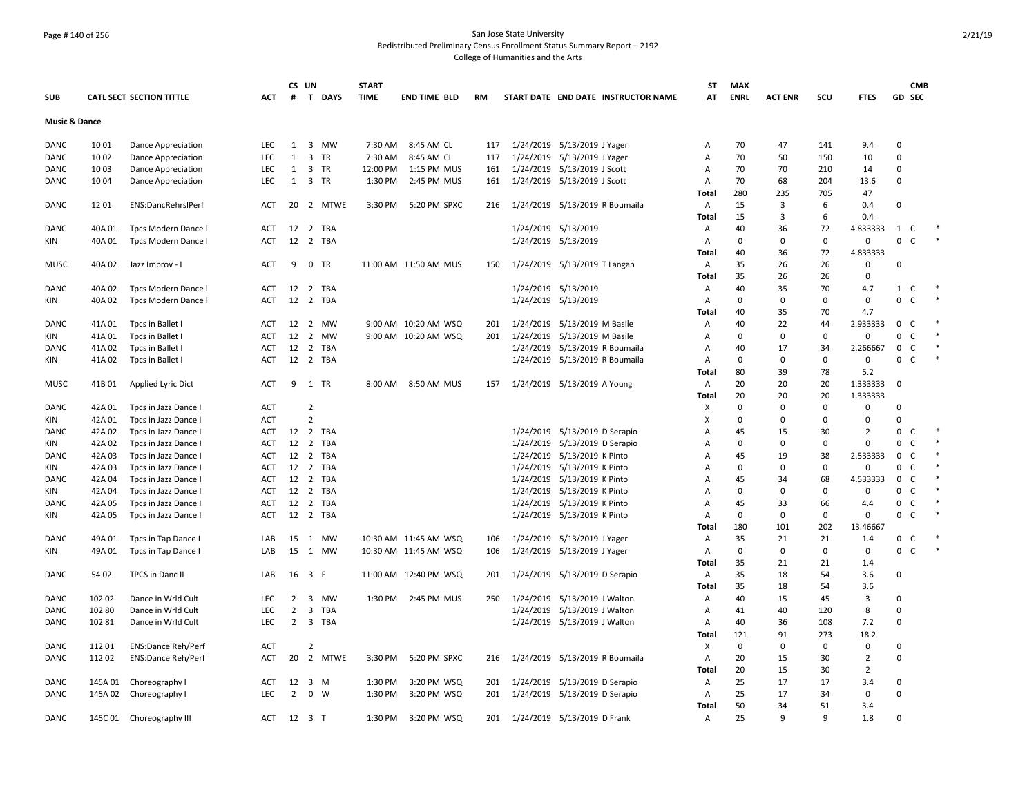## Page # 140 of 256 San Jose State University Redistributed Preliminary Census Enrollment Status Summary Report – 2192 College of Humanities and the Arts

|                          |         |                                 |            |                | CS UN                         | <b>START</b> |                       |           |                                     | ST           | <b>MAX</b>  |                |             |                |              | <b>CMB</b>     |        |
|--------------------------|---------|---------------------------------|------------|----------------|-------------------------------|--------------|-----------------------|-----------|-------------------------------------|--------------|-------------|----------------|-------------|----------------|--------------|----------------|--------|
| <b>SUB</b>               |         | <b>CATL SECT SECTION TITTLE</b> | ACT        |                | # T DAYS                      | <b>TIME</b>  | <b>END TIME BLD</b>   | <b>RM</b> | START DATE END DATE INSTRUCTOR NAME | AT           | <b>ENRL</b> | <b>ACT ENR</b> | scu         | <b>FTES</b>    | GD SEC       |                |        |
| <b>Music &amp; Dance</b> |         |                                 |            |                |                               |              |                       |           |                                     |              |             |                |             |                |              |                |        |
| DANC                     | 10 01   | Dance Appreciation              | LEC        | 1              | 3 MW                          | 7:30 AM      | 8:45 AM CL            | 117       | 1/24/2019 5/13/2019 J Yager         | Α            | 70          | 47             | 141         | 9.4            | 0            |                |        |
| DANC                     | 1002    | Dance Appreciation              | LEC        | $\mathbf{1}$   | 3 TR                          | 7:30 AM      | 8:45 AM CL            | 117       | 1/24/2019 5/13/2019 J Yager         | A            | 70          | 50             | 150         | 10             | $\mathbf 0$  |                |        |
| DANC                     | 1003    | Dance Appreciation              | <b>LEC</b> | 1              | 3 TR                          | 12:00 PM     | 1:15 PM MUS           | 161       | 1/24/2019 5/13/2019 J Scott         | Α            | 70          | 70             | 210         | 14             | $\Omega$     |                |        |
| <b>DANC</b>              | 1004    | Dance Appreciation              | <b>LEC</b> | 1              | $\overline{3}$<br>TR          | 1:30 PM      | 2:45 PM MUS           | 161       | 1/24/2019 5/13/2019 J Scott         | A            | 70          | 68             | 204         | 13.6           | $\mathbf 0$  |                |        |
|                          |         |                                 |            |                |                               |              |                       |           |                                     | <b>Total</b> | 280         | 235            | 705         | 47             |              |                |        |
| DANC                     | 1201    | ENS:DancRehrslPerf              | ACT        | 20             | 2 MTWE                        | 3:30 PM      | 5:20 PM SPXC          | 216       | 1/24/2019 5/13/2019 R Boumaila      | Α            | 15          | 3              | 6           | 0.4            | $\mathbf 0$  |                |        |
|                          |         |                                 |            |                |                               |              |                       |           |                                     | <b>Total</b> | 15          | 3              | 6           | 0.4            |              |                |        |
| DANC                     | 40A 01  | Tpcs Modern Dance I             | ACT        |                | 12 2 TBA                      |              |                       |           | 1/24/2019 5/13/2019                 | Α            | 40          | 36             | 72          | 4.833333       | 1            | C <sub>1</sub> |        |
| KIN                      | 40A 01  | Tpcs Modern Dance I             | <b>ACT</b> |                | 12 2 TBA                      |              |                       |           | 1/24/2019 5/13/2019                 | Α            | 0           | $\Omega$       | $\mathbf 0$ | $\mathbf 0$    | 0            | $\mathsf{C}$   |        |
|                          |         |                                 |            |                |                               |              |                       |           |                                     | <b>Total</b> | 40          | 36             | 72          | 4.833333       |              |                |        |
| <b>MUSC</b>              | 40A 02  | Jazz Improv - I                 | ACT        | 9              | 0 TR                          |              | 11:00 AM 11:50 AM MUS | 150       | 1/24/2019 5/13/2019 T Langan        | Α            | 35          | 26             | 26          | 0              | $\Omega$     |                |        |
|                          |         |                                 |            |                |                               |              |                       |           |                                     | Total        | 35          | 26             | 26          | $\Omega$       |              |                |        |
| <b>DANC</b>              | 40A 02  | Tpcs Modern Dance I             | ACT        |                | 12 2 TBA                      |              |                       |           | 1/24/2019 5/13/2019                 | Α            | 40          | 35             | 70          | 4.7            | 1 C          |                |        |
| KIN                      | 40A 02  | Tpcs Modern Dance I             | <b>ACT</b> | 12             | 2 TBA                         |              |                       |           | 1/24/2019 5/13/2019                 | A            | $\Omega$    | $\mathbf 0$    | 0           | $\mathbf 0$    | $\mathbf 0$  | C              |        |
|                          |         |                                 |            |                |                               |              |                       |           |                                     | Total        | 40          | 35             | 70          | 4.7            |              |                |        |
| <b>DANC</b>              | 41A 01  | Tpcs in Ballet I                | ACT        | 12             | 2 MW                          |              | 9:00 AM 10:20 AM WSQ  | 201       | 1/24/2019 5/13/2019 M Basile        | Α            | 40          | 22             | 44          | 2.933333       | $\mathsf{O}$ | $\mathsf{C}$   |        |
| KIN                      | 41A 01  | Tpcs in Ballet I                | ACT        | 12             | 2 MW                          |              | 9:00 AM 10:20 AM WSQ  | 201       | 1/24/2019 5/13/2019 M Basile        | Α            | 0           | 0              | $\Omega$    | 0              | 0            | $\mathsf{C}$   |        |
| DANC                     | 41A 02  | Tpcs in Ballet I                | <b>ACT</b> |                | 12 2 TBA                      |              |                       |           | 1/24/2019 5/13/2019 R Boumaila      | Α            | 40          | 17             | 34          | 2.266667       | $\mathbf 0$  | C              |        |
| KIN                      | 41A 02  | Tpcs in Ballet I                | <b>ACT</b> | 12             | 2 TBA                         |              |                       |           | 1/24/2019 5/13/2019 R Boumaila      | Α            | 0           | 0              | 0           | $\mathbf 0$    | 0            | C              | $\ast$ |
|                          |         |                                 |            |                |                               |              |                       |           |                                     | Total        | 80          | 39             | 78          | 5.2            |              |                |        |
| MUSC                     | 41B 01  | Applied Lyric Dict              | ACT        |                | 9 1 TR                        |              | 8:00 AM 8:50 AM MUS   | 157       | 1/24/2019 5/13/2019 A Young         | Α            | 20          | 20             | 20          | 1.333333       | $\mathbf 0$  |                |        |
|                          |         |                                 |            |                |                               |              |                       |           |                                     | <b>Total</b> | 20          | 20             | 20          | 1.333333       |              |                |        |
| DANC                     | 42A 01  | Tpcs in Jazz Dance I            | <b>ACT</b> |                | $\overline{2}$                |              |                       |           |                                     | X            | 0           | 0              | 0           | 0              | $\Omega$     |                |        |
| KIN                      | 42A 01  | Tpcs in Jazz Dance I            | <b>ACT</b> |                | $\overline{2}$                |              |                       |           |                                     | X            | $\Omega$    | $\Omega$       | $\Omega$    | $\Omega$       | $\Omega$     |                |        |
| DANC                     | 42A 02  | Tpcs in Jazz Dance I            | <b>ACT</b> |                | 12 2 TBA                      |              |                       |           | 1/24/2019 5/13/2019 D Serapio       | A            | 45          | 15             | 30          | $\overline{2}$ | 0            | C              |        |
| KIN                      | 42A 02  | Tpcs in Jazz Dance I            | ACT        |                | 12 2 TBA                      |              |                       |           | 1/24/2019 5/13/2019 D Serapio       | Α            | 0           | $\mathbf 0$    | $\mathbf 0$ | 0              | $\mathbf 0$  | $\mathsf{C}$   |        |
| DANC                     | 42A 03  | Tpcs in Jazz Dance I            | ACT        | 12             | $\overline{2}$<br>TBA         |              |                       |           | 1/24/2019 5/13/2019 K Pinto         | Α            | 45          | 19             | 38          | 2.533333       | $\mathbf 0$  | C              |        |
| KIN                      | 42A 03  | Tpcs in Jazz Dance I            | ACT        | 12             | 2 TBA                         |              |                       |           | 1/24/2019 5/13/2019 K Pinto         | Α            | 0           | 0              | 0           | 0              | 0            | $\mathsf{C}$   |        |
| <b>DANC</b>              | 42A 04  | Tpcs in Jazz Dance I            | <b>ACT</b> | 12             | 2 TBA                         |              |                       |           | 1/24/2019 5/13/2019 K Pinto         | A            | 45          | 34             | 68          | 4.533333       | $\mathbf 0$  | C              |        |
| KIN                      | 42A 04  | Tpcs in Jazz Dance I            | ACT        | 12             | 2 TBA                         |              |                       |           | 1/24/2019 5/13/2019 K Pinto         | Α            | 0           | $\Omega$       | $\Omega$    | 0              | $\mathbf 0$  | C              |        |
| <b>DANC</b>              | 42A 05  | Tpcs in Jazz Dance I            | ACT        |                | 12 2 TBA                      |              |                       |           | 1/24/2019 5/13/2019 K Pinto         | Α            | 45          | 33             | 66          | 4.4            | 0            | $\mathsf C$    |        |
| KIN                      | 42A 05  | Tpcs in Jazz Dance I            | ACT        |                | 12 2 TBA                      |              |                       |           | 1/24/2019 5/13/2019 K Pinto         | Α            | 0           | 0              | 0           | 0              | 0            | $\mathsf{C}$   | $\ast$ |
|                          |         |                                 |            |                |                               |              |                       |           |                                     | <b>Total</b> | 180         | 101            | 202         | 13.46667       |              |                |        |
| <b>DANC</b>              | 49A 01  | Tpcs in Tap Dance               | LAB        | 15             | 1 MW                          |              | 10:30 AM 11:45 AM WSQ | 106       | 1/24/2019 5/13/2019 J Yager         | Α            | 35          | 21             | 21          | 1.4            | $\mathbf{0}$ | C <sub>1</sub> |        |
| KIN                      | 49A 01  | Tpcs in Tap Dance I             | LAB        | 15             | 1 MW                          |              | 10:30 AM 11:45 AM WSQ | 106       | 1/24/2019 5/13/2019 J Yager         | A            | 0           | 0              | $\mathbf 0$ | 0              | $\mathbf 0$  | $\mathsf{C}$   |        |
|                          |         |                                 |            |                |                               |              |                       |           |                                     | <b>Total</b> | 35          | 21             | 21          | 1.4            |              |                |        |
| DANC                     | 54 02   | TPCS in Danc II                 | LAB        |                | 16 3 F                        |              | 11:00 AM 12:40 PM WSQ | 201       | 1/24/2019 5/13/2019 D Serapio       | Α            | 35          | 18             | 54          | 3.6            | 0            |                |        |
|                          |         |                                 |            |                |                               |              |                       |           |                                     | Total        | 35          | 18             | 54          | 3.6            |              |                |        |
| DANC                     | 102 02  | Dance in Wrld Cult              | LEC        | $\overline{2}$ | $\overline{\mathbf{3}}$<br>MW |              | 1:30 PM 2:45 PM MUS   | 250       | 1/24/2019 5/13/2019 J Walton        | Α            | 40          | 15             | 45          | 3              | $\Omega$     |                |        |
| DANC                     | 102 80  | Dance in Wrld Cult              | <b>LEC</b> | $\overline{2}$ | TBA<br>3                      |              |                       |           | 1/24/2019 5/13/2019 J Walton        | Α            | 41          | 40             | 120         | 8              | $\Omega$     |                |        |
| <b>DANC</b>              | 102 81  | Dance in Wrld Cult              | <b>LEC</b> | $2^{\circ}$    | 3 TBA                         |              |                       |           | 1/24/2019 5/13/2019 J Walton        | Α            | 40          | 36             | 108         | 7.2            | $\Omega$     |                |        |
|                          |         |                                 |            |                |                               |              |                       |           |                                     | Total        | 121         | 91             | 273         | 18.2           |              |                |        |
| DANC                     | 112 01  | <b>ENS:Dance Reh/Perf</b>       | <b>ACT</b> |                | $\overline{2}$                |              |                       |           |                                     | Х            | 0           | 0              | $\Omega$    | 0              | $\Omega$     |                |        |
| DANC                     | 11202   | <b>ENS:Dance Reh/Perf</b>       | ACT        | 20             | 2 MTWE                        | 3:30 PM      | 5:20 PM SPXC          | 216       | 1/24/2019 5/13/2019 R Boumaila      | Α            | 20          | 15             | 30          | $\overline{2}$ | $\Omega$     |                |        |
|                          |         |                                 |            |                |                               |              |                       |           |                                     | Total        | 20          | 15             | 30          | $\overline{2}$ |              |                |        |
| <b>DANC</b>              | 145A 01 | Choreography I                  | <b>ACT</b> | 12             | 3 M                           | 1:30 PM      | 3:20 PM WSQ           | 201       | 1/24/2019 5/13/2019 D Serapio       | Α            | 25          | 17             | 17          | 3.4            | $\Omega$     |                |        |
| <b>DANC</b>              |         | 145A 02 Choreography I          | LEC        | $\overline{2}$ | $0 \quad W$                   | 1:30 PM      | 3:20 PM WSQ           | 201       | 1/24/2019 5/13/2019 D Serapio       | А            | 25          | 17             | 34          | $\mathbf 0$    | $\Omega$     |                |        |
|                          |         |                                 |            |                |                               |              |                       |           |                                     | Total        | 50          | 34             | 51          | 3.4            |              |                |        |
| <b>DANC</b>              | 145C 01 | Choreography III                | ACT        |                | 12 3 T                        | 1:30 PM      | 3:20 PM WSQ           | 201       | 1/24/2019 5/13/2019 D Frank         | Α            | 25          | q              | q           | 1.8            | $\Omega$     |                |        |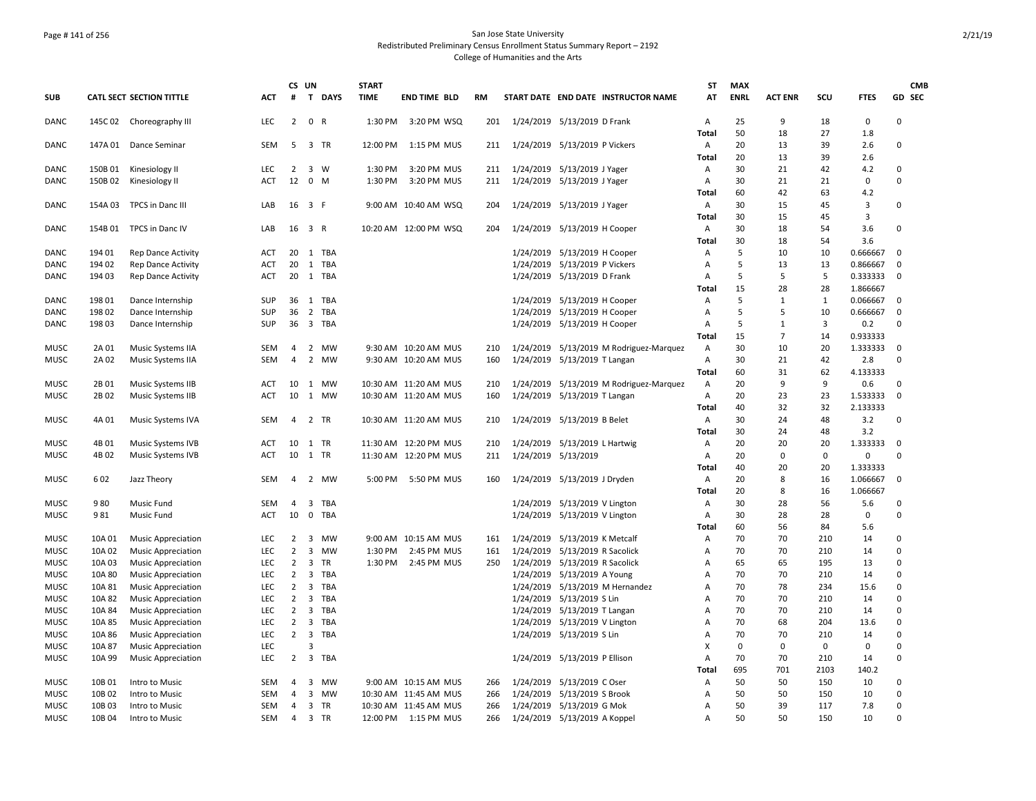## Page # 141 of 256 San Jose State University Redistributed Preliminary Census Enrollment Status Summary Report – 2192 College of Humanities and the Arts

|                     |                  |                                                        |                   | CS UN                            |                |              | <b>START</b> |                                              |            |                               |                                                                  |                                         | ST                  | <b>MAX</b>  |                |              |                 |               | <b>CMB</b> |
|---------------------|------------------|--------------------------------------------------------|-------------------|----------------------------------|----------------|--------------|--------------|----------------------------------------------|------------|-------------------------------|------------------------------------------------------------------|-----------------------------------------|---------------------|-------------|----------------|--------------|-----------------|---------------|------------|
| <b>SUB</b>          |                  | <b>CATL SECT SECTION TITTLE</b>                        | <b>ACT</b>        | #                                |                | T DAYS       | <b>TIME</b>  | <b>END TIME BLD</b>                          | <b>RM</b>  |                               |                                                                  | START DATE END DATE INSTRUCTOR NAME     | AT                  | <b>ENRL</b> | <b>ACT ENR</b> | SCU          | <b>FTES</b>     | GD SEC        |            |
| DANC                | 145C 02          | Choreography III                                       | LEC               | $\overline{2}$                   | 0 R            |              | 1:30 PM      | 3:20 PM WSQ                                  | 201        | 1/24/2019 5/13/2019 D Frank   |                                                                  |                                         | Α                   | 25          | 9              | 18           | $\pmb{0}$       | 0             |            |
|                     |                  |                                                        |                   |                                  |                |              |              |                                              |            |                               |                                                                  |                                         | Total               | 50          | 18             | 27           | 1.8             |               |            |
| DANC                |                  | 147A 01 Dance Seminar                                  | <b>SEM</b>        | 5                                |                | 3 TR         | 12:00 PM     | 1:15 PM MUS                                  | 211        |                               | 1/24/2019 5/13/2019 P Vickers                                    |                                         | Α                   | 20          | 13             | 39           | 2.6             | 0             |            |
| DANC                | 150B 01          |                                                        | <b>LEC</b>        | 2                                |                | 3 W          | 1:30 PM      | 3:20 PM MUS                                  |            |                               |                                                                  |                                         | Total               | 20<br>30    | 13<br>21       | 39<br>42     | 2.6<br>4.2      | 0             |            |
| DANC                | 150B 02          | Kinesiology II<br>Kinesiology II                       | ACT               | 12                               | $0 \quad M$    |              | 1:30 PM      | 3:20 PM MUS                                  | 211<br>211 | 1/24/2019 5/13/2019 J Yager   | 1/24/2019 5/13/2019 J Yager                                      |                                         | Α<br>Α              | 30          | 21             | 21           | $\Omega$        | 0             |            |
|                     |                  |                                                        |                   |                                  |                |              |              |                                              |            |                               |                                                                  |                                         | Total               | 60          | 42             | 63           | 4.2             |               |            |
| DANC                | 154A 03          | TPCS in Danc III                                       | LAB               | 16 3 F                           |                |              |              | 9:00 AM 10:40 AM WSQ                         | 204        |                               | 1/24/2019 5/13/2019 J Yager                                      |                                         | Α                   | 30          | 15             | 45           | 3               | 0             |            |
|                     |                  |                                                        |                   |                                  |                |              |              |                                              |            |                               |                                                                  |                                         | Total               | 30          | 15             | 45           | 3               |               |            |
| DANC                |                  | 154B 01 TPCS in Danc IV                                | LAB               | 16 3 R                           |                |              |              | 10:20 AM 12:00 PM WSQ                        | 204        |                               | 1/24/2019 5/13/2019 H Cooper                                     |                                         | Α                   | 30          | 18             | 54           | 3.6             | 0             |            |
|                     |                  |                                                        |                   |                                  |                |              |              |                                              |            |                               |                                                                  |                                         | Total               | 30          | 18             | 54           | 3.6             |               |            |
| DANC                | 194 01           | <b>Rep Dance Activity</b>                              | <b>ACT</b>        | 20                               |                | 1 TBA        |              |                                              |            |                               | 1/24/2019 5/13/2019 H Cooper                                     |                                         | Α                   | 5           | 10             | 10           | 0.666667        | $\mathbf 0$   |            |
| <b>DANC</b>         | 194 02           | <b>Rep Dance Activity</b>                              | <b>ACT</b>        | 20                               |                | 1 TBA        |              |                                              |            |                               | 1/24/2019 5/13/2019 P Vickers                                    |                                         | A                   | 5           | 13             | 13           | 0.866667        | $\Omega$      |            |
| DANC                | 194 03           | <b>Rep Dance Activity</b>                              | <b>ACT</b>        | 20                               |                | 1 TBA        |              |                                              |            |                               | 1/24/2019 5/13/2019 D Frank                                      |                                         | $\overline{A}$      | 5           | 5              | 5            | 0.333333        | 0             |            |
|                     |                  |                                                        |                   |                                  |                |              |              |                                              |            |                               |                                                                  |                                         | Total               | 15          | 28             | 28           | 1.866667        |               |            |
| DANC                | 198 01           | Dance Internship                                       | SUP               |                                  |                | 36 1 TBA     |              |                                              |            |                               | 1/24/2019 5/13/2019 H Cooper                                     |                                         | Α                   | 5           | $\mathbf{1}$   | $\mathbf{1}$ | 0.066667        | $\mathbf 0$   |            |
| <b>DANC</b>         | 198 02           | Dance Internship                                       | <b>SUP</b>        | 36                               |                | 2 TBA        |              |                                              |            |                               | 1/24/2019 5/13/2019 H Cooper                                     |                                         | A                   | 5           | 5              | 10           | 0.666667        | $\mathbf 0$   |            |
| DANC                | 198 03           | Dance Internship                                       | SUP               |                                  |                | 36 3 TBA     |              |                                              |            |                               | 1/24/2019 5/13/2019 H Cooper                                     |                                         | A                   | 5           | $\mathbf{1}$   | 3            | 0.2             | 0             |            |
|                     |                  |                                                        |                   |                                  |                |              |              |                                              |            |                               |                                                                  |                                         | Total               | 15          | $\overline{7}$ | 14           | 0.933333        |               |            |
| <b>MUSC</b><br>MUSC | 2A 01<br>2A 02   | Music Systems IIA                                      | <b>SEM</b><br>SEM | $\overline{4}$<br>$\overline{4}$ |                | 2 MW<br>2 MW |              | 9:30 AM 10:20 AM MUS<br>9:30 AM 10:20 AM MUS | 210<br>160 |                               | 1/24/2019 5/13/2019 T Langan                                     | 1/24/2019 5/13/2019 M Rodriguez-Marquez | $\overline{A}$<br>Α | 30<br>30    | 10<br>21       | 20<br>42     | 1.333333<br>2.8 | $\Omega$<br>0 |            |
|                     |                  | Music Systems IIA                                      |                   |                                  |                |              |              |                                              |            |                               |                                                                  |                                         | Total               | 60          | 31             | 62           | 4.133333        |               |            |
| <b>MUSC</b>         | 2B 01            | Music Systems IIB                                      | ACT               | 10                               |                | 1 MW         |              | 10:30 AM 11:20 AM MUS                        | 210        |                               |                                                                  | 1/24/2019 5/13/2019 M Rodriguez-Marquez | Α                   | 20          | 9              | 9            | 0.6             | 0             |            |
| MUSC                | 2B 02            | Music Systems IIB                                      | ACT               | 10                               |                | 1 MW         |              | 10:30 AM 11:20 AM MUS                        | 160        |                               | 1/24/2019 5/13/2019 T Langan                                     |                                         | A                   | 20          | 23             | 23           | 1.533333        | $\mathbf 0$   |            |
|                     |                  |                                                        |                   |                                  |                |              |              |                                              |            |                               |                                                                  |                                         | Total               | 40          | 32             | 32           | 2.133333        |               |            |
| <b>MUSC</b>         | 4A 01            | Music Systems IVA                                      | <b>SEM</b>        | $\overline{4}$                   |                | 2 TR         |              | 10:30 AM 11:20 AM MUS                        | 210        |                               | 1/24/2019 5/13/2019 B Belet                                      |                                         | A                   | 30          | 24             | 48           | 3.2             | $\mathbf 0$   |            |
|                     |                  |                                                        |                   |                                  |                |              |              |                                              |            |                               |                                                                  |                                         | Total               | 30          | 24             | 48           | 3.2             |               |            |
| MUSC                | 4B 01            | Music Systems IVB                                      | ACT               | 10                               |                | 1 TR         |              | 11:30 AM 12:20 PM MUS                        | 210        |                               | 1/24/2019 5/13/2019 L Hartwig                                    |                                         | Α                   | 20          | 20             | 20           | 1.333333        | $\mathbf 0$   |            |
| MUSC                | 4B 02            | Music Systems IVB                                      | ACT               | 10                               |                | 1 TR         |              | 11:30 AM 12:20 PM MUS                        | 211        |                               | 1/24/2019 5/13/2019                                              |                                         | Α                   | 20          | $\mathbf 0$    | $\mathbf 0$  | 0               | 0             |            |
|                     |                  |                                                        |                   |                                  |                |              |              |                                              |            |                               |                                                                  |                                         | Total               | 40          | 20             | 20           | 1.333333        |               |            |
| <b>MUSC</b>         | 602              | Jazz Theory                                            | <b>SEM</b>        | $\overline{4}$                   |                | 2 MW         | 5:00 PM      | 5:50 PM MUS                                  | 160        |                               | 1/24/2019 5/13/2019 J Dryden                                     |                                         | Α                   | 20          | 8              | 16           | 1.066667        | 0             |            |
|                     |                  |                                                        |                   |                                  |                |              |              |                                              |            |                               |                                                                  |                                         | Total               | 20          | 8              | 16           | 1.066667        |               |            |
| <b>MUSC</b>         | 980              | <b>Music Fund</b>                                      | <b>SEM</b>        | $\overline{4}$                   |                | 3 TBA        |              |                                              |            |                               | 1/24/2019 5/13/2019 V Lington                                    |                                         | A                   | 30          | 28             | 56           | 5.6             | 0             |            |
| <b>MUSC</b>         | 981              | Music Fund                                             | ACT               | 10                               |                | 0 TBA        |              |                                              |            |                               | 1/24/2019 5/13/2019 V Lington                                    |                                         | A                   | 30          | 28             | 28           | $\mathbf 0$     | 0             |            |
|                     |                  |                                                        |                   |                                  |                |              |              |                                              |            |                               |                                                                  |                                         | Total               | 60          | 56             | 84           | 5.6             |               |            |
| MUSC                | 10A 01<br>10A 02 | <b>Music Appreciation</b>                              | LEC<br><b>LEC</b> | $\overline{2}$<br>$\overline{2}$ | 3              | MW<br>3 MW   | 1:30 PM      | 9:00 AM 10:15 AM MUS<br>2:45 PM MUS          | 161<br>161 | 1/24/2019 5/13/2019 K Metcalf |                                                                  |                                         | Α<br>A              | 70<br>70    | 70<br>70       | 210<br>210   | 14<br>14        | 0<br>0        |            |
| MUSC<br><b>MUSC</b> | 10A 03           | <b>Music Appreciation</b><br><b>Music Appreciation</b> | LEC               | 2                                |                | 3 TR         | 1:30 PM      | 2:45 PM MUS                                  | 250        |                               | 1/24/2019 5/13/2019 R Sacolick<br>1/24/2019 5/13/2019 R Sacolick |                                         | A                   | 65          | 65             | 195          | 13              | 0             |            |
| <b>MUSC</b>         | 10A 80           | <b>Music Appreciation</b>                              | <b>LEC</b>        | 2                                |                | 3 TBA        |              |                                              |            |                               | 1/24/2019 5/13/2019 A Young                                      |                                         | A                   | 70          | 70             | 210          | 14              | $\Omega$      |            |
| <b>MUSC</b>         | 10A 81           | <b>Music Appreciation</b>                              | <b>LEC</b>        | $\overline{2}$                   | 3              | <b>TBA</b>   |              |                                              |            |                               |                                                                  | 1/24/2019 5/13/2019 M Hernandez         | A                   | 70          | 78             | 234          | 15.6            | 0             |            |
| <b>MUSC</b>         | 10A 82           | <b>Music Appreciation</b>                              | LEC               | $\overline{2}$                   |                | 3 TBA        |              |                                              |            |                               | 1/24/2019 5/13/2019 S Lin                                        |                                         | A                   | 70          | 70             | 210          | 14              | 0             |            |
| <b>MUSC</b>         | 10A 84           | <b>Music Appreciation</b>                              | <b>LEC</b>        | $\overline{2}$                   |                | 3 TBA        |              |                                              |            |                               | 1/24/2019 5/13/2019 T Langan                                     |                                         | А                   | 70          | 70             | 210          | 14              | $\Omega$      |            |
| MUSC                | 10A 85           | <b>Music Appreciation</b>                              | LEC               | $\overline{2}$                   |                | 3 TBA        |              |                                              |            |                               | 1/24/2019 5/13/2019 V Lington                                    |                                         | Α                   | 70          | 68             | 204          | 13.6            | 0             |            |
| MUSC                | 10A 86           | <b>Music Appreciation</b>                              | <b>LEC</b>        | $\overline{2}$                   | $\overline{3}$ | <b>TBA</b>   |              |                                              |            |                               | 1/24/2019 5/13/2019 S Lin                                        |                                         | A                   | 70          | 70             | 210          | 14              | 0             |            |
| <b>MUSC</b>         | 10A 87           | <b>Music Appreciation</b>                              | <b>LEC</b>        |                                  | $\overline{3}$ |              |              |                                              |            |                               |                                                                  |                                         | X                   | $\mathbf 0$ | $\mathbf 0$    | 0            | 0               | 0             |            |
| <b>MUSC</b>         | 10A 99           | <b>Music Appreciation</b>                              | <b>LEC</b>        | $\overline{2}$                   |                | 3 TBA        |              |                                              |            |                               | 1/24/2019 5/13/2019 P Ellison                                    |                                         | A                   | 70          | 70             | 210          | 14              | 0             |            |
|                     |                  |                                                        |                   |                                  |                |              |              |                                              |            |                               |                                                                  |                                         | Total               | 695         | 701            | 2103         | 140.2           |               |            |
| <b>MUSC</b>         | 10B 01           | Intro to Music                                         | <b>SEM</b>        | $\overline{a}$                   | 3              | MW           |              | 9:00 AM 10:15 AM MUS                         | 266        | 1/24/2019 5/13/2019 C Oser    |                                                                  |                                         | $\overline{A}$      | 50          | 50             | 150          | 10              | 0             |            |
| <b>MUSC</b>         | 10B 02           | Intro to Music                                         | SEM               | $\overline{4}$                   | $\overline{3}$ | MW           |              | 10:30 AM 11:45 AM MUS                        | 266        |                               | 1/24/2019 5/13/2019 S Brook                                      |                                         | $\overline{A}$      | 50          | 50             | 150          | 10              | 0             |            |
| <b>MUSC</b>         | 10B03            | Intro to Music                                         | SEM               | 4                                |                | 3 TR         |              | 10:30 AM 11:45 AM MUS                        | 266        |                               | 1/24/2019 5/13/2019 G Mok                                        |                                         | Α                   | 50          | 39             | 117          | 7.8             | 0             |            |
| <b>MUSC</b>         | 10B 04           | Intro to Music                                         | <b>SEM</b>        | $\overline{4}$                   |                | 3 TR         |              | 12:00 PM  1:15 PM  MUS                       | 266        |                               | 1/24/2019 5/13/2019 A Koppel                                     |                                         | A                   | 50          | 50             | 150          | 10              | 0             |            |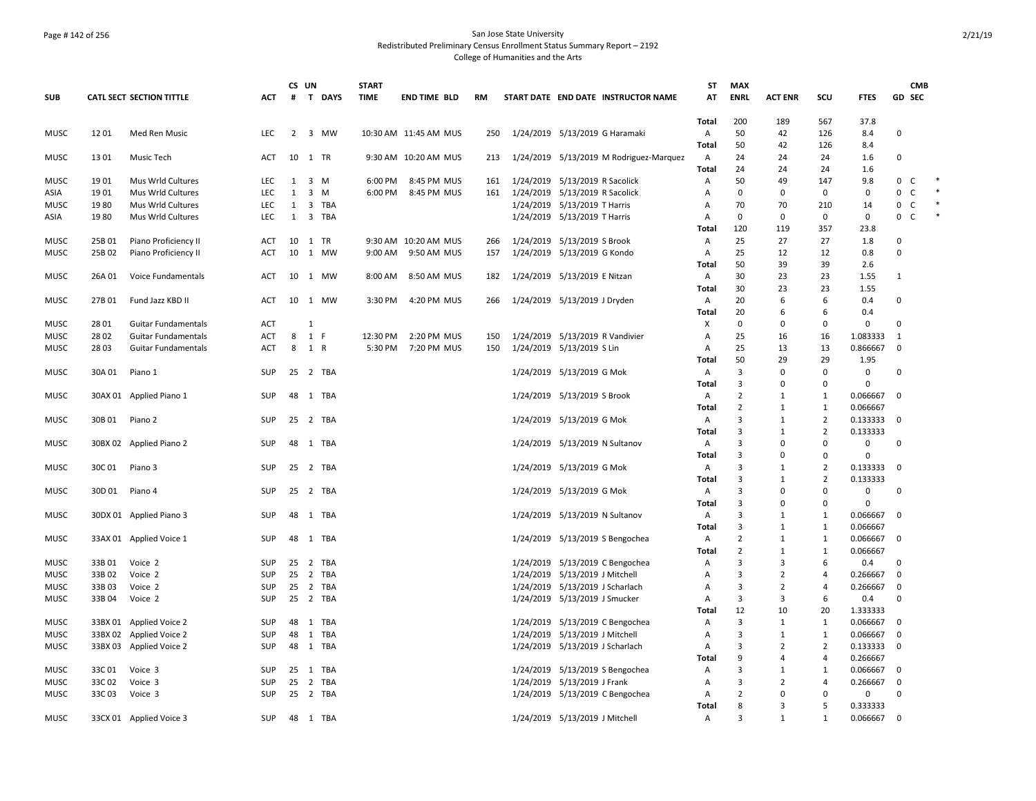## Page # 142 of 256 San Jose State University Redistributed Preliminary Census Enrollment Status Summary Report – 2192 College of Humanities and the Arts

|                     |                 |                                 |                   |          | CS UN          |                | <b>START</b> |                       |           |                                                                   | ST                                      | <b>MAX</b>                       |                |                   |                      |                  | <b>CMB</b>   |  |
|---------------------|-----------------|---------------------------------|-------------------|----------|----------------|----------------|--------------|-----------------------|-----------|-------------------------------------------------------------------|-----------------------------------------|----------------------------------|----------------|-------------------|----------------------|------------------|--------------|--|
| <b>SUB</b>          |                 | <b>CATL SECT SECTION TITTLE</b> | ACT               |          |                | # T DAYS       | <b>TIME</b>  | <b>END TIME BLD</b>   | <b>RM</b> | START DATE END DATE INSTRUCTOR NAME                               | AT                                      | <b>ENRL</b>                      | <b>ACT ENR</b> | SCU               | <b>FTES</b>          |                  | GD SEC       |  |
| <b>MUSC</b>         | 1201            |                                 | <b>LEC</b>        |          |                | 2 3 MW         |              | 10:30 AM 11:45 AM MUS |           |                                                                   | <b>Total</b><br>$\overline{\mathsf{A}}$ | 200<br>50                        | 189<br>42      | 567<br>126        | 37.8                 |                  |              |  |
|                     |                 | Med Ren Music                   |                   |          |                |                |              |                       | 250       | 1/24/2019 5/13/2019 G Haramaki                                    | Total                                   | 50                               | 42             | 126               | 8.4<br>8.4           | $\pmb{0}$        |              |  |
| <b>MUSC</b>         | 1301            | Music Tech                      | <b>ACT</b>        |          |                | 10 1 TR        |              | 9:30 AM 10:20 AM MUS  | 213       | 1/24/2019 5/13/2019 M Rodriguez-Marquez                           | $\mathsf{A}$                            | 24                               | 24             | 24                | 1.6                  | $\mathbf 0$      |              |  |
|                     |                 |                                 |                   |          |                |                |              |                       |           |                                                                   | Total                                   | 24                               | 24             | 24                | 1.6                  |                  |              |  |
| <b>MUSC</b>         | 1901            | Mus Wrld Cultures               | LEC               | 1        |                | 3 M            | 6:00 PM      | 8:45 PM MUS           | 161       | 1/24/2019 5/13/2019 R Sacolick                                    | A                                       | 50                               | 49             | 147               | 9.8                  | 0                | C            |  |
| ASIA                | 1901            | Mus Wrld Cultures               | LEC               | 1        | $\overline{3}$ | M              | 6:00 PM      | 8:45 PM MUS           | 161       | 1/24/2019 5/13/2019 R Sacolick                                    | Α                                       | $\mathbf 0$                      | 0              | 0                 | $\mathbf 0$          | 0                | $\mathsf{C}$ |  |
| <b>MUSC</b>         | 1980            | Mus Wrld Cultures               | LEC               | 1        |                | 3 TBA          |              |                       |           | 1/24/2019 5/13/2019 T Harris                                      | Α                                       | 70                               | 70             | 210               | 14                   | 0                | $\mathsf{C}$ |  |
| ASIA                | 1980            | Mus Wrld Cultures               | <b>LEC</b>        | 1        |                | 3 TBA          |              |                       |           | 1/24/2019 5/13/2019 T Harris                                      | A                                       | $\mathbf 0$                      | $\mathbf 0$    | 0                 | $\mathbf 0$          | $\mathbf{0}$     | $\mathsf{C}$ |  |
|                     |                 |                                 |                   |          |                |                |              |                       |           |                                                                   | Total                                   | 120                              | 119            | 357               | 23.8                 |                  |              |  |
| MUSC                | 25B 01          | Piano Proficiency II            | ACT               | 10       |                | 1 TR           |              | 9:30 AM 10:20 AM MUS  | 266       | 1/24/2019 5/13/2019 S Brook                                       | Α                                       | 25                               | 27             | 27                | 1.8                  | 0                |              |  |
| <b>MUSC</b>         | 25B 02          | Piano Proficiency II            | <b>ACT</b>        | 10       |                | 1 MW           | 9:00 AM      | 9:50 AM MUS           | 157       | 1/24/2019 5/13/2019 G Kondo                                       | $\mathsf{A}$                            | 25                               | 12             | 12                | 0.8                  | $\mathbf 0$      |              |  |
|                     |                 |                                 |                   |          |                |                |              |                       |           |                                                                   | Total                                   | 50                               | 39             | 39                | 2.6                  |                  |              |  |
| MUSC                | 26A 01          | Voice Fundamentals              | ACT               |          |                | 10 1 MW        | 8:00 AM      | 8:50 AM MUS           | 182       | 1/24/2019 5/13/2019 E Nitzan                                      | A                                       | 30                               | 23             | 23                | 1.55                 | $\mathbf{1}$     |              |  |
|                     |                 |                                 |                   |          |                |                |              |                       |           |                                                                   | Total                                   | 30                               | 23             | 23                | 1.55                 |                  |              |  |
| <b>MUSC</b>         | 27B 01          | Fund Jazz KBD II                | ACT               | 10       |                | 1 MW           | 3:30 PM      | 4:20 PM MUS           | 266       | 1/24/2019 5/13/2019 J Dryden                                      | $\mathsf{A}$                            | 20                               | 6              | 6                 | 0.4                  | $\mathbf 0$      |              |  |
|                     |                 |                                 |                   |          |                |                |              |                       |           |                                                                   | Total                                   | 20                               | 6              | 6                 | 0.4                  |                  |              |  |
| MUSC                | 28 01           | <b>Guitar Fundamentals</b>      | ACT               |          | 1              |                |              |                       |           |                                                                   | X                                       | $\mathbf 0$                      | 0              | 0                 | 0                    | $\mathbf 0$      |              |  |
| MUSC                | 28 02           | <b>Guitar Fundamentals</b>      | ACT               | 8        | 1 F            |                | 12:30 PM     | 2:20 PM MUS           | 150       | 1/24/2019 5/13/2019 R Vandivier                                   | $\overline{A}$                          | 25                               | 16             | 16                | 1.083333             | 1                |              |  |
| <b>MUSC</b>         | 28 03           | <b>Guitar Fundamentals</b>      | ACT               | 8        | 1 R            |                | 5:30 PM      | 7:20 PM MUS           | 150       | 1/24/2019 5/13/2019 S Lin                                         | Α                                       | 25                               | 13             | 13                | 0.866667             | $\mathbf 0$      |              |  |
|                     |                 |                                 |                   |          |                |                |              |                       |           |                                                                   | Total                                   | 50                               | 29             | 29                | 1.95                 |                  |              |  |
| MUSC                | 30A 01          | Piano 1                         | SUP               | 25       |                | 2 TBA          |              |                       |           | 1/24/2019 5/13/2019 G Mok                                         | A                                       | 3                                | $\Omega$       | 0                 | $\pmb{0}$            | $\mathbf 0$      |              |  |
|                     |                 |                                 |                   |          |                |                |              |                       |           |                                                                   | Total                                   | 3                                | $\Omega$       | 0                 | 0                    |                  |              |  |
| <b>MUSC</b>         |                 | 30AX 01 Applied Piano 1         | SUP               | 48       |                | 1 TBA          |              |                       |           | 1/24/2019 5/13/2019 S Brook                                       | $\mathsf{A}$                            | $\overline{2}$                   | 1              | $\mathbf{1}$      | 0.066667             | 0                |              |  |
|                     |                 |                                 |                   |          |                |                |              |                       |           |                                                                   | Total                                   | $\overline{2}$                   | 1              | $\mathbf{1}$      | 0.066667             |                  |              |  |
| <b>MUSC</b>         | 30B 01          | Piano 2                         | SUP               |          |                | 25 2 TBA       |              |                       |           | 1/24/2019 5/13/2019 G Mok                                         | $\mathsf{A}$                            | $\overline{3}$                   | 1              | $\overline{2}$    | 0.133333             | 0                |              |  |
|                     |                 |                                 |                   |          |                |                |              |                       |           |                                                                   | Total                                   | 3                                | 1              | $\overline{2}$    | 0.133333             |                  |              |  |
| MUSC                |                 | 30BX 02 Applied Piano 2         | SUP               | 48       |                | 1 TBA          |              |                       |           | 1/24/2019 5/13/2019 N Sultanov                                    | $\mathsf{A}$                            | 3                                | $\Omega$       | 0                 | 0                    | 0                |              |  |
|                     |                 |                                 |                   |          |                |                |              |                       |           |                                                                   | Total                                   | 3                                | $\Omega$       | $\Omega$          | $\Omega$             |                  |              |  |
| <b>MUSC</b>         | 30C 01          | Piano 3                         | <b>SUP</b>        | 25       |                | 2 TBA          |              |                       |           | 1/24/2019 5/13/2019 G Mok                                         | A                                       | $\overline{3}$                   | 1              | $\overline{2}$    | 0.133333             | 0                |              |  |
|                     |                 |                                 |                   |          |                |                |              |                       |           |                                                                   | Total                                   | 3                                | 1              | $\overline{2}$    | 0.133333             |                  |              |  |
| MUSC                | 30D 01          | Piano 4                         | SUP               | 25       |                | 2 TBA          |              |                       |           | 1/24/2019 5/13/2019 G Mok                                         | $\mathsf{A}$                            | 3                                | $\Omega$       | $\Omega$          | $\mathbf 0$          | 0                |              |  |
|                     |                 |                                 |                   |          |                |                |              |                       |           |                                                                   | Total                                   | 3                                | $\Omega$       | 0                 | $\mathbf 0$          |                  |              |  |
| <b>MUSC</b>         |                 | 30DX 01 Applied Piano 3         | SUP               | 48       |                | 1 TBA          |              |                       |           | 1/24/2019 5/13/2019 N Sultanov                                    | $\mathsf{A}$                            | $\overline{3}$                   | $\mathbf{1}$   | $\mathbf{1}$      | 0.066667             | $\Omega$         |              |  |
|                     |                 |                                 |                   |          |                |                |              |                       |           |                                                                   | Total                                   | 3                                | 1              | $\mathbf{1}$      | 0.066667             |                  |              |  |
| MUSC                |                 | 33AX 01 Applied Voice 1         | SUP               | 48       |                | 1 TBA          |              |                       |           | 1/24/2019 5/13/2019 S Bengochea                                   | $\mathsf{A}$<br>Total                   | $\overline{2}$<br>$\overline{2}$ | 1<br>1         | $\mathbf{1}$<br>1 | 0.066667<br>0.066667 | $\Omega$         |              |  |
|                     |                 |                                 |                   |          |                |                |              |                       |           |                                                                   |                                         | $\overline{3}$                   | $\overline{3}$ | 6                 |                      |                  |              |  |
| <b>MUSC</b>         | 33B01<br>33B 02 | Voice 2<br>Voice 2              | SUP<br><b>SUP</b> | 25<br>25 |                | 2 TBA<br>2 TBA |              |                       |           | 1/24/2019 5/13/2019 C Bengochea                                   | $\mathsf{A}$<br>Α                       | 3                                | 2              | $\overline{4}$    | 0.4                  | 0<br>$\mathbf 0$ |              |  |
| <b>MUSC</b><br>MUSC | 33B 03          | Voice 2                         | SUP               | 25       |                | 2 TBA          |              |                       |           | 1/24/2019 5/13/2019 J Mitchell<br>1/24/2019 5/13/2019 J Scharlach | Α                                       | 3                                | $\overline{2}$ | 4                 | 0.266667<br>0.266667 | 0                |              |  |
|                     | 33B 04          | Voice 2                         | <b>SUP</b>        | 25       |                | 2 TBA          |              |                       |           | 1/24/2019 5/13/2019 J Smucker                                     | Α                                       | 3                                | $\overline{3}$ | 6                 | 0.4                  | $\mathbf 0$      |              |  |
| MUSC                |                 |                                 |                   |          |                |                |              |                       |           |                                                                   | Total                                   | 12                               | 10             | 20                | 1.333333             |                  |              |  |
| MUSC                |                 | 33BX 01 Applied Voice 2         | SUP               | 48       |                | 1 TBA          |              |                       |           | 1/24/2019 5/13/2019 C Bengochea                                   | Α                                       | 3                                | 1              | 1                 | 0.066667             | $\mathbf 0$      |              |  |
| <b>MUSC</b>         |                 | 33BX 02 Applied Voice 2         | SUP               | 48       |                | 1 TBA          |              |                       |           | 1/24/2019 5/13/2019 J Mitchell                                    | A                                       | 3                                | 1              | 1                 | 0.066667             | $\Omega$         |              |  |
| <b>MUSC</b>         |                 | 33BX 03 Applied Voice 2         | SUP               | 48       |                | 1 TBA          |              |                       |           | 1/24/2019 5/13/2019 J Scharlach                                   | Α                                       | 3                                | $\overline{2}$ | $\overline{2}$    | 0.133333             | $\mathbf 0$      |              |  |
|                     |                 |                                 |                   |          |                |                |              |                       |           |                                                                   | Total                                   | 9                                | $\overline{a}$ | $\overline{4}$    | 0.266667             |                  |              |  |
| MUSC                | 33C 01          | Voice 3                         | SUP               |          |                | 25 1 TBA       |              |                       |           | 1/24/2019 5/13/2019 S Bengochea                                   | A                                       | 3                                | 1              | $\mathbf{1}$      | 0.066667             | 0                |              |  |
| MUSC                | 33C 02          | Voice 3                         | <b>SUP</b>        | 25       | $\overline{2}$ | TBA            |              |                       |           | 1/24/2019 5/13/2019 J Frank                                       | A                                       | 3                                | $\overline{2}$ | $\overline{4}$    | 0.266667             | $\Omega$         |              |  |
| <b>MUSC</b>         | 33C03           | Voice 3                         | <b>SUP</b>        | 25       |                | 2 TBA          |              |                       |           | 1/24/2019 5/13/2019 C Bengochea                                   | Α                                       | $\overline{2}$                   | $\Omega$       | 0                 | 0                    | $\mathbf 0$      |              |  |
|                     |                 |                                 |                   |          |                |                |              |                       |           |                                                                   | Total                                   | 8                                | $\overline{3}$ | 5                 | 0.333333             |                  |              |  |
| <b>MUSC</b>         |                 | 33CX 01 Applied Voice 3         | <b>SUP</b>        |          |                | 48 1 TBA       |              |                       |           | 1/24/2019 5/13/2019 J Mitchell                                    | A                                       | $\overline{3}$                   | $\mathbf{1}$   | $\mathbf{1}$      | 0.066667             | $\mathbf 0$      |              |  |
|                     |                 |                                 |                   |          |                |                |              |                       |           |                                                                   |                                         |                                  |                |                   |                      |                  |              |  |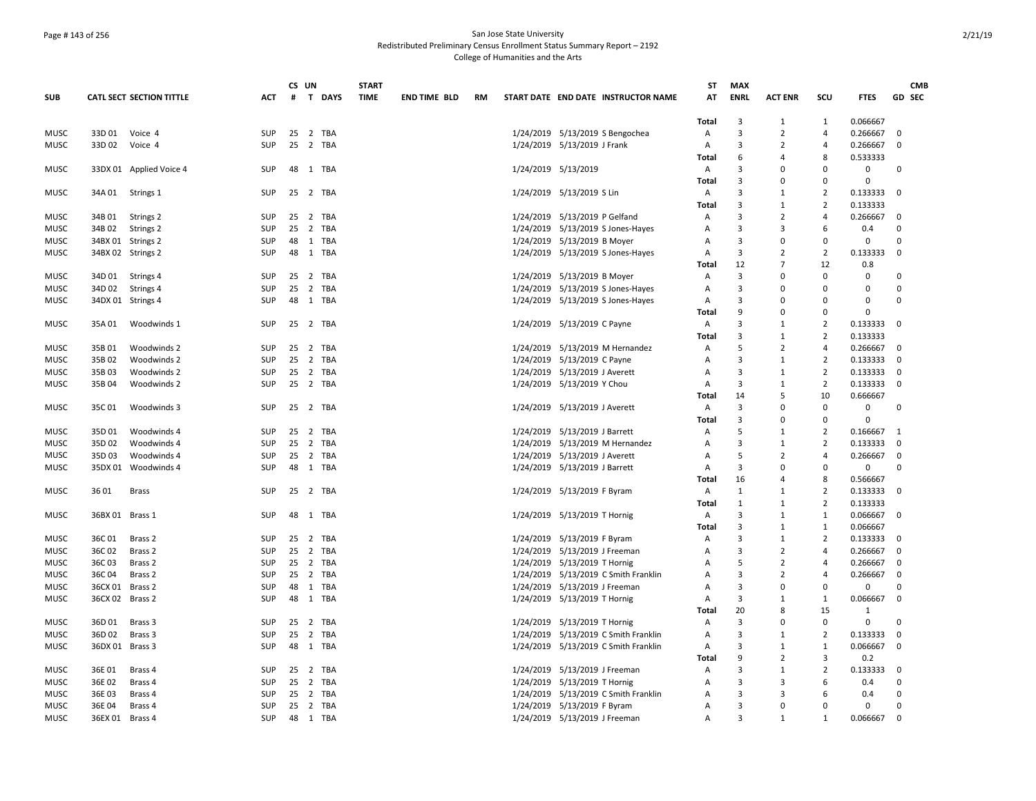## Page # 143 of 256 San Jose State University Redistributed Preliminary Census Enrollment Status Summary Report – 2192 College of Humanities and the Arts

|             |                 |                                 |            |    | CS UN          |        | <b>START</b> |                     |           |                                      | <b>ST</b>      | <b>MAX</b>     |                |                |              |             | <b>CMB</b>    |
|-------------|-----------------|---------------------------------|------------|----|----------------|--------|--------------|---------------------|-----------|--------------------------------------|----------------|----------------|----------------|----------------|--------------|-------------|---------------|
| <b>SUB</b>  |                 | <b>CATL SECT SECTION TITTLE</b> | <b>ACT</b> | #  |                | T DAYS | <b>TIME</b>  | <b>END TIME BLD</b> | <b>RM</b> | START DATE END DATE INSTRUCTOR NAME  | AT             | <b>ENRL</b>    | <b>ACT ENR</b> | SCU            | <b>FTES</b>  |             | <b>GD SEC</b> |
|             |                 |                                 |            |    |                |        |              |                     |           |                                      | Total          | 3              | $\overline{1}$ | 1              | 0.066667     |             |               |
| <b>MUSC</b> | 33D 01          | Voice 4                         | SUP        | 25 | 2 TBA          |        |              |                     |           | 1/24/2019 5/13/2019 S Bengochea      | Α              | 3              | $\overline{2}$ | 4              | 0.266667     | 0           |               |
| <b>MUSC</b> | 33D 02          | Voice 4                         | <b>SUP</b> | 25 | 2 TBA          |        |              |                     |           | 1/24/2019 5/13/2019 J Frank          | Α              | 3              | $\overline{2}$ | 4              | 0.266667     | $\mathbf 0$ |               |
|             |                 |                                 |            |    |                |        |              |                     |           |                                      | Total          | 6              | 4              | 8              | 0.533333     |             |               |
| <b>MUSC</b> |                 | 33DX 01 Applied Voice 4         | <b>SUP</b> |    | 48 1 TBA       |        |              |                     |           | 1/24/2019 5/13/2019                  | Α              | 3              | $\Omega$       | $\Omega$       | 0            | $\Omega$    |               |
|             |                 |                                 |            |    |                |        |              |                     |           |                                      | Total          | $\mathbf{a}$   | $\Omega$       | $\Omega$       | $\Omega$     |             |               |
| <b>MUSC</b> | 34A 01          | Strings 1                       | SUP        |    | 25 2 TBA       |        |              |                     |           | 1/24/2019 5/13/2019 S Lin            | Α              | 3              | 1              | $\overline{2}$ | 0.133333     | - 0         |               |
|             |                 |                                 |            |    |                |        |              |                     |           |                                      | Total          | 3              | 1              | $\overline{2}$ | 0.133333     |             |               |
| <b>MUSC</b> | 34B 01          | Strings 2                       | <b>SUP</b> | 25 | 2 TBA          |        |              |                     |           | 1/24/2019 5/13/2019 P Gelfand        | A              | 3              | $\overline{2}$ | 4              | 0.266667     | $\Omega$    |               |
| <b>MUSC</b> | 34B 02          | Strings 2                       | <b>SUP</b> | 25 | 2 TBA          |        |              |                     |           | 1/24/2019 5/13/2019 S Jones-Hayes    | Α              | 3              | 3              | 6              | 0.4          | $\Omega$    |               |
| MUSC        |                 | 34BX 01 Strings 2               | SUP        | 48 | 1 TBA          |        |              |                     |           | 1/24/2019 5/13/2019 B Moyer          | Α              | 3              | 0              | $\Omega$       | 0            | $\Omega$    |               |
| MUSC        |                 | 34BX 02 Strings 2               | SUP        | 48 | 1 TBA          |        |              |                     |           | 1/24/2019 5/13/2019 S Jones-Hayes    | Α              | 3              | $\overline{2}$ | 2              | 0.133333     | $\mathbf 0$ |               |
|             |                 |                                 |            |    |                |        |              |                     |           |                                      | Total          | 12             | $\overline{7}$ | 12             | 0.8          |             |               |
| <b>MUSC</b> | 34D 01          | Strings 4                       | SUP        | 25 | 2 TBA          |        |              |                     |           | 1/24/2019 5/13/2019 B Moyer          | Α              | 3              | $\Omega$       | $\Omega$       | $\Omega$     | $\Omega$    |               |
| MUSC        | 34D 02          | Strings 4                       | SUP        | 25 | 2 TBA          |        |              |                     |           | 1/24/2019 5/13/2019 S Jones-Hayes    | Α              | 3              | 0              | $\Omega$       | 0            | 0           |               |
| MUSC        |                 | 34DX 01 Strings 4               | <b>SUP</b> | 48 | 1 TBA          |        |              |                     |           | 1/24/2019 5/13/2019 S Jones-Hayes    | A              | 3              | $\Omega$       | $\Omega$       | $\Omega$     | 0           |               |
|             |                 |                                 |            |    |                |        |              |                     |           |                                      | Total          | 9              | $\Omega$       | $\Omega$       | $\Omega$     |             |               |
| <b>MUSC</b> | 35A 01          | Woodwinds 1                     | <b>SUP</b> |    | 25 2 TBA       |        |              |                     |           | 1/24/2019 5/13/2019 C Payne          | A              | 3              | 1              | $\overline{2}$ | 0.133333     | $\Omega$    |               |
|             |                 |                                 |            |    |                |        |              |                     |           |                                      | Total          | 3              | 1              | $\overline{2}$ | 0.133333     |             |               |
| <b>MUSC</b> | 35B 01          | Woodwinds 2                     | <b>SUP</b> |    | 25 2 TBA       |        |              |                     |           | 1/24/2019 5/13/2019 M Hernandez      | A              | 5              | $\overline{2}$ | 4              | 0.266667     | 0           |               |
| <b>MUSC</b> | 35B02           | Woodwinds 2                     | SUP        |    | 25 2 TBA       |        |              |                     |           | 1/24/2019 5/13/2019 C Payne          | A              | 3              | 1              | $\overline{2}$ | 0.133333     | $\mathbf 0$ |               |
| <b>MUSC</b> | 35B03           | Woodwinds 2                     | <b>SUP</b> | 25 | 2 TBA          |        |              |                     |           | 1/24/2019 5/13/2019 J Averett        | $\overline{A}$ | $\overline{3}$ | $\mathbf{1}$   | $\overline{2}$ | 0.133333     | $\Omega$    |               |
| MUSC        | 35B 04          | Woodwinds 2                     | SUP        |    | 25 2 TBA       |        |              |                     |           | 1/24/2019 5/13/2019 Y Chou           | Α              | 3              | 1              | $\overline{2}$ | 0.133333     | $\mathbf 0$ |               |
|             |                 |                                 |            |    |                |        |              |                     |           |                                      | Total          | 14             | 5              | 10             | 0.666667     |             |               |
| MUSC        | 35C 01          | Woodwinds 3                     | <b>SUP</b> | 25 | 2 TBA          |        |              |                     |           | 1/24/2019 5/13/2019 J Averett        | A              | 3              | $\Omega$       | 0              | 0            | 0           |               |
|             |                 |                                 |            |    |                |        |              |                     |           |                                      | Total          | 3              | $\Omega$       | $\Omega$       | $\Omega$     |             |               |
| MUSC        | 35D 01          | Woodwinds 4                     | SUP        | 25 | 2 TBA          |        |              |                     |           | 1/24/2019 5/13/2019 J Barrett        | Α              | 5              | -1             | $\overline{2}$ | 0.166667     | - 1         |               |
| <b>MUSC</b> | 35D 02          | Woodwinds 4                     | SUP        | 25 | 2 TBA          |        |              |                     |           | 1/24/2019 5/13/2019 M Hernandez      | A              | 3              | 1              | 2              | 0.133333     | 0           |               |
| MUSC        | 35D03           | Woodwinds 4                     | <b>SUP</b> | 25 | 2 TBA          |        |              |                     |           | 1/24/2019 5/13/2019 J Averett        | A              | 5              | $\overline{2}$ | 4              | 0.266667     | $\mathbf 0$ |               |
| <b>MUSC</b> |                 | 35DX 01 Woodwinds 4             | <b>SUP</b> |    | 48 1 TBA       |        |              |                     |           | 1/24/2019 5/13/2019 J Barrett        | $\overline{A}$ | $\overline{3}$ | $\Omega$       | $\Omega$       | 0            | $\Omega$    |               |
|             |                 |                                 |            |    |                |        |              |                     |           |                                      | Total          | 16             | 4              | 8              | 0.566667     |             |               |
| <b>MUSC</b> | 3601            | <b>Brass</b>                    | SUP        | 25 | 2 TBA          |        |              |                     |           | 1/24/2019 5/13/2019 F Byram          | Α              | 1              | 1              | $\overline{2}$ | 0.133333     | 0           |               |
|             |                 |                                 |            |    |                |        |              |                     |           |                                      | Total          | 1              | $\mathbf{1}$   | $\overline{2}$ | 0.133333     |             |               |
| <b>MUSC</b> | 36BX 01 Brass 1 |                                 | <b>SUP</b> |    | 48 1 TBA       |        |              |                     |           | 1/24/2019 5/13/2019 T Hornig         | Α              | 3              | 1              | $\overline{1}$ | 0.066667     | $\Omega$    |               |
|             |                 |                                 |            |    |                |        |              |                     |           |                                      | Total          | 3              | $\mathbf{1}$   | $\mathbf{1}$   | 0.066667     |             |               |
| <b>MUSC</b> | 36C01           | Brass <sub>2</sub>              | SUP        | 25 | 2 TBA          |        |              |                     |           | 1/24/2019 5/13/2019 F Byram          | Α              | 3              | 1              | $\overline{2}$ | 0.133333     | - 0         |               |
| MUSC        | 36C02           | Brass 2                         | SUP        | 25 | 2 TBA          |        |              |                     |           | 1/24/2019 5/13/2019 J Freeman        | A              | 3              | $\overline{2}$ | $\overline{4}$ | 0.266667     | $\mathbf 0$ |               |
| MUSC        | 36C03           | Brass <sub>2</sub>              | SUP        | 25 | 2 TBA          |        |              |                     |           | 1/24/2019 5/13/2019 T Hornig         | A              | 5              | $\overline{2}$ | $\overline{a}$ | 0.266667     | $\Omega$    |               |
| <b>MUSC</b> | 36C04           | Brass 2                         | SUP        | 25 |                | 2 TBA  |              |                     |           | 1/24/2019 5/13/2019 C Smith Franklin | $\overline{A}$ | 3              | $\overline{2}$ | $\overline{a}$ | 0.266667     | $\mathbf 0$ |               |
| <b>MUSC</b> | 36CX 01 Brass 2 |                                 | <b>SUP</b> | 48 | 1 TBA          |        |              |                     |           | 1/24/2019 5/13/2019 J Freeman        | Α              | 3              | $\Omega$       | $\Omega$       | 0            | $\Omega$    |               |
| <b>MUSC</b> | 36CX 02 Brass 2 |                                 | <b>SUP</b> |    | 48 1 TBA       |        |              |                     |           | 1/24/2019 5/13/2019 T Hornig         | A              | 3              | $\mathbf{1}$   | 1              | 0.066667     | $\mathbf 0$ |               |
|             |                 |                                 |            |    |                |        |              |                     |           |                                      | Total          | 20             | 8              | 15             | $\mathbf{1}$ |             |               |
| <b>MUSC</b> | 36D 01          | Brass 3                         | SUP        | 25 | 2 TBA          |        |              |                     |           | 1/24/2019 5/13/2019 T Hornig         | Α              | $\overline{3}$ | $\Omega$       | $\Omega$       | 0            | $\Omega$    |               |
| MUSC        | 36D 02          | Brass 3                         | SUP        | 25 | 2 TBA          |        |              |                     |           | 1/24/2019 5/13/2019 C Smith Franklin | A              | 3              | 1              | $\overline{2}$ | 0.133333     | $\mathbf 0$ |               |
| <b>MUSC</b> | 36DX 01 Brass 3 |                                 | <b>SUP</b> | 48 | 1 TBA          |        |              |                     |           | 1/24/2019 5/13/2019 C Smith Franklin | A              | 3              | $\mathbf{1}$   | $\mathbf{1}$   | 0.066667     | $\mathbf 0$ |               |
|             |                 |                                 |            |    |                |        |              |                     |           |                                      | Total          | 9              | $\overline{2}$ | 3              | 0.2          |             |               |
| <b>MUSC</b> | 36E01           | Brass 4                         | SUP        |    | 25 2 TBA       |        |              |                     |           | 1/24/2019 5/13/2019 J Freeman        | A              | 3              | 1              | $\overline{2}$ | 0.133333     | $\mathbf 0$ |               |
| MUSC        | 36E 02          | Brass 4                         | SUP        | 25 | $\overline{2}$ | TBA    |              |                     |           | 1/24/2019 5/13/2019 T Hornig         | A              | 3              | 3              | 6              | 0.4          | 0           |               |
| MUSC        | 36E 03          | Brass 4                         | SUP        | 25 | 2 TBA          |        |              |                     |           | 1/24/2019 5/13/2019 C Smith Franklin | A              | 3              | 3              | 6              | 0.4          | 0           |               |
| MUSC        | 36E 04          | Brass 4                         | <b>SUP</b> | 25 | 2 TBA          |        |              |                     |           | 1/24/2019 5/13/2019 F Byram          | A              | 3              | $\Omega$       | $\Omega$       | 0            | 0           |               |
| <b>MUSC</b> | 36EX 01 Brass 4 |                                 | SUP        | 48 | 1 TBA          |        |              |                     |           | 1/24/2019 5/13/2019 J Freeman        | $\overline{A}$ | $\overline{3}$ | $\mathbf{1}$   | $\mathbf{1}$   | 0.066667     | $\Omega$    |               |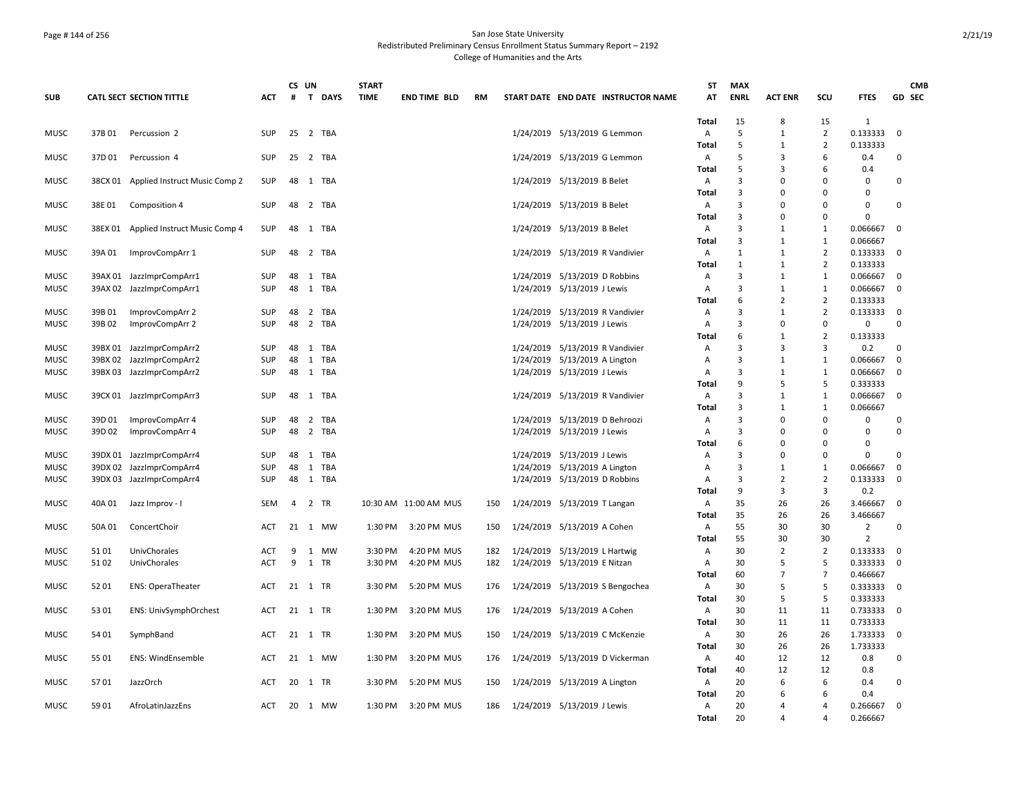## Page # 144 of 256 San Jose State University Redistributed Preliminary Census Enrollment Status Summary Report – 2192 College of Humanities and the Arts

|                            |         |                                 |                          | CS UN          |                            | <b>START</b>       |                            |            |                                                               | ST                | <b>MAX</b>          |                              |                                  |                      |             | <b>CMB</b> |
|----------------------------|---------|---------------------------------|--------------------------|----------------|----------------------------|--------------------|----------------------------|------------|---------------------------------------------------------------|-------------------|---------------------|------------------------------|----------------------------------|----------------------|-------------|------------|
| <b>SUB</b>                 |         | <b>CATL SECT SECTION TITTLE</b> | <b>ACT</b>               | #              | T DAYS                     | <b>TIME</b>        | <b>END TIME BLD</b>        | RM         | START DATE END DATE INSTRUCTOR NAME                           | AT                | <b>ENRL</b>         | <b>ACT ENR</b>               | SCU                              | <b>FTES</b>          | GD SEC      |            |
|                            |         |                                 |                          |                |                            |                    |                            |            |                                                               | Total             | 15                  | 8                            | 15                               | $\mathbf{1}$         |             |            |
| <b>MUSC</b>                | 37B 01  | Percussion 2                    | <b>SUP</b>               | 25             | 2 TBA                      |                    |                            |            | 1/24/2019 5/13/2019 G Lemmon                                  | Α<br>Total        | 5<br>5              | $\mathbf{1}$<br>$\mathbf{1}$ | $\overline{2}$<br>$\overline{2}$ | 0.133333<br>0.133333 | 0           |            |
| <b>MUSC</b>                | 37D 01  | Percussion 4                    | SUP                      | 25             | 2 TBA                      |                    |                            |            | 1/24/2019 5/13/2019 G Lemmon                                  | Α                 | 5                   | 3                            | 6                                | 0.4                  | $\Omega$    |            |
|                            |         |                                 |                          |                |                            |                    |                            |            |                                                               | Total             | -5                  | 3                            | 6                                | 0.4                  |             |            |
| <b>MUSC</b>                | 38CX 01 | Applied Instruct Music Comp 2   | <b>SUP</b>               | 48             | 1 TBA                      |                    |                            |            | 1/24/2019 5/13/2019 B Belet                                   | Α                 | $\overline{3}$      | 0                            | $\Omega$                         | 0                    | $\Omega$    |            |
|                            |         |                                 |                          |                |                            |                    |                            |            |                                                               | Total             | $\overline{3}$      | $\Omega$                     | $\Omega$                         | $\Omega$             |             |            |
| MUSC                       | 38E 01  | Composition 4                   | <b>SUP</b>               | 48             | 2 TBA                      |                    |                            |            | 1/24/2019 5/13/2019 B Belet                                   | Α                 | $\overline{3}$      | $\mathbf 0$                  | $\Omega$                         | 0                    | $\mathbf 0$ |            |
|                            |         |                                 |                          |                |                            |                    |                            |            |                                                               | Total             | $\overline{3}$      | 0                            | $\Omega$                         | $\Omega$             |             |            |
| <b>MUSC</b>                | 38EX 01 | Applied Instruct Music Comp 4   | SUP                      | 48             | 1 TBA                      |                    |                            |            | 1/24/2019 5/13/2019 B Belet                                   | A                 | $\overline{3}$      | 1                            | $\mathbf{1}$                     | 0.066667             | 0           |            |
|                            |         |                                 |                          |                |                            |                    |                            |            |                                                               | Total             | 3                   | $\mathbf{1}$                 | $\mathbf{1}$                     | 0.066667             |             |            |
| MUSC                       | 39A 01  | ImprovCompArr 1                 | SUP                      | 48             | 2 TBA                      |                    |                            |            | 1/24/2019 5/13/2019 R Vandivier                               | Α<br><b>Total</b> | $\mathbf{1}$<br>1   | $\mathbf{1}$<br>$\mathbf{1}$ | $\overline{2}$<br>$\overline{2}$ | 0.133333<br>0.133333 | 0           |            |
| <b>MUSC</b>                |         | 39AX 01 JazzImprCompArr1        | <b>SUP</b>               | 48             | 1 TBA                      |                    |                            |            | 1/24/2019 5/13/2019 D Robbins                                 | A                 | $\overline{3}$      | $\mathbf{1}$                 | $\mathbf{1}$                     | 0.066667             | 0           |            |
| <b>MUSC</b>                |         | 39AX 02 JazzImprCompArr1        | SUP                      | 48             | 1 TBA                      |                    |                            |            | 1/24/2019 5/13/2019 J Lewis                                   | Α                 | $\overline{3}$      | $\mathbf{1}$                 | $\mathbf{1}$                     | 0.066667             | $\mathbf 0$ |            |
|                            |         |                                 |                          |                |                            |                    |                            |            |                                                               | Total             | 6                   | $\overline{2}$               | $\overline{2}$                   | 0.133333             |             |            |
| <b>MUSC</b>                | 39B 01  | ImprovCompArr 2                 | <b>SUP</b>               | 48             | 2 TBA                      |                    |                            |            | 1/24/2019 5/13/2019 R Vandivier                               | Α                 | 3                   | $\mathbf{1}$                 | $\overline{2}$                   | 0.133333             | 0           |            |
| <b>MUSC</b>                | 39B 02  | ImprovCompArr 2                 | <b>SUP</b>               | 48             | 2 TBA                      |                    |                            |            | 1/24/2019 5/13/2019 J Lewis                                   | A                 | 3                   | 0                            | 0                                | $\Omega$             | $\Omega$    |            |
|                            |         |                                 |                          |                |                            |                    |                            |            |                                                               | Total             | 6                   | $\mathbf{1}$                 | $\overline{2}$                   | 0.133333             |             |            |
| <b>MUSC</b>                |         | 39BX 01 JazzImprCompArr2        | <b>SUP</b>               | 48             | 1 TBA                      |                    |                            |            | 1/24/2019 5/13/2019 R Vandivier                               | Α                 | 3                   | 3                            | 3                                | 0.2                  | $\Omega$    |            |
| <b>MUSC</b>                |         | 39BX 02 JazzImprCompArr2        | <b>SUP</b>               | 48             | 1<br><b>TBA</b>            |                    |                            |            | 1/24/2019 5/13/2019 A Lington                                 | Α                 | 3                   | $\mathbf{1}$                 | $\mathbf{1}$                     | 0.066667             | $\mathbf 0$ |            |
| <b>MUSC</b>                |         | 39BX 03 JazzImprCompArr2        | SUP                      | 48             | 1 TBA                      |                    |                            |            | 1/24/2019 5/13/2019 J Lewis                                   | A                 | $\overline{3}$      | $\mathbf{1}$                 | $\mathbf{1}$                     | 0.066667             | $\mathbf 0$ |            |
|                            |         |                                 |                          |                |                            |                    |                            |            |                                                               | Total             | 9                   | 5                            | 5                                | 0.333333             |             |            |
| MUSC                       |         | 39CX 01 JazzImprCompArr3        | SUP                      | 48             | TBA<br>1                   |                    |                            |            | 1/24/2019 5/13/2019 R Vandivier                               | Α                 | $\overline{3}$      | $\mathbf{1}$                 | $\mathbf{1}$                     | 0.066667             | $\mathbf 0$ |            |
| <b>MUSC</b>                | 39D 01  | ImprovCompArr 4                 | <b>SUP</b>               | 48             | 2 TBA                      |                    |                            |            | 1/24/2019 5/13/2019 D Behroozi                                | Total<br>Α        | 3<br>$\overline{3}$ | $\mathbf{1}$<br>0            | $\mathbf{1}$<br>0                | 0.066667<br>0        | 0           |            |
| <b>MUSC</b>                | 39D 02  | ImprovCompArr 4                 | <b>SUP</b>               | 48             | 2 TBA                      |                    |                            |            | 1/24/2019 5/13/2019 J Lewis                                   | A                 | $\overline{3}$      | 0                            | $\Omega$                         | 0                    | $\Omega$    |            |
|                            |         |                                 |                          |                |                            |                    |                            |            |                                                               | Total             | 6                   | 0                            | $\Omega$                         | $\Omega$             |             |            |
| <b>MUSC</b>                |         | 39DX 01 JazzImprCompArr4        | <b>SUP</b>               | 48             | 1<br>TBA                   |                    |                            |            | 1/24/2019 5/13/2019 J Lewis                                   | Α                 | $\overline{3}$      | $\Omega$                     | $\Omega$                         | $\Omega$             | $\Omega$    |            |
| <b>MUSC</b>                |         | 39DX 02 JazzImprCompArr4        | <b>SUP</b>               | 48             | 1<br><b>TBA</b>            |                    |                            |            | 1/24/2019 5/13/2019 A Lington                                 | Α                 | $\overline{3}$      | $\mathbf{1}$                 | $\mathbf{1}$                     | 0.066667             | $\mathbf 0$ |            |
| MUSC                       |         | 39DX 03 JazzImprCompArr4        | SUP                      | 48             | 1 TBA                      |                    |                            |            | 1/24/2019 5/13/2019 D Robbins                                 | Α                 | 3                   | $\overline{2}$               | $\overline{2}$                   | 0.133333             | $\Omega$    |            |
|                            |         |                                 |                          |                |                            |                    |                            |            |                                                               | Total             | 9                   | 3                            | 3                                | 0.2                  |             |            |
| <b>MUSC</b>                | 40A 01  | Jazz Improv - I                 | <b>SEM</b>               | $\overline{4}$ | 2 TR                       |                    | 10:30 AM 11:00 AM MUS      | 150        | 1/24/2019 5/13/2019 T Langan                                  | Α                 | 35                  | 26                           | 26                               | 3.466667             | 0           |            |
|                            |         |                                 |                          |                |                            |                    |                            |            |                                                               | Total             | 35                  | 26                           | 26                               | 3.466667             |             |            |
| <b>MUSC</b>                | 50A 01  | ConcertChoir                    | ACT                      | 21             | 1 MW                       | 1:30 PM            | 3:20 PM MUS                | 150        | 1/24/2019 5/13/2019 A Cohen                                   | A                 | 55                  | 30                           | 30                               | $\overline{2}$       | $\Omega$    |            |
|                            | 5101    |                                 |                          |                |                            |                    |                            |            |                                                               | <b>Total</b>      | 55                  | 30                           | 30<br>$\overline{2}$             | $\overline{2}$       | $\mathbf 0$ |            |
| <b>MUSC</b><br><b>MUSC</b> | 51 02   | UnivChorales<br>UnivChorales    | <b>ACT</b><br><b>ACT</b> | 9<br>9         | 1 MW<br>$\mathbf{1}$<br>TR | 3:30 PM<br>3:30 PM | 4:20 PM MUS<br>4:20 PM MUS | 182<br>182 | 1/24/2019 5/13/2019 L Hartwig<br>1/24/2019 5/13/2019 E Nitzan | A<br>Α            | 30<br>30            | $\overline{2}$<br>5          | 5                                | 0.133333<br>0.333333 | $\Omega$    |            |
|                            |         |                                 |                          |                |                            |                    |                            |            |                                                               | Total             | 60                  | $\overline{7}$               | $\overline{7}$                   | 0.466667             |             |            |
| MUSC                       | 5201    | <b>ENS: OperaTheater</b>        | <b>ACT</b>               |                | 21 1 TR                    | 3:30 PM            | 5:20 PM MUS                | 176        | 1/24/2019 5/13/2019 S Bengochea                               | A                 | 30                  | 5                            | 5                                | 0.333333             | $\mathbf 0$ |            |
|                            |         |                                 |                          |                |                            |                    |                            |            |                                                               | Total             | 30                  | 5                            | 5                                | 0.333333             |             |            |
| <b>MUSC</b>                | 53 01   | ENS: UnivSymphOrchest           | ACT                      |                | 21 1 TR                    | 1:30 PM            | 3:20 PM MUS                | 176        | 1/24/2019 5/13/2019 A Cohen                                   | Α                 | 30                  | 11                           | 11                               | 0.733333             | 0           |            |
|                            |         |                                 |                          |                |                            |                    |                            |            |                                                               | Total             | 30                  | 11                           | 11                               | 0.733333             |             |            |
| <b>MUSC</b>                | 54 01   | SymphBand                       | ACT                      |                | 21 1 TR                    | 1:30 PM            | 3:20 PM MUS                | 150        | 1/24/2019 5/13/2019 C McKenzie                                | A                 | 30                  | 26                           | 26                               | 1.733333             | 0           |            |
|                            |         |                                 |                          |                |                            |                    |                            |            |                                                               | <b>Total</b>      | 30                  | 26                           | 26                               | 1.733333             |             |            |
| <b>MUSC</b>                | 55 01   | <b>ENS: WindEnsemble</b>        | <b>ACT</b>               |                | 21 1 MW                    | 1:30 PM            | 3:20 PM MUS                | 176        | 1/24/2019 5/13/2019 D Vickerman                               | A                 | 40                  | 12                           | 12                               | 0.8                  | $\Omega$    |            |
|                            |         |                                 |                          |                |                            |                    |                            |            |                                                               | <b>Total</b>      | 40                  | 12                           | 12                               | 0.8                  |             |            |
| MUSC                       | 5701    | JazzOrch                        | ACT                      | 20             | 1 TR                       | 3:30 PM            | 5:20 PM MUS                | 150        | 1/24/2019 5/13/2019 A Lington                                 | Α                 | 20                  | 6                            | 6<br>6                           | 0.4                  | $\mathbf 0$ |            |
| <b>MUSC</b>                | 59 01   | AfroLatinJazzEns                | ACT                      | 20             | 1 MW                       | 1:30 PM            | 3:20 PM MUS                | 186        | 1/24/2019 5/13/2019 J Lewis                                   | Total<br>Α        | 20<br>20            | 6<br>4                       | $\overline{4}$                   | 0.4<br>0.266667      | 0           |            |
|                            |         |                                 |                          |                |                            |                    |                            |            |                                                               | Total             | 20                  | 4                            | 4                                | 0.266667             |             |            |
|                            |         |                                 |                          |                |                            |                    |                            |            |                                                               |                   |                     |                              |                                  |                      |             |            |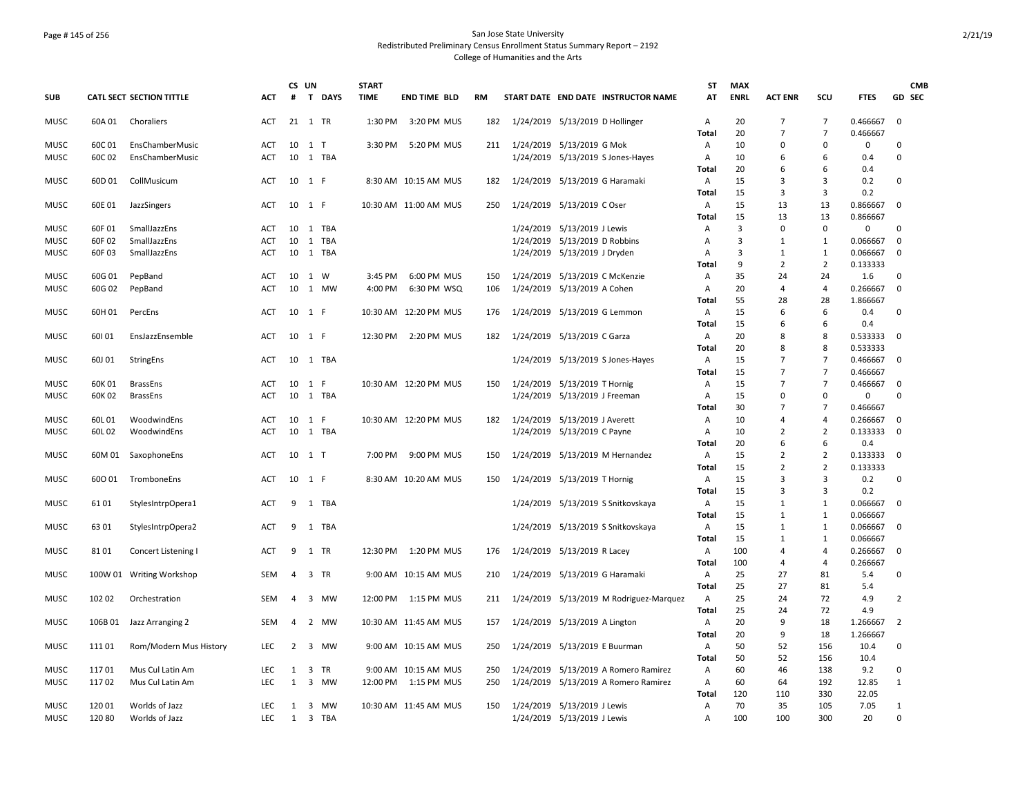## Page # 145 of 256 San Jose State University Redistributed Preliminary Census Enrollment Status Summary Report – 2192 College of Humanities and the Arts

|                     |                  |                                    |                          | CS UN          |       |           | <b>START</b> |                          |     |                                                               |                                         | ST           | <b>MAX</b>  |                                  |                                  |               |                  | <b>CMB</b> |
|---------------------|------------------|------------------------------------|--------------------------|----------------|-------|-----------|--------------|--------------------------|-----|---------------------------------------------------------------|-----------------------------------------|--------------|-------------|----------------------------------|----------------------------------|---------------|------------------|------------|
| <b>SUB</b>          |                  | CATL SECT SECTION TITTLE           | <b>ACT</b>               | #              |       | T DAYS    | <b>TIME</b>  | <b>END TIME BLD</b>      | RM  |                                                               | START DATE END DATE INSTRUCTOR NAME     | AT           | <b>ENRL</b> | <b>ACT ENR</b>                   | SCU                              | <b>FTES</b>   |                  | GD SEC     |
| <b>MUSC</b>         | 60A 01           | Choraliers                         | ACT                      | 21 1 TR        |       |           | 1:30 PM      | 3:20 PM MUS              | 182 |                                                               | 1/24/2019 5/13/2019 D Hollinger         | Α            | 20          | $\overline{7}$                   | $\overline{7}$                   | 0.466667      | 0                |            |
|                     |                  |                                    |                          |                |       |           |              |                          |     |                                                               |                                         | Total        | 20          | $\overline{7}$                   | $\overline{7}$                   | 0.466667      |                  |            |
| <b>MUSC</b>         | 60C 01           | EnsChamberMusic                    | <b>ACT</b><br><b>ACT</b> | 10<br>10       | $1$ T | 1 TBA     | 3:30 PM      | 5:20 PM MUS              | 211 | 1/24/2019 5/13/2019 G Mok                                     |                                         | A<br>A       | 10          | $\Omega$<br>6                    | $\Omega$<br>6                    | 0             | 0<br>$\Omega$    |            |
| <b>MUSC</b>         | 60C 02           | EnsChamberMusic                    |                          |                |       |           |              |                          |     |                                                               | 1/24/2019 5/13/2019 S Jones-Hayes       | Total        | 10<br>20    | 6                                | 6                                | 0.4<br>0.4    |                  |            |
| MUSC                | 60D 01           | CollMusicum                        | ACT                      | 10             | 1 F   |           |              | 8:30 AM 10:15 AM MUS     | 182 |                                                               | 1/24/2019 5/13/2019 G Haramaki          | Α            | 15          | 3                                | 3                                | 0.2           | 0                |            |
|                     |                  |                                    |                          |                |       |           |              |                          |     |                                                               |                                         | Total        | 15          | 3                                | 3                                | 0.2           |                  |            |
| <b>MUSC</b>         | 60E 01           | JazzSingers                        | ACT                      | 10 1 F         |       |           |              | 10:30 AM 11:00 AM MUS    | 250 | 1/24/2019 5/13/2019 C Oser                                    |                                         | Α            | 15          | 13                               | 13                               | 0.866667      | $\mathbf 0$      |            |
|                     |                  |                                    |                          |                |       |           |              |                          |     |                                                               |                                         | Total        | 15          | 13                               | 13                               | 0.866667      |                  |            |
| <b>MUSC</b>         | 60F 01           | SmallJazzEns                       | ACT                      | 10             |       | 1 TBA     |              |                          |     | 1/24/2019 5/13/2019 J Lewis                                   |                                         | Α            | 3           | $\mathbf 0$                      | 0                                | 0             | 0                |            |
| MUSC                | 60F 02           | SmallJazzEns                       | ACT                      | 10             |       | 1 TBA     |              |                          |     | 1/24/2019 5/13/2019 D Robbins                                 |                                         | Α            | 3           | 1                                | 1                                | 0.066667      | 0                |            |
| MUSC                | 60F 03           | SmallJazzEns                       | ACT                      | 10             |       | 1 TBA     |              |                          |     | 1/24/2019 5/13/2019 J Dryden                                  |                                         | Α            | 3           | 1                                | 1                                | 0.066667      | $\mathbf 0$      |            |
|                     |                  |                                    |                          |                |       |           |              |                          |     |                                                               |                                         | Total        | 9           | $\overline{2}$                   | 2                                | 0.133333      |                  |            |
| MUSC                | 60G 01           | PepBand                            | ACT                      | 10             | 1 W   |           | 3:45 PM      | 6:00 PM MUS              | 150 |                                                               | 1/24/2019 5/13/2019 C McKenzie          | Α            | 35          | 24                               | 24                               | 1.6           | 0                |            |
| <b>MUSC</b>         | 60G 02           | PepBand                            | <b>ACT</b>               | 10             |       | 1 MW      | 4:00 PM      | 6:30 PM WSQ              | 106 | 1/24/2019 5/13/2019 A Cohen                                   |                                         | Α            | 20          | $\overline{4}$                   | $\overline{4}$                   | 0.266667      | $\mathbf 0$      |            |
|                     |                  |                                    |                          |                |       |           |              |                          |     |                                                               |                                         | Total        | 55          | 28                               | 28                               | 1.866667      |                  |            |
| MUSC                | 60H 01           | PercEns                            | ACT                      | 10             | 1 F   |           |              | 10:30 AM 12:20 PM MUS    | 176 |                                                               | 1/24/2019 5/13/2019 G Lemmon            | A            | 15          | 6                                | 6                                | 0.4           | $\mathbf 0$      |            |
|                     |                  |                                    |                          |                |       |           |              |                          |     |                                                               |                                         | Total        | 15          | 6                                | 6                                | 0.4           |                  |            |
| <b>MUSC</b>         | 60101            | EnsJazzEnsemble                    | ACT                      | 10             | 1 F   |           | 12:30 PM     | 2:20 PM MUS              | 182 | 1/24/2019 5/13/2019 C Garza                                   |                                         | Α            | 20          | 8                                | 8                                | 0.533333      | $\mathbf 0$      |            |
|                     |                  |                                    |                          |                |       |           |              |                          |     |                                                               |                                         | Total        | 20          | 8                                | 8                                | 0.533333      |                  |            |
| <b>MUSC</b>         | 60J 01           | StringEns                          | ACT                      |                |       | 10 1 TBA  |              |                          |     |                                                               | 1/24/2019 5/13/2019 S Jones-Hayes       | Α            | 15          | $\overline{7}$                   | $\overline{7}$                   | 0.466667      | $\mathbf 0$      |            |
|                     |                  |                                    |                          |                |       |           |              |                          |     |                                                               |                                         | Total        | 15          | $\overline{7}$<br>$\overline{7}$ | $\overline{7}$<br>$\overline{7}$ | 0.466667      |                  |            |
| <b>MUSC</b><br>MUSC | 60K 01<br>60K 02 | <b>BrassEns</b><br><b>BrassEns</b> | ACT<br><b>ACT</b>        | 10<br>10       | 1 F   | 1 TBA     |              | 10:30 AM 12:20 PM MUS    | 150 | 1/24/2019 5/13/2019 T Hornig<br>1/24/2019 5/13/2019 J Freeman |                                         | Α<br>A       | 15<br>15    | $\Omega$                         | $\Omega$                         | 0.466667<br>0 | $\mathbf 0$<br>0 |            |
|                     |                  |                                    |                          |                |       |           |              |                          |     |                                                               |                                         | Total        | 30          | $\overline{7}$                   | $\overline{7}$                   | 0.466667      |                  |            |
| <b>MUSC</b>         | 60L 01           | WoodwindEns                        | ACT                      | 10 1 F         |       |           |              | 10:30 AM 12:20 PM MUS    | 182 | 1/24/2019 5/13/2019 J Averett                                 |                                         | A            | 10          | $\overline{a}$                   | $\overline{\mathbf{A}}$          | 0.266667      | $\mathbf 0$      |            |
| <b>MUSC</b>         | 60L 02           | WoodwindEns                        | <b>ACT</b>               | 10             |       | 1 TBA     |              |                          |     | 1/24/2019 5/13/2019 C Payne                                   |                                         | A            | 10          | $\overline{2}$                   | $\overline{2}$                   | 0.133333      | $\mathbf 0$      |            |
|                     |                  |                                    |                          |                |       |           |              |                          |     |                                                               |                                         | Total        | 20          | 6                                | 6                                | 0.4           |                  |            |
| MUSC                | 60M 01           | SaxophoneEns                       | ACT                      | 10 1 T         |       |           | 7:00 PM      | 9:00 PM MUS              | 150 |                                                               | 1/24/2019 5/13/2019 M Hernandez         | Α            | 15          | $\overline{2}$                   | $\overline{2}$                   | 0.133333      | 0                |            |
|                     |                  |                                    |                          |                |       |           |              |                          |     |                                                               |                                         | Total        | 15          | $\overline{2}$                   | 2                                | 0.133333      |                  |            |
| <b>MUSC</b>         | 600 01           | TromboneEns                        | ACT                      | 10 1 F         |       |           |              | 8:30 AM 10:20 AM MUS     | 150 | 1/24/2019 5/13/2019 T Hornig                                  |                                         | $\mathsf{A}$ | 15          | 3                                | 3                                | 0.2           | $\Omega$         |            |
|                     |                  |                                    |                          |                |       |           |              |                          |     |                                                               |                                         | Total        | 15          | 3                                | $\overline{3}$                   | 0.2           |                  |            |
| <b>MUSC</b>         | 6101             | StylesIntrpOpera1                  | <b>ACT</b>               | 9              |       | 1 TBA     |              |                          |     |                                                               | 1/24/2019 5/13/2019 S Snitkovskaya      | Α            | 15          | $\mathbf{1}$                     | $\mathbf{1}$                     | 0.066667      | $\Omega$         |            |
|                     |                  |                                    |                          |                |       |           |              |                          |     |                                                               |                                         | Total        | 15          | 1                                | $\mathbf{1}$                     | 0.066667      |                  |            |
| MUSC                | 6301             | StylesIntrpOpera2                  | ACT                      | 9              |       | 1 TBA     |              |                          |     |                                                               | 1/24/2019 5/13/2019 S Snitkovskaya      | A            | 15          | 1                                | $\mathbf{1}$                     | 0.066667      | $\mathbf 0$      |            |
|                     |                  |                                    |                          |                |       |           |              |                          |     |                                                               |                                         | Total        | 15          | 1                                | $\mathbf{1}$                     | 0.066667      |                  |            |
| <b>MUSC</b>         | 8101             | Concert Listening I                | <b>ACT</b>               | 9              | 1 TR  |           |              | 12:30 PM 1:20 PM MUS     | 176 | 1/24/2019 5/13/2019 R Lacey                                   |                                         | A            | 100         | 4                                | $\overline{a}$                   | 0.266667      | $\mathbf 0$      |            |
|                     |                  |                                    |                          |                |       |           |              |                          |     |                                                               |                                         | Total        | 100         | $\overline{a}$                   | $\overline{\mathbf{A}}$          | 0.266667      |                  |            |
| <b>MUSC</b>         |                  | 100W 01 Writing Workshop           | SEM                      | $\overline{4}$ | 3 TR  |           |              | 9:00 AM 10:15 AM MUS     | 210 |                                                               | 1/24/2019 5/13/2019 G Haramaki          | Α            | 25<br>25    | 27<br>27                         | 81<br>81                         | 5.4           | 0                |            |
| <b>MUSC</b>         | 102 02           | Orchestration                      | <b>SEM</b>               | 4              |       | 3 MW      |              | 12:00 PM   1:15 PM   MUS | 211 |                                                               | 1/24/2019 5/13/2019 M Rodriguez-Marquez | Total<br>Α   | 25          | 24                               | 72                               | 5.4<br>4.9    | 2                |            |
|                     |                  |                                    |                          |                |       |           |              |                          |     |                                                               |                                         | Total        | 25          | 24                               | 72                               | 4.9           |                  |            |
| <b>MUSC</b>         | 106B01           | Jazz Arranging 2                   | <b>SEM</b>               | 4              |       | 2 MW      |              | 10:30 AM 11:45 AM MUS    | 157 | 1/24/2019 5/13/2019 A Lington                                 |                                         | $\mathsf{A}$ | 20          | 9                                | 18                               | 1.266667      | 2                |            |
|                     |                  |                                    |                          |                |       |           |              |                          |     |                                                               |                                         | Total        | 20          | 9                                | 18                               | 1.266667      |                  |            |
| <b>MUSC</b>         | 11101            | Rom/Modern Mus History             | LEC                      | $\overline{2}$ |       | 3 MW      |              | 9:00 AM 10:15 AM MUS     | 250 |                                                               | 1/24/2019 5/13/2019 E Buurman           | Α            | 50          | 52                               | 156                              | 10.4          | 0                |            |
|                     |                  |                                    |                          |                |       |           |              |                          |     |                                                               |                                         | Total        | 50          | 52                               | 156                              | 10.4          |                  |            |
| <b>MUSC</b>         | 11701            | Mus Cul Latin Am                   | LEC                      | 1              | 3 TR  |           |              | 9:00 AM 10:15 AM MUS     | 250 |                                                               | 1/24/2019 5/13/2019 A Romero Ramirez    | Α            | 60          | 46                               | 138                              | 9.2           | 0                |            |
| <b>MUSC</b>         | 11702            | Mus Cul Latin Am                   | <b>LEC</b>               | 1              | 3     | <b>MW</b> | 12:00 PM     | 1:15 PM MUS              | 250 |                                                               | 1/24/2019 5/13/2019 A Romero Ramirez    | A            | 60          | 64                               | 192                              | 12.85         | 1                |            |
|                     |                  |                                    |                          |                |       |           |              |                          |     |                                                               |                                         | Total        | 120         | 110                              | 330                              | 22.05         |                  |            |
| <b>MUSC</b>         | 12001            | Worlds of Jazz                     | <b>LEC</b>               | 1              |       | 3 MW      |              | 10:30 AM 11:45 AM MUS    | 150 | 1/24/2019 5/13/2019 J Lewis                                   |                                         | Α            | 70          | 35                               | 105                              | 7.05          | $\mathbf{1}$     |            |
| <b>MUSC</b>         | 120 80           | Worlds of Jazz                     | LEC                      | 1              |       | 3 TBA     |              |                          |     | 1/24/2019 5/13/2019 J Lewis                                   |                                         | A            | 100         | 100                              | 300                              | 20            | 0                |            |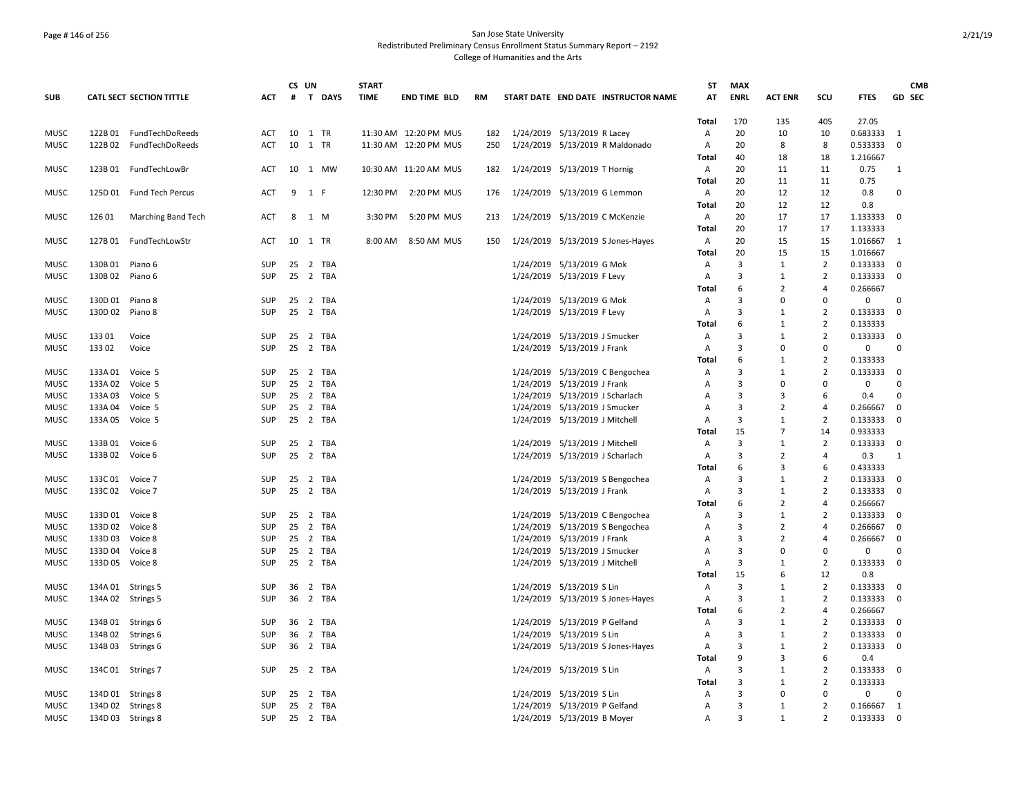## Page # 146 of 256 San Jose State University Redistributed Preliminary Census Enrollment Status Summary Report – 2192 College of Humanities and the Arts

|                            |                    |                          |                          | CS UN |                |              | <b>START</b> |                       |           |                                 |                                     | ST         | <b>MAX</b>     |                     |                          |                      |                | <b>CMB</b>    |
|----------------------------|--------------------|--------------------------|--------------------------|-------|----------------|--------------|--------------|-----------------------|-----------|---------------------------------|-------------------------------------|------------|----------------|---------------------|--------------------------|----------------------|----------------|---------------|
| <b>SUB</b>                 |                    | CATL SECT SECTION TITTLE | <b>ACT</b>               | #     |                | T DAYS       | <b>TIME</b>  | <b>END TIME BLD</b>   | <b>RM</b> |                                 | START DATE END DATE INSTRUCTOR NAME | AT         | <b>ENRL</b>    | <b>ACT ENR</b>      | SCU                      | <b>FTES</b>          |                | <b>GD SEC</b> |
|                            |                    |                          |                          |       |                |              |              |                       |           |                                 |                                     | Total      | 170            | 135                 | 405                      | 27.05                |                |               |
| <b>MUSC</b>                |                    | 122B 01 FundTechDoReeds  | <b>ACT</b>               | 10    | 1 TR           |              |              | 11:30 AM 12:20 PM MUS | 182       | 1/24/2019 5/13/2019 R Lacey     |                                     | Α          | 20             | 10                  | 10                       | 0.683333 1           |                |               |
| <b>MUSC</b>                | 122B 02            | FundTechDoReeds          | <b>ACT</b>               | 10    | 1 TR           |              |              | 11:30 AM 12:20 PM MUS | 250       |                                 | 1/24/2019 5/13/2019 R Maldonado     | Α          | 20             | 8                   | 8                        | 0.533333             | $\mathbf 0$    |               |
|                            |                    |                          |                          |       |                |              |              |                       |           |                                 |                                     | Total      | 40             | 18                  | 18                       | 1.216667             |                |               |
| <b>MUSC</b>                |                    | 123B 01 FundTechLowBr    | ACT                      | 10    |                | 1 MW         |              | 10:30 AM 11:20 AM MUS | 182       | 1/24/2019 5/13/2019 T Hornig    |                                     | Α          | 20             | 11                  | 11                       | 0.75                 | 1              |               |
|                            |                    |                          |                          |       |                |              |              |                       |           |                                 |                                     | Total      | 20             | 11                  | 11                       | 0.75                 |                |               |
| <b>MUSC</b>                |                    | 125D 01 Fund Tech Percus | <b>ACT</b>               | 9     | 1 F            |              | 12:30 PM     | 2:20 PM MUS           | 176       | 1/24/2019 5/13/2019 G Lemmon    |                                     | A          | 20             | 12                  | 12                       | 0.8                  | 0              |               |
|                            |                    |                          |                          |       |                |              |              |                       |           |                                 |                                     | Total      | 20             | 12                  | 12                       | 0.8                  |                |               |
| <b>MUSC</b>                | 12601              | Marching Band Tech       | ACT                      | 8     | 1 M            |              | 3:30 PM      | 5:20 PM MUS           | 213       |                                 | 1/24/2019 5/13/2019 C McKenzie      | Α          | 20             | 17                  | 17                       | 1.133333             | $\Omega$       |               |
|                            |                    |                          |                          | 10    |                |              |              |                       |           |                                 |                                     | Total      | 20<br>20       | 17<br>15            | 17                       | 1.133333             |                |               |
| <b>MUSC</b>                | 127B 01            | FundTechLowStr           | ACT                      |       | 1 TR           |              | 8:00 AM      | 8:50 AM MUS           | 150       |                                 | 1/24/2019 5/13/2019 S Jones-Hayes   | Α<br>Total | 20             | 15                  | 15<br>15                 | 1.016667<br>1.016667 | -1             |               |
| <b>MUSC</b>                | 130B 01            | Piano 6                  | SUP                      | 25    |                | 2 TBA        |              |                       |           | 1/24/2019 5/13/2019 G Mok       |                                     | Α          | 3              | 1                   | $\overline{2}$           | 0.13333300           |                |               |
| <b>MUSC</b>                | 130B 02            | Piano 6                  | <b>SUP</b>               | 25    |                | 2 TBA        |              |                       |           | 1/24/2019 5/13/2019 F Levy      |                                     | Α          | 3              | 1                   | $\overline{2}$           | 0.133333             | $\Omega$       |               |
|                            |                    |                          |                          |       |                |              |              |                       |           |                                 |                                     | Total      | 6              | $\overline{2}$      | $\overline{4}$           | 0.266667             |                |               |
| <b>MUSC</b>                | 130D 01 Piano 8    |                          | <b>SUP</b>               | 25    |                | 2 TBA        |              |                       |           | 1/24/2019 5/13/2019 G Mok       |                                     | Α          | 3              | $\Omega$            | $\Omega$                 | 0                    | $\Omega$       |               |
| <b>MUSC</b>                | 130D 02 Piano 8    |                          | <b>SUP</b>               | 25    |                | 2 TBA        |              |                       |           | 1/24/2019 5/13/2019 F Levy      |                                     | Α          | 3              | $\mathbf{1}$        | $\overline{2}$           | 0.133333             | $\Omega$       |               |
|                            |                    |                          |                          |       |                |              |              |                       |           |                                 |                                     | Total      | 6              | 1                   | $\overline{2}$           | 0.133333             |                |               |
| MUSC                       | 133 01             | Voice                    | SUP                      | 25    |                | 2 TBA        |              |                       |           | 1/24/2019 5/13/2019 J Smucker   |                                     | Α          | $\overline{3}$ | $\mathbf{1}$        | $\overline{2}$           | 0.133333             | $\mathbf 0$    |               |
| MUSC                       | 133 02             | Voice                    | <b>SUP</b>               | 25    |                | 2 TBA        |              |                       |           | 1/24/2019 5/13/2019 J Frank     |                                     | A          | 3              | $\Omega$            | $\Omega$                 | 0                    | $\Omega$       |               |
|                            |                    |                          |                          |       |                |              |              |                       |           |                                 |                                     | Total      | 6              | 1                   | $\overline{2}$           | 0.133333             |                |               |
| <b>MUSC</b>                | 133A 01            | Voice 5                  | <b>SUP</b>               | 25    |                | 2 TBA        |              |                       |           |                                 | 1/24/2019 5/13/2019 C Bengochea     | Α          | 3              | $\mathbf{1}$        | $\overline{2}$           | 0.133333             | $\Omega$       |               |
| MUSC                       | 133A 02 Voice 5    |                          | SUP                      | 25    |                | 2 TBA        |              |                       |           | 1/24/2019 5/13/2019 J Frank     |                                     | Α          | 3              | $\Omega$            | $\mathbf 0$              | 0                    | $\Omega$       |               |
| MUSC                       | 133A 03 Voice 5    |                          | SUP                      | 25    |                | 2 TBA        |              |                       |           | 1/24/2019 5/13/2019 J Scharlach |                                     | A          | 3              | 3                   | 6                        | 0.4                  | $\Omega$       |               |
| <b>MUSC</b>                | 133A 04 Voice 5    |                          | <b>SUP</b>               | 25    |                | 2 TBA        |              |                       |           | 1/24/2019 5/13/2019 J Smucker   |                                     | A          | 3              | $\overline{2}$      | $\overline{4}$           | 0.266667             | 0              |               |
| <b>MUSC</b>                | 133A 05 Voice 5    |                          | <b>SUP</b>               | 25    |                | 2 TBA        |              |                       |           | 1/24/2019 5/13/2019 J Mitchell  |                                     | A          | 3              | 1                   | $\overline{2}$           | 0.133333             | $\Omega$       |               |
|                            |                    |                          |                          |       |                |              |              |                       |           |                                 |                                     | Total      | 15             | $\overline{7}$      | 14                       | 0.933333             |                |               |
| <b>MUSC</b>                | 133B 01            | Voice 6                  | <b>SUP</b>               | 25    |                | 2 TBA        |              |                       |           | 1/24/2019 5/13/2019 J Mitchell  |                                     | Α          | 3              | 1                   | $\overline{2}$           | 0.133333             | 0              |               |
| <b>MUSC</b>                | 133B 02            | Voice 6                  | <b>SUP</b>               | 25    |                | 2 TBA        |              |                       |           | 1/24/2019 5/13/2019 J Scharlach |                                     | A          | 3              | $\overline{2}$      | $\overline{4}$           | 0.3                  | 1              |               |
|                            |                    |                          |                          |       |                |              |              |                       |           |                                 |                                     | Total      | 6              | $\mathbf{a}$        | 6                        | 0.433333             |                |               |
| MUSC                       | 133C 01            | Voice 7                  | SUP                      | 25    |                | 2 TBA        |              |                       |           |                                 | 1/24/2019 5/13/2019 S Bengochea     | Α          | $\overline{3}$ | $\mathbf{1}$        | $\overline{2}$           | 0.133333             | 0              |               |
| <b>MUSC</b>                | 133C 02            | Voice 7                  | <b>SUP</b>               | 25    |                | 2 TBA        |              |                       |           | 1/24/2019 5/13/2019 J Frank     |                                     | Α          | 3              | 1                   | $\overline{2}$           | 0.133333             | $\mathbf 0$    |               |
|                            |                    |                          |                          |       |                |              |              |                       |           |                                 |                                     | Total      | 6              | $\overline{2}$      | $\overline{4}$           | 0.266667             |                |               |
| MUSC                       | 133D 01 Voice 8    |                          | <b>SUP</b>               | 25    | $\overline{2}$ | 25 2 TBA     |              |                       |           |                                 | 1/24/2019 5/13/2019 C Bengochea     | Α          | 3<br>3         | 1<br>$\overline{2}$ | $\overline{2}$<br>4      | 0.133333<br>0.266667 | $\Omega$<br>0  |               |
| <b>MUSC</b><br><b>MUSC</b> | 133D 02<br>133D 03 | Voice 8<br>Voice 8       | <b>SUP</b><br><b>SUP</b> | 25    |                | TBA<br>2 TBA |              |                       |           | 1/24/2019 5/13/2019 J Frank     | 1/24/2019 5/13/2019 S Bengochea     | Α<br>Α     | 3              | 2                   | $\overline{4}$           | 0.266667             | 0              |               |
| MUSC                       | 133D 04            | Voice 8                  | SUP                      | 25    |                | 2 TBA        |              |                       |           | 1/24/2019 5/13/2019 J Smucker   |                                     | Α          | 3              | $\Omega$            | $\Omega$                 | 0                    | $\mathbf 0$    |               |
| <b>MUSC</b>                | 133D 05            | Voice 8                  | SUP                      | 25    |                | 2 TBA        |              |                       |           | 1/24/2019 5/13/2019 J Mitchell  |                                     | A          | 3              | $\mathbf{1}$        | $\overline{2}$           | 0.133333             | $\Omega$       |               |
|                            |                    |                          |                          |       |                |              |              |                       |           |                                 |                                     | Total      | 15             | 6                   | 12                       | 0.8                  |                |               |
| <b>MUSC</b>                | 134A 01 Strings 5  |                          | <b>SUP</b>               | 36    |                | 2 TBA        |              |                       |           | 1/24/2019 5/13/2019 S Lin       |                                     | Α          | 3              | $\mathbf{1}$        | $\overline{2}$           | 0.133333             | 0              |               |
| <b>MUSC</b>                | 134A 02 Strings 5  |                          | <b>SUP</b>               | 36    |                | 2 TBA        |              |                       |           |                                 | 1/24/2019 5/13/2019 S Jones-Hayes   | Α          | 3              | 1                   | $\overline{2}$           | 0.133333             | $\mathbf 0$    |               |
|                            |                    |                          |                          |       |                |              |              |                       |           |                                 |                                     | Total      | 6              | $\overline{2}$      | $\overline{a}$           | 0.266667             |                |               |
| <b>MUSC</b>                | 134B 01            | Strings 6                | <b>SUP</b>               | 36    |                | 2 TBA        |              |                       |           | 1/24/2019 5/13/2019 P Gelfand   |                                     | Α          | 3              | $\mathbf{1}$        | $\overline{2}$           | 0.133333             | $\Omega$       |               |
| <b>MUSC</b>                | 134B 02            | Strings 6                | <b>SUP</b>               | 36    |                | 2 TBA        |              |                       |           | 1/24/2019 5/13/2019 S Lin       |                                     | Α          | 3              | 1                   | $\overline{2}$           | 0.133333             | 0              |               |
| MUSC                       | 134B 03            | Strings 6                | <b>SUP</b>               | 36    |                | 2 TBA        |              |                       |           |                                 | 1/24/2019 5/13/2019 S Jones-Hayes   | Α          | 3              | $\mathbf{1}$        | $\overline{2}$           | 0.133333             | $\mathbf 0$    |               |
|                            |                    |                          |                          |       |                |              |              |                       |           |                                 |                                     | Total      | 9              | 3                   | 6                        | 0.4                  |                |               |
| <b>MUSC</b>                | 134C 01 Strings 7  |                          | <b>SUP</b>               |       |                | 25 2 TBA     |              |                       |           | 1/24/2019 5/13/2019 S Lin       |                                     | Α          | $\mathbf{a}$   | 1                   | $\overline{2}$           | 0.133333             | $\mathbf 0$    |               |
|                            |                    |                          |                          |       |                |              |              |                       |           |                                 |                                     | Total      | 3              | 1                   | $\overline{2}$           | 0.133333             |                |               |
| MUSC                       | 134D 01 Strings 8  |                          | SUP                      | 25    |                | 2 TBA        |              |                       |           | 1/24/2019 5/13/2019 S Lin       |                                     | Α          | 3              | $\Omega$            | $\mathbf 0$              | 0                    | $\mathbf 0$    |               |
| <b>MUSC</b>                | 134D 02 Strings 8  |                          | <b>SUP</b>               | 25    |                | 2 TBA        |              |                       |           | 1/24/2019 5/13/2019 P Gelfand   |                                     | Α          | 3              | $\mathbf{1}$        | $\overline{2}$           | 0.166667             | $\overline{1}$ |               |
| <b>MUSC</b>                | 134D 03 Strings 8  |                          | <b>SUP</b>               |       |                | 25 2 TBA     |              |                       |           | 1/24/2019 5/13/2019 B Moyer     |                                     | Α          | $\mathbf{a}$   | $\mathbf{1}$        | $\overline{\phantom{0}}$ | 0.133333             | $\overline{0}$ |               |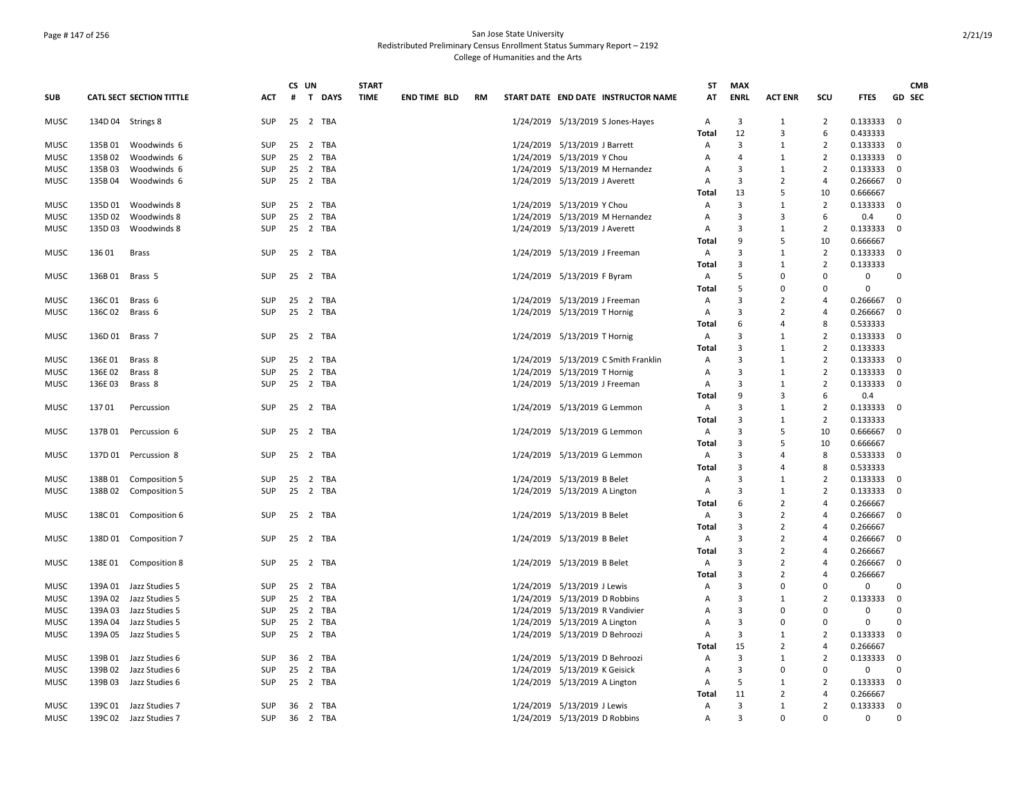## Page # 147 of 256 San Jose State University Redistributed Preliminary Census Enrollment Status Summary Report – 2192 College of Humanities and the Arts

|             |         |                                 |            |    | CS UN    | <b>START</b> |                     |    |                                      | ST                | <b>MAX</b>           |                |                      |                      |                | <b>CMB</b> |
|-------------|---------|---------------------------------|------------|----|----------|--------------|---------------------|----|--------------------------------------|-------------------|----------------------|----------------|----------------------|----------------------|----------------|------------|
| <b>SUB</b>  |         | <b>CATL SECT SECTION TITTLE</b> | <b>ACT</b> | #  | T DAYS   | <b>TIME</b>  | <b>END TIME BLD</b> | RM | START DATE END DATE INSTRUCTOR NAME  | AT                | <b>ENRL</b>          | <b>ACT ENR</b> | SCU                  | <b>FTES</b>          | <b>GD SEC</b>  |            |
| <b>MUSC</b> |         | 134D 04 Strings 8               | <b>SUP</b> |    | 25 2 TBA |              |                     |    | 1/24/2019 5/13/2019 S Jones-Hayes    | A                 | 3                    | $\mathbf{1}$   | $\overline{2}$       | 0.133333             | $\Omega$       |            |
|             |         |                                 |            |    |          |              |                     |    |                                      | Total             | 12                   | 3              | 6                    | 0.433333             |                |            |
| <b>MUSC</b> | 135B01  | Woodwinds 6                     | <b>SUP</b> | 25 | 2 TBA    |              |                     |    | 1/24/2019 5/13/2019 J Barrett        | А                 | 3                    | 1              | $\overline{2}$       | 0.133333             | 0              |            |
| MUSC        | 135B02  | Woodwinds 6                     | <b>SUP</b> | 25 | 2 TBA    |              |                     |    | 1/24/2019 5/13/2019 Y Chou           | А                 | 4                    | 1              | $\overline{2}$       | 0.133333             | $\mathbf 0$    |            |
| <b>MUSC</b> | 135B03  | Woodwinds 6                     | <b>SUP</b> |    | 25 2 TBA |              |                     |    | 1/24/2019 5/13/2019 M Hernandez      | A                 | 3                    | 1              | 2                    | 0.133333             | $\Omega$       |            |
| <b>MUSC</b> | 135B 04 | Woodwinds 6                     | <b>SUP</b> | 25 | 2 TBA    |              |                     |    | 1/24/2019 5/13/2019 J Averett        | A<br><b>Total</b> | $\overline{3}$<br>13 | 2<br>5         | $\overline{4}$<br>10 | 0.266667<br>0.666667 | $\Omega$       |            |
| MUSC        | 135D 01 | Woodwinds 8                     | SUP        |    | 25 2 TBA |              |                     |    | 1/24/2019 5/13/2019 Y Chou           | А                 | $\overline{3}$       | 1              | $\overline{2}$       | 0.133333             | 0              |            |
| <b>MUSC</b> | 135D 02 | Woodwinds 8                     | <b>SUP</b> | 25 | 2 TBA    |              |                     |    | 1/24/2019 5/13/2019 M Hernandez      | A                 | 3                    | 3              | 6                    | 0.4                  | $\Omega$       |            |
| <b>MUSC</b> | 135D 03 | Woodwinds 8                     | <b>SUP</b> |    | 25 2 TBA |              |                     |    | 1/24/2019 5/13/2019 J Averett        | A                 | 3                    | 1              | $\overline{2}$       | 0.133333             | $\Omega$       |            |
|             |         |                                 |            |    |          |              |                     |    |                                      | Total             | 9                    | 5              | 10                   | 0.666667             |                |            |
| <b>MUSC</b> | 136 01  | <b>Brass</b>                    | <b>SUP</b> | 25 | 2 TBA    |              |                     |    | 1/24/2019 5/13/2019 J Freeman        | А                 | 3                    | $\mathbf{1}$   | $\overline{2}$       | 0.133333             | $\Omega$       |            |
|             |         |                                 |            |    |          |              |                     |    |                                      | Total             | 3                    | 1              | $\overline{2}$       | 0.133333             |                |            |
| <b>MUSC</b> | 136B01  | Brass 5                         | <b>SUP</b> |    | 25 2 TBA |              |                     |    | 1/24/2019 5/13/2019 F Byram          | $\mathsf{A}$      | 5                    | $\Omega$       | $\Omega$             | 0                    | $\Omega$       |            |
|             |         |                                 |            |    |          |              |                     |    |                                      | Total             | 5                    | $\Omega$       | $\Omega$             | 0                    |                |            |
| <b>MUSC</b> | 136C 01 | Brass 6                         | <b>SUP</b> | 25 | 2 TBA    |              |                     |    | 1/24/2019 5/13/2019 J Freeman        | Α                 | 3                    | 2              | $\overline{a}$       | 0.266667             | $\Omega$       |            |
| <b>MUSC</b> | 136C 02 | Brass 6                         | SUP        | 25 | 2 TBA    |              |                     |    | 1/24/2019 5/13/2019 T Hornig         | Α                 | 3                    | $\overline{2}$ | $\overline{a}$       | 0.266667             | $\Omega$       |            |
|             |         |                                 |            |    |          |              |                     |    |                                      | Total             | 6                    | 4              | 8                    | 0.533333             |                |            |
| MUSC        | 136D 01 | Brass 7                         | SUP        | 25 | 2 TBA    |              |                     |    | 1/24/2019 5/13/2019 T Hornig         | А                 | 3                    | 1              | $\overline{2}$       | 0.133333             | $\Omega$       |            |
|             |         |                                 |            |    |          |              |                     |    |                                      | Total             | 3                    | 1              | $\overline{2}$       | 0.133333             |                |            |
| MUSC        | 136E 01 | Brass 8                         | <b>SUP</b> |    | 25 2 TBA |              |                     |    | 1/24/2019 5/13/2019 C Smith Franklin | A                 | 3                    | 1              | $\overline{2}$       | 0.133333             | $\mathbf 0$    |            |
| MUSC        | 136E02  | Brass 8                         | SUP        | 25 | 2 TBA    |              |                     |    | 1/24/2019 5/13/2019 T Hornig         | А                 | 3                    | 1              | $\overline{2}$       | 0.133333             | $\Omega$       |            |
| MUSC        | 136E03  | Brass 8                         | SUP        | 25 | 2 TBA    |              |                     |    | 1/24/2019 5/13/2019 J Freeman        | А                 | 3                    | 1              | $\overline{2}$       | 0.133333             | $\mathbf 0$    |            |
|             |         |                                 |            |    |          |              |                     |    |                                      | Total             | 9                    | 3              | 6                    | 0.4                  |                |            |
| <b>MUSC</b> | 13701   | Percussion                      | <b>SUP</b> | 25 | 2 TBA    |              |                     |    | 1/24/2019 5/13/2019 G Lemmon         | A                 | 3                    | 1              | $\overline{2}$       | 0.133333             | $\Omega$       |            |
|             |         |                                 |            |    |          |              |                     |    |                                      | <b>Total</b>      | 3                    | $\mathbf{1}$   | $\overline{2}$       | 0.133333             |                |            |
| MUSC        | 137B 01 | Percussion 6                    | SUP        | 25 | 2 TBA    |              |                     |    | 1/24/2019 5/13/2019 G Lemmon         | A                 | 3                    | 5              | 10                   | 0.666667             | $\Omega$       |            |
|             |         |                                 |            |    |          |              |                     |    |                                      | Total             | 3                    | 5              | 10                   | 0.666667             |                |            |
| <b>MUSC</b> | 137D 01 | Percussion 8                    | <b>SUP</b> |    | 25 2 TBA |              |                     |    | 1/24/2019 5/13/2019 G Lemmon         | A                 | 3                    | $\overline{a}$ | 8                    | 0.533333             | $\Omega$       |            |
|             |         |                                 |            |    |          |              |                     |    |                                      | Total             | 3                    | 4              | 8                    | 0.533333             |                |            |
| <b>MUSC</b> | 138B 01 | Composition 5                   | <b>SUP</b> |    | 25 2 TBA |              |                     |    | 1/24/2019 5/13/2019 B Belet          | Α                 | 3                    | -1             | $\overline{2}$       | 0.133333             | $\mathbf 0$    |            |
| <b>MUSC</b> | 138B02  | Composition 5                   | <b>SUP</b> | 25 | 2 TBA    |              |                     |    | 1/24/2019 5/13/2019 A Lington        | А                 | 3                    | 1              | $\overline{2}$       | 0.133333             | $\mathbf 0$    |            |
|             |         |                                 |            |    |          |              |                     |    |                                      | Total             | 6                    | 2              | 4                    | 0.266667             |                |            |
| <b>MUSC</b> | 138C 01 | Composition 6                   | <b>SUP</b> |    | 25 2 TBA |              |                     |    | 1/24/2019 5/13/2019 B Belet          | Α                 | 3                    | 2              | $\overline{4}$       | 0.266667             | $\Omega$       |            |
|             |         |                                 |            |    |          |              |                     |    |                                      | Total             | 3                    | 2              | $\Delta$             | 0.266667             |                |            |
| <b>MUSC</b> |         | 138D 01 Composition 7           | <b>SUP</b> |    | 25 2 TBA |              |                     |    | 1/24/2019 5/13/2019 B Belet          | Α                 | 3                    | $\overline{2}$ | $\overline{4}$       | 0.266667             | $\Omega$       |            |
|             |         |                                 |            |    |          |              |                     |    |                                      | Total             | 3                    | 2              | $\overline{4}$       | 0.266667             |                |            |
| MUSC        | 138E 01 | Composition 8                   | SUP        | 25 | 2 TBA    |              |                     |    | 1/24/2019 5/13/2019 B Belet          | А                 | 3                    | 2              | $\overline{4}$       | 0.266667             | $\Omega$       |            |
|             |         |                                 |            |    |          |              |                     |    |                                      | Total             | 3                    | 2              | $\overline{a}$       | 0.266667             |                |            |
| <b>MUSC</b> |         | 139A 01 Jazz Studies 5          | <b>SUP</b> | 25 | 2 TBA    |              |                     |    | 1/24/2019 5/13/2019 J Lewis          | A                 | 3                    | $\Omega$       | $\Omega$             | 0                    | $\Omega$       |            |
| MUSC        |         | 139A 02 Jazz Studies 5          | SUP        | 25 | 2 TBA    |              |                     |    | 1/24/2019 5/13/2019 D Robbins        | Α                 | 3                    | 1              | $\overline{2}$       | 0.133333             | $\overline{0}$ |            |
| MUSC        | 139A 03 | Jazz Studies 5                  | SUP        | 25 | 2 TBA    |              |                     |    | 1/24/2019 5/13/2019 R Vandivier      | А                 | 3                    | $\Omega$       | $\mathbf 0$          | 0                    | $\Omega$       |            |
| <b>MUSC</b> |         | 139A 04 Jazz Studies 5          | <b>SUP</b> |    | 25 2 TBA |              |                     |    | 1/24/2019 5/13/2019 A Lington        | A                 | 3                    | $\Omega$       | $\Omega$             | 0                    | $\Omega$       |            |
| <b>MUSC</b> | 139A 05 | Jazz Studies 5                  | <b>SUP</b> |    | 25 2 TBA |              |                     |    | 1/24/2019 5/13/2019 D Behroozi       | A                 | 3                    | 1              | $\overline{2}$       | 0.133333             | $\Omega$       |            |
|             |         |                                 |            |    |          |              |                     |    |                                      | Total             | 15                   | 2              | $\overline{a}$       | 0.266667             |                |            |
| MUSC        |         | 139B 01 Jazz Studies 6          | SUP        | 36 | 2 TBA    |              |                     |    | 1/24/2019 5/13/2019 D Behroozi       | Α                 | 3                    | 1              | $\overline{2}$       | 0.133333             | 0              |            |
| <b>MUSC</b> |         | 139B 02 Jazz Studies 6          | <b>SUP</b> |    | 25 2 TBA |              |                     |    | 1/24/2019 5/13/2019 K Geisick        | А                 | 3                    | 0              | $\mathbf 0$          | 0                    | $\Omega$       |            |
| <b>MUSC</b> | 139B 03 | Jazz Studies 6                  | <b>SUP</b> | 25 | 2 TBA    |              |                     |    | 1/24/2019 5/13/2019 A Lington        | A                 | 5                    | 1              | $\overline{2}$       | 0.133333             | $\Omega$       |            |
|             |         |                                 |            |    |          |              |                     |    |                                      | Total             | 11                   | $\overline{2}$ | $\overline{4}$       | 0.266667             |                |            |
| <b>MUSC</b> |         | 139C 01 Jazz Studies 7          | <b>SUP</b> | 36 | 2 TBA    |              |                     |    | 1/24/2019 5/13/2019 J Lewis          | А                 | $\mathbf{a}$         | $\mathbf{1}$   | $\overline{2}$       | 0.133333             | $\mathbf 0$    |            |
| <b>MUSC</b> |         | 139C 02 Jazz Studies 7          | SUP        |    | 36 2 TBA |              |                     |    | 1/24/2019 5/13/2019 D Robbins        | А                 | 3                    | $\Omega$       | $\Omega$             | 0                    | $\mathbf 0$    |            |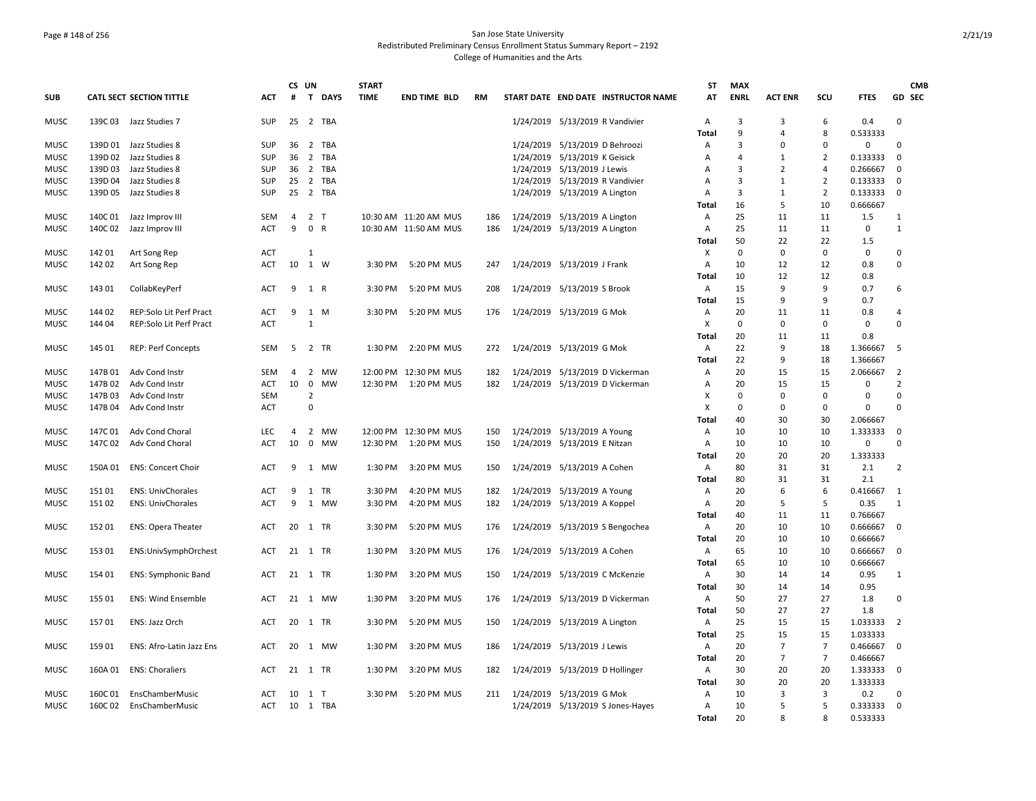## Page # 148 of 256 San Jose State University Redistributed Preliminary Census Enrollment Status Summary Report – 2192 College of Humanities and the Arts

|             |         |                                 |            | CS UN          |                |           | <b>START</b> |                       |           |                                     | ST           | <b>MAX</b>     |                |                |             |                | <b>CMB</b> |
|-------------|---------|---------------------------------|------------|----------------|----------------|-----------|--------------|-----------------------|-----------|-------------------------------------|--------------|----------------|----------------|----------------|-------------|----------------|------------|
| <b>SUB</b>  |         | <b>CATL SECT SECTION TITTLE</b> | <b>ACT</b> | #              |                | T DAYS    | <b>TIME</b>  | <b>END TIME BLD</b>   | <b>RM</b> | START DATE END DATE INSTRUCTOR NAME | AT           | <b>ENRL</b>    | <b>ACT ENR</b> | SCU            | <b>FTES</b> | GD SEC         |            |
| <b>MUSC</b> | 139C03  | Jazz Studies 7                  | SUP        | 25             |                | 2 TBA     |              |                       |           | 1/24/2019 5/13/2019 R Vandivier     | Α            | 3              | 3              | 6              | 0.4         | $\mathbf 0$    |            |
|             |         |                                 |            |                |                |           |              |                       |           |                                     | <b>Total</b> | 9              | $\overline{a}$ | 8              | 0.533333    |                |            |
| <b>MUSC</b> |         | 139D 01 Jazz Studies 8          | <b>SUP</b> | 36             |                | 2 TBA     |              |                       |           | 1/24/2019 5/13/2019 D Behroozi      | Α            | 3              | $\Omega$       | $\mathbf 0$    | 0           | $\mathbf 0$    |            |
| <b>MUSC</b> | 139D 02 | Jazz Studies 8                  | SUP        | 36             |                | 2 TBA     |              |                       |           | 1/24/2019 5/13/2019 K Geisick       | Α            | 4              | 1              | $\overline{2}$ | 0.133333    | $\mathbf 0$    |            |
| MUSC        | 139D 03 | Jazz Studies 8                  | <b>SUP</b> |                |                | 36 2 TBA  |              |                       |           | 1/24/2019 5/13/2019 J Lewis         | A            | 3              | 2              | 4              | 0.266667    | $\Omega$       |            |
| MUSC        | 139D 04 | Jazz Studies 8                  | SUP        | 25             | $\overline{2}$ | TBA       |              |                       |           | 1/24/2019 5/13/2019 R Vandivier     | Α            | 3              | $\mathbf{1}$   | $\overline{2}$ | 0.133333    | $\Omega$       |            |
| <b>MUSC</b> | 139D 05 | Jazz Studies 8                  | SUP        | 25             |                | 2 TBA     |              |                       |           | 1/24/2019 5/13/2019 A Lington       | Α            | 3              | 1              | $\overline{2}$ | 0.133333    | $\Omega$       |            |
|             |         |                                 |            |                |                |           |              |                       |           |                                     | Total        | 16             | 5              | 10             | 0.666667    |                |            |
| <b>MUSC</b> | 140C 01 | Jazz Improv III                 | <b>SEM</b> | $\overline{4}$ | 2 <sub>T</sub> |           |              | 10:30 AM 11:20 AM MUS | 186       | 1/24/2019 5/13/2019 A Lington       | Α            | 25             | 11             | 11             | 1.5         | 1              |            |
| <b>MUSC</b> | 140C 02 | Jazz Improv III                 | <b>ACT</b> | 9              | 0 R            |           |              | 10:30 AM 11:50 AM MUS | 186       | 1/24/2019 5/13/2019 A Lington       | A            | 25             | 11             | 11             | $\mathbf 0$ | $\mathbf{1}$   |            |
|             |         |                                 |            |                |                |           |              |                       |           |                                     | Total        | 50<br>$\Omega$ | 22             | 22             | 1.5         |                |            |
| <b>MUSC</b> | 142 01  | Art Song Rep                    | <b>ACT</b> |                | 1              |           |              |                       |           |                                     | Χ            |                | 0              | 0              | 0           | $\mathbf 0$    |            |
| MUSC        | 142 02  | Art Song Rep                    | ACT        | 10 1 W         |                |           | 3:30 PM      | 5:20 PM MUS           | 247       | 1/24/2019 5/13/2019 J Frank         | Α            | 10             | 12             | 12             | 0.8         | $\mathbf 0$    |            |
|             |         |                                 |            |                |                |           |              |                       |           |                                     | Total        | 10             | 12             | 12             | 0.8         |                |            |
| <b>MUSC</b> | 143 01  | CollabKeyPerf                   | ACT        | 9              | 1 R            |           | 3:30 PM      | 5:20 PM MUS           | 208       | 1/24/2019 5/13/2019 S Brook         | Α            | 15             | 9              | 9              | 0.7         | 6              |            |
|             |         |                                 |            |                |                |           |              |                       |           |                                     | Total        | 15             | 9              | 9              | 0.7         |                |            |
| <b>MUSC</b> | 14402   | REP:Solo Lit Perf Pract         | ACT        | 9              | 1 M            |           | 3:30 PM      | 5:20 PM MUS           | 176       | 1/24/2019 5/13/2019 G Mok           | Α            | 20             | 11             | 11             | 0.8         | $\overline{4}$ |            |
| <b>MUSC</b> | 144 04  | REP:Solo Lit Perf Pract         | <b>ACT</b> |                | $\mathbf{1}$   |           |              |                       |           |                                     | X            | 0              | 0              | $\Omega$       | 0           | $\mathbf 0$    |            |
|             |         |                                 |            |                |                |           |              |                       |           |                                     | Total        | 20             | 11             | 11             | 0.8         |                |            |
| <b>MUSC</b> | 145 01  | <b>REP: Perf Concepts</b>       | <b>SEM</b> | 5              | 2 TR           |           | 1:30 PM      | 2:20 PM MUS           | 272       | 1/24/2019 5/13/2019 G Mok           | Α            | 22             | 9              | 18             | 1.366667    | 5              |            |
|             |         |                                 |            |                |                |           |              |                       |           |                                     | Total        | 22             | 9              | 18             | 1.366667    |                |            |
| <b>MUSC</b> | 147B 01 | Adv Cond Instr                  | <b>SEM</b> | 4              |                | 2 MW      |              | 12:00 PM 12:30 PM MUS | 182       | 1/24/2019 5/13/2019 D Vickerman     | Α            | 20             | 15             | 15             | 2.066667    | $\overline{2}$ |            |
| MUSC        | 147B 02 | Adv Cond Instr                  | <b>ACT</b> | 10             | $\mathbf 0$    | <b>MW</b> |              | 12:30 PM 1:20 PM MUS  | 182       | 1/24/2019 5/13/2019 D Vickerman     | Α            | 20             | 15             | 15             | 0           | $\overline{2}$ |            |
| MUSC        | 147B03  | Adv Cond Instr                  | <b>SEM</b> |                | $\overline{2}$ |           |              |                       |           |                                     | X            | 0              | 0              | 0              | 0           | $\mathsf 0$    |            |
| MUSC        | 147B 04 | Adv Cond Instr                  | ACT        |                | $\mathbf 0$    |           |              |                       |           |                                     | X            | 0              | 0              | 0              | 0           | $\Omega$       |            |
|             |         |                                 |            |                |                |           |              |                       |           |                                     | Total        | 40             | 30             | 30             | 2.066667    |                |            |
| <b>MUSC</b> | 147C 01 | Adv Cond Choral                 | <b>LEC</b> | $\overline{4}$ |                | 2 MW      |              | 12:00 PM 12:30 PM MUS | 150       | 1/24/2019 5/13/2019 A Young         | A            | 10             | 10             | 10             | 1.333333    | $\mathbf 0$    |            |
| <b>MUSC</b> | 147C 02 | Adv Cond Choral                 | ACT        | 10             |                | 0 MW      |              | 12:30 PM 1:20 PM MUS  | 150       | 1/24/2019 5/13/2019 E Nitzan        | A            | 10             | 10             | 10             | $\mathbf 0$ | $\mathbf 0$    |            |
|             |         |                                 |            |                |                |           |              |                       |           |                                     | Total        | 20             | 20             | 20             | 1.333333    |                |            |
| <b>MUSC</b> | 150A 01 | ENS: Concert Choir              | <b>ACT</b> | 9              |                | 1 MW      | 1:30 PM      | 3:20 PM MUS           | 150       | 1/24/2019 5/13/2019 A Cohen         | Α            | 80             | 31             | 31             | 2.1         | $\overline{2}$ |            |
|             |         |                                 |            |                |                |           |              |                       |           |                                     | Total        | 80             | 31             | 31             | 2.1         |                |            |
| <b>MUSC</b> | 15101   | <b>ENS: UnivChorales</b>        | <b>ACT</b> | 9              | 1              | <b>TR</b> | 3:30 PM      | 4:20 PM MUS           | 182       | 1/24/2019 5/13/2019 A Young         | A            | 20             | 6              | 6              | 0.416667    | 1              |            |
| <b>MUSC</b> | 15102   | <b>ENS: UnivChorales</b>        | <b>ACT</b> | 9              |                | 1 MW      | 3:30 PM      | 4:20 PM MUS           | 182       | 1/24/2019 5/13/2019 A Koppel        | Α            | 20             | 5              | 5              | 0.35        | $\mathbf{1}$   |            |
|             |         |                                 |            |                |                |           |              |                       |           |                                     | Total        | 40             | 11             | 11             | 0.766667    |                |            |
| MUSC        | 15201   | <b>ENS: Opera Theater</b>       | ACT        | 20             | 1 TR           |           | 3:30 PM      | 5:20 PM MUS           | 176       | 1/24/2019 5/13/2019 S Bengochea     | A            | 20             | 10             | 10             | 0.666667    | $\Omega$       |            |
|             |         |                                 |            |                |                |           |              |                       |           |                                     | Total        | 20             | 10             | 10             | 0.666667    |                |            |
| <b>MUSC</b> | 153 01  | ENS:UnivSymphOrchest            | ACT        | 21             | 1 TR           |           | 1:30 PM      | 3:20 PM MUS           | 176       | 1/24/2019 5/13/2019 A Cohen         | Α            | 65             | 10             | 10             | 0.666667    | 0              |            |
|             |         |                                 |            |                |                |           |              |                       |           |                                     | Total        | 65             | 10             | 10             | 0.666667    |                |            |
| <b>MUSC</b> | 154 01  | <b>ENS: Symphonic Band</b>      | ACT        |                | 21 1 TR        |           | 1:30 PM      | 3:20 PM MUS           | 150       | 1/24/2019 5/13/2019 C McKenzie      | Α            | 30             | 14             | 14             | 0.95        | 1              |            |
|             |         |                                 |            |                |                |           |              |                       |           |                                     | Total        | 30             | 14             | 14             | 0.95        |                |            |
| <b>MUSC</b> | 155 01  | <b>ENS: Wind Ensemble</b>       | <b>ACT</b> |                |                | 21 1 MW   | 1:30 PM      | 3:20 PM MUS           | 176       | 1/24/2019 5/13/2019 D Vickerman     | Α            | 50             | 27             | 27             | 1.8         | $\Omega$       |            |
|             |         |                                 |            |                |                |           |              |                       |           |                                     | Total        | 50             | 27             | 27             | 1.8         |                |            |
| <b>MUSC</b> | 15701   | ENS: Jazz Orch                  | <b>ACT</b> |                | 20 1 TR        |           | 3:30 PM      | 5:20 PM MUS           | 150       | 1/24/2019 5/13/2019 A Lington       | A            | 25             | 15             | 15             | 1.033333    | $\overline{2}$ |            |
|             |         |                                 |            |                |                |           |              |                       |           |                                     | Total        | 25             | 15             | 15             | 1.033333    |                |            |
| MUSC        | 159 01  | ENS: Afro-Latin Jazz Ens        | ACT        | 20             |                | 1 MW      | 1:30 PM      | 3:20 PM MUS           | 186       | 1/24/2019 5/13/2019 J Lewis         | Α            | 20             | $\overline{7}$ | $\overline{7}$ | 0.466667    | $\mathbf 0$    |            |
|             |         |                                 |            |                |                |           |              |                       |           |                                     | Total        | 20             | $\overline{7}$ | 7              | 0.466667    |                |            |
| <b>MUSC</b> | 160A 01 | <b>ENS: Choraliers</b>          | ACT        | 21 1 TR        |                |           | 1:30 PM      | 3:20 PM MUS           | 182       | 1/24/2019 5/13/2019 D Hollinger     | Α            | 30             | 20             | 20             | 1.333333    | 0              |            |
|             |         |                                 |            |                |                |           |              |                       |           |                                     | Total        | 30             | 20             | 20             | 1.333333    |                |            |
| <b>MUSC</b> | 160C 01 | EnsChamberMusic                 | ACT        |                | 10 1 T         |           | 3:30 PM      | 5:20 PM MUS           | 211       | 1/24/2019 5/13/2019 G Mok           | Α            | 10             | 3              | 3              | 0.2         | $\mathbf 0$    |            |
| <b>MUSC</b> |         | 160C 02 EnsChamberMusic         | ACT        |                |                | 10 1 TBA  |              |                       |           | 1/24/2019 5/13/2019 S Jones-Hayes   | A            | 10             | 5              | 5              | 0.333333    | $\mathbf 0$    |            |
|             |         |                                 |            |                |                |           |              |                       |           |                                     | Total        | 20             | $\mathbf{R}$   | 8              | 0.533333    |                |            |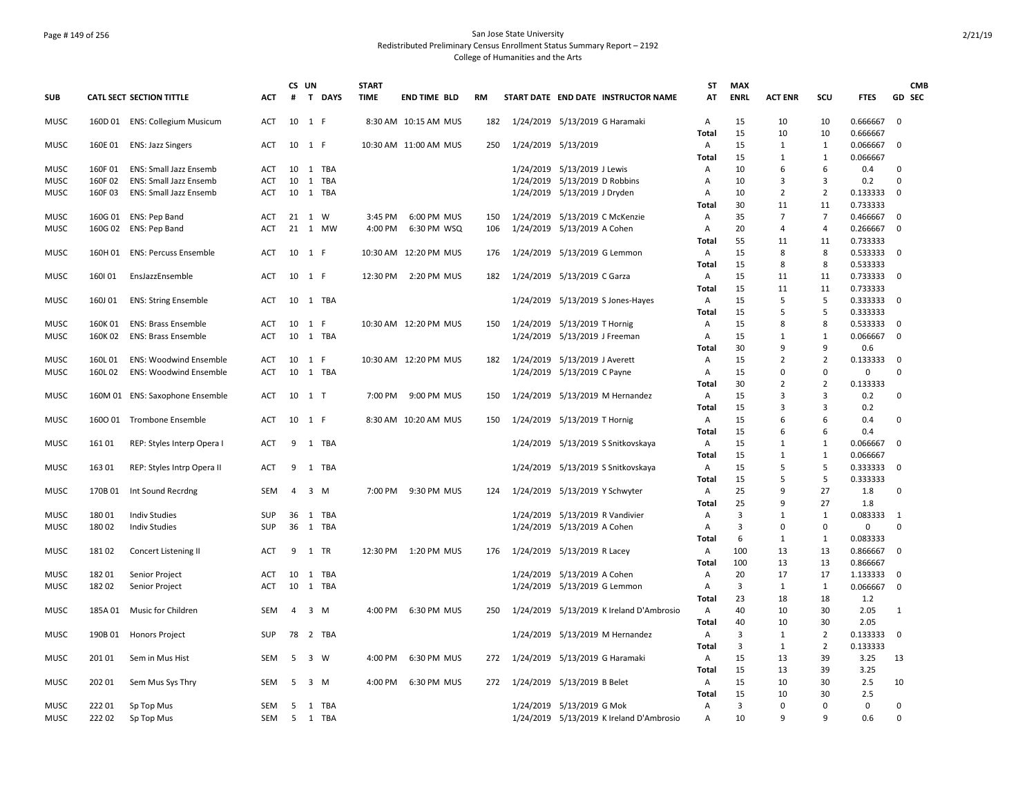## Page # 149 of 256 San Jose State University Redistributed Preliminary Census Enrollment Status Summary Report – 2192 College of Humanities and the Arts

|             |         |                                 |            |                | CS UN |          | <b>START</b> |                        |     |                             |                               |                                          | ST                | <b>MAX</b>     |                |                |                      | <b>CMB</b>  |
|-------------|---------|---------------------------------|------------|----------------|-------|----------|--------------|------------------------|-----|-----------------------------|-------------------------------|------------------------------------------|-------------------|----------------|----------------|----------------|----------------------|-------------|
| <b>SUB</b>  |         | CATL SECT SECTION TITTLE        | <b>ACT</b> | #              |       | T DAYS   | <b>TIME</b>  | <b>END TIME BLD</b>    | RM  |                             |                               | START DATE END DATE INSTRUCTOR NAME      | AT                | <b>ENRL</b>    | <b>ACT ENR</b> | SCU            | <b>FTES</b>          | GD SEC      |
| <b>MUSC</b> |         | 160D 01 ENS: Collegium Musicum  | ACT        | 10 1 F         |       |          |              | 8:30 AM 10:15 AM MUS   | 182 |                             |                               | 1/24/2019 5/13/2019 G Haramaki           | Α<br>Total        | 15<br>15       | 10<br>10       | 10<br>10       | 0.666667<br>0.666667 | $\mathbf 0$ |
| <b>MUSC</b> | 160E 01 | <b>ENS: Jazz Singers</b>        | <b>ACT</b> | 10             | 1 F   |          |              | 10:30 AM 11:00 AM MUS  | 250 |                             | 1/24/2019 5/13/2019           |                                          | A                 | 15             | 1              | $\mathbf{1}$   | 0.066667             | 0           |
|             |         |                                 |            |                |       |          |              |                        |     |                             |                               |                                          | Total             | 15             | 1              | $\mathbf{1}$   | 0.066667             |             |
| <b>MUSC</b> | 160F01  | ENS: Small Jazz Ensemb          | ACT        |                |       | 10 1 TBA |              |                        |     |                             | 1/24/2019 5/13/2019 J Lewis   |                                          | Α                 | 10             | 6              | 6              | 0.4                  | 0           |
| <b>MUSC</b> | 160F02  | <b>ENS: Small Jazz Ensemb</b>   | ACT        | 10             |       | 1 TBA    |              |                        |     |                             | 1/24/2019 5/13/2019 D Robbins |                                          | $\overline{A}$    | 10             | 3              | 3              | 0.2                  | 0           |
| MUSC        | 160F03  | <b>ENS: Small Jazz Ensemb</b>   | ACT        | 10             |       | 1 TBA    |              |                        |     |                             | 1/24/2019 5/13/2019 J Dryden  |                                          | Α                 | 10             | $\overline{2}$ | $\overline{2}$ | 0.133333             | $\mathbf 0$ |
|             |         |                                 |            |                |       |          |              |                        |     |                             |                               |                                          | Total             | 30             | 11             | 11             | 0.733333             |             |
| <b>MUSC</b> | 160G 01 | ENS: Pep Band                   | ACT        | 21             | 1 W   |          | 3:45 PM      | 6:00 PM MUS            | 150 |                             |                               | 1/24/2019 5/13/2019 C McKenzie           | Α                 | 35             | $\overline{7}$ | $\overline{7}$ | 0.466667             | 0           |
| <b>MUSC</b> |         | 160G 02 ENS: Pep Band           | ACT        |                |       | 21 1 MW  | 4:00 PM      | 6:30 PM WSQ            | 106 |                             | 1/24/2019 5/13/2019 A Cohen   |                                          | Α                 | 20             | $\overline{4}$ | $\overline{4}$ | 0.266667             | $\mathbf 0$ |
|             |         |                                 |            |                |       |          |              |                        |     |                             |                               |                                          | Total             | 55             | 11             | 11             | 0.733333             |             |
| <b>MUSC</b> | 160H 01 | <b>ENS: Percuss Ensemble</b>    | ACT        | 10 1 F         |       |          |              | 10:30 AM 12:20 PM MUS  | 176 |                             | 1/24/2019 5/13/2019 G Lemmon  |                                          | A                 | 15             | 8              | 8              | 0.533333             | $\Omega$    |
|             |         |                                 |            |                |       |          |              |                        |     |                             |                               |                                          | Total             | 15             | 8              | 8              | 0.533333             |             |
| <b>MUSC</b> | 160101  | EnsJazzEnsemble                 | ACT        | 10 1 F         |       |          | 12:30 PM     | 2:20 PM MUS            | 182 | 1/24/2019 5/13/2019 C Garza |                               |                                          | A                 | 15             | 11             | 11             | 0.733333             | $\mathbf 0$ |
|             |         |                                 |            | 10             |       | 1 TBA    |              |                        |     |                             |                               |                                          | Total             | 15<br>15       | 11             | 11<br>5        | 0.733333             |             |
| MUSC        | 160J 01 | <b>ENS: String Ensemble</b>     | ACT        |                |       |          |              |                        |     |                             |                               | 1/24/2019 5/13/2019 S Jones-Hayes        | Α<br>Total        | 15             | 5<br>5         | 5              | 0.333333<br>0.333333 | 0           |
| <b>MUSC</b> | 160K 01 | <b>ENS: Brass Ensemble</b>      | ACT        | 10 1 F         |       |          |              | 10:30 AM 12:20 PM MUS  | 150 |                             | 1/24/2019 5/13/2019 T Hornig  |                                          | A                 | 15             | 8              | 8              | 0.533333             | 0           |
| <b>MUSC</b> | 160K 02 | <b>ENS: Brass Ensemble</b>      | ACT        | 10             |       | 1 TBA    |              |                        |     |                             | 1/24/2019 5/13/2019 J Freeman |                                          | $\overline{A}$    | 15             | $\mathbf{1}$   | $\mathbf{1}$   | 0.066667             | $\mathbf 0$ |
|             |         |                                 |            |                |       |          |              |                        |     |                             |                               |                                          | Total             | 30             | 9              | 9              | 0.6                  |             |
| MUSC        | 160L 01 | <b>ENS: Woodwind Ensemble</b>   | ACT        | 10 1 F         |       |          |              | 10:30 AM 12:20 PM MUS  | 182 |                             | 1/24/2019 5/13/2019 J Averett |                                          | A                 | 15             | $\overline{2}$ | $\overline{2}$ | 0.133333             | $\mathbf 0$ |
| <b>MUSC</b> | 160L02  | <b>ENS: Woodwind Ensemble</b>   | <b>ACT</b> | 10             |       | 1 TBA    |              |                        |     |                             | 1/24/2019 5/13/2019 C Payne   |                                          | Α                 | 15             | $\Omega$       | 0              | $\mathbf 0$          | $\Omega$    |
|             |         |                                 |            |                |       |          |              |                        |     |                             |                               |                                          | Total             | 30             | $\overline{2}$ | $\overline{2}$ | 0.133333             |             |
| MUSC        |         | 160M 01 ENS: Saxophone Ensemble | ACT        | 10 1 T         |       |          | 7:00 PM      | 9:00 PM MUS            | 150 |                             |                               | 1/24/2019 5/13/2019 M Hernandez          | Α                 | 15             | $\overline{3}$ | 3              | 0.2                  | 0           |
|             |         |                                 |            |                |       |          |              |                        |     |                             |                               |                                          | Total             | 15             | $\overline{3}$ | 3              | 0.2                  |             |
| <b>MUSC</b> |         | 1600 01 Trombone Ensemble       | ACT        | 10 1 F         |       |          |              | 8:30 AM 10:20 AM MUS   | 150 |                             | 1/24/2019 5/13/2019 T Hornig  |                                          | Α                 | 15             | 6              | 6              | 0.4                  | 0           |
|             |         |                                 |            |                |       |          |              |                        |     |                             |                               |                                          | <b>Total</b>      | 15             | 6              | 6              | 0.4                  |             |
| <b>MUSC</b> | 16101   | REP: Styles Interp Opera I      | ACT        | 9              |       | 1 TBA    |              |                        |     |                             |                               | 1/24/2019 5/13/2019 S Snitkovskaya       | Α                 | 15             | 1              | $\mathbf{1}$   | 0.066667             | $\mathbf 0$ |
|             |         |                                 |            |                |       |          |              |                        |     |                             |                               |                                          | Total             | 15             | 1              | $\mathbf{1}$   | 0.066667             |             |
| <b>MUSC</b> | 163 01  | REP: Styles Intrp Opera II      | ACT        | 9              |       | 1 TBA    |              |                        |     |                             |                               | 1/24/2019 5/13/2019 S Snitkovskaya       | Α<br>Total        | 15<br>15       | 5<br>5         | 5<br>5         | 0.333333             | $\mathbf 0$ |
| MUSC        | 170B 01 | Int Sound Recrdng               | SEM        | 4              |       | $3 \, M$ | 7:00 PM      | 9:30 PM MUS            | 124 |                             |                               | 1/24/2019 5/13/2019 Y Schwyter           | A                 | 25             | 9              | 27             | 0.333333<br>1.8      | 0           |
|             |         |                                 |            |                |       |          |              |                        |     |                             |                               |                                          | Total             | 25             | 9              | 27             | 1.8                  |             |
| MUSC        | 180 01  | <b>Indiv Studies</b>            | <b>SUP</b> | 36             |       | 1 TBA    |              |                        |     |                             |                               | 1/24/2019 5/13/2019 R Vandivier          | A                 | 3              | $\mathbf{1}$   | $\mathbf{1}$   | 0.083333 1           |             |
| <b>MUSC</b> | 18002   | <b>Indiv Studies</b>            | SUP        | 36             |       | 1 TBA    |              |                        |     |                             | 1/24/2019 5/13/2019 A Cohen   |                                          | $\overline{A}$    | $\overline{3}$ | $\Omega$       | $\Omega$       | $\Omega$             | $\Omega$    |
|             |         |                                 |            |                |       |          |              |                        |     |                             |                               |                                          | Total             | 6              | 1              | $\mathbf{1}$   | 0.083333             |             |
| <b>MUSC</b> | 18102   | Concert Listening II            | ACT        | 9              | 1 TR  |          |              | 12:30 PM  1:20 PM  MUS | 176 | 1/24/2019 5/13/2019 R Lacey |                               |                                          | A                 | 100            | 13             | 13             | 0.866667             | 0           |
|             |         |                                 |            |                |       |          |              |                        |     |                             |                               |                                          | Total             | 100            | 13             | 13             | 0.866667             |             |
| <b>MUSC</b> | 18201   | Senior Project                  | ACT        | 10             |       | 1 TBA    |              |                        |     |                             | 1/24/2019 5/13/2019 A Cohen   |                                          | Α                 | 20             | 17             | 17             | 1.133333             | 0           |
| MUSC        | 18202   | Senior Project                  | ACT        | 10             | 1     | TBA      |              |                        |     |                             | 1/24/2019 5/13/2019 G Lemmon  |                                          | Α                 | 3              | 1              | $\mathbf{1}$   | 0.066667             | 0           |
|             |         |                                 |            |                |       |          |              |                        |     |                             |                               |                                          | Total             | 23             | 18             | 18             | 1.2                  |             |
| <b>MUSC</b> | 185A01  | Music for Children              | SEM        | $\overline{4}$ |       | 3 M      | 4:00 PM      | 6:30 PM MUS            | 250 |                             |                               | 1/24/2019 5/13/2019 K Ireland D'Ambrosio | A                 | 40             | 10             | 30             | 2.05                 | 1           |
|             |         |                                 |            |                |       |          |              |                        |     |                             |                               |                                          | Total             | 40             | 10             | 30             | 2.05                 |             |
| MUSC        | 190B 01 | <b>Honors Project</b>           | SUP        | 78             |       | 2 TBA    |              |                        |     |                             |                               | 1/24/2019 5/13/2019 M Hernandez          | A                 | 3              | 1              | $\overline{2}$ | 0.133333             | $\mathbf 0$ |
|             | 20101   |                                 | <b>SEM</b> | -5             |       | 3 W      | 4:00 PM      | 6:30 PM MUS            |     |                             |                               |                                          | Total             | 3<br>15        | 1<br>13        | 2<br>39        | 0.133333             | 13          |
| MUSC        |         | Sem in Mus Hist                 |            |                |       |          |              |                        | 272 |                             |                               | 1/24/2019 5/13/2019 G Haramaki           | A                 | 15             | 13             | 39             | 3.25                 |             |
| MUSC        | 202 01  | Sem Mus Sys Thry                | SEM        | 5              |       | 3 M      | 4:00 PM      | 6:30 PM MUS            | 272 |                             | 1/24/2019 5/13/2019 B Belet   |                                          | <b>Total</b><br>Α | 15             | 10             | 30             | 3.25<br>2.5          | 10          |
|             |         |                                 |            |                |       |          |              |                        |     |                             |                               |                                          | Total             | 15             | 10             | 30             | 2.5                  |             |
| <b>MUSC</b> | 22201   | Sp Top Mus                      | <b>SEM</b> | -5             |       | 1 TBA    |              |                        |     |                             | 1/24/2019 5/13/2019 G Mok     |                                          | $\overline{A}$    | $\overline{3}$ | $\Omega$       | $\Omega$       | $\mathbf 0$          | 0           |
| <b>MUSC</b> | 222 02  | Sp Top Mus                      | SEM        | 5              |       | 1 TBA    |              |                        |     |                             |                               | 1/24/2019 5/13/2019 K Ireland D'Ambrosio | Α                 | 10             | 9              | q              | 0.6                  | 0           |
|             |         |                                 |            |                |       |          |              |                        |     |                             |                               |                                          |                   |                |                |                |                      |             |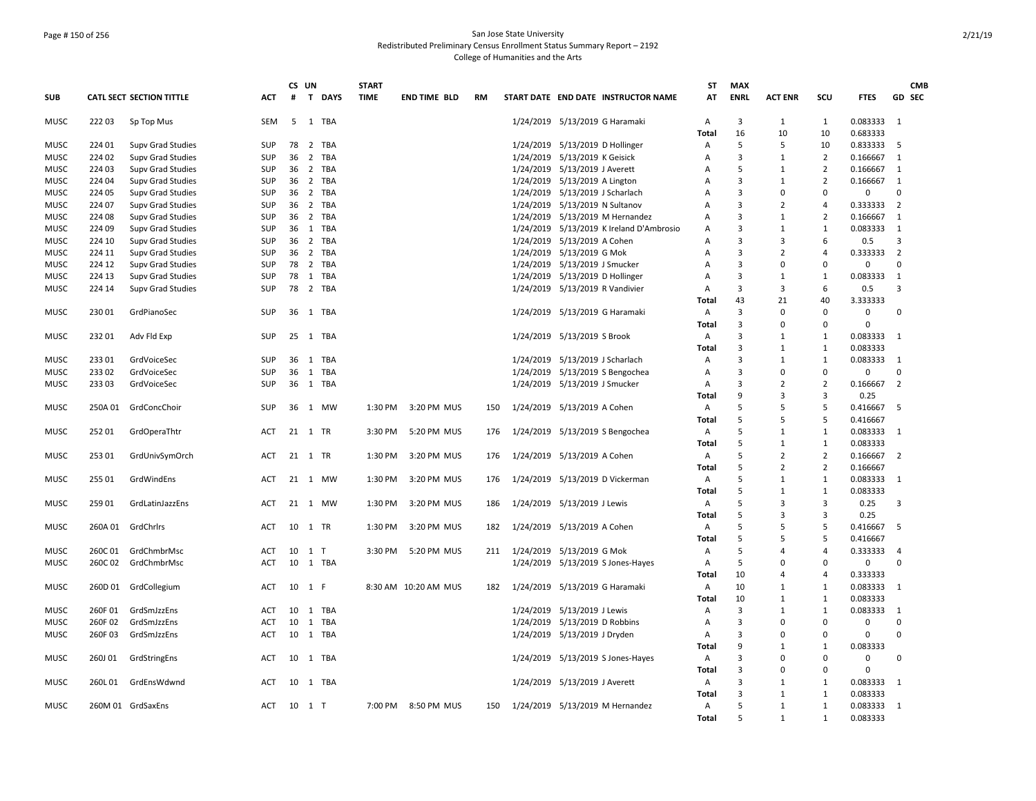## Page # 150 of 256 San Jose State University Redistributed Preliminary Census Enrollment Status Summary Report – 2192 College of Humanities and the Arts

|             |         |                                 |            | CS UN |                             | <b>START</b> |                      |           |                                 |                               |                                          | <b>ST</b>      | <b>MAX</b>     |                         |                          |             |                | <b>CMB</b>    |
|-------------|---------|---------------------------------|------------|-------|-----------------------------|--------------|----------------------|-----------|---------------------------------|-------------------------------|------------------------------------------|----------------|----------------|-------------------------|--------------------------|-------------|----------------|---------------|
| <b>SUB</b>  |         | <b>CATL SECT SECTION TITTLE</b> | <b>ACT</b> | #     | $\mathbf{T}$<br><b>DAYS</b> | <b>TIME</b>  | <b>END TIME BLD</b>  | <b>RM</b> |                                 |                               | START DATE END DATE INSTRUCTOR NAME      | AT             | <b>ENRL</b>    | <b>ACT ENR</b>          | SCU                      | <b>FTES</b> |                | <b>GD SEC</b> |
| <b>MUSC</b> | 22203   | Sp Top Mus                      | <b>SEM</b> | 5     | 1 TBA                       |              |                      |           |                                 |                               | 1/24/2019 5/13/2019 G Haramaki           | A              | $\overline{3}$ | $\mathbf{1}$            | $\mathbf{1}$             | 0.083333    | 1              |               |
|             |         |                                 |            |       |                             |              |                      |           |                                 |                               |                                          | Total          | 16             | 10                      | 10                       | 0.683333    |                |               |
| <b>MUSC</b> | 224 01  | Supv Grad Studies               | SUP        | 78    | 2 TBA                       |              |                      |           | 1/24/2019 5/13/2019 D Hollinger |                               |                                          | Α              | 5              | 5                       | 10                       | 0.833333    | 5              |               |
| MUSC        | 224 02  | <b>Supv Grad Studies</b>        | <b>SUP</b> | 36    | 2 TBA                       |              |                      |           |                                 | 1/24/2019 5/13/2019 K Geisick |                                          | Α              | 3              | $\mathbf{1}$            | $\overline{2}$           | 0.166667    | 1              |               |
| <b>MUSC</b> | 224 03  | Supv Grad Studies               | <b>SUP</b> |       | 36 2 TBA                    |              |                      |           | 1/24/2019 5/13/2019 J Averett   |                               |                                          | A              | -5             | $\mathbf{1}$            | $\overline{2}$           | 0.166667    | 1              |               |
| <b>MUSC</b> | 224 04  | Supv Grad Studies               | <b>SUP</b> | 36    | 2 TBA                       |              |                      |           | 1/24/2019 5/13/2019 A Lington   |                               |                                          | A              | $\overline{3}$ | $\mathbf{1}$            | $\overline{\phantom{0}}$ | 0.166667    | 1              |               |
| <b>MUSC</b> | 224 05  | Supv Grad Studies               | SUP        | 36    | 2 TBA                       |              |                      |           | 1/24/2019 5/13/2019 J Scharlach |                               |                                          | Α              | 3              | 0                       | $\Omega$                 | 0           | $\pmb{0}$      |               |
| MUSC        | 224 07  | Supv Grad Studies               | SUP        | 36    | 2 TBA                       |              |                      |           | 1/24/2019 5/13/2019 N Sultanov  |                               |                                          | Α              | $\overline{3}$ | $\overline{2}$          | 4                        | 0.333333    | $\overline{2}$ |               |
| <b>MUSC</b> | 224 08  | Supv Grad Studies               | <b>SUP</b> | 36    | 2 TBA                       |              |                      |           |                                 |                               | 1/24/2019 5/13/2019 M Hernandez          | A              | 3              | $\mathbf{1}$            | $\overline{2}$           | 0.166667    | 1              |               |
| <b>MUSC</b> | 224 09  | Supv Grad Studies               | SUP        | 36    | 1 TBA                       |              |                      |           |                                 |                               | 1/24/2019 5/13/2019 K Ireland D'Ambrosio | A              | $\overline{3}$ | $\mathbf{1}$            | 1                        | 0.083333    | 1              |               |
| <b>MUSC</b> | 224 10  | Supv Grad Studies               | <b>SUP</b> | 36    | 2 TBA                       |              |                      |           | 1/24/2019 5/13/2019 A Cohen     |                               |                                          | А              | $\overline{3}$ | 3                       | 6                        | 0.5         | 3              |               |
| MUSC        | 224 11  | Supv Grad Studies               | SUP        | 36    | 2 TBA                       |              |                      |           | 1/24/2019 5/13/2019 G Mok       |                               |                                          | Α              | $\overline{3}$ | $\overline{2}$          | 4                        | 0.333333    | $\overline{2}$ |               |
| <b>MUSC</b> | 224 12  | Supv Grad Studies               | <b>SUP</b> | 78    | 2 TBA                       |              |                      |           | 1/24/2019 5/13/2019 J Smucker   |                               |                                          | Α              | 3              | 0                       | $\Omega$                 | 0           | $\Omega$       |               |
| <b>MUSC</b> | 224 13  | Supv Grad Studies               | <b>SUP</b> | 78    | 1 TBA                       |              |                      |           | 1/24/2019 5/13/2019 D Hollinger |                               |                                          | A              | $\overline{3}$ | $\mathbf{1}$            | $\mathbf{1}$             | 0.083333    | 1              |               |
| <b>MUSC</b> | 224 14  | Supv Grad Studies               | <b>SUP</b> | 78    | 2 TBA                       |              |                      |           |                                 |                               | 1/24/2019 5/13/2019 R Vandivier          | Α              | $\overline{3}$ | 3                       | 6                        | 0.5         | 3              |               |
|             |         |                                 |            |       |                             |              |                      |           |                                 |                               |                                          | Total          | 43             | 21                      | 40                       | 3.333333    |                |               |
| <b>MUSC</b> | 23001   | GrdPianoSec                     | <b>SUP</b> | 36    | 1 TBA                       |              |                      |           |                                 |                               | 1/24/2019 5/13/2019 G Haramaki           | A              | 3              | 0                       | 0                        | 0           | $\Omega$       |               |
|             |         |                                 |            |       |                             |              |                      |           |                                 |                               |                                          | Total          | $\overline{3}$ | $\Omega$                | 0                        | 0           |                |               |
| <b>MUSC</b> | 23201   | Adv Fld Exp                     | SUP        | 25    | 1 TBA                       |              |                      |           | 1/24/2019 5/13/2019 S Brook     |                               |                                          | Α              | $\overline{3}$ | $\mathbf{1}$            | $\mathbf{1}$             | 0.083333    | <sup>1</sup>   |               |
|             |         |                                 |            |       |                             |              |                      |           |                                 |                               |                                          | Total          | 3              | $\mathbf{1}$            | $\mathbf{1}$             | 0.083333    |                |               |
| <b>MUSC</b> | 23301   | GrdVoiceSec                     | SUP        |       | 36 1 TBA                    |              |                      |           | 1/24/2019 5/13/2019 J Scharlach |                               |                                          | Α              | $\overline{3}$ | $\mathbf{1}$            | 1                        | 0.083333    | 1              |               |
| <b>MUSC</b> | 23302   | GrdVoiceSec                     | <b>SUP</b> | 36    | 1 TBA                       |              |                      |           |                                 |                               | 1/24/2019 5/13/2019 S Bengochea          | $\mathsf{A}$   | 3              | $\Omega$                | $\Omega$                 | $\Omega$    | $\Omega$       |               |
| <b>MUSC</b> | 23303   | GrdVoiceSec                     | <b>SUP</b> | 36    | 1 TBA                       |              |                      |           | 1/24/2019 5/13/2019 J Smucker   |                               |                                          | Α              | $\overline{3}$ | $\overline{2}$          | $\overline{2}$           | 0.166667    | $\overline{2}$ |               |
|             |         |                                 |            |       |                             |              |                      |           |                                 |                               |                                          | Total          | 9              | 3                       | $\overline{3}$           | 0.25        |                |               |
| MUSC        | 250A 01 | GrdConcChoir                    | SUP        | 36    | 1 MW                        | 1:30 PM      | 3:20 PM MUS          | 150       | 1/24/2019 5/13/2019 A Cohen     |                               |                                          | Α              | 5              | 5                       | 5                        | 0.416667    | 5              |               |
|             |         |                                 |            |       |                             |              |                      |           |                                 |                               |                                          | Total          | 5              | 5                       | 5                        | 0.416667    |                |               |
| <b>MUSC</b> | 252 01  | GrdOperaThtr                    | ACT        |       | 21 1 TR                     | 3:30 PM      | 5:20 PM MUS          | 176       |                                 |                               | 1/24/2019 5/13/2019 S Bengochea          | A              | 5              | $\mathbf{1}$            | $\mathbf{1}$             | 0.083333    | 1              |               |
|             |         |                                 |            |       |                             |              |                      |           |                                 |                               |                                          | <b>Total</b>   | 5              | $\mathbf{1}$            | $\mathbf{1}$             | 0.083333    |                |               |
| <b>MUSC</b> | 253 01  | GrdUnivSymOrch                  | ACT        |       | 21 1 TR                     | 1:30 PM      | 3:20 PM MUS          | 176       |                                 | 1/24/2019 5/13/2019 A Cohen   |                                          | A              | 5              | $\mathcal{P}$           | $\overline{2}$           | 0.166667    | $\overline{2}$ |               |
|             |         |                                 |            |       |                             |              |                      |           |                                 |                               |                                          | Total          | 5              | $\overline{2}$          | 2                        | 0.166667    |                |               |
| <b>MUSC</b> | 255 01  | GrdWindEns                      | <b>ACT</b> |       | 21 1 MW                     | 1:30 PM      | 3:20 PM MUS          | 176       |                                 |                               | 1/24/2019 5/13/2019 D Vickerman          | $\overline{A}$ | 5              | $\mathbf{1}$            | $\mathbf{1}$             | 0.083333    | 1              |               |
|             |         |                                 |            |       |                             |              |                      |           |                                 |                               |                                          | Total          | 5              | $\mathbf{1}$            | $\mathbf{1}$             | 0.083333    |                |               |
| <b>MUSC</b> | 259 01  | GrdLatinJazzEns                 | ACT        | 21    | 1 MW                        | 1:30 PM      | 3:20 PM MUS          | 186       |                                 | 1/24/2019 5/13/2019 J Lewis   |                                          | Α              | 5              | $\overline{\mathbf{3}}$ | $\overline{3}$           | 0.25        | 3              |               |
|             |         |                                 |            |       |                             |              |                      |           |                                 |                               |                                          | Total          | 5              | 3                       | $\overline{3}$           | 0.25        |                |               |
| <b>MUSC</b> | 260A 01 | GrdChrlrs                       | <b>ACT</b> | 10    | 1 TR                        | 1:30 PM      | 3:20 PM MUS          | 182       |                                 | 1/24/2019 5/13/2019 A Cohen   |                                          | $\mathsf{A}$   | 5              | 5                       | 5                        | 0.416667    | 5              |               |
|             |         |                                 |            |       |                             |              |                      |           |                                 |                               |                                          | Total          | 5              | 5                       | 5                        | 0.416667    |                |               |
| <b>MUSC</b> | 260C 01 | GrdChmbrMsc                     | <b>ACT</b> | 10    | $1$ T                       | 3:30 PM      | 5:20 PM MUS          | 211       |                                 | 1/24/2019 5/13/2019 G Mok     |                                          | A              | 5              | 4                       | $\overline{a}$           | 0.333333    | $\overline{4}$ |               |
|             | 260C 02 | GrdChmbrMsc                     | <b>ACT</b> | 10    | 1 TBA                       |              |                      |           |                                 |                               | 1/24/2019 5/13/2019 S Jones-Hayes        | Α              | 5              | 0                       | $\mathbf 0$              | 0           | $\Omega$       |               |
| MUSC        |         |                                 |            |       |                             |              |                      |           |                                 |                               |                                          | Total          | 10             | 4                       | 4                        | 0.333333    |                |               |
|             |         |                                 |            | 10    |                             |              |                      |           |                                 |                               |                                          |                | 10             | $\mathbf{1}$            | $\mathbf{1}$             | 0.083333    |                |               |
| <b>MUSC</b> | 260D 01 | GrdCollegium                    | ACT        |       | 1 F                         |              | 8:30 AM 10:20 AM MUS | 182       |                                 |                               | 1/24/2019 5/13/2019 G Haramaki           | A              |                |                         | $\mathbf{1}$             |             | 1              |               |
|             |         |                                 |            |       |                             |              |                      |           |                                 |                               |                                          | Total          | 10             | $\mathbf{1}$            |                          | 0.083333    |                |               |
| <b>MUSC</b> | 260F01  | GrdSmJzzEns                     | ACT        | 10    | 1 TBA                       |              |                      |           | 1/24/2019 5/13/2019 J Lewis     |                               |                                          | Α              | 3              | $\mathbf{1}$            | $\mathbf{1}$             | 0.083333    | 1              |               |
| MUSC        | 260F02  | GrdSmJzzEns                     | ACT        | 10    | 1 TBA                       |              |                      |           | 1/24/2019 5/13/2019 D Robbins   |                               |                                          | A              | 3              | $\Omega$                | $\Omega$                 | 0           | $\Omega$       |               |
| <b>MUSC</b> | 260F03  | GrdSmJzzEns                     | <b>ACT</b> | 10    | 1 TBA                       |              |                      |           | 1/24/2019 5/13/2019 J Dryden    |                               |                                          | Α              | $\overline{3}$ | 0                       | $\Omega$                 | $\mathbf 0$ | $\Omega$       |               |
|             |         |                                 |            |       |                             |              |                      |           |                                 |                               |                                          | Total          | 9              | $\mathbf{1}$            | $\mathbf{1}$             | 0.083333    |                |               |
| <b>MUSC</b> | 260J 01 | GrdStringEns                    | ACT        | 10    | 1 TBA                       |              |                      |           |                                 |                               | 1/24/2019 5/13/2019 S Jones-Hayes        | Α              | 3              | 0                       | $\Omega$                 | 0           | $\Omega$       |               |
|             |         |                                 |            |       |                             |              |                      |           |                                 |                               |                                          | Total          | 3              | 0                       | $\Omega$                 | 0           |                |               |
| MUSC        | 260L 01 | GrdEnsWdwnd                     | <b>ACT</b> | 10    | 1 TBA                       |              |                      |           |                                 | 1/24/2019 5/13/2019 J Averett |                                          | A              | 3              | $\mathbf{1}$            | $\mathbf{1}$             | 0.083333    | 1              |               |
|             |         |                                 |            |       |                             |              |                      |           |                                 |                               |                                          | Total          | 3              | $\mathbf{1}$            | $\mathbf{1}$             | 0.083333    |                |               |
| <b>MUSC</b> |         | 260M 01 GrdSaxEns               | <b>ACT</b> |       | 10 1 T                      | 7:00 PM      | 8:50 PM MUS          | 150       |                                 |                               | 1/24/2019 5/13/2019 M Hernandez          | $\mathsf{A}$   | 5              | $\mathbf{1}$            | $\mathbf{1}$             | 0.083333    | <sup>1</sup>   |               |
|             |         |                                 |            |       |                             |              |                      |           |                                 |                               |                                          | Total          | 5              | $\mathbf{1}$            | $\mathbf{1}$             | 0.083333    |                |               |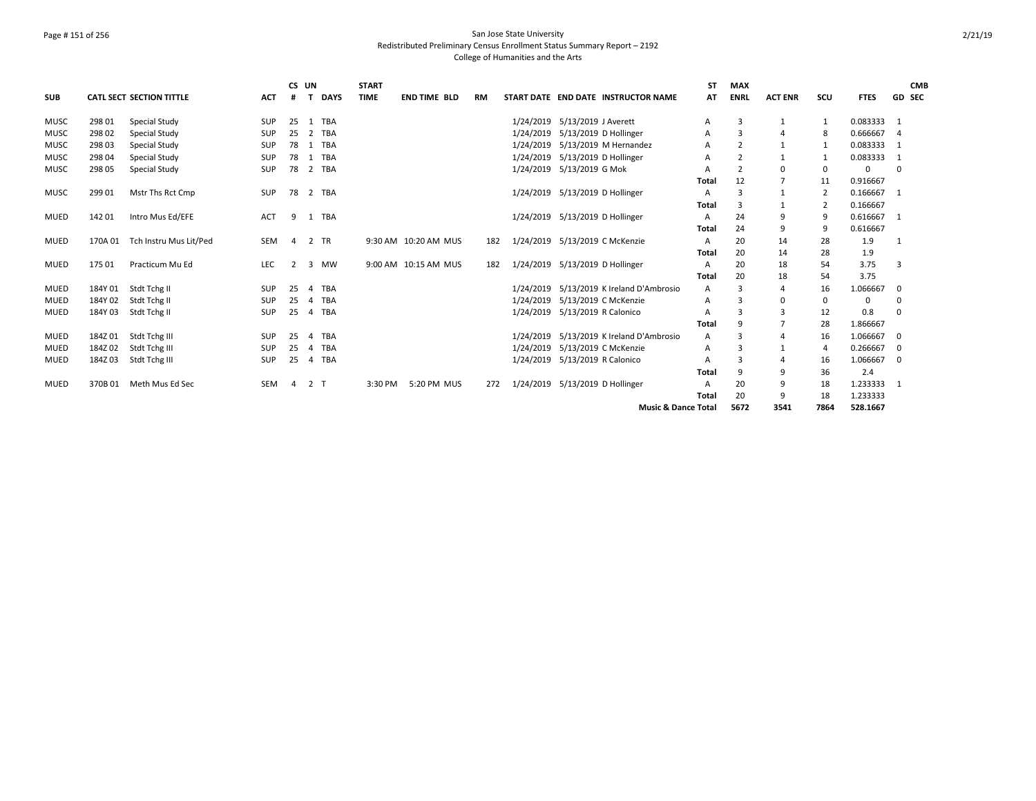## Page # 151 of 256 San Jose State University Redistributed Preliminary Census Enrollment Status Summary Report – 2192 College of Humanities and the Arts

|             |         |                                 |            | CS UN          |                |             | <b>START</b> |                      |           |           |                                 |                                          | <b>ST</b> | <b>MAX</b>     |                |                |             | <b>CMB</b>     |
|-------------|---------|---------------------------------|------------|----------------|----------------|-------------|--------------|----------------------|-----------|-----------|---------------------------------|------------------------------------------|-----------|----------------|----------------|----------------|-------------|----------------|
| <b>SUB</b>  |         | <b>CATL SECT SECTION TITTLE</b> | <b>ACT</b> | #              | $\mathbf{T}$   | <b>DAYS</b> | <b>TIME</b>  | <b>END TIME BLD</b>  | <b>RM</b> |           |                                 | START DATE END DATE INSTRUCTOR NAME      | <b>AT</b> | <b>ENRL</b>    | <b>ACT ENR</b> | SCU            | <b>FTES</b> | <b>GD SEC</b>  |
| <b>MUSC</b> | 298 01  | <b>Special Study</b>            | <b>SUP</b> | 25             |                | 1 TBA       |              |                      |           |           | 1/24/2019 5/13/2019 J Averett   |                                          | A         | 3              | 1              |                | 0.083333 1  |                |
| <b>MUSC</b> | 298 02  | Special Study                   | <b>SUP</b> | 25             |                | 2 TBA       |              |                      |           | 1/24/2019 | 5/13/2019 D Hollinger           |                                          | A         | 3              | $\Delta$       |                | 0.666667    | $\overline{4}$ |
| MUSC        | 298 03  | Special Study                   | SUP        | 78             |                | 1 TBA       |              |                      |           | 1/24/2019 |                                 | 5/13/2019 M Hernandez                    | A         | $\overline{2}$ | $\mathbf{1}$   |                | 0.083333    | 1              |
| <b>MUSC</b> | 298 04  | Special Study                   | <b>SUP</b> | 78             |                | 1 TBA       |              |                      |           | 1/24/2019 | 5/13/2019 D Hollinger           |                                          | A         | $\overline{2}$ | $\mathbf{1}$   |                | 0.083333    | $\overline{1}$ |
| <b>MUSC</b> | 298 05  | Special Study                   | <b>SUP</b> | 78             |                | 2 TBA       |              |                      |           | 1/24/2019 | 5/13/2019 G Mok                 |                                          |           | $\overline{2}$ | 0              | 0              | 0           | 0              |
|             |         |                                 |            |                |                |             |              |                      |           |           |                                 |                                          | Total     | 12             | $\overline{7}$ | 11             | 0.916667    |                |
| <b>MUSC</b> | 299 01  | Mstr Ths Rct Cmp                | <b>SUP</b> | 78             |                | 2 TBA       |              |                      |           |           | 1/24/2019 5/13/2019 D Hollinger |                                          | А         | 3              | $\mathbf{1}$   | $\overline{2}$ | 0.166667    | 1              |
|             |         |                                 |            |                |                |             |              |                      |           |           |                                 |                                          | Total     | 3              | $\mathbf{1}$   | 2              | 0.166667    |                |
| MUED        | 142 01  | Intro Mus Ed/EFE                | <b>ACT</b> | 9              |                | 1 TBA       |              |                      |           |           | 1/24/2019 5/13/2019 D Hollinger |                                          | A         | 24             | 9              | 9              | 0.616667    | -1             |
|             |         |                                 |            |                |                |             |              |                      |           |           |                                 |                                          | Total     | 24             | 9              | 9              | 0.616667    |                |
| <b>MUED</b> | 170A 01 | Tch Instru Mus Lit/Ped          | SEM        | $\overline{4}$ |                | 2 TR        |              | 9:30 AM 10:20 AM MUS | 182       |           |                                 | 1/24/2019 5/13/2019 C McKenzie           | A         | 20             | 14             | 28             | 1.9         | $\mathbf{1}$   |
|             |         |                                 |            |                |                |             |              |                      |           |           |                                 |                                          | Total     | 20             | 14             | 28             | 1.9         |                |
| <b>MUED</b> | 175 01  | Practicum Mu Ed                 | <b>LEC</b> | 2              |                | 3 MW        |              | 9:00 AM 10:15 AM MUS | 182       |           | 1/24/2019 5/13/2019 D Hollinger |                                          | A         | 20             | 18             | 54             | 3.75        | 3              |
|             |         |                                 |            |                |                |             |              |                      |           |           |                                 |                                          | Total     | 20             | 18             | 54             | 3.75        |                |
| <b>MUED</b> | 184Y 01 | Stdt Tchg II                    | <b>SUP</b> | 25             | $\overline{4}$ | TBA         |              |                      |           | 1/24/2019 |                                 | 5/13/2019 K Ireland D'Ambrosio           | A         | 3              | 4              | 16             | 1.066667    | 0              |
| <b>MUED</b> | 184Y 02 | Stdt Tchg II                    | SUP        | 25             | $\overline{4}$ | TBA         |              |                      |           | 1/24/2019 |                                 | 5/13/2019 C McKenzie                     | A         | 3              | 0              | 0              | $\mathbf 0$ | 0              |
| MUED        | 184Y03  | Stdt Tchg II                    | <b>SUP</b> | 25             | 4              | <b>TBA</b>  |              |                      |           |           | 1/24/2019 5/13/2019 R Calonico  |                                          | А         | 3              | 3              | 12             | 0.8         | 0              |
|             |         |                                 |            |                |                |             |              |                      |           |           |                                 |                                          | Total     | -9             | $\overline{7}$ | 28             | 1.866667    |                |
| MUED        | 184Z01  | Stdt Tchg III                   | <b>SUP</b> | 25             | $\overline{a}$ | TBA         |              |                      |           |           |                                 | 1/24/2019 5/13/2019 K Ireland D'Ambrosio | A         | 3              | 4              | 16             | 1.066667    | 0              |
| MUED        | 184Z02  | Stdt Tchg III                   | SUP        | 25             | $\overline{a}$ | TBA         |              |                      |           | 1/24/2019 |                                 | 5/13/2019 C McKenzie                     | Α         | 3              |                | 4              | 0.266667    | 0              |
| MUED        | 184Z03  | Stdt Tchg III                   | <b>SUP</b> | 25             |                | 4 TBA       |              |                      |           |           | 1/24/2019 5/13/2019 R Calonico  |                                          | А         | 3              | 4              | 16             | 1.066667    | $\Omega$       |
|             |         |                                 |            |                |                |             |              |                      |           |           |                                 |                                          | Total     | 9              | 9              | 36             | 2.4         |                |
| <b>MUED</b> | 370B 01 | Meth Mus Ed Sec                 | <b>SEM</b> | $\overline{a}$ | 2 T            |             | 3:30 PM      | 5:20 PM MUS          | 272       |           | 1/24/2019 5/13/2019 D Hollinger |                                          | A         | 20             | 9              | 18             | 1.233333 1  |                |
|             |         |                                 |            |                |                |             |              |                      |           |           |                                 |                                          | Total     | 20             | 9              | 18             | 1.233333    |                |
|             |         |                                 |            |                |                |             |              |                      |           |           |                                 | <b>Music &amp; Dance Total</b>           |           | 5672           | 3541           | 7864           | 528.1667    |                |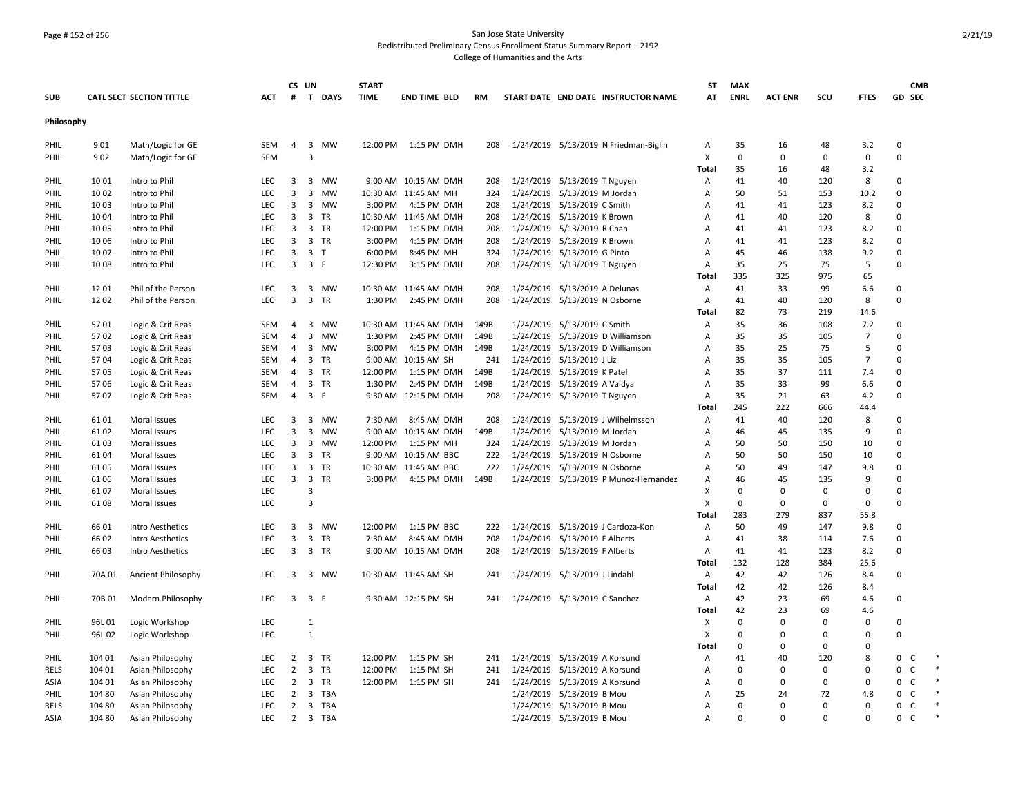## Page # 152 of 256 San Jose State University Redistributed Preliminary Census Enrollment Status Summary Report – 2192 College of Humanities and the Arts

|             |        |                                 |            |                         | CS UN                |           | <b>START</b> |                       |           |                               |                               |                                       | ST             | <b>MAX</b>  |                |          |                | <b>CMB</b>                   |  |
|-------------|--------|---------------------------------|------------|-------------------------|----------------------|-----------|--------------|-----------------------|-----------|-------------------------------|-------------------------------|---------------------------------------|----------------|-------------|----------------|----------|----------------|------------------------------|--|
| <b>SUB</b>  |        | <b>CATL SECT SECTION TITTLE</b> | ACT        | #                       | T DAYS               |           | <b>TIME</b>  | <b>END TIME BLD</b>   | <b>RM</b> |                               |                               | START DATE END DATE INSTRUCTOR NAME   | AT             | <b>ENRL</b> | <b>ACT ENR</b> | SCU      | <b>FTES</b>    | GD SEC                       |  |
| Philosophy  |        |                                 |            |                         |                      |           |              |                       |           |                               |                               |                                       |                |             |                |          |                |                              |  |
| PHIL        | 901    | Math/Logic for GE               | SEM        | 4                       | 3 MW                 |           |              | 12:00 PM 1:15 PM DMH  | 208       |                               |                               | 1/24/2019 5/13/2019 N Friedman-Biglin | Α              | 35          | 16             | 48       | 3.2            | $\mathbf 0$                  |  |
| PHIL        | 902    | Math/Logic for GE               | <b>SEM</b> |                         | 3                    |           |              |                       |           |                               |                               |                                       | X              | $\mathbf 0$ | $\mathbf 0$    | 0        | 0              | 0                            |  |
|             |        |                                 |            |                         |                      |           |              |                       |           |                               |                               |                                       | Total          | 35          | 16             | 48       | 3.2            |                              |  |
| PHIL        | 1001   | Intro to Phil                   | <b>LEC</b> | $\overline{\mathbf{3}}$ | 3                    | <b>MW</b> |              | 9:00 AM 10:15 AM DMH  | 208       |                               | 1/24/2019 5/13/2019 T Nguyen  |                                       | A              | 41          | 40             | 120      | 8              | 0                            |  |
| PHIL        | 10 02  | Intro to Phil                   | <b>LEC</b> | $\overline{3}$          | 3                    | <b>MW</b> |              | 10:30 AM 11:45 AM MH  | 324       |                               | 1/24/2019 5/13/2019 M Jordan  |                                       | A              | 50          | 51             | 153      | 10.2           | $\Omega$                     |  |
| PHIL        | 10 03  | Intro to Phil                   | LEC        | $\overline{3}$          | 3                    | MW        | 3:00 PM      | 4:15 PM DMH           | 208       |                               | 1/24/2019 5/13/2019 C Smith   |                                       | Α              | 41          | 41             | 123      | 8.2            | $\Omega$                     |  |
| PHIL        | 10 04  | Intro to Phil                   | <b>LEC</b> | 3                       | 3 TR                 |           |              | 10:30 AM 11:45 AM DMH | 208       |                               | 1/24/2019 5/13/2019 K Brown   |                                       | Α              | 41          | 40             | 120      | 8              | 0                            |  |
| PHIL        | 1005   | Intro to Phil                   | LEC        | 3                       | 3 TR                 |           | 12:00 PM     | 1:15 PM DMH           | 208       |                               | 1/24/2019 5/13/2019 R Chan    |                                       | Α              | 41          | 41             | 123      | 8.2            | 0                            |  |
| PHIL        | 1006   | Intro to Phil                   | <b>LEC</b> | 3                       | 3 TR                 |           | 3:00 PM      | 4:15 PM DMH           | 208       |                               | 1/24/2019 5/13/2019 K Brown   |                                       | A              | 41          | 41             | 123      | 8.2            | $\Omega$                     |  |
| PHIL        | 1007   | Intro to Phil                   | <b>LEC</b> | $\overline{\mathbf{3}}$ | 3 <sub>T</sub>       |           | 6:00 PM      | 8:45 PM MH            | 324       |                               | 1/24/2019 5/13/2019 G Pinto   |                                       | A              | 45          | 46             | 138      | 9.2            | $\Omega$                     |  |
| PHIL        | 1008   | Intro to Phil                   | LEC        | 3                       | 3 F                  |           | 12:30 PM     | 3:15 PM DMH           | 208       |                               | 1/24/2019 5/13/2019 T Nguyen  |                                       | Α              | 35          | 25             | 75       | 5              | $\Omega$                     |  |
|             |        |                                 |            |                         |                      |           |              |                       |           |                               |                               |                                       | Total          | 335         | 325            | 975      | 65             |                              |  |
| PHIL        | 12 01  | Phil of the Person              | <b>LEC</b> | $\overline{\mathbf{3}}$ | 3 MW                 |           |              | 10:30 AM 11:45 AM DMH | 208       |                               | 1/24/2019 5/13/2019 A Delunas |                                       | A              | 41          | 33             | 99       | 6.6            | 0                            |  |
| PHIL        | 1202   | Phil of the Person              | <b>LEC</b> | $\overline{3}$          | $\overline{3}$<br>TR |           | 1:30 PM      | 2:45 PM DMH           | 208       |                               | 1/24/2019 5/13/2019 N Osborne |                                       | $\mathsf{A}$   | 41          | 40             | 120      | 8              | $\Omega$                     |  |
|             |        |                                 |            |                         |                      |           |              |                       |           |                               |                               |                                       | Total          | 82          | 73             | 219      | 14.6           |                              |  |
| PHIL        | 5701   | Logic & Crit Reas               | <b>SEM</b> | $\overline{4}$          | 3 MW                 |           |              | 10:30 AM 11:45 AM DMH | 149B      |                               | 1/24/2019 5/13/2019 C Smith   |                                       | $\overline{A}$ | 35          | 36             | 108      | 7.2            | $\Omega$                     |  |
| PHIL        | 5702   | Logic & Crit Reas               | <b>SEM</b> | $\overline{4}$          | 3 MW                 |           | 1:30 PM      | 2:45 PM DMH           | 149B      |                               |                               | 1/24/2019 5/13/2019 D Williamson      | A              | 35          | 35             | 105      | $\overline{7}$ | $\Omega$                     |  |
| PHIL        | 5703   | Logic & Crit Reas               | SEM        | $\overline{4}$          | 3 MW                 |           | 3:00 PM      | 4:15 PM DMH           | 149B      |                               |                               | 1/24/2019 5/13/2019 D Williamson      | A              | 35          | 25             | 75       | 5              | $\Omega$                     |  |
| PHIL        | 5704   | Logic & Crit Reas               | SEM        | 4                       | 3 TR                 |           |              | 9:00 AM 10:15 AM SH   | 241       |                               | 1/24/2019 5/13/2019 J Liz     |                                       | Α              | 35          | 35             | 105      | $\overline{7}$ | $\Omega$                     |  |
| PHIL        | 5705   | Logic & Crit Reas               | SEM        | $\overline{4}$          | 3 TR                 |           | 12:00 PM     | 1:15 PM DMH           | 149B      |                               | 1/24/2019 5/13/2019 K Patel   |                                       | A              | 35          | 37             | 111      | 7.4            | $\Omega$                     |  |
| PHIL        | 5706   | Logic & Crit Reas               | <b>SEM</b> | $\overline{4}$          | 3 TR                 |           | 1:30 PM      | 2:45 PM DMH           | 149B      |                               | 1/24/2019 5/13/2019 A Vaidya  |                                       | A              | 35          | 33             | 99       | 6.6            | $\Omega$                     |  |
| PHIL        | 5707   | Logic & Crit Reas               | <b>SEM</b> | $\overline{4}$          | 3 F                  |           |              | 9:30 AM 12:15 PM DMH  | 208       |                               | 1/24/2019 5/13/2019 T Nguyen  |                                       | A              | 35          | 21             | 63       | 4.2            | $\Omega$                     |  |
|             |        |                                 |            |                         |                      |           |              |                       |           |                               |                               |                                       | Total          | 245         | 222            | 666      | 44.4           |                              |  |
| PHIL        | 6101   | Moral Issues                    | <b>LEC</b> | 3                       | 3 MW                 |           | 7:30 AM      | 8:45 AM DMH           | 208       |                               |                               | 1/24/2019 5/13/2019 J Wilhelmsson     | Α              | 41          | 40             | 120      | 8              | 0                            |  |
| PHIL        | 6102   | Moral Issues                    | LEC        | 3                       | 3 MW                 |           |              | 9:00 AM 10:15 AM DMH  | 149B      |                               | 1/24/2019 5/13/2019 M Jordan  |                                       | Α              | 46          | 45             | 135      | 9              | $\Omega$                     |  |
| PHIL        | 6103   | Moral Issues                    | LEC        | $\overline{3}$          | 3 MW                 |           |              | 12:00 PM 1:15 PM MH   | 324       |                               | 1/24/2019 5/13/2019 M Jordan  |                                       | Α              | 50          | 50             | 150      | 10             | $\Omega$                     |  |
| PHIL        | 61 04  | Moral Issues                    | <b>LEC</b> | $\overline{3}$          | 3<br><b>TR</b>       |           |              | 9:00 AM 10:15 AM BBC  | 222       |                               | 1/24/2019 5/13/2019 N Osborne |                                       | A              | 50          | 50             | 150      | 10             | $\Omega$                     |  |
| PHIL        | 61 05  | Moral Issues                    | LEC        | 3                       | 3 TR                 |           |              | 10:30 AM 11:45 AM BBC | 222       |                               | 1/24/2019 5/13/2019 N Osborne |                                       | Α              | 50          | 49             | 147      | 9.8            | $\Omega$                     |  |
| PHIL        | 61 06  | Moral Issues                    | LEC        | 3                       | 3 TR                 |           | 3:00 PM      | 4:15 PM DMH           | 149B      |                               |                               | 1/24/2019 5/13/2019 P Munoz-Hernandez | Α              | 46          | 45             | 135      | 9              | $\mathbf 0$                  |  |
| PHIL        | 6107   | Moral Issues                    | LEC        |                         | 3                    |           |              |                       |           |                               |                               |                                       | X              | $\mathbf 0$ | 0              | 0        | 0              | 0                            |  |
| PHIL        | 6108   | Moral Issues                    | <b>LEC</b> |                         | 3                    |           |              |                       |           |                               |                               |                                       | X              | $\mathbf 0$ | $\Omega$       | 0        | 0              | 0                            |  |
|             |        |                                 |            |                         |                      |           |              |                       |           |                               |                               |                                       | Total          | 283         | 279            | 837      | 55.8           |                              |  |
| PHIL        | 66 01  | <b>Intro Aesthetics</b>         | <b>LEC</b> | 3                       | 3                    | MW        | 12:00 PM     | 1:15 PM BBC           | 222       |                               |                               | 1/24/2019 5/13/2019 J Cardoza-Kon     | Α              | 50          | 49             | 147      | 9.8            | $\mathbf 0$                  |  |
| PHIL        | 66 02  | Intro Aesthetics                | LEC        | $\overline{3}$          | $\mathbf{3}$<br>TR   |           | 7:30 AM      | 8:45 AM DMH           | 208       |                               | 1/24/2019 5/13/2019 F Alberts |                                       | Α              | 41          | 38             | 114      | 7.6            | $\Omega$                     |  |
| PHIL        | 66 03  | Intro Aesthetics                | LEC        | 3                       | 3 TR                 |           |              | 9:00 AM 10:15 AM DMH  | 208       |                               | 1/24/2019 5/13/2019 F Alberts |                                       | $\mathsf{A}$   | 41          | 41             | 123      | 8.2            | $\mathbf 0$                  |  |
|             |        |                                 |            |                         |                      |           |              |                       |           |                               |                               |                                       | Total          | 132         | 128            | 384      | 25.6           |                              |  |
| PHIL        | 70A 01 | Ancient Philosophy              | LEC        | 3                       | 3 MW                 |           |              | 10:30 AM 11:45 AM SH  | 241       |                               | 1/24/2019 5/13/2019 J Lindahl |                                       | A              | 42          | 42             | 126      | 8.4            | 0                            |  |
|             |        |                                 |            |                         |                      |           |              |                       |           |                               |                               |                                       | Total          | 42          | 42             | 126      | 8.4            |                              |  |
| PHIL        | 70B 01 | Modern Philosophy               | <b>LEC</b> |                         | $3 \quad 3 \quad F$  |           |              | 9:30 AM 12:15 PM SH   | 241       | 1/24/2019 5/13/2019 C Sanchez |                               |                                       | Α              | 42          | 23             | 69       | 4.6            | $\pmb{0}$                    |  |
|             |        |                                 |            |                         |                      |           |              |                       |           |                               |                               |                                       | Total          | 42          | 23             | 69       | 4.6            |                              |  |
| PHIL        | 96L01  | Logic Workshop                  | LEC        |                         | 1                    |           |              |                       |           |                               |                               |                                       | х              | 0           | $\mathbf 0$    | 0        | 0              | 0                            |  |
| PHIL        | 96L02  | Logic Workshop                  | <b>LEC</b> |                         | $\mathbf{1}$         |           |              |                       |           |                               |                               |                                       | X              | $\mathbf 0$ | $\Omega$       | $\Omega$ | $\Omega$       | $\Omega$                     |  |
|             |        |                                 |            |                         |                      |           |              |                       |           |                               |                               |                                       | Total          | $\mathbf 0$ | $\Omega$       | 0        | $\mathbf 0$    |                              |  |
| PHIL        | 104 01 | Asian Philosophy                | LEC        | $\overline{2}$          | 3 TR                 |           | 12:00 PM     | 1:15 PM SH            | 241       |                               | 1/24/2019 5/13/2019 A Korsund |                                       | $\mathsf{A}$   | 41          | 40             | 120      | 8              | $\mathbf 0$<br>C             |  |
| <b>RELS</b> | 104 01 | Asian Philosophy                | LEC        | $\overline{2}$          | 3 TR                 |           | 12:00 PM     | 1:15 PM SH            | 241       |                               | 1/24/2019 5/13/2019 A Korsund |                                       | Α              | $\mathbf 0$ | $\Omega$       | 0        | 0              | 0<br>$\mathsf{C}$            |  |
| ASIA        | 104 01 | Asian Philosophy                | LEC        | $\overline{2}$          | 3 TR                 |           |              | 12:00 PM 1:15 PM SH   | 241       |                               | 1/24/2019 5/13/2019 A Korsund |                                       | Α              | $\mathbf 0$ | 0              | 0        | 0              | $\mathsf{o}$<br>$\mathsf{C}$ |  |
| PHIL        | 104 80 | Asian Philosophy                | <b>LEC</b> | $\overline{2}$          | 3 TBA                |           |              |                       |           |                               | 1/24/2019 5/13/2019 B Mou     |                                       | A              | 25          | 24             | 72       | 4.8            | $\mathsf{C}$<br>0            |  |
| <b>RELS</b> | 104 80 | Asian Philosophy                | <b>LEC</b> | $2^{\circ}$             | 3 TBA                |           |              |                       |           |                               | 1/24/2019 5/13/2019 B Mou     |                                       | Α              | $\Omega$    | $\Omega$       | $\Omega$ | $\Omega$       | C<br>0                       |  |
| <b>ASIA</b> | 104 80 | Asian Philosophy                | <b>LEC</b> | $\overline{2}$          | 3 TBA                |           |              |                       |           |                               | 1/24/2019 5/13/2019 B Mou     |                                       | A              | $\Omega$    | $\Omega$       | $\Omega$ | $\Omega$       | 0<br>C                       |  |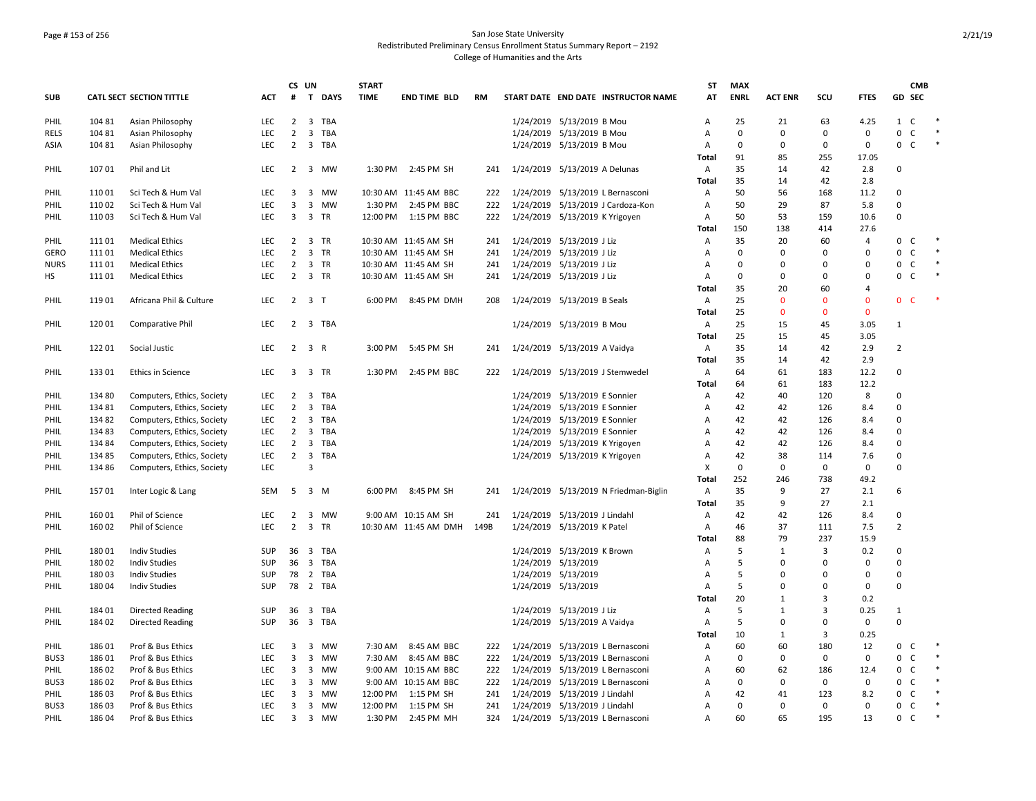## Page # 153 of 256 San Jose State University Redistributed Preliminary Census Enrollment Status Summary Report – 2192 College of Humanities and the Arts

|             |        |                                 |            |                | CS UN                          | <b>START</b> |                       |      |                                       | ST             | <b>MAX</b>  |                |             |                |                             | <b>CMB</b> |        |
|-------------|--------|---------------------------------|------------|----------------|--------------------------------|--------------|-----------------------|------|---------------------------------------|----------------|-------------|----------------|-------------|----------------|-----------------------------|------------|--------|
| <b>SUB</b>  |        | <b>CATL SECT SECTION TITTLE</b> | <b>ACT</b> | #              | T DAYS                         | <b>TIME</b>  | <b>END TIME BLD</b>   | RM   | START DATE END DATE INSTRUCTOR NAME   | AT             | <b>ENRL</b> | <b>ACT ENR</b> | SCU         | <b>FTES</b>    | GD SEC                      |            |        |
| PHIL        | 104 81 | Asian Philosophy                | LEC        | 2              | 3 TBA                          |              |                       |      | 1/24/2019 5/13/2019 B Mou             | Α              | 25          | 21             | 63          | 4.25           | $\mathbf{1}$<br>C           |            |        |
| RELS        | 104 81 | Asian Philosophy                | <b>LEC</b> | $\overline{2}$ | 3 TBA                          |              |                       |      | 1/24/2019 5/13/2019 B Mou             | Α              | $\Omega$    | $\Omega$       | 0           | 0              | 0<br>C                      |            | $\ast$ |
| ASIA        | 104 81 | Asian Philosophy                | <b>LEC</b> | $\overline{2}$ | 3 TBA                          |              |                       |      | 1/24/2019 5/13/2019 B Mou             | Α              | $\Omega$    | $\Omega$       | 0           | 0              | 0 C                         |            | $\ast$ |
|             |        |                                 |            |                |                                |              |                       |      |                                       | <b>Total</b>   | 91          | 85             | 255         | 17.05          |                             |            |        |
| PHIL        | 10701  | Phil and Lit                    | LEC        |                | 2 3 MW                         |              | 1:30 PM 2:45 PM SH    | 241  | 1/24/2019 5/13/2019 A Delunas         | Α              | 35          | 14             | 42          | 2.8            | $\Omega$                    |            |        |
|             |        |                                 |            |                |                                |              |                       |      |                                       | Total          | 35          | 14             | 42          | 2.8            |                             |            |        |
| PHIL        | 11001  | Sci Tech & Hum Val              | <b>LEC</b> | 3              | $\overline{\mathbf{3}}$<br>MW  |              | 10:30 AM 11:45 AM BBC | 222  | 1/24/2019 5/13/2019 L Bernasconi      | Α              | 50          | 56             | 168         | 11.2           | 0                           |            |        |
| PHIL        | 11002  | Sci Tech & Hum Val              | LEC        | 3              | 3 MW                           | 1:30 PM      | 2:45 PM BBC           | 222  | 1/24/2019 5/13/2019 J Cardoza-Kon     | A              | 50          | 29             | 87          | 5.8            | 0                           |            |        |
| PHIL        | 11003  | Sci Tech & Hum Val              | <b>LEC</b> | 3              | 3 TR                           | 12:00 PM     | 1:15 PM BBC           | 222  | 1/24/2019 5/13/2019 K Yrigoyen        | Α              | 50          | 53             | 159         | 10.6           | $\mathsf 0$                 |            |        |
|             |        |                                 |            |                |                                |              |                       |      |                                       | Total          | 150         | 138            | 414         | 27.6           |                             |            |        |
| PHIL        | 11101  | <b>Medical Ethics</b>           | <b>LEC</b> | $\overline{2}$ | 3 TR                           |              | 10:30 AM 11:45 AM SH  | 241  | 1/24/2019 5/13/2019 J Liz             | Α              | 35          | 20             | 60          | $\overline{4}$ | 0<br>C                      |            | $\ast$ |
| <b>GERO</b> | 11101  | <b>Medical Ethics</b>           | <b>LEC</b> | $\overline{2}$ | 3 TR                           |              | 10:30 AM 11:45 AM SH  | 241  | 1/24/2019 5/13/2019 J Liz             | A              | $\Omega$    | $\Omega$       | $\Omega$    | 0              | 0<br>C                      |            | $\ast$ |
| <b>NURS</b> | 11101  | <b>Medical Ethics</b>           | <b>LEC</b> | $\overline{2}$ | 3 TR                           |              | 10:30 AM 11:45 AM SH  | 241  | 1/24/2019 5/13/2019 J Liz             | A              | $\Omega$    | $\Omega$       | $\Omega$    | 0              | $\mathbf 0$<br><sub>c</sub> |            | $\ast$ |
| НS          | 11101  | <b>Medical Ethics</b>           | LEC        | $\overline{2}$ | 3 TR                           |              | 10:30 AM 11:45 AM SH  | 241  | 1/24/2019 5/13/2019 J Liz             | А              | $\Omega$    | $\Omega$       | $\pmb{0}$   | 0              | 0<br>C                      |            | $\ast$ |
|             |        |                                 |            |                |                                |              |                       |      |                                       | <b>Total</b>   | 35          | 20             | 60          | 4              |                             |            |        |
| PHIL        | 11901  | Africana Phil & Culture         | LEC        |                | $2 \quad 3 \quad T$            | 6:00 PM      | 8:45 PM DMH           | 208  | 1/24/2019 5/13/2019 B Seals           | Α              | 25          | $\Omega$       | $\Omega$    | $\mathbf{0}$   | 0 <sup>o</sup>              |            |        |
|             |        |                                 |            |                |                                |              |                       |      |                                       | Total          | 25          | $\Omega$       | $\mathbf 0$ | $\mathbf 0$    |                             |            |        |
| PHIL        | 12001  | Comparative Phil                | <b>LEC</b> | $\overline{2}$ | 3 TBA                          |              |                       |      | 1/24/2019 5/13/2019 B Mou             | Α              | 25          | 15             | 45          | 3.05           | 1                           |            |        |
|             |        |                                 |            |                |                                |              |                       |      |                                       | Total          | 25          | 15             | 45          | 3.05           |                             |            |        |
| PHIL        | 12201  | Social Justic                   | <b>LEC</b> | 2              | 3 R                            | 3:00 PM      | 5:45 PM SH            | 241  | 1/24/2019 5/13/2019 A Vaidya          | $\overline{A}$ | 35          | 14             | 42          | 2.9            | $\overline{2}$              |            |        |
|             |        |                                 |            |                |                                |              |                       |      |                                       | Total          | 35          | 14             | 42          | 2.9            |                             |            |        |
| PHIL        | 13301  | Ethics in Science               | <b>LEC</b> | 3              | 3 TR                           | 1:30 PM      | 2:45 PM BBC           | 222  | 1/24/2019 5/13/2019 J Stemwedel       | Α              | 64          | 61             | 183         | 12.2           | 0                           |            |        |
|             |        |                                 |            |                |                                |              |                       |      |                                       | Total          | 64          | 61             | 183         | 12.2           |                             |            |        |
| PHIL        | 134 80 | Computers, Ethics, Society      | <b>LEC</b> | $\overline{2}$ | $\overline{\mathbf{3}}$<br>TBA |              |                       |      | 1/24/2019 5/13/2019 E Sonnier         | Α              | 42          | 40             | 120         | 8              | $\Omega$                    |            |        |
| PHIL        | 13481  | Computers, Ethics, Society      | LEC        | $\overline{2}$ | $\overline{\mathbf{3}}$<br>TBA |              |                       |      | 1/24/2019 5/13/2019 E Sonnier         | Α              | 42          | 42             | 126         | 8.4            | $\Omega$                    |            |        |
| PHIL        | 13482  | Computers, Ethics, Society      | <b>LEC</b> | $\overline{2}$ | 3 TBA                          |              |                       |      | 1/24/2019 5/13/2019 E Sonnier         | Α              | 42          | 42             | 126         | 8.4            | $\Omega$                    |            |        |
| PHIL        | 134 83 | Computers, Ethics, Society      | <b>LEC</b> | $\overline{2}$ | $\overline{\mathbf{3}}$<br>TBA |              |                       |      | 1/24/2019 5/13/2019 E Sonnier         | Α              | 42          | 42             | 126         | 8.4            | $\Omega$                    |            |        |
| PHIL        | 134 84 | Computers, Ethics, Society      | LEC        | $\overline{2}$ | 3 TBA                          |              |                       |      | 1/24/2019 5/13/2019 K Yrigoyen        | A              | 42          | 42             | 126         | 8.4            | 0                           |            |        |
| PHIL        | 13485  | Computers, Ethics, Society      | LEC        | $\overline{2}$ | $\overline{3}$<br><b>TBA</b>   |              |                       |      | 1/24/2019 5/13/2019 K Yrigoyen        | А              | 42          | 38             | 114         | 7.6            | 0                           |            |        |
| PHIL        | 134 86 | Computers, Ethics, Society      | <b>LEC</b> |                | 3                              |              |                       |      |                                       | Х              | 0           | 0              | 0           | 0              | $\Omega$                    |            |        |
|             |        |                                 |            |                |                                |              |                       |      |                                       | <b>Total</b>   | 252         | 246            | 738         | 49.2           |                             |            |        |
| PHIL        | 15701  | Inter Logic & Lang              | SEM        | 5              | 3 M                            | 6:00 PM      | 8:45 PM SH            | 241  | 1/24/2019 5/13/2019 N Friedman-Biglin | Α              | 35          | 9              | 27          | 2.1            | 6                           |            |        |
|             |        |                                 |            |                |                                |              |                       |      |                                       | Total          | 35          | 9              | 27          | 2.1            |                             |            |        |
| PHIL        | 16001  | Phil of Science                 | LEC        | $\overline{2}$ | 3 MW                           |              | 9:00 AM 10:15 AM SH   | 241  | 1/24/2019 5/13/2019 J Lindahl         | Α              | 42          | 42             | 126         | 8.4            | $\mathbf 0$                 |            |        |
| PHIL        | 160 02 | Phil of Science                 | LEC        | $\overline{2}$ | 3 TR                           |              | 10:30 AM 11:45 AM DMH | 149B | 1/24/2019 5/13/2019 K Patel           | A              | 46          | 37             | 111         | 7.5            | $\overline{2}$              |            |        |
|             |        |                                 |            |                |                                |              |                       |      |                                       | Total          | 88          | 79             | 237         | 15.9           |                             |            |        |
| PHIL        | 18001  | <b>Indiv Studies</b>            | <b>SUP</b> | 36             | 3 TBA                          |              |                       |      | 1/24/2019 5/13/2019 K Brown           | Α              | 5           | 1              | 3           | 0.2            | $\Omega$                    |            |        |
| PHIL        | 18002  | <b>Indiv Studies</b>            | <b>SUP</b> | 36             | 3 TBA                          |              |                       |      | 1/24/2019 5/13/2019                   | Α              | 5           | $\Omega$       | $\Omega$    | 0              | $\Omega$                    |            |        |
| PHIL        | 18003  | <b>Indiv Studies</b>            | SUP        |                | 78 2 TBA                       |              |                       |      | 1/24/2019 5/13/2019                   | Α              | 5           | $\Omega$       | $\Omega$    | 0              | $\Omega$                    |            |        |
| PHIL        | 18004  | <b>Indiv Studies</b>            | SUP        | 78             | 2 TBA                          |              |                       |      | 1/24/2019 5/13/2019                   | A              | 5           | $\Omega$       | $\Omega$    | $\mathbf 0$    | $\Omega$                    |            |        |
|             |        |                                 |            |                |                                |              |                       |      |                                       | Total          | 20          | $\mathbf{1}$   | 3           | 0.2            |                             |            |        |
| PHIL        | 18401  | <b>Directed Reading</b>         | SUP        | 36             | $\overline{\mathbf{3}}$<br>TBA |              |                       |      | 1/24/2019 5/13/2019 J Liz             | Α              | 5           | $\mathbf{1}$   | 3           | 0.25           | 1                           |            |        |
| PHIL        | 18402  | <b>Directed Reading</b>         | SUP        | 36             | 3 TBA                          |              |                       |      | 1/24/2019 5/13/2019 A Vaidya          | A              | 5           | $\Omega$       | 0           | 0              | $\mathbf 0$                 |            |        |
|             |        |                                 |            |                |                                |              |                       |      |                                       | Total          | 10          | 1              | 3           | 0.25           |                             |            |        |
| PHIL        | 186 01 | Prof & Bus Ethics               | <b>LEC</b> | 3              | 3<br>MW                        | 7:30 AM      | 8:45 AM BBC           | 222  | 1/24/2019 5/13/2019 L Bernasconi      | Α              | 60          | 60             | 180         | 12             | 0<br>C                      |            | $\ast$ |
| BUS3        | 186 01 | Prof & Bus Ethics               | <b>LEC</b> | 3              | 3 MW                           | 7:30 AM      | 8:45 AM BBC           | 222  | 1/24/2019 5/13/2019 L Bernasconi      | Α              | $\Omega$    | $\Omega$       | 0           | 0              | 0<br>C                      |            | $\ast$ |
| PHIL        | 18602  | Prof & Bus Ethics               | <b>LEC</b> | 3              | 3 MW                           |              | 9:00 AM 10:15 AM BBC  | 222  | 1/24/2019 5/13/2019 L Bernasconi      | Α              | 60          | 62             | 186         | 12.4           | 0 <sup>o</sup>              |            |        |
| BUS3        | 18602  | Prof & Bus Ethics               | <b>LEC</b> | 3              | $\overline{\mathbf{3}}$<br>MW  |              | 9:00 AM 10:15 AM BBC  | 222  | 1/24/2019 5/13/2019 L Bernasconi      | A              | $\mathbf 0$ | 0              | $\Omega$    | 0              | $\mathbf 0$<br>C            |            | $\ast$ |
| PHIL        | 18603  | Prof & Bus Ethics               | LEC        | 3              | 3 MW                           | 12:00 PM     | 1:15 PM SH            | 241  | 1/24/2019 5/13/2019 J Lindahl         | А              | 42          | 41             | 123         | 8.2            | 0<br>$\mathsf{C}$           |            | $\ast$ |
| BUS3        | 18603  | Prof & Bus Ethics               | <b>LEC</b> | 3              | 3 MW                           | 12:00 PM     | 1:15 PM SH            | 241  | 1/24/2019 5/13/2019 J Lindahl         | Α              | $\Omega$    | $\Omega$       | 0           | 0              | 0<br>C                      |            | $\ast$ |
| PHIL        | 186 04 | Prof & Bus Ethics               | <b>LEC</b> | 3              | 3 MW                           | 1:30 PM      | 2:45 PM MH            | 324  | 1/24/2019 5/13/2019 L Bernasconi      | $\overline{A}$ | 60          | 65             | 195         | 13             | C<br>0                      |            |        |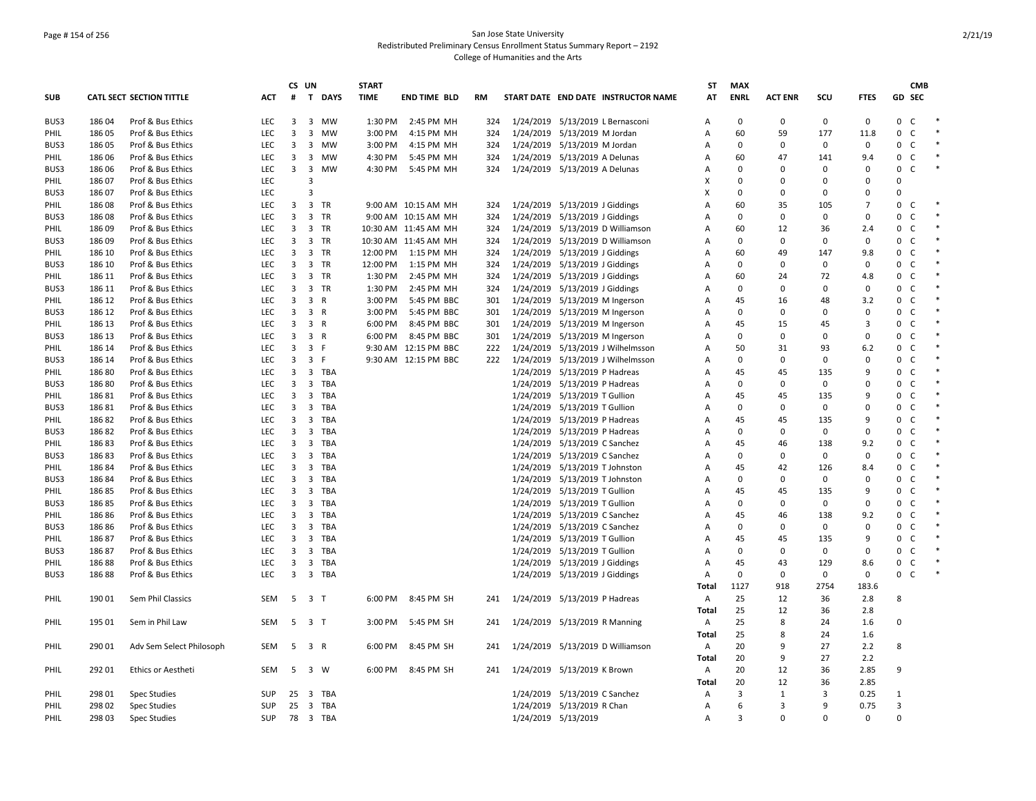## Page # 154 of 256 San Jose State University Redistributed Preliminary Census Enrollment Status Summary Report – 2192 College of Humanities and the Arts

|            |        |                                 |            | CS UN |                                       | <b>START</b> |                      |           |           |                                     | <b>ST</b>      | <b>MAX</b>   |                |          |                | <b>CMB</b>                   |  |
|------------|--------|---------------------------------|------------|-------|---------------------------------------|--------------|----------------------|-----------|-----------|-------------------------------------|----------------|--------------|----------------|----------|----------------|------------------------------|--|
| <b>SUB</b> |        | <b>CATL SECT SECTION TITTLE</b> | <b>ACT</b> | #     | T DAYS                                | <b>TIME</b>  | <b>END TIME BLD</b>  | <b>RM</b> |           | START DATE END DATE INSTRUCTOR NAME | AT             | <b>ENRL</b>  | <b>ACT ENR</b> | SCU      | <b>FTES</b>    | <b>GD SEC</b>                |  |
| BUS3       | 186 04 | Prof & Bus Ethics               | <b>LEC</b> | 3     | $\overline{3}$<br>MW                  | 1:30 PM      | 2:45 PM MH           | 324       |           | 1/24/2019 5/13/2019 L Bernasconi    | A              | $\Omega$     | $\Omega$       | $\Omega$ | $\mathbf 0$    | $\mathbf{0}$<br><sub>c</sub> |  |
| PHIL       | 186 05 | Prof & Bus Ethics               | <b>LEC</b> | 3     | 3 MW                                  | 3:00 PM      | 4:15 PM MH           | 324       |           | 1/24/2019 5/13/2019 M Jordan        | Α              | 60           | 59             | 177      | 11.8           | 0<br>$\mathsf{C}$            |  |
| BUS3       | 186 05 | Prof & Bus Ethics               | LEC        | 3     | 3 MW                                  | 3:00 PM      | 4:15 PM MH           | 324       |           | 1/24/2019 5/13/2019 M Jordan        | Α              | $\mathbf 0$  | $\Omega$       | 0        | 0              | 0<br>C                       |  |
| PHIL       | 186 06 | Prof & Bus Ethics               | LEC        | 3     | 3<br>MW                               | 4:30 PM      | 5:45 PM MH           | 324       |           | 1/24/2019 5/13/2019 A Delunas       | A              | 60           | 47             | 141      | 9.4            | 0<br>$\mathsf{C}$            |  |
| BUS3       | 186 06 | Prof & Bus Ethics               | LEC        | 3     | 3 MW                                  | 4:30 PM      | 5:45 PM MH           | 324       |           | 1/24/2019 5/13/2019 A Delunas       | $\overline{A}$ | $\Omega$     | 0              | $\Omega$ | 0              | $\mathbf 0$<br>C             |  |
| PHIL       | 18607  | Prof & Bus Ethics               | LEC        |       | 3                                     |              |                      |           |           |                                     | X              | $\mathbf 0$  | $\Omega$       | 0        | 0              | $\Omega$                     |  |
| BUS3       | 18607  | Prof & Bus Ethics               | LEC        |       | 3                                     |              |                      |           |           |                                     | X              | $\mathbf 0$  | 0              | 0        | 0              | $\Omega$                     |  |
| PHIL       | 18608  | Prof & Bus Ethics               | LEC        | 3     | 3 TR                                  |              | 9:00 AM 10:15 AM MH  | 324       |           | 1/24/2019 5/13/2019 J Giddings      | Α              | 60           | 35             | 105      | $\overline{7}$ | 0<br>C                       |  |
| BUS3       | 186 08 | Prof & Bus Ethics               | <b>LEC</b> | 3     | 3 TR                                  |              | 9:00 AM 10:15 AM MH  | 324       |           | 1/24/2019 5/13/2019 J Giddings      | $\overline{A}$ | $\Omega$     | 0              | 0        | $\mathbf 0$    | $\mathbf 0$<br>C             |  |
| PHIL       | 18609  | Prof & Bus Ethics               | LEC        | 3     | 3 TR                                  |              | 10:30 AM 11:45 AM MH | 324       |           | 1/24/2019 5/13/2019 D Williamson    | Α              | 60           | 12             | 36       | 2.4            | 0<br>$\mathsf{C}$            |  |
| BUS3       | 18609  | Prof & Bus Ethics               | LEC        | 3     | 3 TR                                  |              | 10:30 AM 11:45 AM MH | 324       |           | 1/24/2019 5/13/2019 D Williamson    | A              | $\mathbf 0$  | 0              | 0        | 0              | 0<br>$\mathsf{C}$            |  |
| PHIL       | 186 10 | Prof & Bus Ethics               | LEC        | 3     | 3 TR                                  | 12:00 PM     | 1:15 PM MH           | 324       |           | 1/24/2019 5/13/2019 J Giddings      | A              | 60           | 49             | 147      | 9.8            | $\mathsf{C}$<br>0            |  |
| BUS3       | 186 10 | Prof & Bus Ethics               | LEC        | 3     | 3 TR                                  | 12:00 PM     | 1:15 PM MH           | 324       |           | 1/24/2019 5/13/2019 J Giddings      | $\overline{A}$ | $\mathbf 0$  | 0              | 0        | 0              | $\mathbf{0}$<br>$\mathsf{C}$ |  |
| PHIL       | 186 11 | Prof & Bus Ethics               | LEC        | 3     | 3 TR                                  | 1:30 PM      | 2:45 PM MH           | 324       |           | 1/24/2019 5/13/2019 J Giddings      | Α              | 60           | 24             | 72       | 4.8            | 0<br>C                       |  |
| BUS3       | 186 11 | Prof & Bus Ethics               | <b>LEC</b> | 3     | 3 TR                                  | 1:30 PM      | 2:45 PM MH           | 324       |           | 1/24/2019 5/13/2019 J Giddings      | A              | $\mathbf 0$  | 0              | 0        | 0              | 0<br>$\mathsf{C}$            |  |
| PHIL       | 186 12 | Prof & Bus Ethics               | <b>LEC</b> | 3     | 3 R                                   | 3:00 PM      | 5:45 PM BBC          | 301       |           | 1/24/2019 5/13/2019 M Ingerson      | $\overline{A}$ | 45           | 16             | 48       | 3.2            | 0<br>C                       |  |
| BUS3       | 186 12 | Prof & Bus Ethics               | LEC        | 3     | 3 R                                   | 3:00 PM      | 5:45 PM BBC          | 301       |           | 1/24/2019 5/13/2019 M Ingerson      | A              | $\mathbf 0$  | 0              | 0        | 0              | $\mathbf 0$<br>$\mathsf{C}$  |  |
| PHIL       | 186 13 | Prof & Bus Ethics               | LEC        | 3     | 3 R                                   | 6:00 PM      | 8:45 PM BBC          | 301       |           | 1/24/2019 5/13/2019 M Ingerson      | $\overline{A}$ | 45           | 15             | 45       | 3              | $\mathbf 0$<br>C             |  |
| BUS3       | 186 13 | Prof & Bus Ethics               | LEC        | 3     | 3 R                                   | 6:00 PM      | 8:45 PM BBC          | 301       |           | 1/24/2019 5/13/2019 M Ingerson      | Α              | $\mathbf 0$  | 0              | 0        | 0              | $\mathsf 0$<br>$\mathsf{C}$  |  |
| PHIL       | 186 14 | Prof & Bus Ethics               | <b>LEC</b> | 3     | 3 F                                   |              | 9:30 AM 12:15 PM BBC | 222       |           | 1/24/2019 5/13/2019 J Wilhelmsson   | $\overline{A}$ | 50           | 31             | 93       | 6.2            | 0<br>C                       |  |
| BUS3       | 186 14 | Prof & Bus Ethics               | <b>LEC</b> | 3     | 3 F                                   |              | 9:30 AM 12:15 PM BBC | 222       |           | 1/24/2019 5/13/2019 J Wilhelmsson   | Α              | $\mathbf 0$  | 0              | 0        | 0              | $\mathbf 0$<br>C             |  |
| PHIL       | 18680  | Prof & Bus Ethics               | <b>LEC</b> | 3     | <b>TBA</b><br>$\overline{\mathbf{3}}$ |              |                      |           |           | 1/24/2019 5/13/2019 P Hadreas       | $\overline{A}$ | 45           | 45             | 135      | 9              | 0<br>$\mathsf{C}$            |  |
| BUS3       | 18680  | Prof & Bus Ethics               | LEC        | 3     | 3 TBA                                 |              |                      |           |           | 1/24/2019 5/13/2019 P Hadreas       | Α              | $\mathbf 0$  | 0              | 0        | 0              | 0<br>$\mathsf{C}$            |  |
| PHIL       | 18681  | Prof & Bus Ethics               | LEC        | 3     | $\overline{\mathbf{3}}$<br>TBA        |              |                      |           |           | 1/24/2019 5/13/2019 T Gullion       | Α              | 45           | 45             | 135      | 9              | 0<br>C                       |  |
| BUS3       | 18681  | Prof & Bus Ethics               | <b>LEC</b> | 3     | $\overline{\mathbf{3}}$<br>TBA        |              |                      |           |           | 1/24/2019 5/13/2019 T Gullion       | Α              | $\mathbf 0$  | 0              | 0        | 0              | C<br>$\mathbf 0$             |  |
| PHIL       | 18682  | Prof & Bus Ethics               | <b>LEC</b> | 3     | 3 TBA                                 |              |                      |           |           | 1/24/2019 5/13/2019 P Hadreas       | $\overline{A}$ | 45           | 45             | 135      | 9              | $\mathbf 0$<br>C             |  |
| BUS3       | 18682  | Prof & Bus Ethics               | <b>LEC</b> | 3     | $\overline{\mathbf{3}}$<br><b>TBA</b> |              |                      |           | 1/24/2019 | 5/13/2019 P Hadreas                 | Α              | $\mathbf 0$  | 0              | 0        | 0              | 0<br>$\mathsf{C}$            |  |
| PHIL       | 18683  | Prof & Bus Ethics               | LEC        | 3     | 3 TBA                                 |              |                      |           | 1/24/2019 | 5/13/2019 C Sanchez                 | Α              | 45           | 46             | 138      | 9.2            | 0<br>C                       |  |
| BUS3       | 18683  | Prof & Bus Ethics               | <b>LEC</b> | 3     | 3 TBA                                 |              |                      |           |           | 1/24/2019 5/13/2019 C Sanchez       | Α              | $\mathbf 0$  | 0              | 0        | 0              | 0<br>C                       |  |
| PHIL       | 18684  | Prof & Bus Ethics               | <b>LEC</b> | 3     | $\overline{\mathbf{3}}$<br>TBA        |              |                      |           |           | 1/24/2019 5/13/2019 T Johnston      | $\overline{A}$ | 45           | 42             | 126      | 8.4            | $\mathbf 0$<br>C             |  |
| BUS3       | 18684  | Prof & Bus Ethics               | LEC        | 3     | 3 TBA                                 |              |                      |           |           | 1/24/2019 5/13/2019 T Johnston      | Α              | $\mathbf 0$  | 0              | 0        | 0              | 0<br>$\mathsf{C}$            |  |
| PHIL       | 18685  | Prof & Bus Ethics               | LEC        | 3     | $\overline{\mathbf{3}}$<br>TBA        |              |                      |           | 1/24/2019 | 5/13/2019 T Gullion                 | Α              | 45           | 45             | 135      | 9              | 0<br>C                       |  |
| BUS3       | 18685  | Prof & Bus Ethics               | LEC        | 3     | 3<br>TBA                              |              |                      |           |           | 1/24/2019 5/13/2019 T Gullion       | Α              | $\mathbf 0$  | 0              | 0        | 0              | 0<br>$\mathsf{C}$            |  |
| PHIL       | 186 86 | Prof & Bus Ethics               | <b>LEC</b> | 3     | 3 TBA                                 |              |                      |           |           | 1/24/2019 5/13/2019 C Sanchez       | $\overline{A}$ | 45           | 46             | 138      | 9.2            | $\mathbf{0}$<br>C            |  |
| BUS3       | 18686  | Prof & Bus Ethics               | <b>LEC</b> | 3     | 3<br>TBA                              |              |                      |           |           | 1/24/2019 5/13/2019 C Sanchez       | Α              | $\mathbf 0$  | 0              | $\Omega$ | 0              | 0<br>$\mathsf{C}$            |  |
| PHIL       | 18687  | Prof & Bus Ethics               | LEC        | 3     | $\overline{\mathbf{3}}$<br>TBA        |              |                      |           |           | 1/24/2019 5/13/2019 T Gullion       | Α              | 45           | 45             | 135      | 9              | 0<br>C                       |  |
| BUS3       | 18687  | Prof & Bus Ethics               | LEC        | 3     | 3<br>TBA                              |              |                      |           |           | 1/24/2019 5/13/2019 T Gullion       | A              | 0            | 0              | 0        | 0              | $\mathsf{C}$<br>0            |  |
| PHIL       | 18688  | Prof & Bus Ethics               | <b>LEC</b> | 3     | <b>TBA</b><br>3                       |              |                      |           |           | 1/24/2019 5/13/2019 J Giddings      | $\overline{A}$ | 45           | 43             | 129      | 8.6            | $\mathbf 0$<br>$\mathsf{C}$  |  |
| BUS3       | 18688  | Prof & Bus Ethics               | LEC        | 3     | 3 TBA                                 |              |                      |           |           | 1/24/2019 5/13/2019 J Giddings      | Α              | $\mathbf 0$  | 0              | 0        | 0              | 0<br>$\mathsf{C}$            |  |
|            |        |                                 |            |       |                                       |              |                      |           |           |                                     | Total          | 1127         | 918            | 2754     | 183.6          |                              |  |
| PHIL       | 190 01 | Sem Phil Classics               | <b>SEM</b> | - 5   | 3 <sub>T</sub>                        | 6:00 PM      | 8:45 PM SH           | 241       |           | 1/24/2019 5/13/2019 P Hadreas       | $\overline{A}$ | 25           | 12             | 36       | 2.8            | 8                            |  |
|            |        |                                 |            |       |                                       |              |                      |           |           |                                     | Total          | 25           | 12             | 36       | 2.8            |                              |  |
| PHIL       | 195 01 | Sem in Phil Law                 | SEM        | - 5   | 3 <sub>T</sub>                        | 3:00 PM      | 5:45 PM SH           | 241       |           | 1/24/2019 5/13/2019 R Manning       | $\mathsf{A}$   | 25           | 8              | 24       | 1.6            | $\Omega$                     |  |
|            |        |                                 |            |       |                                       |              |                      |           |           |                                     | Total          | 25           | 8              | 24       | 1.6            |                              |  |
| PHIL       | 290 01 | Adv Sem Select Philosoph        | SEM        | 5     | 3 R                                   | 6:00 PM      | 8:45 PM SH           | 241       |           | 1/24/2019 5/13/2019 D Williamson    | Α              | 20           | 9              | 27       | 2.2            | 8                            |  |
|            |        |                                 |            |       |                                       |              |                      |           |           |                                     | Total          | 20           | 9              | 27       | 2.2            |                              |  |
| PHIL       | 292 01 | Ethics or Aestheti              | SEM        |       | 5 3 W                                 | 6:00 PM      | 8:45 PM SH           | 241       |           | 1/24/2019 5/13/2019 K Brown         | $\mathsf{A}$   | 20           | 12             | 36       | 2.85           | $\mathbf{q}$                 |  |
|            |        |                                 |            |       |                                       |              |                      |           |           |                                     | Total          | 20           | 12             | 36       | 2.85           |                              |  |
| PHIL       | 298 01 | <b>Spec Studies</b>             | <b>SUP</b> | 25    | $\overline{\mathbf{3}}$<br>TBA        |              |                      |           |           | 1/24/2019 5/13/2019 C Sanchez       | $\mathsf{A}$   | 3            | 1              | 3        | 0.25           | 1                            |  |
| PHIL       | 298 02 | <b>Spec Studies</b>             | <b>SUP</b> | 25    | 3 TBA                                 |              |                      |           |           | 1/24/2019 5/13/2019 R Chan          | $\overline{A}$ | 6            | 3              | 9        | 0.75           | $\overline{3}$               |  |
| PHIL       | 298 03 | <b>Spec Studies</b>             | SUP        |       | 78 3 TBA                              |              |                      |           |           | 1/24/2019 5/13/2019                 | $\overline{A}$ | $\mathbf{a}$ | $\Omega$       | $\Omega$ | 0              | $\Omega$                     |  |
|            |        |                                 |            |       |                                       |              |                      |           |           |                                     |                |              |                |          |                |                              |  |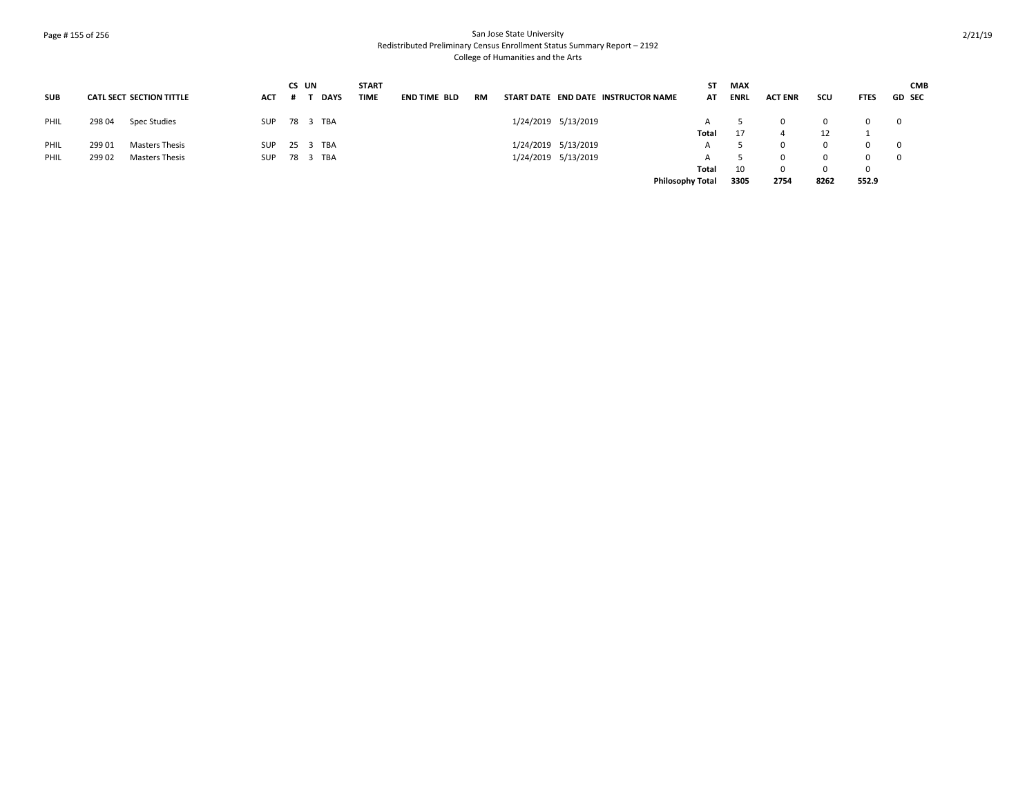# Page # 155 of 256 San Jose State University Redistributed Preliminary Census Enrollment Status Summary Report – 2192 College of Humanities and the Arts

|            |        |                                 |            | CS UN |             | <b>START</b> |                     |    |                     |                                     | SΤ    | MAX         |                |      |              |                         | <b>CMB</b>    |
|------------|--------|---------------------------------|------------|-------|-------------|--------------|---------------------|----|---------------------|-------------------------------------|-------|-------------|----------------|------|--------------|-------------------------|---------------|
| <b>SUB</b> |        | <b>CATL SECT SECTION TITTLE</b> | <b>ACT</b> |       | <b>DAYS</b> | <b>TIME</b>  | <b>END TIME BLD</b> | RM |                     | START DATE END DATE INSTRUCTOR NAME | AT    | <b>ENRL</b> | <b>ACT ENR</b> | scu  | <b>FTES</b>  |                         | <b>GD SEC</b> |
| PHIL       | 298 04 | Spec Studies                    | <b>SUP</b> |       | 78 3 TBA    |              |                     |    | 1/24/2019 5/13/2019 |                                     |       |             |                |      | <sup>n</sup> | $\overline{0}$          |               |
|            |        |                                 |            |       |             |              |                     |    |                     |                                     | Total |             |                | 12   |              |                         |               |
| PHIL       | 299 01 | Masters Thesis                  | <b>SUP</b> |       | 25 3 TBA    |              |                     |    | 1/24/2019 5/13/2019 |                                     |       |             |                |      | 0            | $\mathbf{0}$            |               |
| PHIL       | 29902  | <b>Masters Thesis</b>           | <b>SUP</b> |       | 78 3 TBA    |              |                     |    | 1/24/2019 5/13/2019 |                                     |       |             |                |      | 0            | $\overline{\mathbf{0}}$ |               |
|            |        |                                 |            |       |             |              |                     |    |                     |                                     | Total | 10          | 0              |      | 0            |                         |               |
|            |        |                                 |            |       |             |              |                     |    |                     | <b>Philosophy Total</b>             |       | 3305        | 2754           | 8262 | 552.9        |                         |               |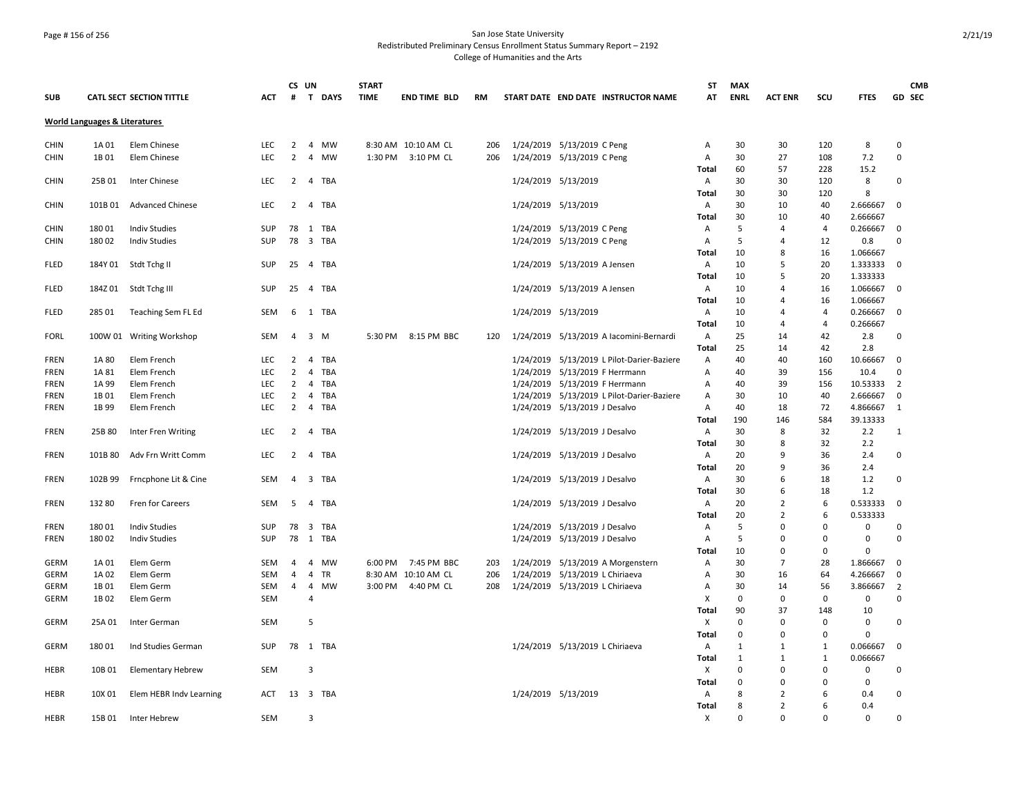## Page # 156 of 256 San Jose State University Redistributed Preliminary Census Enrollment Status Summary Report – 2192 College of Humanities and the Arts

|             |                                          |                                 |            | CS UN          |                              | <b>START</b> |                     |           |                                                  | <b>ST</b>      | <b>MAX</b>   |                |                |             | <b>CMB</b>     |  |
|-------------|------------------------------------------|---------------------------------|------------|----------------|------------------------------|--------------|---------------------|-----------|--------------------------------------------------|----------------|--------------|----------------|----------------|-------------|----------------|--|
| <b>SUB</b>  |                                          | <b>CATL SECT SECTION TITTLE</b> | <b>ACT</b> | #              | T DAYS                       | <b>TIME</b>  | <b>END TIME BLD</b> | <b>RM</b> | START DATE END DATE INSTRUCTOR NAME              | AT             | <b>ENRL</b>  | <b>ACT ENR</b> | scu            | <b>FTES</b> | GD SEC         |  |
|             | <b>World Languages &amp; Literatures</b> |                                 |            |                |                              |              |                     |           |                                                  |                |              |                |                |             |                |  |
| <b>CHIN</b> | 1A 01                                    | Elem Chinese                    | <b>LEC</b> | 2              | $\overline{4}$<br>MW         |              | 8:30 AM 10:10 AM CL | 206       | 1/24/2019 5/13/2019 C Peng                       | Α              | 30           | 30             | 120            | 8           | $\mathbf 0$    |  |
| <b>CHIN</b> | 1B 01                                    | Elem Chinese                    | <b>LEC</b> | $\overline{2}$ | $\overline{4}$<br>MW         | 1:30 PM      | 3:10 PM CL          | 206       | 1/24/2019 5/13/2019 C Peng                       | $\overline{A}$ | 30           | 27             | 108            | 7.2         | $\mathbf 0$    |  |
|             |                                          |                                 |            |                |                              |              |                     |           |                                                  | Total          | 60           | 57             | 228            | 15.2        |                |  |
| <b>CHIN</b> | 25B 01                                   | Inter Chinese                   | <b>LEC</b> | 2              | TBA<br>$\overline{4}$        |              |                     |           | 1/24/2019 5/13/2019                              | Α              | 30           | 30             | 120            | 8           | $\Omega$       |  |
|             |                                          |                                 |            |                |                              |              |                     |           |                                                  | Total          | 30           | 30             | 120            | 8           |                |  |
| CHIN        | 101B 01                                  | <b>Advanced Chinese</b>         | <b>LEC</b> | $\overline{2}$ | 4 TBA                        |              |                     |           | 1/24/2019 5/13/2019                              | A              | 30           | 10             | 40             | 2.666667    | 0              |  |
|             |                                          |                                 |            |                |                              |              |                     |           |                                                  | Total          | 30           | 10             | 40             | 2.666667    |                |  |
| <b>CHIN</b> | 18001                                    | <b>Indiv Studies</b>            | SUP        | 78             | 1 TBA                        |              |                     |           | 1/24/2019 5/13/2019 C Peng                       | Α              | 5            | 4              | $\overline{4}$ | 0.266667    | $\Omega$       |  |
|             | 18002                                    |                                 | <b>SUP</b> | 78             | 3 TBA                        |              |                     |           |                                                  |                | 5            | 4              | 12             | 0.8         | $\Omega$       |  |
| <b>CHIN</b> |                                          | <b>Indiv Studies</b>            |            |                |                              |              |                     |           | 1/24/2019 5/13/2019 C Peng                       | Α<br>Total     | 10           | 8              | 16             |             |                |  |
|             |                                          |                                 |            |                |                              |              |                     |           |                                                  |                |              | 5              |                | 1.066667    |                |  |
| <b>FLED</b> | 184Y 01                                  | Stdt Tchg II                    | <b>SUP</b> | 25             | 4 TBA                        |              |                     |           | 1/24/2019 5/13/2019 A Jensen                     | Α              | 10           |                | 20             | 1.333333    | $\mathbf 0$    |  |
|             |                                          |                                 |            |                |                              |              |                     |           |                                                  | Total          | 10           | 5              | 20             | 1.333333    |                |  |
| <b>FLED</b> | 184Z01                                   | Stdt Tchg III                   | <b>SUP</b> | 25             | 4 TBA                        |              |                     |           | 1/24/2019 5/13/2019 A Jensen                     | A              | 10           | 4              | 16             | 1.066667    | $\mathbf 0$    |  |
|             |                                          |                                 |            |                |                              |              |                     |           |                                                  | Total          | 10           | 4              | 16             | 1.066667    |                |  |
| <b>FLED</b> | 285 01                                   | Teaching Sem FL Ed              | SEM        | 6              | 1 TBA                        |              |                     |           | 1/24/2019 5/13/2019                              | A              | 10           | 4              | $\overline{a}$ | 0.266667    | 0              |  |
|             |                                          |                                 |            |                |                              |              |                     |           |                                                  | Total          | 10           | 4              | $\overline{4}$ | 0.266667    |                |  |
| <b>FORL</b> |                                          | 100W 01 Writing Workshop        | SEM        | $\overline{4}$ | 3 M                          |              | 5:30 PM 8:15 PM BBC | 120       | 1/24/2019 5/13/2019 A lacomini-Bernardi          | A              | 25           | 14             | 42             | 2.8         | 0              |  |
|             |                                          |                                 |            |                |                              |              |                     |           |                                                  | <b>Total</b>   | 25           | 14             | 42             | 2.8         |                |  |
| <b>FREN</b> | 1A 80                                    | Elem French                     | <b>LEC</b> | 2              | <b>TBA</b><br>$\overline{4}$ |              |                     |           | 1/24/2019 5/13/2019 L Pilot-Darier-Baziere       | Α              | 40           | 40             | 160            | 10.66667    | 0              |  |
| <b>FREN</b> | 1A 81                                    | Elem French                     | LEC        | $\overline{2}$ | TBA<br>4                     |              |                     |           | 1/24/2019 5/13/2019 F Herrmann                   | Α              | 40           | 39             | 156            | 10.4        | $\mathbf 0$    |  |
| <b>FREN</b> | 1A 99                                    | Elem French                     | LEC        | $\overline{2}$ | $\overline{4}$<br><b>TBA</b> |              |                     |           | 1/24/2019 5/13/2019 F Herrmann                   | Α              | 40           | 39             | 156            | 10.53333    | $\overline{2}$ |  |
| FREN        | 1B 01                                    | Elem French                     | LEC        | $\overline{2}$ | 4<br>TBA                     |              |                     |           | 1/24/2019    5/13/2019    L Pilot-Darier-Baziere | Α              | 30           | 10             | 40             | 2.666667    | 0              |  |
| <b>FREN</b> | 1B 99                                    | Elem French                     | LEC        | $\overline{2}$ | 4 TBA                        |              |                     |           | 1/24/2019 5/13/2019 J Desalvo                    | Α              | 40           | 18             | 72             | 4.866667    | 1              |  |
|             |                                          |                                 |            |                |                              |              |                     |           |                                                  | <b>Total</b>   | 190          | 146            | 584            | 39.13333    |                |  |
| FREN        | 25B 80                                   | Inter Fren Writing              | LEC        | 2              | $\overline{4}$<br>TBA        |              |                     |           | 1/24/2019 5/13/2019 J Desalvo                    | A              | 30           | 8              | 32             | 2.2         | 1              |  |
|             |                                          |                                 |            |                |                              |              |                     |           |                                                  | <b>Total</b>   | 30           | 8              | 32             | 2.2         |                |  |
| <b>FREN</b> | 101B 80                                  | Adv Frn Writt Comm              | <b>LEC</b> | $\overline{2}$ | $\overline{4}$<br>TBA        |              |                     |           | 1/24/2019 5/13/2019 J Desalvo                    | Α              | 20           | $\mathbf{q}$   | 36             | 2.4         | 0              |  |
|             |                                          |                                 |            |                |                              |              |                     |           |                                                  | <b>Total</b>   | 20           | $\mathbf{q}$   | 36             | 2.4         |                |  |
| FREN        | 102B 99                                  | Frncphone Lit & Cine            | SEM        | 4              | 3 TBA                        |              |                     |           | 1/24/2019 5/13/2019 J Desalvo                    | A              | 30           | 6              | 18             | 1.2         | 0              |  |
|             |                                          |                                 |            |                |                              |              |                     |           |                                                  | <b>Total</b>   | 30           | 6              | 18             | 1.2         |                |  |
| <b>FREN</b> | 132 80                                   | Fren for Careers                | SEM        | 5              | 4 TBA                        |              |                     |           | 1/24/2019 5/13/2019 J Desalvo                    | A              | 20           | $\overline{2}$ | 6              | 0.533333    | $\mathbf 0$    |  |
|             |                                          |                                 |            |                |                              |              |                     |           |                                                  | Total          | 20           | $\overline{2}$ | 6              | 0.533333    |                |  |
| <b>FREN</b> | 18001                                    | <b>Indiv Studies</b>            | <b>SUP</b> | 78             | 3 TBA                        |              |                     |           | 1/24/2019 5/13/2019 J Desalvo                    | A              | 5            | $\Omega$       | $\Omega$       | 0           | $\Omega$       |  |
| <b>FREN</b> | 18002                                    | <b>Indiv Studies</b>            | <b>SUP</b> | 78             | 1 TBA                        |              |                     |           | 1/24/2019 5/13/2019 J Desalvo                    | Α              | 5            | $\Omega$       | $\Omega$       | 0           | $\Omega$       |  |
|             |                                          |                                 |            |                |                              |              |                     |           |                                                  | <b>Total</b>   | 10           | $\Omega$       | $\Omega$       | $\Omega$    |                |  |
| <b>GERM</b> | 1A 01                                    | Elem Germ                       | SEM        | $\overline{4}$ | 4<br>MW                      | 6:00 PM      | 7:45 PM BBC         | 203       | 1/24/2019 5/13/2019 A Morgenstern                | Α              | 30           | $\overline{7}$ | 28             | 1.866667    | $\mathbf 0$    |  |
| GERM        | 1A 02                                    | Elem Germ                       | SEM        | 4              | TR<br>4                      |              | 8:30 AM 10:10 AM CL | 206       | 1/24/2019 5/13/2019 L Chiriaeva                  | Α              | 30           | 16             | 64             | 4.266667    | $\mathbf 0$    |  |
|             | 1B 01                                    |                                 | SEM        | 4              | $\overline{4}$<br>MW         | 3:00 PM      | 4:40 PM CL          | 208       | 1/24/2019 5/13/2019 L Chiriaeva                  | Α              | 30           | 14             | 56             | 3.866667    | 2              |  |
| GERM        |                                          | Elem Germ                       | <b>SEM</b> |                | $\overline{4}$               |              |                     |           |                                                  |                | $\mathbf 0$  | $\Omega$       | 0              |             | $\mathbf 0$    |  |
| GERM        | 1B 02                                    | Elem Germ                       |            |                |                              |              |                     |           |                                                  | X              |              | 37             |                | 0           |                |  |
|             |                                          |                                 |            |                |                              |              |                     |           |                                                  | Total          | 90           |                | 148            | 10          |                |  |
| GERM        | 25A 01                                   | Inter German                    | <b>SEM</b> |                | 5                            |              |                     |           |                                                  | X              | 0            | 0              | 0              | 0           | $\mathbf 0$    |  |
|             |                                          |                                 |            |                |                              |              |                     |           |                                                  | <b>Total</b>   | $\mathbf 0$  | $\Omega$       | $\mathbf 0$    | 0           |                |  |
| GERM        | 18001                                    | Ind Studies German              | SUP        |                | 78 1 TBA                     |              |                     |           | 1/24/2019 5/13/2019 L Chiriaeva                  | Α              | $\mathbf{1}$ | $\mathbf{1}$   | $\mathbf{1}$   | 0.066667    | $\Omega$       |  |
|             |                                          |                                 |            |                |                              |              |                     |           |                                                  | <b>Total</b>   | $\mathbf{1}$ | $\mathbf{1}$   | $\mathbf{1}$   | 0.066667    |                |  |
| HEBR        | 10B 01                                   | <b>Elementary Hebrew</b>        | SEM        |                | $\overline{3}$               |              |                     |           |                                                  | X              | $\pmb{0}$    | $\mathbf 0$    | $\mathbf 0$    | 0           | 0              |  |
|             |                                          |                                 |            |                |                              |              |                     |           |                                                  | <b>Total</b>   | 0            | $\Omega$       | $\Omega$       | 0           |                |  |
| HEBR        | 10X 01                                   | Elem HEBR Indv Learning         | ACT        |                | 13 3 TBA                     |              |                     |           | 1/24/2019 5/13/2019                              | Α              | 8            | 2              | 6              | 0.4         | 0              |  |
|             |                                          |                                 |            |                |                              |              |                     |           |                                                  | <b>Total</b>   | 8            | $\overline{2}$ | 6              | 0.4         |                |  |
| <b>HEBR</b> | 15B 01                                   | Inter Hebrew                    | <b>SEM</b> |                | 3                            |              |                     |           |                                                  | X              | $\Omega$     | $\Omega$       | $\Omega$       | $\mathbf 0$ | $\mathbf 0$    |  |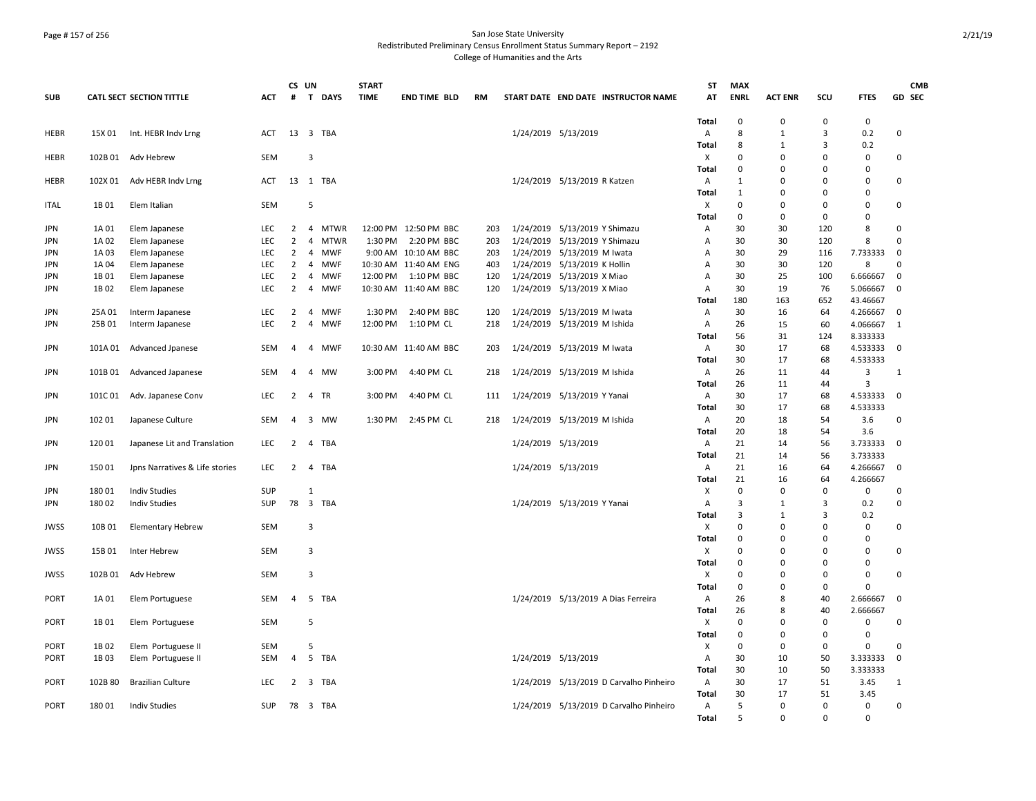## Page # 157 of 256 San Jose State University Redistributed Preliminary Census Enrollment Status Summary Report – 2192 College of Humanities and the Arts

|             |         |                                 |            |                | CS UN          |             | <b>START</b> |                       |           |                               |                                         | ST           | <b>MAX</b>       |                |                            |                    | <b>CMB</b>   |
|-------------|---------|---------------------------------|------------|----------------|----------------|-------------|--------------|-----------------------|-----------|-------------------------------|-----------------------------------------|--------------|------------------|----------------|----------------------------|--------------------|--------------|
| <b>SUB</b>  |         | <b>CATL SECT SECTION TITTLE</b> | ACT        | #              |                | T DAYS      | <b>TIME</b>  | <b>END TIME BLD</b>   | <b>RM</b> |                               | START DATE END DATE INSTRUCTOR NAME     | AT           | <b>ENRL</b>      | <b>ACT ENR</b> | SCU                        | <b>FTES</b>        | GD SEC       |
|             |         |                                 |            |                |                |             |              |                       |           |                               |                                         |              |                  |                |                            |                    |              |
| HEBR        | 15X 01  | Int. HEBR Indv Lrng             | <b>ACT</b> |                |                | 13 3 TBA    |              |                       |           | 1/24/2019 5/13/2019           |                                         | Total<br>A   | $\mathbf 0$<br>8 | $\Omega$<br>1  | 0<br>3                     | $\mathbf 0$<br>0.2 | $\Omega$     |
|             |         |                                 |            |                |                |             |              |                       |           |                               |                                         |              | 8                | 1              | 3                          | 0.2                |              |
| HEBR        |         | 102B 01 Adv Hebrew              | <b>SEM</b> |                | 3              |             |              |                       |           |                               |                                         | Total<br>х   | $\mathbf 0$      | $\mathbf 0$    | $\Omega$                   | 0                  | 0            |
|             |         |                                 |            |                |                |             |              |                       |           |                               |                                         | Total        | $\mathbf 0$      | $\Omega$       | $\mathbf 0$                | $\mathbf 0$        |              |
| HEBR        | 102X 01 | Adv HEBR Indv Lrng              | ACT        |                |                | 13 1 TBA    |              |                       |           | 1/24/2019 5/13/2019 R Katzen  |                                         | Α            | 1                | $\Omega$       | $\Omega$                   | $\Omega$           | 0            |
|             |         |                                 |            |                |                |             |              |                       |           |                               |                                         | Total        | $\mathbf{1}$     | $\Omega$       | 0                          | $\Omega$           |              |
| <b>ITAL</b> | 1B 01   | Elem Italian                    | <b>SEM</b> |                | 5              |             |              |                       |           |                               |                                         | X            | $\mathbf 0$      | $\Omega$       | $\Omega$                   | $\Omega$           | 0            |
|             |         |                                 |            |                |                |             |              |                       |           |                               |                                         | Total        | $\mathbf 0$      | $\Omega$       | $\mathbf 0$                | $\Omega$           |              |
| <b>JPN</b>  | 1A 01   | Elem Japanese                   | LEC        | $\overline{2}$ |                | 4 MTWR      |              | 12:00 PM 12:50 PM BBC | 203       | 1/24/2019 5/13/2019 Y Shimazu |                                         | Α            | 30               | 30             | 120                        | 8                  | 0            |
| JPN         | 1A 02   | Elem Japanese                   | LEC        | $\overline{2}$ | 4              | <b>MTWR</b> | 1:30 PM      | 2:20 PM BBC           | 203       | 1/24/2019 5/13/2019 Y Shimazu |                                         | Α            | 30               | 30             | 120                        | 8                  | $\Omega$     |
| <b>JPN</b>  | 1A 03   | Elem Japanese                   | <b>LEC</b> | $\overline{2}$ |                | 4 MWF       |              | 9:00 AM 10:10 AM BBC  | 203       | 1/24/2019 5/13/2019 M Iwata   |                                         | Α            | 30               | 29             | 116                        | 7.733333           | 0            |
| <b>JPN</b>  | 1A 04   | Elem Japanese                   | <b>LEC</b> | 2              |                | 4 MWF       |              | 10:30 AM 11:40 AM ENG | 403       | 1/24/2019 5/13/2019 K Hollin  |                                         | A            | 30               | 30             | 120                        | 8                  | 0            |
| <b>JPN</b>  | 1B 01   | Elem Japanese                   | <b>LEC</b> | 2              | 4              | <b>MWF</b>  | 12:00 PM     | 1:10 PM BBC           | 120       | 1/24/2019 5/13/2019 X Miao    |                                         | Α            | 30               | 25             | 100                        | 6.666667           | $\mathbf 0$  |
| <b>JPN</b>  | 1B02    | Elem Japanese                   | <b>LEC</b> | $\overline{2}$ |                | 4 MWF       |              | 10:30 AM 11:40 AM BBC | 120       | 1/24/2019 5/13/2019 X Miao    |                                         | A            | 30               | 19             | 76                         | 5.066667           | $\mathbf 0$  |
|             |         |                                 |            |                |                |             |              |                       |           |                               |                                         | Total        | 180              | 163            | 652                        | 43.46667           |              |
| JPN         | 25A 01  | Interm Japanese                 | LEC        | $\overline{2}$ |                | 4 MWF       | 1:30 PM      | 2:40 PM BBC           | 120       | 1/24/2019 5/13/2019 M Iwata   |                                         | Α            | 30               | 16             | 64                         | 4.266667           | 0            |
| JPN         | 25B 01  | Interm Japanese                 | <b>LEC</b> | $\overline{2}$ | 4              | <b>MWF</b>  | 12:00 PM     | 1:10 PM CL            | 218       | 1/24/2019 5/13/2019 M Ishida  |                                         | Α            | 26               | 15             | 60                         | 4.066667           | 1            |
|             |         |                                 |            |                |                |             |              |                       |           |                               |                                         | Total        | 56               | 31             | 124                        | 8.333333           |              |
| <b>JPN</b>  | 101A 01 | Advanced Jpanese                | SEM        | $\overline{4}$ |                | 4 MWF       |              | 10:30 AM 11:40 AM BBC | 203       | 1/24/2019 5/13/2019 M Iwata   |                                         | Α            | 30               | 17             | 68                         | 4.533333           | $\mathbf 0$  |
|             |         |                                 |            |                |                |             |              |                       |           |                               |                                         | Total        | 30               | 17             | 68                         | 4.533333           |              |
| <b>JPN</b>  | 101B01  | Advanced Japanese               | SEM        | 4              | 4              | MW          | 3:00 PM      | 4:40 PM CL            | 218       | 1/24/2019 5/13/2019 M Ishida  |                                         | Α            | 26               | 11             | 44                         | 3                  | $\mathbf{1}$ |
|             |         |                                 |            |                |                |             |              |                       |           |                               |                                         | <b>Total</b> | 26               | 11             | 44                         | 3                  |              |
| JPN         | 101C 01 | Adv. Japanese Conv              | LEC        | 2              |                | 4 TR        | 3:00 PM      | 4:40 PM CL            | 111       | 1/24/2019 5/13/2019 Y Yanai   |                                         | Α            | 30               | 17             | 68                         | 4.533333           | 0            |
|             |         |                                 |            |                |                |             |              |                       |           |                               |                                         | Total        | 30               | 17             | 68                         | 4.533333           |              |
| <b>JPN</b>  | 102 01  | Japanese Culture                | <b>SEM</b> | $\overline{4}$ |                | 3 MW        | 1:30 PM      | 2:45 PM CL            | 218       | 1/24/2019 5/13/2019 M Ishida  |                                         | Α            | 20               | 18             | 54                         | 3.6                | 0            |
|             |         |                                 |            |                |                |             |              |                       |           |                               |                                         | Total        | 20               | 18             | 54                         | 3.6                |              |
| <b>JPN</b>  | 12001   | Japanese Lit and Translation    | <b>LEC</b> | $\overline{2}$ |                | 4 TBA       |              |                       |           | 1/24/2019 5/13/2019           |                                         | A            | 21               | 14             | 56                         | 3.733333           | $\Omega$     |
|             |         |                                 |            |                |                |             |              |                       |           |                               |                                         | <b>Total</b> | 21               | 14             | 56                         | 3.733333           |              |
| <b>JPN</b>  | 150 01  | Jpns Narratives & Life stories  | <b>LEC</b> | 2              |                | 4 TBA       |              |                       |           | 1/24/2019 5/13/2019           |                                         | Α            | 21               | 16             | 64                         | 4.266667           | $\mathbf 0$  |
|             |         |                                 |            |                |                |             |              |                       |           |                               |                                         | Total        | 21               | 16             | 64                         | 4.266667           |              |
| JPN         | 18001   | <b>Indiv Studies</b>            | <b>SUP</b> |                | 1              |             |              |                       |           |                               |                                         | Х            | $\mathbf 0$      | $\Omega$       | $\Omega$                   | 0                  | 0            |
| <b>JPN</b>  | 18002   | <b>Indiv Studies</b>            | <b>SUP</b> |                |                | 78 3 TBA    |              |                       |           | 1/24/2019 5/13/2019 Y Yanai   |                                         | Α            | 3                | 1              | $\overline{3}$             | 0.2                | 0            |
|             |         |                                 |            |                |                |             |              |                       |           |                               |                                         | Total<br>X   | 3<br>$\mathbf 0$ | 1<br>$\Omega$  | $\overline{3}$<br>$\Omega$ | 0.2                |              |
| <b>JWSS</b> | 10B 01  | <b>Elementary Hebrew</b>        | SEM        |                | 3              |             |              |                       |           |                               |                                         | Total        | $\mathbf 0$      | $\Omega$       | $\Omega$                   | 0<br>0             | 0            |
| <b>JWSS</b> | 15B 01  | Inter Hebrew                    | SEM        |                | 3              |             |              |                       |           |                               |                                         | X            | $\overline{0}$   | $\Omega$       | 0                          | $\Omega$           | 0            |
|             |         |                                 |            |                |                |             |              |                       |           |                               |                                         | Total        | $\mathbf 0$      | 0              | $\mathbf 0$                | $\Omega$           |              |
| <b>JWSS</b> | 102B 01 | Adv Hebrew                      | <b>SEM</b> |                | $\overline{3}$ |             |              |                       |           |                               |                                         | X            | $\Omega$         | $\Omega$       | $\Omega$                   | $\Omega$           | 0            |
|             |         |                                 |            |                |                |             |              |                       |           |                               |                                         | Total        | $\mathbf 0$      | $\Omega$       | $\Omega$                   | $\Omega$           |              |
| <b>PORT</b> | 1A 01   | Elem Portuguese                 | SEM        | $\overline{4}$ |                | 5 TBA       |              |                       |           |                               | 1/24/2019 5/13/2019 A Dias Ferreira     | Α            | 26               | 8              | 40                         | 2.666667           | $\Omega$     |
|             |         |                                 |            |                |                |             |              |                       |           |                               |                                         | Total        | 26               | 8              | 40                         | 2.666667           |              |
| <b>PORT</b> | 1B 01   | Elem Portuguese                 | <b>SEM</b> |                | 5              |             |              |                       |           |                               |                                         | X            | 0                | $\Omega$       | 0                          | 0                  | 0            |
|             |         |                                 |            |                |                |             |              |                       |           |                               |                                         | Total        | 0                | $\Omega$       | 0                          | $\Omega$           |              |
| <b>PORT</b> | 1B02    | Elem Portuguese II              | SEM        |                | 5              |             |              |                       |           |                               |                                         | Х            | $\mathbf 0$      | 0              | 0                          | 0                  | $\Omega$     |
| PORT        | 1B03    | Elem Portuguese II              | SEM        | $\overline{4}$ |                | 5 TBA       |              |                       |           | 1/24/2019 5/13/2019           |                                         | Α            | 30               | 10             | 50                         | 3.333333           | $\mathbf 0$  |
|             |         |                                 |            |                |                |             |              |                       |           |                               |                                         | Total        | 30               | 10             | 50                         | 3.333333           |              |
| PORT        | 102B 80 | <b>Brazilian Culture</b>        | LEC        | 2              |                | 3 TBA       |              |                       |           |                               | 1/24/2019 5/13/2019 D Carvalho Pinheiro | A            | 30               | 17             | 51                         | 3.45               | 1            |
|             |         |                                 |            |                |                |             |              |                       |           |                               |                                         | Total        | 30               | 17             | 51                         | 3.45               |              |
| <b>PORT</b> | 18001   | <b>Indiv Studies</b>            | <b>SUP</b> |                |                | 78 3 TBA    |              |                       |           |                               | 1/24/2019 5/13/2019 D Carvalho Pinheiro | A            | 5                | 0              | $\Omega$                   | 0                  | 0            |
|             |         |                                 |            |                |                |             |              |                       |           |                               |                                         | Total        | 5                | $\Omega$       | $\Omega$                   | $\Omega$           |              |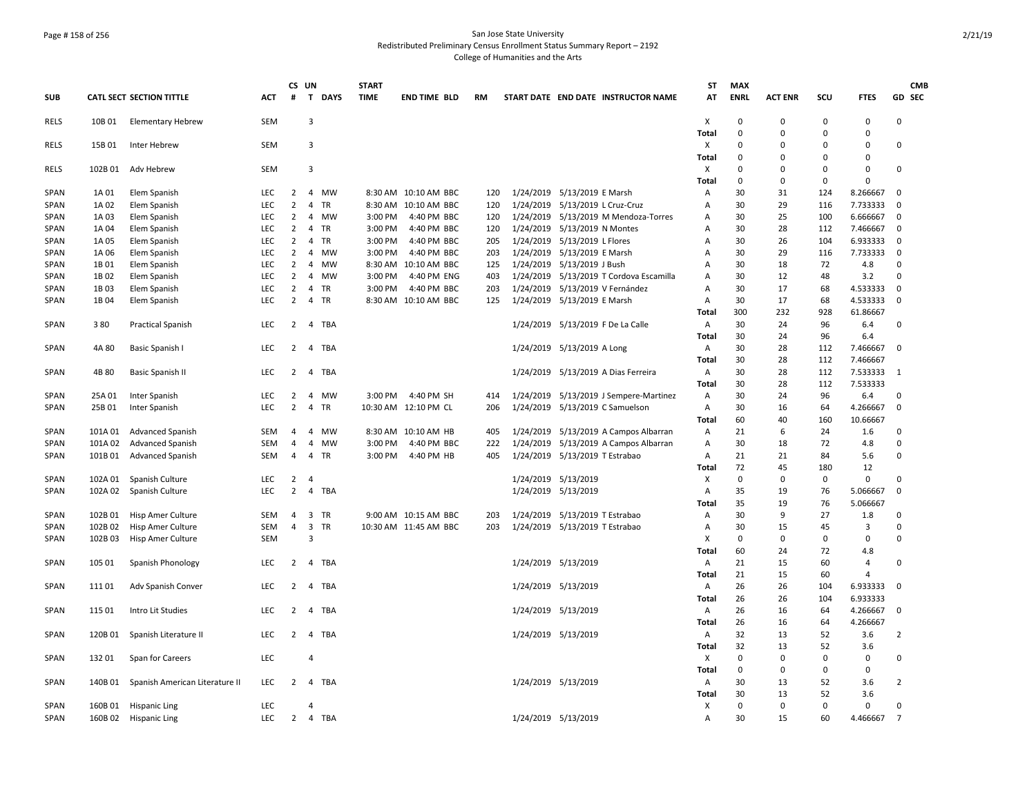## Page # 158 of 256 San Jose State University Redistributed Preliminary Census Enrollment Status Summary Report – 2192 College of Humanities and the Arts

|              |                |                                |                   |                                  | CS UN               |                 | <b>START</b> |                                     |            |                                 |                                         | <b>ST</b>      | <b>MAX</b>  |                |             |                      | <b>CMB</b>       |  |
|--------------|----------------|--------------------------------|-------------------|----------------------------------|---------------------|-----------------|--------------|-------------------------------------|------------|---------------------------------|-----------------------------------------|----------------|-------------|----------------|-------------|----------------------|------------------|--|
| SUB          |                | CATL SECT SECTION TITTLE       | <b>ACT</b>        | #                                | $\mathbf{T}$        | <b>DAYS</b>     | <b>TIME</b>  | <b>END TIME BLD</b>                 | RM         |                                 | START DATE END DATE INSTRUCTOR NAME     | AT             | <b>ENRL</b> | <b>ACT ENR</b> | SCU         | <b>FTES</b>          | GD SEC           |  |
| RELS         | 10B 01         | <b>Elementary Hebrew</b>       | <b>SEM</b>        |                                  | 3                   |                 |              |                                     |            |                                 |                                         | х              | $\mathbf 0$ | $\Omega$       | $\Omega$    | $\Omega$             | $\Omega$         |  |
|              |                |                                |                   |                                  |                     |                 |              |                                     |            |                                 |                                         | <b>Total</b>   | $\Omega$    | $\mathbf 0$    | $\mathbf 0$ | $\Omega$             |                  |  |
| RELS         | 15B 01         | Inter Hebrew                   | SEM               |                                  | 3                   |                 |              |                                     |            |                                 |                                         | X              | $\mathbf 0$ | $\overline{0}$ | $\Omega$    | $\Omega$             | 0                |  |
|              |                |                                |                   |                                  |                     |                 |              |                                     |            |                                 |                                         | Total          | $\mathbf 0$ | $\Omega$       | $\Omega$    | 0                    |                  |  |
| <b>RELS</b>  | 102B 01        | Adv Hebrew                     | SEM               |                                  | 3                   |                 |              |                                     |            |                                 |                                         | х              | 0           | 0              | 0           | 0                    | 0                |  |
|              |                |                                |                   |                                  |                     |                 |              |                                     |            |                                 |                                         | Total          | 0           | 0              | $\mathbf 0$ | $\Omega$             |                  |  |
| SPAN         | 1A 01          | Elem Spanish                   | LEC               | $\overline{2}$<br>$\overline{2}$ | $\overline{4}$<br>4 | MW              |              | 8:30 AM 10:10 AM BBC                | 120        | 1/24/2019 5/13/2019 E Marsh     |                                         | Α              | 30<br>30    | 31<br>29       | 124         | 8.266667             | 0<br>$\mathbf 0$ |  |
| SPAN<br>SPAN | 1A 02<br>1A 03 | Elem Spanish<br>Elem Spanish   | <b>LEC</b><br>LEC | 2                                | $\overline{4}$      | TR<br><b>MW</b> | 3:00 PM      | 8:30 AM 10:10 AM BBC<br>4:40 PM BBC | 120<br>120 | 1/24/2019 5/13/2019 L Cruz-Cruz | 1/24/2019 5/13/2019 M Mendoza-Torres    | Α<br>Α         | 30          | 25             | 116<br>100  | 7.733333<br>6.666667 | $\mathbf 0$      |  |
| SPAN         | 1A 04          | Elem Spanish                   | <b>LEC</b>        | 2                                | $\overline{4}$      | TR              | 3:00 PM      | 4:40 PM BBC                         | 120        | 1/24/2019 5/13/2019 N Montes    |                                         | $\overline{A}$ | 30          | 28             | 112         | 7.466667             | $\mathbf 0$      |  |
| SPAN         | 1A 05          | Elem Spanish                   | LEC               | $\overline{2}$                   | $\overline{4}$      | <b>TR</b>       | 3:00 PM      | 4:40 PM BBC                         | 205        | 1/24/2019 5/13/2019 L Flores    |                                         | $\overline{A}$ | 30          | 26             | 104         | 6.933333             | $\mathbf 0$      |  |
| SPAN         | 1A 06          | Elem Spanish                   | LEC               | $\overline{2}$                   | 4                   | MW              | 3:00 PM      | 4:40 PM BBC                         | 203        | 1/24/2019 5/13/2019 E Marsh     |                                         | Α              | 30          | 29             | 116         | 7.733333             | 0                |  |
| SPAN         | 1B 01          | Elem Spanish                   | LEC               | 2                                | $\overline{4}$      | MW              |              | 8:30 AM 10:10 AM BBC                | 125        | 1/24/2019 5/13/2019 J Bush      |                                         | Α              | 30          | 18             | 72          | 4.8                  | 0                |  |
| SPAN         | 1B 02          | Elem Spanish                   | <b>LEC</b>        | $\overline{2}$                   | 4                   | <b>MW</b>       | 3:00 PM      | 4:40 PM ENG                         | 403        |                                 | 1/24/2019 5/13/2019 T Cordova Escamilla | A              | 30          | 12             | 48          | 3.2                  | 0                |  |
| SPAN         | 1B03           | Elem Spanish                   | LEC               | $\overline{2}$                   | 4                   | TR              | 3:00 PM      | 4:40 PM BBC                         | 203        | 1/24/2019 5/13/2019 V Fernández |                                         | A              | 30          | 17             | 68          | 4.533333             | $\mathbf 0$      |  |
| <b>SPAN</b>  | 1B 04          | Elem Spanish                   | LEC.              | $\overline{2}$                   | $\overline{4}$      | <b>TR</b>       |              | 8:30 AM 10:10 AM BBC                | 125        | 1/24/2019 5/13/2019 E Marsh     |                                         | A              | 30          | 17             | 68          | 4.533333             | $\mathbf 0$      |  |
|              |                |                                |                   |                                  |                     |                 |              |                                     |            |                                 |                                         | Total          | 300         | 232            | 928         | 61.86667             |                  |  |
| SPAN         | 380            | <b>Practical Spanish</b>       | <b>LEC</b>        | $\overline{2}$                   | 4 TBA               |                 |              |                                     |            |                                 | 1/24/2019 5/13/2019 F De La Calle       | Α              | 30          | 24             | 96          | 6.4                  | 0                |  |
|              |                |                                |                   |                                  |                     |                 |              |                                     |            |                                 |                                         | Total          | 30          | 24             | 96          | 6.4                  |                  |  |
| <b>SPAN</b>  | 4A 80          | Basic Spanish I                | <b>LEC</b>        | $\overline{2}$                   | 4 TBA               |                 |              |                                     |            | 1/24/2019 5/13/2019 A Long      |                                         | Α              | 30          | 28             | 112         | 7.466667             | $\Omega$         |  |
|              |                |                                |                   |                                  |                     |                 |              |                                     |            |                                 |                                         | Total          | 30          | 28             | 112         | 7.466667             |                  |  |
| <b>SPAN</b>  | 4B 80          | Basic Spanish II               | LEC               | $\overline{2}$                   | 4                   | <b>TBA</b>      |              |                                     |            |                                 | 1/24/2019 5/13/2019 A Dias Ferreira     | Α              | 30          | 28             | 112         | 7.533333             | 1                |  |
|              |                |                                |                   |                                  |                     |                 |              |                                     |            |                                 |                                         | Total          | 30          | 28             | 112         | 7.533333             |                  |  |
| <b>SPAN</b>  | 25A 01         | Inter Spanish                  | LEC               | 2                                | 4                   | <b>MW</b>       | 3:00 PM      | 4:40 PM SH                          | 414        |                                 | 1/24/2019 5/13/2019 J Sempere-Martinez  | Α              | 30          | 24             | 96          | 6.4                  | 0                |  |
| SPAN         | 25B 01         | Inter Spanish                  | <b>LEC</b>        | $\overline{2}$                   | 4                   | TR              |              | 10:30 AM 12:10 PM CL                | 206        |                                 | 1/24/2019 5/13/2019 C Samuelson         | A              | 30          | 16             | 64          | 4.266667             | $\mathbf 0$      |  |
|              |                |                                |                   |                                  |                     |                 |              |                                     |            |                                 |                                         | Total          | 60          | 40             | 160         | 10.66667             |                  |  |
| SPAN         | 101A 01        | Advanced Spanish               | SEM               | 4                                | $\overline{4}$      | MW              |              | 8:30 AM 10:10 AM HB                 | 405        |                                 | 1/24/2019 5/13/2019 A Campos Albarran   | Α              | 21          | 6              | 24          | 1.6                  | 0                |  |
| SPAN         | 101A 02        | <b>Advanced Spanish</b>        | SEM               | 4                                | $\overline{4}$      | MW              | 3:00 PM      | 4:40 PM BBC                         | 222        |                                 | 1/24/2019 5/13/2019 A Campos Albarran   | Α              | 30          | 18             | 72          | 4.8                  | 0                |  |
| SPAN         | 101B01         | <b>Advanced Spanish</b>        | <b>SEM</b>        | $\overline{4}$                   | $\overline{4}$      | TR              | 3:00 PM      | 4:40 PM HB                          | 405        | 1/24/2019 5/13/2019 T Estrabao  |                                         | A              | 21          | 21             | 84          | 5.6                  | 0                |  |
|              |                |                                |                   |                                  |                     |                 |              |                                     |            |                                 |                                         | Total          | 72          | 45             | 180         | 12                   |                  |  |
| <b>SPAN</b>  | 102A 01        | Spanish Culture                | LEC               | $\overline{2}$                   | $\overline{4}$      |                 |              |                                     |            | 1/24/2019 5/13/2019             |                                         | х              | $\mathbf 0$ | $\mathbf 0$    | 0           | 0                    | $\Omega$         |  |
| <b>SPAN</b>  | 102A 02        | Spanish Culture                | LEC               | $\overline{2}$                   | 4                   | TBA             |              |                                     |            | 1/24/2019 5/13/2019             |                                         | Α              | 35          | 19             | 76          | 5.066667             | 0                |  |
|              |                |                                |                   |                                  |                     |                 |              |                                     |            |                                 |                                         | Total          | 35          | 19             | 76          | 5.066667             |                  |  |
| SPAN         | 102B 01        | Hisp Amer Culture              | SEM               | $\overline{4}$                   | 3 TR                |                 |              | 9:00 AM 10:15 AM BBC                | 203        | 1/24/2019 5/13/2019 T Estrabao  |                                         | Α              | 30          | 9              | 27          | 1.8                  | 0                |  |
| <b>SPAN</b>  | 102B 02        | Hisp Amer Culture              | <b>SEM</b>        | $\overline{4}$                   | 3 TR                |                 |              | 10:30 AM 11:45 AM BBC               | 203        | 1/24/2019 5/13/2019 T Estrabao  |                                         | $\overline{A}$ | 30          | 15             | 45          | 3                    | $\Omega$         |  |
| SPAN         | 102B03         | Hisp Amer Culture              | SEM               |                                  | $\overline{3}$      |                 |              |                                     |            |                                 |                                         | X              | $\pmb{0}$   | $\mathbf 0$    | 0           | 0                    | 0                |  |
|              |                |                                |                   |                                  |                     |                 |              |                                     |            |                                 |                                         | Total          | 60          | 24             | 72          | 4.8                  |                  |  |
| SPAN         | 105 01         | Spanish Phonology              | LEC               | 2                                | 4                   | <b>TBA</b>      |              |                                     |            | 1/24/2019 5/13/2019             |                                         | A              | 21          | 15             | 60          | $\overline{4}$       | 0                |  |
|              |                |                                |                   |                                  |                     |                 |              |                                     |            |                                 |                                         | Total          | 21          | 15             | 60          | $\overline{a}$       |                  |  |
| <b>SPAN</b>  | 11101          | Adv Spanish Conver             | <b>LEC</b>        | 2                                | 4                   | TBA             |              |                                     |            | 1/24/2019 5/13/2019             |                                         | Α              | 26          | 26             | 104         | 6.933333             | $\mathbf 0$      |  |
|              |                |                                |                   |                                  |                     |                 |              |                                     |            |                                 |                                         | Total          | 26          | 26             | 104         | 6.933333             |                  |  |
| SPAN         | 115 01         | Intro Lit Studies              | <b>LEC</b>        | $\overline{2}$                   | 4                   | TBA             |              |                                     |            | 1/24/2019 5/13/2019             |                                         | A              | 26          | 16             | 64          | 4.266667             | $\mathbf 0$      |  |
|              |                |                                |                   |                                  |                     |                 |              |                                     |            |                                 |                                         | Total          | 26          | 16             | 64          | 4.266667             |                  |  |
| SPAN         | 120B 01        | Spanish Literature II          | <b>LEC</b>        | $\overline{2}$                   | 4 TBA               |                 |              |                                     |            | 1/24/2019 5/13/2019             |                                         | A              | 32<br>32    | 13<br>13       | 52<br>52    | 3.6                  | $\overline{2}$   |  |
|              | 132 01         |                                | <b>LEC</b>        |                                  | 4                   |                 |              |                                     |            |                                 |                                         | Total<br>х     | $\mathbf 0$ | $\mathbf 0$    | $\mathbf 0$ | 3.6<br>0             | 0                |  |
| SPAN         |                | Span for Careers               |                   |                                  |                     |                 |              |                                     |            |                                 |                                         |                | 0           | $\mathbf 0$    | $\mathbf 0$ | 0                    |                  |  |
| SPAN         | 140B 01        | Spanish American Literature II | <b>LEC</b>        | 2                                | $\overline{4}$      | TBA             |              |                                     |            | 1/24/2019 5/13/2019             |                                         | Total<br>A     | 30          | 13             | 52          | 3.6                  | $\overline{2}$   |  |
|              |                |                                |                   |                                  |                     |                 |              |                                     |            |                                 |                                         | Total          | 30          | 13             | 52          | 3.6                  |                  |  |
| <b>SPAN</b>  |                | 160B 01 Hispanic Ling          | LEC               |                                  | 4                   |                 |              |                                     |            |                                 |                                         | X              | $\mathbf 0$ | $\mathbf 0$    | $\mathbf 0$ | $\mathbf 0$          | 0                |  |
| SPAN         |                | 160B 02 Hispanic Ling          | LEC               | $\overline{2}$                   | 4 TBA               |                 |              |                                     |            | 1/24/2019 5/13/2019             |                                         | $\overline{A}$ | 30          | 15             | 60          | 4.466667             | $\overline{7}$   |  |
|              |                |                                |                   |                                  |                     |                 |              |                                     |            |                                 |                                         |                |             |                |             |                      |                  |  |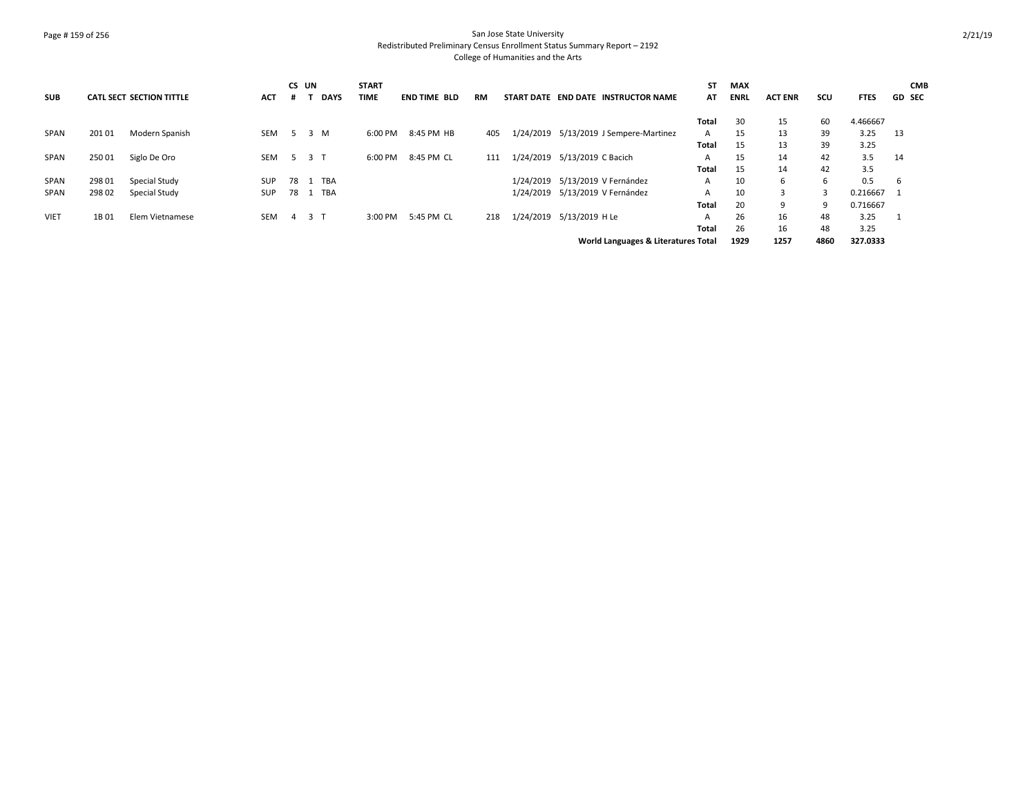## Page # 159 of 256 San Jose State University Redistributed Preliminary Census Enrollment Status Summary Report – 2192 College of Humanities and the Arts

| <b>SUB</b>  |        | <b>CATL SECT SECTION TITTLE</b> | <b>ACT</b> | CS UN<br># |                | <b>DAYS</b> | <b>START</b><br><b>TIME</b> | <b>END TIME BLD</b> | <b>RM</b> |                              | START DATE END DATE INSTRUCTOR NAME     | <b>ST</b><br>AT | <b>MAX</b><br><b>ENRL</b> | <b>ACT ENR</b> | SCU  | <b>FTES</b> | <b>CMB</b><br><b>GD SEC</b> |
|-------------|--------|---------------------------------|------------|------------|----------------|-------------|-----------------------------|---------------------|-----------|------------------------------|-----------------------------------------|-----------------|---------------------------|----------------|------|-------------|-----------------------------|
|             |        |                                 |            |            |                |             |                             |                     |           |                              |                                         | Total           | 30                        | 15             | 60   | 4.466667    |                             |
| SPAN        | 201 01 | Modern Spanish                  | SEM        | -5         | 3 M            |             | 6:00 PM                     | 8:45 PM HB          | 405       |                              | 1/24/2019  5/13/2019 J Sempere-Martinez | A               | 15                        | 13             | 39   | 3.25        | 13                          |
|             |        |                                 |            |            |                |             |                             |                     |           |                              |                                         | Total           | 15                        | 13             | 39   | 3.25        |                             |
| SPAN        | 25001  | Siglo De Oro                    | <b>SEM</b> | -5         | 3 <sub>T</sub> |             | 6:00 PM                     | 8:45 PM CL          | 111       | 1/24/2019 5/13/2019 C Bacich |                                         | A               | 15                        | 14             | 42   | 3.5         | 14                          |
|             |        |                                 |            |            |                |             |                             |                     |           |                              |                                         | Total           | 15                        | 14             | 42   | 3.5         |                             |
| SPAN        | 298 01 | Special Study                   | <b>SUP</b> | 78         |                | <b>TBA</b>  |                             |                     |           |                              | 1/24/2019 5/13/2019 V Fernández         | A               | 10                        | 6              | 6    | 0.5         | 6                           |
| SPAN        | 298 02 | Special Study                   | SUP        | 78 1       |                | <b>TBA</b>  |                             |                     |           |                              | 1/24/2019 5/13/2019 V Fernández         | A               | 10                        | 3              |      | 0.216667    |                             |
|             |        |                                 |            |            |                |             |                             |                     |           |                              |                                         | Total           | 20                        | 9              | 9    | 0.716667    |                             |
| <b>VIET</b> | 1B 01  | Elem Vietnamese                 | <b>SEM</b> | 4          | 3 <sub>T</sub> |             | 3:00 PM                     | 5:45 PM CL          | 218       | 1/24/2019 5/13/2019 H Le     |                                         | A               | 26                        | 16             | 48   | 3.25        |                             |
|             |        |                                 |            |            |                |             |                             |                     |           |                              |                                         | Total           | 26                        | 16             | 48   | 3.25        |                             |
|             |        |                                 |            |            |                |             |                             |                     |           |                              | World Languages & Literatures Total     |                 | 1929                      | 1257           | 4860 | 327.0333    |                             |